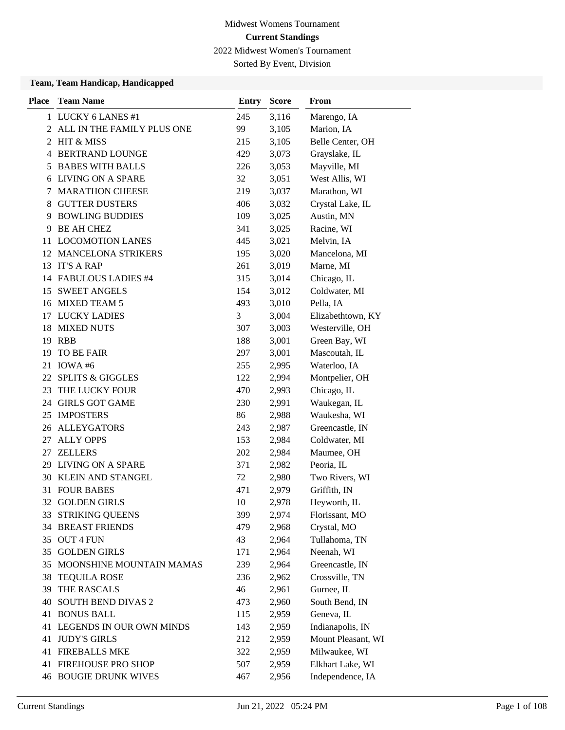2022 Midwest Women's Tournament

Sorted By Event, Division

| <b>Place</b> | <b>Team Name</b>             | <b>Entry</b> | <b>Score</b> | From               |
|--------------|------------------------------|--------------|--------------|--------------------|
|              | 1 LUCKY 6 LANES #1           | 245          | 3,116        | Marengo, IA        |
|              | 2 ALL IN THE FAMILY PLUS ONE | 99           | 3,105        | Marion, IA         |
| 2            | HIT & MISS                   | 215          | 3,105        | Belle Center, OH   |
| 4            | <b>BERTRAND LOUNGE</b>       | 429          | 3,073        | Grayslake, IL      |
| 5            | <b>BABES WITH BALLS</b>      | 226          | 3,053        | Mayville, MI       |
|              | 6 LIVING ON A SPARE          | 32           | 3,051        | West Allis, WI     |
| 7            | <b>MARATHON CHEESE</b>       | 219          | 3,037        | Marathon, WI       |
| 8            | <b>GUTTER DUSTERS</b>        | 406          | 3,032        | Crystal Lake, IL   |
| 9            | <b>BOWLING BUDDIES</b>       | 109          | 3,025        | Austin, MN         |
| 9            | <b>BE AH CHEZ</b>            | 341          | 3,025        | Racine, WI         |
| 11           | <b>LOCOMOTION LANES</b>      | 445          | 3,021        | Melvin, IA         |
|              | 12 MANCELONA STRIKERS        | 195          | 3,020        | Mancelona, MI      |
| 13           | <b>IT'S A RAP</b>            | 261          | 3,019        | Marne, MI          |
|              | 14 FABULOUS LADIES #4        | 315          | 3,014        | Chicago, IL        |
|              | 15 SWEET ANGELS              | 154          | 3,012        | Coldwater, MI      |
|              | 16 MIXED TEAM 5              | 493          | 3,010        | Pella, IA          |
| 17           | <b>LUCKY LADIES</b>          | 3            | 3,004        | Elizabethtown, KY  |
| 18           | <b>MIXED NUTS</b>            | 307          | 3,003        | Westerville, OH    |
| 19           | <b>RBB</b>                   | 188          | 3,001        | Green Bay, WI      |
| 19           | TO BE FAIR                   | 297          | 3,001        | Mascoutah, IL      |
| 21           | IOWA#6                       | 255          | 2,995        | Waterloo, IA       |
| 22           | <b>SPLITS &amp; GIGGLES</b>  | 122          | 2,994        | Montpelier, OH     |
| 23           | THE LUCKY FOUR               | 470          | 2,993        | Chicago, IL        |
|              | 24 GIRLS GOT GAME            | 230          | 2,991        | Waukegan, IL       |
| 25           | <b>IMPOSTERS</b>             | 86           | 2,988        | Waukesha, WI       |
| 26           | <b>ALLEYGATORS</b>           | 243          | 2,987        | Greencastle, IN    |
| 27           | <b>ALLY OPPS</b>             | 153          | 2,984        | Coldwater, MI      |
| 27           | <b>ZELLERS</b>               | 202          | 2,984        | Maumee, OH         |
| 29.          | LIVING ON A SPARE            | 371          | 2,982        | Peoria, IL         |
|              | <b>30 KLEIN AND STANGEL</b>  | 72           | 2,980        | Two Rivers, WI     |
| 31           | <b>FOUR BABES</b>            | 471          | 2,979        | Griffith, IN       |
|              | 32 GOLDEN GIRLS              | 10           | 2,978        | Heyworth, IL       |
| 33           | <b>STRIKING QUEENS</b>       | 399          | 2,974        | Florissant, MO     |
|              | <b>34 BREAST FRIENDS</b>     | 479          | 2,968        | Crystal, MO        |
|              | 35 OUT 4 FUN                 | 43           | 2,964        | Tullahoma, TN      |
|              | 35 GOLDEN GIRLS              | 171          | 2,964        | Neenah, WI         |
| 35           | MOONSHINE MOUNTAIN MAMAS     | 239          | 2,964        | Greencastle, IN    |
| 38           | <b>TEQUILA ROSE</b>          | 236          | 2,962        | Crossville, TN     |
| 39           | THE RASCALS                  | 46           | 2,961        | Gurnee, IL         |
| 40           | <b>SOUTH BEND DIVAS 2</b>    | 473          | 2,960        | South Bend, IN     |
| 41           | <b>BONUS BALL</b>            | 115          | 2,959        | Geneva, IL         |
|              | 41 LEGENDS IN OUR OWN MINDS  | 143          | 2,959        | Indianapolis, IN   |
| 41           | <b>JUDY'S GIRLS</b>          | 212          | 2,959        | Mount Pleasant, WI |
|              | <b>41 FIREBALLS MKE</b>      | 322          | 2,959        | Milwaukee, WI      |
| 41           | FIREHOUSE PRO SHOP           | 507          | 2,959        | Elkhart Lake, WI   |
|              | <b>46 BOUGIE DRUNK WIVES</b> | 467          | 2,956        | Independence, IA   |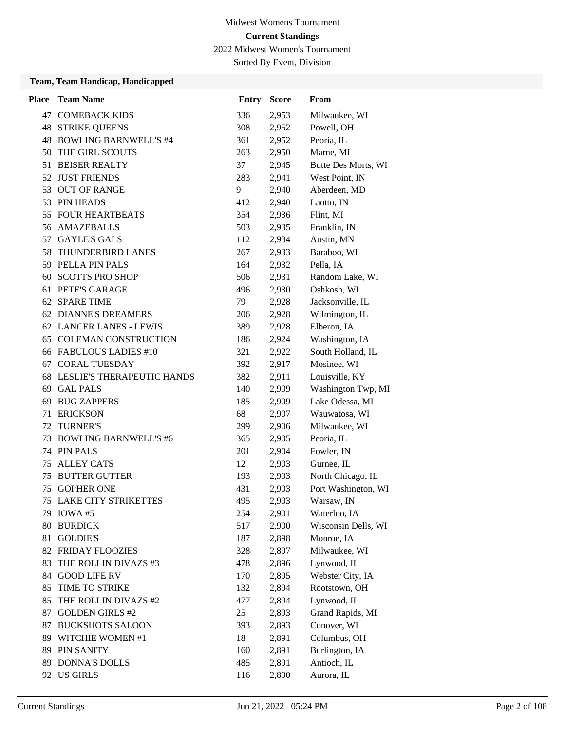2022 Midwest Women's Tournament

Sorted By Event, Division

| <b>Place</b> | <b>Team Name</b>             | <b>Entry</b> | <b>Score</b> | From                |
|--------------|------------------------------|--------------|--------------|---------------------|
| 47           | <b>COMEBACK KIDS</b>         | 336          | 2,953        | Milwaukee, WI       |
| 48           | <b>STRIKE QUEENS</b>         | 308          | 2,952        | Powell, OH          |
| 48           | <b>BOWLING BARNWELL'S #4</b> | 361          | 2,952        | Peoria, IL          |
| 50           | THE GIRL SCOUTS              | 263          | 2,950        | Marne, MI           |
| 51           | <b>BEISER REALTY</b>         | 37           | 2,945        | Butte Des Morts, WI |
| 52           | <b>JUST FRIENDS</b>          | 283          | 2,941        | West Point, IN      |
| 53           | <b>OUT OF RANGE</b>          | 9            | 2,940        | Aberdeen, MD        |
|              | 53 PIN HEADS                 | 412          | 2,940        | Laotto, IN          |
| 55           | <b>FOUR HEARTBEATS</b>       | 354          | 2,936        | Flint, MI           |
| 56           | <b>AMAZEBALLS</b>            | 503          | 2,935        | Franklin, IN        |
| 57           | <b>GAYLE'S GALS</b>          | 112          | 2,934        | Austin, MN          |
| 58           | THUNDERBIRD LANES            | 267          | 2,933        | Baraboo, WI         |
|              | 59 PELLA PIN PALS            | 164          | 2,932        | Pella, IA           |
| 60           | <b>SCOTTS PRO SHOP</b>       | 506          | 2,931        | Random Lake, WI     |
| 61           | PETE'S GARAGE                | 496          | 2,930        | Oshkosh, WI         |
| 62           | <b>SPARE TIME</b>            | 79           | 2,928        | Jacksonville, IL    |
|              | 62 DIANNE'S DREAMERS         | 206          | 2,928        | Wilmington, IL      |
|              | 62 LANCER LANES - LEWIS      | 389          | 2,928        | Elberon, IA         |
| 65           | <b>COLEMAN CONSTRUCTION</b>  | 186          | 2,924        | Washington, IA      |
|              | 66 FABULOUS LADIES #10       | 321          | 2,922        | South Holland, IL   |
| 67           | <b>CORAL TUESDAY</b>         | 392          | 2,917        | Mosinee, WI         |
| 68           | LESLIE'S THERAPEUTIC HANDS   | 382          | 2,911        | Louisville, KY      |
| 69           | <b>GAL PALS</b>              | 140          | 2,909        | Washington Twp, MI  |
| 69           | <b>BUG ZAPPERS</b>           | 185          | 2,909        | Lake Odessa, MI     |
| 71           | <b>ERICKSON</b>              | 68           | 2,907        | Wauwatosa, WI       |
| 72           | <b>TURNER'S</b>              | 299          | 2,906        | Milwaukee, WI       |
| 73           | <b>BOWLING BARNWELL'S #6</b> | 365          | 2,905        | Peoria, IL          |
| 74           | PIN PALS                     | 201          | 2,904        | Fowler, IN          |
| 75           | <b>ALLEY CATS</b>            | 12           | 2,903        | Gurnee, IL          |
| 75           | <b>BUTTER GUTTER</b>         | 193          | 2,903        | North Chicago, IL   |
| 75           | <b>GOPHER ONE</b>            | 431          | 2,903        | Port Washington, WI |
| 75           | <b>LAKE CITY STRIKETTES</b>  | 495          | 2,903        | Warsaw, IN          |
|              | 79 IOWA #5                   | 254          | 2,901        | Waterloo, IA        |
| 80           | <b>BURDICK</b>               | 517          | 2,900        | Wisconsin Dells, WI |
| 81           | <b>GOLDIE'S</b>              | 187          | 2,898        | Monroe, IA          |
|              | 82 FRIDAY FLOOZIES           | 328          | 2,897        | Milwaukee, WI       |
| 83           | THE ROLLIN DIVAZS #3         | 478          | 2,896        | Lynwood, IL         |
| 84           | <b>GOOD LIFE RV</b>          | 170          | 2,895        | Webster City, IA    |
| 85           | TIME TO STRIKE               | 132          | 2,894        | Rootstown, OH       |
| 85           | THE ROLLIN DIVAZS #2         | 477          | 2,894        | Lynwood, IL         |
| 87           | <b>GOLDEN GIRLS #2</b>       | 25           | 2,893        | Grand Rapids, MI    |
| 87           | <b>BUCKSHOTS SALOON</b>      | 393          | 2,893        | Conover, WI         |
| 89           | WITCHIE WOMEN #1             | 18           | 2,891        | Columbus, OH        |
| 89           | PIN SANITY                   | 160          | 2,891        | Burlington, IA      |
| 89           | <b>DONNA'S DOLLS</b>         | 485          | 2,891        | Antioch, IL         |
|              | 92 US GIRLS                  | 116          | 2,890        | Aurora, IL          |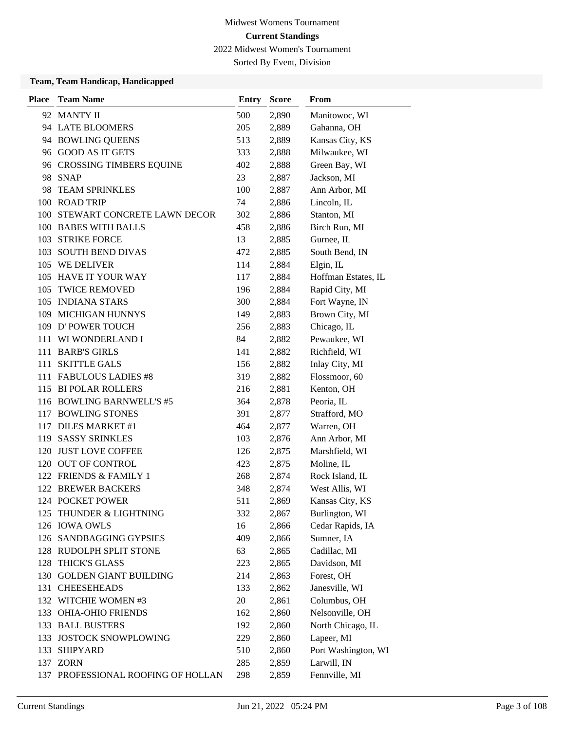2022 Midwest Women's Tournament

Sorted By Event, Division

| <b>Place</b> | <b>Team Name</b>                   | <b>Entry</b> | <b>Score</b> | From                |
|--------------|------------------------------------|--------------|--------------|---------------------|
|              | 92 MANTY II                        | 500          | 2,890        | Manitowoc, WI       |
|              | 94 LATE BLOOMERS                   | 205          | 2,889        | Gahanna, OH         |
|              | 94 BOWLING QUEENS                  | 513          | 2,889        | Kansas City, KS     |
|              | 96 GOOD AS IT GETS                 | 333          | 2,888        | Milwaukee, WI       |
|              | 96 CROSSING TIMBERS EQUINE         | 402          | 2,888        | Green Bay, WI       |
| 98           | <b>SNAP</b>                        | 23           | 2,887        | Jackson, MI         |
| 98           | <b>TEAM SPRINKLES</b>              | 100          | 2,887        | Ann Arbor, MI       |
|              | 100 ROAD TRIP                      | 74           | 2,886        | Lincoln, IL         |
|              | 100 STEWART CONCRETE LAWN DECOR    | 302          | 2,886        | Stanton, MI         |
|              | 100 BABES WITH BALLS               | 458          | 2,886        | Birch Run, MI       |
|              | 103 STRIKE FORCE                   | 13           | 2,885        | Gurnee, IL          |
|              | 103 SOUTH BEND DIVAS               | 472          | 2,885        | South Bend, IN      |
|              | 105 WE DELIVER                     | 114          | 2,884        | Elgin, IL           |
|              | 105 HAVE IT YOUR WAY               | 117          | 2,884        | Hoffman Estates, IL |
|              | 105 TWICE REMOVED                  | 196          | 2,884        | Rapid City, MI      |
|              | 105 INDIANA STARS                  | 300          | 2,884        | Fort Wayne, IN      |
| 109          | MICHIGAN HUNNYS                    | 149          | 2,883        | Brown City, MI      |
|              | 109 D' POWER TOUCH                 | 256          | 2,883        | Chicago, IL         |
| 111          | WI WONDERLAND I                    | 84           | 2,882        | Pewaukee, WI        |
|              | 111 BARB'S GIRLS                   | 141          | 2,882        | Richfield, WI       |
| 111          | <b>SKITTLE GALS</b>                | 156          | 2,882        | Inlay City, MI      |
|              | 111 FABULOUS LADIES #8             | 319          | 2,882        | Flossmoor, 60       |
| 115          | <b>BI POLAR ROLLERS</b>            | 216          | 2,881        | Kenton, OH          |
|              | 116 BOWLING BARNWELL'S #5          | 364          | 2,878        | Peoria, IL          |
| 117          | <b>BOWLING STONES</b>              | 391          | 2,877        | Strafford, MO       |
| 117          | <b>DILES MARKET #1</b>             | 464          | 2,877        | Warren, OH          |
| 119          | <b>SASSY SRINKLES</b>              | 103          | 2,876        | Ann Arbor, MI       |
| 120          | <b>JUST LOVE COFFEE</b>            | 126          | 2,875        | Marshfield, WI      |
|              | 120 OUT OF CONTROL                 | 423          | 2,875        | Moline, IL          |
|              | 122 FRIENDS & FAMILY 1             | 268          | 2,874        | Rock Island, IL     |
| 122          | <b>BREWER BACKERS</b>              | 348          | 2,874        | West Allis, WI      |
|              | 124 POCKET POWER                   | 511          | 2,869        | Kansas City, KS     |
| 125          | THUNDER & LIGHTNING                | 332          | 2,867        | Burlington, WI      |
|              | 126 IOWA OWLS                      | 16           | 2,866        | Cedar Rapids, IA    |
|              | 126 SANDBAGGING GYPSIES            | 409          | 2,866        | Sumner, IA          |
|              | 128 RUDOLPH SPLIT STONE            | 63           | 2,865        | Cadillac, MI        |
| 128          | <b>THICK'S GLASS</b>               | 223          | 2,865        | Davidson, MI        |
| 130          | <b>GOLDEN GIANT BUILDING</b>       | 214          | 2,863        | Forest, OH          |
|              | 131 CHEESEHEADS                    | 133          | 2,862        | Janesville, WI      |
|              | 132 WITCHIE WOMEN #3               | 20           | 2,861        | Columbus, OH        |
| 133          | <b>OHIA-OHIO FRIENDS</b>           | 162          | 2,860        | Nelsonville, OH     |
|              | 133 BALL BUSTERS                   | 192          | 2,860        | North Chicago, IL   |
| 133          | <b>JOSTOCK SNOWPLOWING</b>         | 229          | 2,860        | Lapeer, MI          |
| 133          | <b>SHIPYARD</b>                    | 510          | 2,860        | Port Washington, WI |
|              | 137 ZORN                           | 285          | 2,859        | Larwill, IN         |
|              | 137 PROFESSIONAL ROOFING OF HOLLAN | 298          | 2,859        | Fennville, MI       |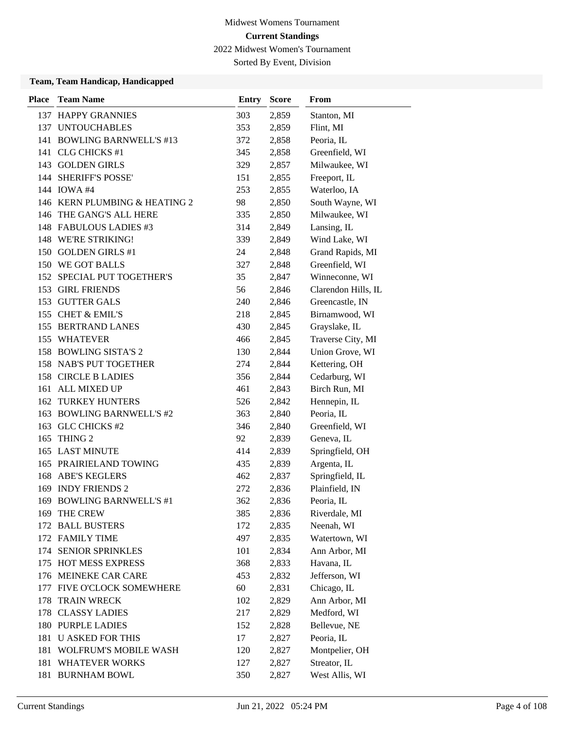Sorted By Event, Division

| <b>Place</b> | <b>Team Name</b>              | <b>Entry</b> | <b>Score</b> | From                |
|--------------|-------------------------------|--------------|--------------|---------------------|
|              | 137 HAPPY GRANNIES            | 303          | 2,859        | Stanton, MI         |
|              | 137 UNTOUCHABLES              | 353          | 2,859        | Flint, MI           |
|              | 141 BOWLING BARNWELL'S #13    | 372          | 2,858        | Peoria, IL          |
|              | 141 CLG CHICKS #1             | 345          | 2,858        | Greenfield, WI      |
|              | 143 GOLDEN GIRLS              | 329          | 2,857        | Milwaukee, WI       |
|              | 144 SHERIFF'S POSSE'          | 151          | 2,855        | Freeport, IL        |
|              | 144 IOWA #4                   | 253          | 2,855        | Waterloo, IA        |
|              | 146 KERN PLUMBING & HEATING 2 | 98           | 2,850        | South Wayne, WI     |
|              | 146 THE GANG'S ALL HERE       | 335          | 2,850        | Milwaukee, WI       |
|              | 148 FABULOUS LADIES #3        | 314          | 2,849        | Lansing, IL         |
|              | 148 WE'RE STRIKING!           | 339          | 2,849        | Wind Lake, WI       |
|              | 150 GOLDEN GIRLS #1           | 24           | 2,848        | Grand Rapids, MI    |
|              | 150 WE GOT BALLS              | 327          | 2,848        | Greenfield, WI      |
|              | 152 SPECIAL PUT TOGETHER'S    | 35           | 2,847        | Winneconne, WI      |
|              | 153 GIRL FRIENDS              | 56           | 2,846        | Clarendon Hills, IL |
|              | 153 GUTTER GALS               | 240          | 2,846        | Greencastle, IN     |
|              | 155 CHET & EMIL'S             | 218          | 2,845        | Birnamwood, WI      |
|              | 155 BERTRAND LANES            | 430          | 2,845        | Grayslake, IL       |
|              | 155 WHATEVER                  | 466          | 2,845        | Traverse City, MI   |
|              | 158 BOWLING SISTA'S 2         | 130          | 2,844        | Union Grove, WI     |
|              | 158 NAB'S PUT TOGETHER        | 274          | 2,844        | Kettering, OH       |
|              | 158 CIRCLE B LADIES           | 356          | 2,844        | Cedarburg, WI       |
|              | 161 ALL MIXED UP              | 461          | 2,843        | Birch Run, MI       |
|              | <b>162 TURKEY HUNTERS</b>     | 526          | 2,842        | Hennepin, IL        |
|              | 163 BOWLING BARNWELL'S #2     | 363          | 2,840        | Peoria, IL          |
|              | 163 GLC CHICKS #2             | 346          | 2,840        | Greenfield, WI      |
|              | 165 THING 2                   | 92           | 2,839        | Geneva, IL          |
|              | 165 LAST MINUTE               | 414          | 2,839        | Springfield, OH     |
|              | 165 PRAIRIELAND TOWING        | 435          | 2,839        | Argenta, IL         |
|              | <b>168 ABE'S KEGLERS</b>      | 462          | 2,837        | Springfield, IL     |
|              | 169 INDY FRIENDS 2            | 272          | 2,836        | Plainfield, IN      |
|              | 169 BOWLING BARNWELL'S #1     | 362          | 2,836        | Peoria, IL          |
|              | 169 THE CREW                  | 385          | 2,836        | Riverdale, MI       |
|              | 172 BALL BUSTERS              | 172          | 2,835        | Neenah, WI          |
|              | 172 FAMILY TIME               | 497          | 2,835        | Watertown, WI       |
|              | 174 SENIOR SPRINKLES          | 101          | 2,834        | Ann Arbor, MI       |
|              | 175 HOT MESS EXPRESS          | 368          | 2,833        | Havana, IL          |
|              | 176 MEINEKE CAR CARE          | 453          | 2,832        | Jefferson, WI       |
|              | 177 FIVE O'CLOCK SOMEWHERE    | 60           | 2,831        | Chicago, IL         |
| 178          | <b>TRAIN WRECK</b>            | 102          | 2,829        | Ann Arbor, MI       |
|              | 178 CLASSY LADIES             | 217          | 2,829        | Medford, WI         |
|              | 180 PURPLE LADIES             | 152          | 2,828        | Bellevue, NE        |
| 181          | <b>U ASKED FOR THIS</b>       | 17           | 2,827        | Peoria, IL          |
| 181          | <b>WOLFRUM'S MOBILE WASH</b>  | 120          | 2,827        | Montpelier, OH      |
| 181          | <b>WHATEVER WORKS</b>         | 127          | 2,827        | Streator, IL        |
|              | 181 BURNHAM BOWL              | 350          | 2,827        | West Allis, WI      |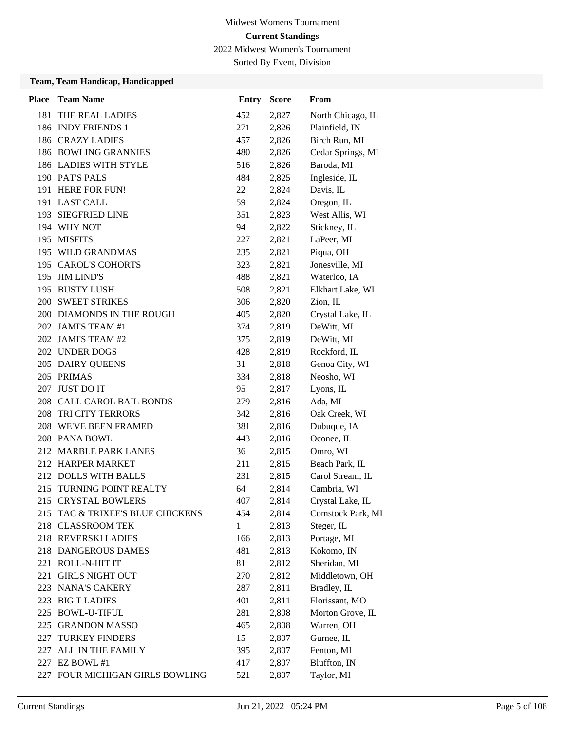Sorted By Event, Division

| <b>Place</b> | <b>Team Name</b>                 | <b>Entry</b> | <b>Score</b> | From              |
|--------------|----------------------------------|--------------|--------------|-------------------|
| 181          | THE REAL LADIES                  | 452          | 2,827        | North Chicago, IL |
|              | 186 INDY FRIENDS 1               | 271          | 2,826        | Plainfield, IN    |
|              | <b>186 CRAZY LADIES</b>          | 457          | 2,826        | Birch Run, MI     |
|              | 186 BOWLING GRANNIES             | 480          | 2,826        | Cedar Springs, MI |
|              | 186 LADIES WITH STYLE            | 516          | 2,826        | Baroda, MI        |
|              | 190 PAT'S PALS                   | 484          | 2,825        | Ingleside, IL     |
|              | 191 HERE FOR FUN!                | 22           | 2,824        | Davis, IL         |
|              | 191 LAST CALL                    | 59           | 2,824        | Oregon, IL        |
|              | 193 SIEGFRIED LINE               | 351          | 2,823        | West Allis, WI    |
|              | 194 WHY NOT                      | 94           | 2,822        | Stickney, IL      |
|              | 195 MISFITS                      | 227          | 2,821        | LaPeer, MI        |
|              | 195 WILD GRANDMAS                | 235          | 2,821        | Piqua, OH         |
|              | 195 CAROL'S COHORTS              | 323          | 2,821        | Jonesville, MI    |
|              | 195 JIM LIND'S                   | 488          | 2,821        | Waterloo, IA      |
|              | 195 BUSTY LUSH                   | 508          | 2,821        | Elkhart Lake, WI  |
|              | <b>200 SWEET STRIKES</b>         | 306          | 2,820        | Zion, IL          |
|              | 200 DIAMONDS IN THE ROUGH        | 405          | 2,820        | Crystal Lake, IL  |
|              | 202 JAMI'S TEAM #1               | 374          | 2,819        | DeWitt, MI        |
|              | 202 JAMI'S TEAM #2               | 375          | 2,819        | DeWitt, MI        |
|              | 202 UNDER DOGS                   | 428          | 2,819        | Rockford, IL      |
|              | 205 DAIRY QUEENS                 | 31           | 2,818        | Genoa City, WI    |
|              | 205 PRIMAS                       | 334          | 2,818        | Neosho, WI        |
|              | 207 JUST DO IT                   | 95           | 2,817        | Lyons, IL         |
|              | 208 CALL CAROL BAIL BONDS        | 279          | 2,816        | Ada, MI           |
|              | 208 TRI CITY TERRORS             | 342          | 2,816        | Oak Creek, WI     |
| 208          | <b>WE'VE BEEN FRAMED</b>         | 381          | 2,816        | Dubuque, IA       |
|              | 208 PANA BOWL                    | 443          | 2,816        | Oconee, IL        |
|              | 212 MARBLE PARK LANES            | 36           | 2,815        | Omro, WI          |
|              | 212 HARPER MARKET                | 211          | 2,815        | Beach Park, IL    |
|              | 212 DOLLS WITH BALLS             | 231          | 2,815        | Carol Stream, IL  |
| 215          | <b>TURNING POINT REALTY</b>      | 64           | 2,814        | Cambria, WI       |
|              | 215 CRYSTAL BOWLERS              | 407          | 2,814        | Crystal Lake, IL  |
|              | 215 TAC & TRIXEE'S BLUE CHICKENS | 454          | 2,814        | Comstock Park, MI |
| 218          | <b>CLASSROOM TEK</b>             | 1            | 2,813        | Steger, IL        |
|              | 218 REVERSKI LADIES              | 166          | 2,813        | Portage, MI       |
|              | 218 DANGEROUS DAMES              | 481          | 2,813        | Kokomo, IN        |
|              | 221 ROLL-N-HIT IT                | 81           | 2,812        | Sheridan, MI      |
| 221          | <b>GIRLS NIGHT OUT</b>           | 270          | 2,812        | Middletown, OH    |
|              | 223 NANA'S CAKERY                | 287          | 2,811        | Bradley, IL       |
|              | 223 BIG T LADIES                 | 401          | 2,811        | Florissant, MO    |
|              | 225 BOWL-U-TIFUL                 | 281          | 2,808        | Morton Grove, IL  |
|              | 225 GRANDON MASSO                | 465          | 2,808        | Warren, OH        |
| 227          | <b>TURKEY FINDERS</b>            | 15           | 2,807        | Gurnee, IL        |
|              | 227 ALL IN THE FAMILY            | 395          | 2,807        | Fenton, MI        |
|              | 227 EZ BOWL #1                   | 417          | 2,807        | Bluffton, IN      |
|              | 227 FOUR MICHIGAN GIRLS BOWLING  | 521          | 2,807        | Taylor, MI        |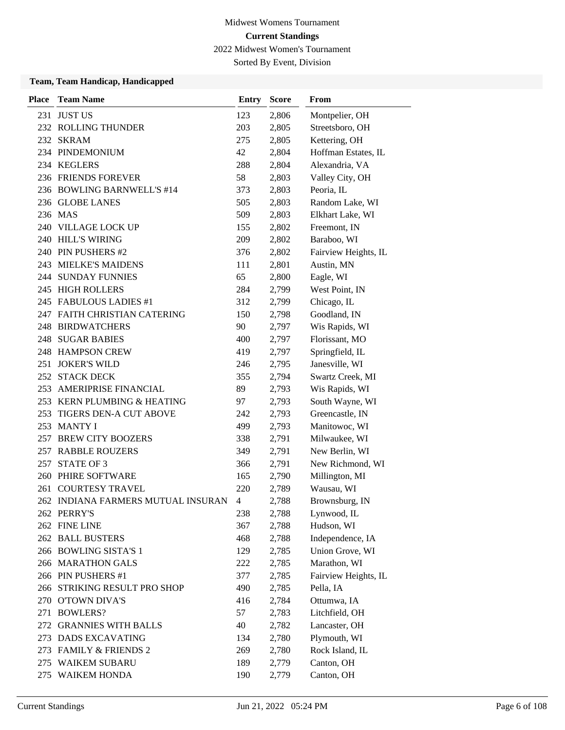2022 Midwest Women's Tournament

Sorted By Event, Division

| <b>Place</b> | <b>Team Name</b>                   | <b>Entry</b>   | <b>Score</b> | From                 |
|--------------|------------------------------------|----------------|--------------|----------------------|
|              | 231 JUST US                        | 123            | 2,806        | Montpelier, OH       |
|              | 232 ROLLING THUNDER                | 203            | 2,805        | Streetsboro, OH      |
|              | 232 SKRAM                          | 275            | 2,805        | Kettering, OH        |
|              | 234 PINDEMONIUM                    | 42             | 2,804        | Hoffman Estates, IL  |
|              | 234 KEGLERS                        | 288            | 2,804        | Alexandria, VA       |
|              | 236 FRIENDS FOREVER                | 58             | 2,803        | Valley City, OH      |
|              | 236 BOWLING BARNWELL'S #14         | 373            | 2,803        | Peoria, IL           |
|              | 236 GLOBE LANES                    | 505            | 2,803        | Random Lake, WI      |
|              | 236 MAS                            | 509            | 2,803        | Elkhart Lake, WI     |
|              | 240 VILLAGE LOCK UP                | 155            | 2,802        | Freemont, IN         |
|              | 240 HILL'S WIRING                  | 209            | 2,802        | Baraboo, WI          |
|              | 240 PIN PUSHERS #2                 | 376            | 2,802        | Fairview Heights, IL |
|              | 243 MIELKE'S MAIDENS               | 111            | 2,801        | Austin, MN           |
|              | <b>244 SUNDAY FUNNIES</b>          | 65             | 2,800        | Eagle, WI            |
|              | 245 HIGH ROLLERS                   | 284            | 2,799        | West Point, IN       |
|              | 245 FABULOUS LADIES #1             | 312            | 2,799        | Chicago, IL          |
|              | 247 FAITH CHRISTIAN CATERING       | 150            | 2,798        | Goodland, IN         |
|              | 248 BIRDWATCHERS                   | 90             | 2,797        | Wis Rapids, WI       |
|              | <b>248 SUGAR BABIES</b>            | 400            | 2,797        | Florissant, MO       |
|              | 248 HAMPSON CREW                   | 419            | 2,797        | Springfield, IL      |
|              | 251 JOKER'S WILD                   | 246            | 2,795        | Janesville, WI       |
|              | 252 STACK DECK                     | 355            | 2,794        | Swartz Creek, MI     |
|              | 253 AMERIPRISE FINANCIAL           | 89             | 2,793        | Wis Rapids, WI       |
|              | 253 KERN PLUMBING & HEATING        | 97             | 2,793        | South Wayne, WI      |
| 253          | TIGERS DEN-A CUT ABOVE             | 242            | 2,793        | Greencastle, IN      |
|              | 253 MANTY I                        | 499            | 2,793        | Manitowoc, WI        |
|              | 257 BREW CITY BOOZERS              | 338            | 2,791        | Milwaukee, WI        |
|              | 257 RABBLE ROUZERS                 | 349            | 2,791        | New Berlin, WI       |
|              | 257 STATE OF 3                     | 366            | 2,791        | New Richmond, WI     |
|              | 260 PHIRE SOFTWARE                 | 165            | 2,790        | Millington, MI       |
| 261          | <b>COURTESY TRAVEL</b>             | 220            | 2,789        | Wausau, WI           |
|              | 262 INDIANA FARMERS MUTUAL INSURAN | $\overline{4}$ | 2,788        | Brownsburg, IN       |
|              | 262 PERRY'S                        | 238            | 2,788        | Lynwood, IL          |
|              | 262 FINE LINE                      | 367            | 2,788        | Hudson, WI           |
|              | 262 BALL BUSTERS                   | 468            | 2,788        | Independence, IA     |
|              | 266 BOWLING SISTA'S 1              | 129            | 2,785        | Union Grove, WI      |
|              | 266 MARATHON GALS                  | 222            | 2,785        | Marathon, WI         |
|              | 266 PIN PUSHERS #1                 | 377            | 2,785        | Fairview Heights, IL |
|              | 266 STRIKING RESULT PRO SHOP       | 490            | 2,785        | Pella, IA            |
|              | 270 O'TOWN DIVA'S                  | 416            | 2,784        | Ottumwa, IA          |
|              | 271 BOWLERS?                       | 57             | 2,783        | Litchfield, OH       |
|              | 272 GRANNIES WITH BALLS            | 40             | 2,782        | Lancaster, OH        |
|              | 273 DADS EXCAVATING                | 134            | 2,780        | Plymouth, WI         |
|              | 273 FAMILY & FRIENDS 2             | 269            | 2,780        | Rock Island, IL      |
|              | 275 WAIKEM SUBARU                  | 189            | 2,779        | Canton, OH           |
|              | 275 WAIKEM HONDA                   | 190            | 2,779        | Canton, OH           |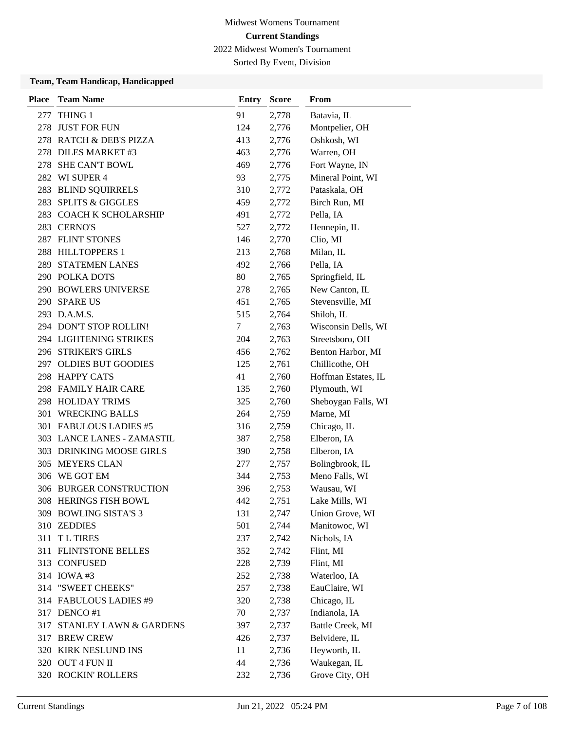Sorted By Event, Division

| Place | <b>Team Name</b>            | Entry | <b>Score</b> | From                |
|-------|-----------------------------|-------|--------------|---------------------|
| 277   | THING 1                     | 91    | 2,778        | Batavia, IL         |
|       | 278 JUST FOR FUN            | 124   | 2,776        | Montpelier, OH      |
|       | 278 RATCH & DEB'S PIZZA     | 413   | 2,776        | Oshkosh, WI         |
|       | 278 DILES MARKET #3         | 463   | 2,776        | Warren, OH          |
|       | 278 SHE CAN'T BOWL          | 469   | 2,776        | Fort Wayne, IN      |
|       | 282 WI SUPER 4              | 93    | 2,775        | Mineral Point, WI   |
|       | 283 BLIND SQUIRRELS         | 310   | 2,772        | Pataskala, OH       |
| 283   | <b>SPLITS &amp; GIGGLES</b> | 459   | 2,772        | Birch Run, MI       |
| 283   | <b>COACH K SCHOLARSHIP</b>  | 491   | 2,772        | Pella, IA           |
|       | 283 CERNO'S                 | 527   | 2,772        | Hennepin, IL        |
|       | 287 FLINT STONES            | 146   | 2,770        | Clio, MI            |
|       | 288 HILLTOPPERS 1           | 213   | 2,768        | Milan, IL           |
|       | 289 STATEMEN LANES          | 492   | 2,766        | Pella, IA           |
|       | 290 POLKA DOTS              | 80    | 2,765        | Springfield, IL     |
|       | 290 BOWLERS UNIVERSE        | 278   | 2,765        | New Canton, IL      |
|       | 290 SPARE US                | 451   | 2,765        | Stevensville, MI    |
|       | 293 D.A.M.S.                | 515   | 2,764        | Shiloh, IL          |
|       | 294 DON'T STOP ROLLIN!      | 7     | 2,763        | Wisconsin Dells, WI |
|       | 294 LIGHTENING STRIKES      | 204   | 2,763        | Streetsboro, OH     |
|       | 296 STRIKER'S GIRLS         | 456   | 2,762        | Benton Harbor, MI   |
|       | 297 OLDIES BUT GOODIES      | 125   | 2,761        | Chillicothe, OH     |
|       | 298 HAPPY CATS              | 41    | 2,760        | Hoffman Estates, IL |
|       | 298 FAMILY HAIR CARE        | 135   | 2,760        | Plymouth, WI        |
|       | 298 HOLIDAY TRIMS           | 325   | 2,760        | Sheboygan Falls, WI |
| 301   | <b>WRECKING BALLS</b>       | 264   | 2,759        | Marne, MI           |
|       | 301 FABULOUS LADIES #5      | 316   | 2,759        | Chicago, IL         |
|       | 303 LANCE LANES - ZAMASTIL  | 387   | 2,758        | Elberon, IA         |
|       | 303 DRINKING MOOSE GIRLS    | 390   | 2,758        | Elberon, IA         |
| 305   | <b>MEYERS CLAN</b>          | 277   | 2,757        | Bolingbrook, IL     |
|       | 306 WE GOT EM               | 344   | 2,753        | Meno Falls, WI      |
|       | 306 BURGER CONSTRUCTION     | 396   | 2,753        | Wausau, WI          |
|       | 308 HERINGS FISH BOWL       | 442   | 2,751        | Lake Mills, WI      |
|       | 309 BOWLING SISTA'S 3       | 131   | 2,747        | Union Grove, WI     |
|       | 310 ZEDDIES                 | 501   | 2,744        | Manitowoc, WI       |
| 311   | <b>TL TIRES</b>             | 237   | 2,742        | Nichols, IA         |
|       | 311 FLINTSTONE BELLES       | 352   | 2,742        | Flint, MI           |
|       | 313 CONFUSED                | 228   | 2,739        | Flint, MI           |
|       | 314 IOWA #3                 | 252   | 2,738        | Waterloo, IA        |
|       | 314 "SWEET CHEEKS"          | 257   | 2,738        | EauClaire, WI       |
|       | 314 FABULOUS LADIES #9      | 320   | 2,738        | Chicago, IL         |
|       | 317 DENCO #1                | 70    | 2,737        | Indianola, IA       |
| 317   | STANLEY LAWN & GARDENS      | 397   | 2,737        | Battle Creek, MI    |
|       | 317 BREW CREW               | 426   | 2,737        | Belvidere, IL       |
|       | 320 KIRK NESLUND INS        | 11    | 2,736        | Heyworth, IL        |
|       | 320 OUT 4 FUN II            | 44    | 2,736        | Waukegan, IL        |
|       | 320 ROCKIN' ROLLERS         | 232   | 2,736        | Grove City, OH      |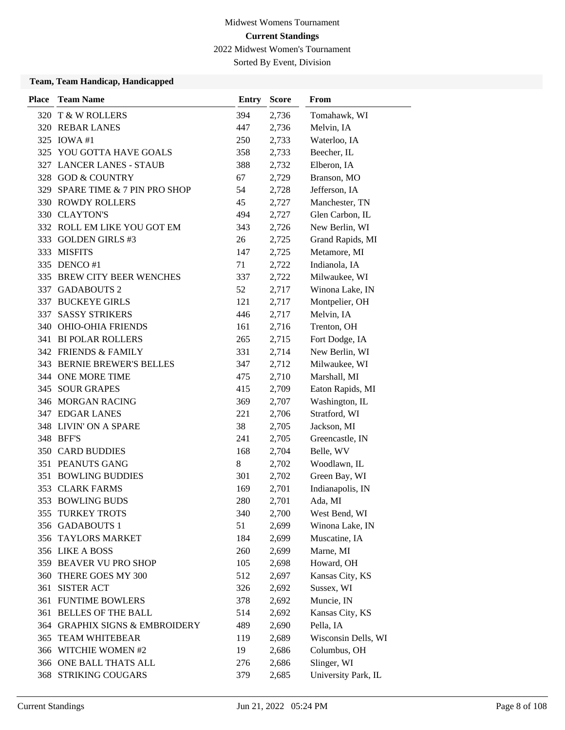2022 Midwest Women's Tournament

Sorted By Event, Division

| <b>Place</b> | <b>Team Name</b>               | <b>Entry</b> | <b>Score</b> | From                |
|--------------|--------------------------------|--------------|--------------|---------------------|
|              | 320 T & W ROLLERS              | 394          | 2,736        | Tomahawk, WI        |
|              | 320 REBAR LANES                | 447          | 2,736        | Melvin, IA          |
|              | 325 IOWA #1                    | 250          | 2,733        | Waterloo, IA        |
|              | 325 YOU GOTTA HAVE GOALS       | 358          | 2,733        | Beecher, IL         |
|              | 327 LANCER LANES - STAUB       | 388          | 2,732        | Elberon, IA         |
|              | 328 GOD & COUNTRY              | 67           | 2,729        | Branson, MO         |
| 329          | SPARE TIME & 7 PIN PRO SHOP    | 54           | 2,728        | Jefferson, IA       |
|              | <b>330 ROWDY ROLLERS</b>       | 45           | 2,727        | Manchester, TN      |
|              | 330 CLAYTON'S                  | 494          | 2,727        | Glen Carbon, IL     |
|              | 332 ROLL EM LIKE YOU GOT EM    | 343          | 2,726        | New Berlin, WI      |
|              | 333 GOLDEN GIRLS #3            | 26           | 2,725        | Grand Rapids, MI    |
|              | 333 MISFITS                    | 147          | 2,725        | Metamore, MI        |
|              | 335 DENCO #1                   | 71           | 2,722        | Indianola, IA       |
|              | 335 BREW CITY BEER WENCHES     | 337          | 2,722        | Milwaukee, WI       |
|              | 337 GADABOUTS 2                | 52           | 2,717        | Winona Lake, IN     |
|              | 337 BUCKEYE GIRLS              | 121          | 2,717        | Montpelier, OH      |
| 337          | <b>SASSY STRIKERS</b>          | 446          | 2,717        | Melvin, IA          |
| 340          | <b>OHIO-OHIA FRIENDS</b>       | 161          | 2,716        | Trenton, OH         |
|              | 341 BI POLAR ROLLERS           | 265          | 2,715        | Fort Dodge, IA      |
|              | 342 FRIENDS & FAMILY           | 331          | 2,714        | New Berlin, WI      |
|              | 343 BERNIE BREWER'S BELLES     | 347          | 2,712        | Milwaukee, WI       |
|              | 344 ONE MORE TIME              | 475          | 2,710        | Marshall, MI        |
|              | 345 SOUR GRAPES                | 415          | 2,709        | Eaton Rapids, MI    |
|              | 346 MORGAN RACING              | 369          | 2,707        | Washington, IL      |
|              | 347 EDGAR LANES                | 221          | 2,706        | Stratford, WI       |
|              | 348 LIVIN' ON A SPARE          | 38           | 2,705        | Jackson, MI         |
|              | 348 BFF'S                      | 241          | 2,705        | Greencastle, IN     |
|              | <b>350 CARD BUDDIES</b>        | 168          | 2,704        | Belle, WV           |
|              | 351 PEANUTS GANG               | 8            | 2,702        | Woodlawn, IL        |
| 351          | <b>BOWLING BUDDIES</b>         | 301          | 2,702        | Green Bay, WI       |
|              | 353 CLARK FARMS                | 169          | 2,701        | Indianapolis, IN    |
| 353          | <b>BOWLING BUDS</b>            | 280          | 2,701        | Ada, MI             |
|              | 355 TURKEY TROTS               | 340          | 2,700        | West Bend, WI       |
|              | 356 GADABOUTS 1                | 51           | 2,699        | Winona Lake, IN     |
|              | 356 TAYLORS MARKET             | 184          | 2,699        | Muscatine, IA       |
|              | 356 LIKE A BOSS                | 260          | 2,699        | Marne, MI           |
|              | 359 BEAVER VU PRO SHOP         | 105          | 2,698        | Howard, OH          |
| 360          | THERE GOES MY 300              | 512          | 2,697        | Kansas City, KS     |
| 361          | <b>SISTER ACT</b>              | 326          | 2,692        | Sussex, WI          |
| 361          | <b>FUNTIME BOWLERS</b>         | 378          | 2,692        | Muncie, IN          |
| 361          | <b>BELLES OF THE BALL</b>      | 514          | 2,692        | Kansas City, KS     |
|              | 364 GRAPHIX SIGNS & EMBROIDERY | 489          | 2,690        | Pella, IA           |
|              | 365 TEAM WHITEBEAR             | 119          | 2,689        | Wisconsin Dells, WI |
|              | 366 WITCHIE WOMEN #2           | 19           | 2,686        | Columbus, OH        |
|              | 366 ONE BALL THATS ALL         | 276          | 2,686        | Slinger, WI         |
|              | 368 STRIKING COUGARS           | 379          | 2,685        | University Park, IL |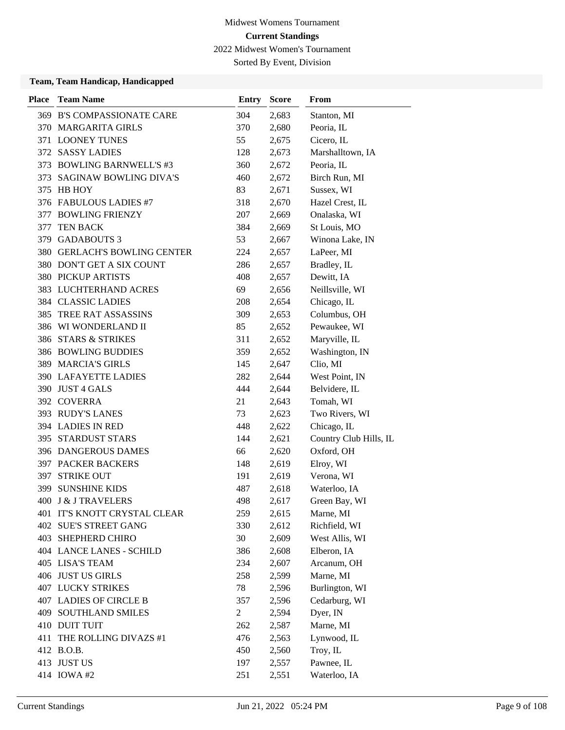Sorted By Event, Division

| <b>Place</b> | <b>Team Name</b>                | <b>Entry</b>   | <b>Score</b> | <b>From</b>            |
|--------------|---------------------------------|----------------|--------------|------------------------|
|              | 369 B'S COMPASSIONATE CARE      | 304            | 2,683        | Stanton, MI            |
|              | 370 MARGARITA GIRLS             | 370            | 2,680        | Peoria, IL             |
|              | 371 LOONEY TUNES                | 55             | 2,675        | Cicero, IL             |
|              | 372 SASSY LADIES                | 128            | 2,673        | Marshalltown, IA       |
|              | 373 BOWLING BARNWELL'S #3       | 360            | 2,672        | Peoria, IL             |
| 373          | <b>SAGINAW BOWLING DIVA'S</b>   | 460            | 2,672        | Birch Run, MI          |
|              | 375 HB HOY                      | 83             | 2,671        | Sussex, WI             |
|              | 376 FABULOUS LADIES #7          | 318            | 2,670        | Hazel Crest, IL        |
|              | 377 BOWLING FRIENZY             | 207            | 2,669        | Onalaska, WI           |
| 377          | <b>TEN BACK</b>                 | 384            | 2,669        | St Louis, MO           |
| 379          | <b>GADABOUTS 3</b>              | 53             | 2,667        | Winona Lake, IN        |
|              | 380 GERLACH'S BOWLING CENTER    | 224            | 2,657        | LaPeer, MI             |
|              | 380 DON'T GET A SIX COUNT       | 286            | 2,657        | Bradley, IL            |
|              | <b>380 PICKUP ARTISTS</b>       | 408            | 2,657        | Dewitt, IA             |
|              | 383 LUCHTERHAND ACRES           | 69             | 2,656        | Neillsville, WI        |
|              | 384 CLASSIC LADIES              | 208            | 2,654        | Chicago, IL            |
| 385          | TREE RAT ASSASSINS              | 309            | 2,653        | Columbus, OH           |
|              | 386 WI WONDERLAND II            | 85             | 2,652        | Pewaukee, WI           |
|              | 386 STARS & STRIKES             | 311            | 2,652        | Maryville, IL          |
|              | <b>386 BOWLING BUDDIES</b>      | 359            | 2,652        | Washington, IN         |
|              | 389 MARCIA'S GIRLS              | 145            | 2,647        | Clio, MI               |
|              | <b>390 LAFAYETTE LADIES</b>     | 282            | 2,644        | West Point, IN         |
|              | 390 JUST 4 GALS                 | 444            | 2,644        | Belvidere, IL          |
|              | 392 COVERRA                     | 21             | 2,643        | Tomah, WI              |
|              | 393 RUDY'S LANES                | 73             | 2,623        | Two Rivers, WI         |
|              | 394 LADIES IN RED               | 448            | 2,622        | Chicago, IL            |
|              | 395 STARDUST STARS              | 144            | 2,621        | Country Club Hills, IL |
|              | 396 DANGEROUS DAMES             | 66             | 2,620        | Oxford, OH             |
|              | <b>397 PACKER BACKERS</b>       | 148            | 2,619        | Elroy, WI              |
|              | 397 STRIKE OUT                  | 191            | 2,619        | Verona, WI             |
| 399          | <b>SUNSHINE KIDS</b>            | 487            | 2,618        | Waterloo, IA           |
|              | 400 J & J TRAVELERS             | 498            | 2,617        | Green Bay, WI          |
|              | 401 IT'S KNOTT CRYSTAL CLEAR    | 259            | 2,615        | Marne, MI              |
|              | 402 SUE'S STREET GANG           | 330            | 2,612        | Richfield, WI          |
|              | 403 SHEPHERD CHIRO              | 30             | 2,609        | West Allis, WI         |
|              | <b>404 LANCE LANES - SCHILD</b> | 386            | 2,608        | Elberon, IA            |
|              | 405 LISA'S TEAM                 | 234            | 2,607        | Arcanum, OH            |
|              | 406 JUST US GIRLS               | 258            | 2,599        | Marne, MI              |
|              | <b>407 LUCKY STRIKES</b>        | 78             | 2,596        | Burlington, WI         |
|              | 407 LADIES OF CIRCLE B          | 357            | 2,596        | Cedarburg, WI          |
|              | <b>409 SOUTHLAND SMILES</b>     | $\overline{2}$ | 2,594        | Dyer, IN               |
|              | 410 DUIT TUIT                   | 262            | 2,587        | Marne, MI              |
| 411          | THE ROLLING DIVAZS #1           | 476            | 2,563        | Lynwood, IL            |
|              | 412 B.O.B.                      | 450            | 2,560        | Troy, IL               |
|              | 413 JUST US                     | 197            | 2,557        | Pawnee, IL             |
|              | 414 IOWA #2                     | 251            | 2,551        | Waterloo, IA           |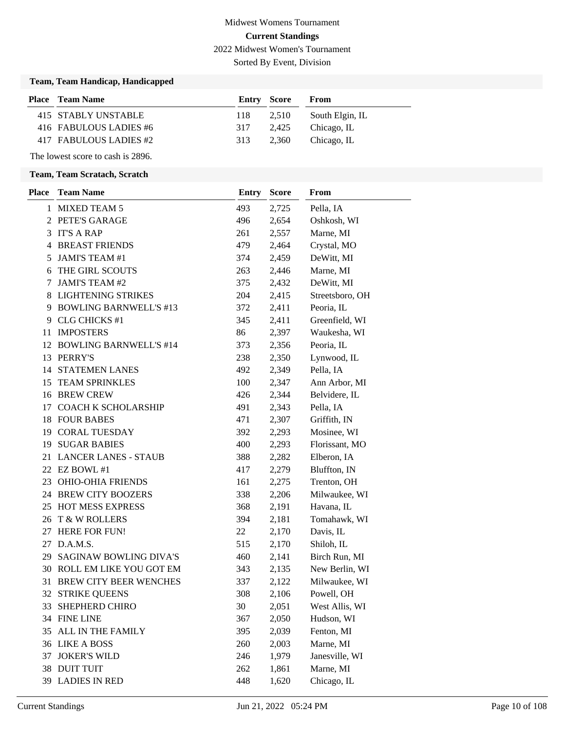Sorted By Event, Division

### **Team, Team Handicap, Handicapped**

| <b>Place</b> Team Name | <b>Entry Score</b> |       | From            |
|------------------------|--------------------|-------|-----------------|
| 415 STABLY UNSTABLE    | 118                | 2.510 | South Elgin, IL |
| 416 FABULOUS LADIES #6 | 317                | 2.425 | Chicago, IL     |
| 417 FABULOUS LADIES #2 | 313                | 2.360 | Chicago, IL     |

# The lowest score to cash is 2896. **Team, Team Scratach, Scratch**

| <b>Place</b> | <b>Team Name</b>              | Entry | <b>Score</b> | From            |
|--------------|-------------------------------|-------|--------------|-----------------|
| 1            | <b>MIXED TEAM 5</b>           | 493   | 2,725        | Pella, IA       |
|              | 2 PETE'S GARAGE               | 496   | 2,654        | Oshkosh, WI     |
|              | 3 IT'S A RAP                  | 261   | 2,557        | Marne, MI       |
|              | <b>4 BREAST FRIENDS</b>       | 479   | 2,464        | Crystal, MO     |
| 5            | JAMI'S TEAM #1                | 374   | 2,459        | DeWitt, MI      |
| 6            | THE GIRL SCOUTS               | 263   | 2,446        | Marne, MI       |
| 7            | JAMI'S TEAM #2                | 375   | 2,432        | DeWitt, MI      |
|              | 8 LIGHTENING STRIKES          | 204   | 2,415        | Streetsboro, OH |
|              | 9 BOWLING BARNWELL'S #13      | 372   | 2,411        | Peoria, IL      |
|              | 9 CLG CHICKS #1               | 345   | 2,411        | Greenfield, WI  |
| 11           | <b>IMPOSTERS</b>              | 86    | 2,397        | Waukesha, WI    |
|              | 12 BOWLING BARNWELL'S #14     | 373   | 2,356        | Peoria, IL      |
|              | 13 PERRY'S                    | 238   | 2,350        | Lynwood, IL     |
|              | <b>14 STATEMEN LANES</b>      | 492   | 2,349        | Pella, IA       |
|              | 15 TEAM SPRINKLES             | 100   | 2,347        | Ann Arbor, MI   |
|              | 16 BREW CREW                  | 426   | 2,344        | Belvidere, IL   |
|              | 17 COACH K SCHOLARSHIP        | 491   | 2,343        | Pella, IA       |
|              | 18 FOUR BABES                 | 471   | 2,307        | Griffith, IN    |
|              | 19 CORAL TUESDAY              | 392   | 2,293        | Mosinee, WI     |
|              | <b>19 SUGAR BABIES</b>        | 400   | 2,293        | Florissant, MO  |
| 21           | <b>LANCER LANES - STAUB</b>   | 388   | 2,282        | Elberon, IA     |
|              | 22 EZ BOWL #1                 | 417   | 2,279        | Bluffton, IN    |
|              | 23 OHIO-OHIA FRIENDS          | 161   | 2,275        | Trenton, OH     |
|              | 24 BREW CITY BOOZERS          | 338   | 2,206        | Milwaukee, WI   |
|              | 25 HOT MESS EXPRESS           | 368   | 2,191        | Havana, IL      |
|              | 26 T & W ROLLERS              | 394   | 2,181        | Tomahawk, WI    |
| 27           | <b>HERE FOR FUN!</b>          | 22    | 2,170        | Davis, IL       |
| 27           | D.A.M.S.                      | 515   | 2,170        | Shiloh, IL      |
|              | 29 SAGINAW BOWLING DIVA'S     | 460   | 2,141        | Birch Run, MI   |
|              | 30 ROLL EM LIKE YOU GOT EM    | 343   | 2,135        | New Berlin, WI  |
| 31           | <b>BREW CITY BEER WENCHES</b> | 337   | 2,122        | Milwaukee, WI   |
|              | 32 STRIKE QUEENS              | 308   | 2,106        | Powell, OH      |
|              | 33 SHEPHERD CHIRO             | 30    | 2,051        | West Allis, WI  |
|              | 34 FINE LINE                  | 367   | 2,050        | Hudson, WI      |
| 35           | ALL IN THE FAMILY             | 395   | 2,039        | Fenton, MI      |
|              | 36 LIKE A BOSS                | 260   | 2,003        | Marne, MI       |
| 37           | <b>JOKER'S WILD</b>           | 246   | 1,979        | Janesville, WI  |
|              | 38 DUIT TUIT                  | 262   | 1,861        | Marne, MI       |
|              | 39 LADIES IN RED              | 448   | 1,620        | Chicago, IL     |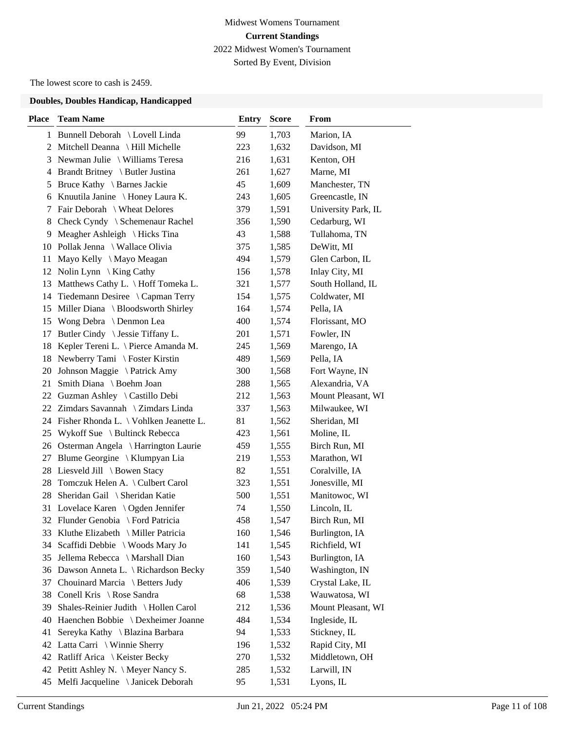# Midwest Womens Tournament **Current Standings** 2022 Midwest Women's Tournament Sorted By Event, Division

The lowest score to cash is 2459.

| <b>Place</b> | <b>Team Name</b>                          | <b>Entry</b> | <b>Score</b> | From                |
|--------------|-------------------------------------------|--------------|--------------|---------------------|
|              | 1 Bunnell Deborah \ Lovell Linda          | 99           | 1,703        | Marion, IA          |
|              | 2 Mitchell Deanna \ Hill Michelle         | 223          | 1,632        | Davidson, MI        |
|              | 3 Newman Julie \ Williams Teresa          | 216          | 1,631        | Kenton, OH          |
| 4            | Brandt Britney \ Butler Justina           | 261          | 1,627        | Marne, MI           |
| 5            | Bruce Kathy \ Barnes Jackie               | 45           | 1,609        | Manchester, TN      |
| 6            | Knuutila Janine \ Honey Laura K.          | 243          | 1,605        | Greencastle, IN     |
| 7            | Fair Deborah \ Wheat Delores              | 379          | 1,591        | University Park, IL |
| 8            | Check Cyndy \ Schemenaur Rachel           | 356          | 1,590        | Cedarburg, WI       |
| 9            | Meagher Ashleigh \ Hicks Tina             | 43           | 1,588        | Tullahoma, TN       |
| 10           | Pollak Jenna \ Wallace Olivia             | 375          | 1,585        | DeWitt, MI          |
| 11           | Mayo Kelly \ Mayo Meagan                  | 494          | 1,579        | Glen Carbon, IL     |
|              | 12 Nolin Lynn \ King Cathy                | 156          | 1,578        | Inlay City, MI      |
| 13           | Matthews Cathy L. \ Hoff Tomeka L.        | 321          | 1,577        | South Holland, IL   |
| 14           | Tiedemann Desiree \ Capman Terry          | 154          | 1,575        | Coldwater, MI       |
|              | 15 Miller Diana \ Bloodsworth Shirley     | 164          | 1,574        | Pella, IA           |
| 15           | Wong Debra \ Denmon Lea                   | 400          | 1,574        | Florissant, MO      |
| 17           | Butler Cindy \ Jessie Tiffany L.          | 201          | 1,571        | Fowler, IN          |
| 18           | Kepler Tereni L. \ Pierce Amanda M.       | 245          | 1,569        | Marengo, IA         |
| 18           | Newberry Tami \ Foster Kirstin            | 489          | 1,569        | Pella, IA           |
| 20           | Johnson Maggie \ Patrick Amy              | 300          | 1,568        | Fort Wayne, IN      |
| 21           | Smith Diana \ Boehm Joan                  | 288          | 1,565        | Alexandria, VA      |
|              | 22 Guzman Ashley \ Castillo Debi          | 212          | 1,563        | Mount Pleasant, WI  |
|              | 22 Zimdars Savannah \ Zimdars Linda       | 337          | 1,563        | Milwaukee, WI       |
|              | 24 Fisher Rhonda L. \ Vohlken Jeanette L. | 81           | 1,562        | Sheridan, MI        |
| 25           | Wykoff Sue \ Bultinck Rebecca             | 423          | 1,561        | Moline, IL          |
|              | 26 Osterman Angela \ Harrington Laurie    | 459          | 1,555        | Birch Run, MI       |
| 27           | Blume Georgine \ Klumpyan Lia             | 219          | 1,553        | Marathon, WI        |
| 28           | Liesveld Jill \ Bowen Stacy               | 82           | 1,551        | Coralville, IA      |
| 28           | Tomczuk Helen A. \ Culbert Carol          | 323          | 1,551        | Jonesville, MI      |
| 28           | Sheridan Gail \ Sheridan Katie            | 500          | 1,551        | Manitowoc, WI       |
|              | 31 Lovelace Karen \ Ogden Jennifer        | 74           | 1,550        | Lincoln, IL         |
|              | 32 Flunder Genobia \ Ford Patricia        | 458          | 1,547        | Birch Run, MI       |
|              | 33 Kluthe Elizabeth \ Miller Patricia     | 160          | 1,546        | Burlington, IA      |
| 34           | Scaffidi Debbie \ Woods Mary Jo           | 141          | 1,545        | Richfield, WI       |
| 35           | Jellema Rebecca \ Marshall Dian           | 160          | 1,543        | Burlington, IA      |
| 36           | Dawson Anneta L. \ Richardson Becky       | 359          | 1,540        | Washington, IN      |
| 37           | Chouinard Marcia \ Betters Judy           | 406          | 1,539        | Crystal Lake, IL    |
| 38           | Conell Kris \ Rose Sandra                 | 68           | 1,538        | Wauwatosa, WI       |
| 39           | Shales-Reinier Judith \ Hollen Carol      | 212          | 1,536        | Mount Pleasant, WI  |
| 40           | Haenchen Bobbie \ Dexheimer Joanne        | 484          | 1,534        | Ingleside, IL       |
| 41           | Sereyka Kathy \ Blazina Barbara           | 94           | 1,533        | Stickney, IL        |
| 42           | Latta Carri \ Winnie Sherry               | 196          | 1,532        | Rapid City, MI      |
|              | 42 Ratliff Arica \ Keister Becky          | 270          | 1,532        | Middletown, OH      |
|              | 42 Petitt Ashley N. \ Meyer Nancy S.      | 285          | 1,532        | Larwill, IN         |
| 45           | Melfi Jacqueline \ Janicek Deborah        | 95           | 1,531        | Lyons, IL           |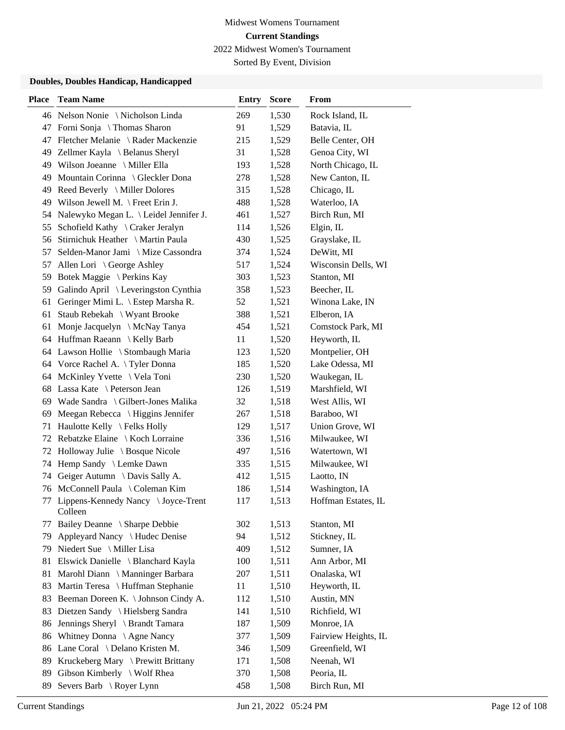Sorted By Event, Division

| <b>Place</b> | <b>Team Name</b>                              | <b>Entry</b> | <b>Score</b> | <b>From</b>          |
|--------------|-----------------------------------------------|--------------|--------------|----------------------|
|              | 46 Nelson Nonie \Nicholson Linda              | 269          | 1,530        | Rock Island, IL      |
|              | 47 Forni Sonja \ Thomas Sharon                | 91           | 1,529        | Batavia, IL          |
| 47           | Fletcher Melanie \ Rader Mackenzie            | 215          | 1,529        | Belle Center, OH     |
|              | 49 Zellmer Kayla \ Belanus Sheryl             | 31           | 1,528        | Genoa City, WI       |
|              | 49 Wilson Joeanne \ Miller Ella               | 193          | 1,528        | North Chicago, IL    |
| 49           | Mountain Corinna \ Gleckler Dona              | 278          | 1,528        | New Canton, IL       |
| 49           | Reed Beverly \ Miller Dolores                 | 315          | 1,528        | Chicago, IL          |
| 49           | Wilson Jewell M. $\$ Freet Erin J.            | 488          | 1,528        | Waterloo, IA         |
| 54           | Nalewyko Megan L. \ Leidel Jennifer J.        | 461          | 1,527        | Birch Run, MI        |
| 55           | Schofield Kathy \ Craker Jeralyn              | 114          | 1,526        | Elgin, IL            |
| 56           | Stirnichuk Heather \ Martin Paula             | 430          | 1,525        | Grayslake, IL        |
| 57           | Selden-Manor Jami \ Mize Cassondra            | 374          | 1,524        | DeWitt, MI           |
| 57           | Allen Lori \ George Ashley                    | 517          | 1,524        | Wisconsin Dells, WI  |
| 59           | Botek Maggie \ Perkins Kay                    | 303          | 1,523        | Stanton, MI          |
| 59           | Galindo April \ Leveringston Cynthia          | 358          | 1,523        | Beecher, IL          |
|              | 61 Geringer Mimi L. \ Estep Marsha R.         | 52           | 1,521        | Winona Lake, IN      |
| 61           | Staub Rebekah \ Wyant Brooke                  | 388          | 1,521        | Elberon, IA          |
| 61           | Monje Jacquelyn \ McNay Tanya                 | 454          | 1,521        | Comstock Park, MI    |
|              | 64 Huffman Raeann \ Kelly Barb                | 11           | 1,520        | Heyworth, IL         |
|              | 64 Lawson Hollie \ Stombaugh Maria            | 123          | 1,520        | Montpelier, OH       |
|              | 64 Vorce Rachel A. \Tyler Donna               | 185          | 1,520        | Lake Odessa, MI      |
| 64           | McKinley Yvette \ Vela Toni                   | 230          | 1,520        | Waukegan, IL         |
|              | 68 Lassa Kate \ Peterson Jean                 | 126          | 1,519        | Marshfield, WI       |
|              | 69 Wade Sandra \ Gilbert-Jones Malika         | 32           | 1,518        | West Allis, WI       |
| 69           | Meegan Rebecca $\setminus$ Higgins Jennifer   | 267          | 1,518        | Baraboo, WI          |
| 71           | Haulotte Kelly \Felks Holly                   | 129          | 1,517        | Union Grove, WI      |
|              | 72 Rebatzke Elaine \ Koch Lorraine            | 336          | 1,516        | Milwaukee, WI        |
| 72           | Holloway Julie \ Bosque Nicole                | 497          | 1,516        | Watertown, WI        |
| 74           | Hemp Sandy \ Lemke Dawn                       | 335          | 1,515        | Milwaukee, WI        |
| 74           | Geiger Autumn \ Davis Sally A.                | 412          | 1,515        | Laotto, IN           |
|              | 76 McConnell Paula \ Coleman Kim              | 186          | 1,514        | Washington, IA       |
| 77           | Lippens-Kennedy Nancy \Joyce-Trent<br>Colleen | 117          | 1,513        | Hoffman Estates, IL  |
| 77           | Bailey Deanne \ Sharpe Debbie                 | 302          | 1,513        | Stanton, MI          |
| 79           | Appleyard Nancy \ Hudec Denise                | 94           | 1,512        | Stickney, IL         |
| 79           | Niedert Sue \ Miller Lisa                     | 409          | 1,512        | Sumner, IA           |
| 81           | Elswick Danielle \ Blanchard Kayla            | 100          | 1,511        | Ann Arbor, MI        |
| 81           | Marohl Diann \ Manninger Barbara              | 207          | 1,511        | Onalaska, WI         |
| 83           | Martin Teresa \ Huffman Stephanie             | 11           | 1,510        | Heyworth, IL         |
| 83           | Beeman Doreen K. \ Johnson Cindy A.           | 112          | 1,510        | Austin, MN           |
| 83           | Dietzen Sandy \ Hielsberg Sandra              | 141          | 1,510        | Richfield, WI        |
| 86           | Jennings Sheryl \ Brandt Tamara               | 187          | 1,509        | Monroe, IA           |
| 86           | Whitney Donna \ Agne Nancy                    | 377          | 1,509        | Fairview Heights, IL |
| 86           | Lane Coral \ Delano Kristen M.                | 346          | 1,509        | Greenfield, WI       |
| 89           | Kruckeberg Mary \ Prewitt Brittany            | 171          | 1,508        | Neenah, WI           |
| 89           | Gibson Kimberly \ Wolf Rhea                   | 370          | 1,508        | Peoria, IL           |
| 89           | Severs Barb \ Royer Lynn                      | 458          | 1,508        | Birch Run, MI        |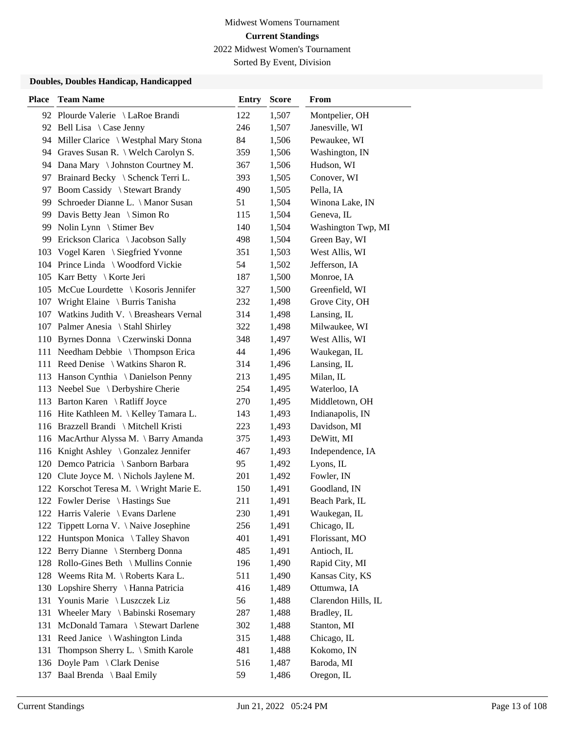Sorted By Event, Division

| <b>Place</b> | <b>Team Name</b>                           | <b>Entry</b> | <b>Score</b> | From                |
|--------------|--------------------------------------------|--------------|--------------|---------------------|
|              | 92 Plourde Valerie \ LaRoe Brandi          | 122          | 1,507        | Montpelier, OH      |
|              | 92 Bell Lisa $\setminus$ Case Jenny        | 246          | 1,507        | Janesville, WI      |
|              | 94 Miller Clarice \ Westphal Mary Stona    | 84           | 1,506        | Pewaukee, WI        |
|              | 94 Graves Susan R. \ Welch Carolyn S.      | 359          | 1,506        | Washington, IN      |
|              | 94 Dana Mary \ Johnston Courtney M.        | 367          | 1,506        | Hudson, WI          |
|              | 97 Brainard Becky \ Schenck Terri L.       | 393          | 1,505        | Conover, WI         |
| 97           | Boom Cassidy \ Stewart Brandy              | 490          | 1,505        | Pella, IA           |
|              | 99 Schroeder Dianne L. \ Manor Susan       | 51           | 1,504        | Winona Lake, IN     |
| 99           | Davis Betty Jean \ Simon Ro                | 115          | 1,504        | Geneva, IL          |
| 99           | Nolin Lynn \ Stimer Bev                    | 140          | 1,504        | Washington Twp, MI  |
| 99           | Erickson Clarica \ Jacobson Sally          | 498          | 1,504        | Green Bay, WI       |
| 103          | Vogel Karen \ Siegfried Yvonne             | 351          | 1,503        | West Allis, WI      |
|              | 104 Prince Linda \ Woodford Vickie         | 54           | 1,502        | Jefferson, IA       |
|              | 105 Karr Betty \ Korte Jeri                | 187          | 1,500        | Monroe, IA          |
|              | 105 McCue Lourdette \ Kosoris Jennifer     | 327          | 1,500        | Greenfield, WI      |
|              | 107 Wright Elaine \ Burris Tanisha         | 232          | 1,498        | Grove City, OH      |
|              | 107 Watkins Judith V. \ Breashears Vernal  | 314          | 1,498        | Lansing, IL         |
|              | 107 Palmer Anesia \ Stahl Shirley          | 322          | 1,498        | Milwaukee, WI       |
| 110          | Byrnes Donna \ Czerwinski Donna            | 348          | 1,497        | West Allis, WI      |
|              | 111 Needham Debbie \ Thompson Erica        | 44           | 1,496        | Waukegan, IL        |
|              | 111 Reed Denise \ Watkins Sharon R.        | 314          | 1,496        | Lansing, IL         |
|              | 113 Hanson Cynthia \ Danielson Penny       | 213          | 1,495        | Milan, IL           |
|              | 113 Neebel Sue \ Derbyshire Cherie         | 254          | 1,495        | Waterloo, IA        |
|              | 113 Barton Karen \ Ratliff Joyce           | 270          | 1,495        | Middletown, OH      |
|              | 116 Hite Kathleen M. \ Kelley Tamara L.    | 143          | 1,493        | Indianapolis, IN    |
|              | 116 Brazzell Brandi \ Mitchell Kristi      | 223          | 1,493        | Davidson, MI        |
|              | 116 MacArthur Alyssa M. \ Barry Amanda     | 375          | 1,493        | DeWitt, MI          |
|              | 116 Knight Ashley \ Gonzalez Jennifer      | 467          | 1,493        | Independence, IA    |
|              | 120 Demco Patricia \ Sanborn Barbara       | 95           | 1,492        | Lyons, IL           |
|              | 120 Clute Joyce M. \Nichols Jaylene M.     | 201          | 1,492        | Fowler, IN          |
|              | 122 Korschot Teresa M. \ Wright Marie E.   | 150          | 1,491        | Goodland, IN        |
|              | 122 Fowler Derise \ Hastings Sue           | 211          | 1,491        | Beach Park, IL      |
|              | 122 Harris Valerie \ Evans Darlene         | 230          | 1,491        | Waukegan, IL        |
| 122          | Tippett Lorna V. \Naive Josephine          | 256          | 1,491        | Chicago, IL         |
|              | 122 Huntspon Monica \Talley Shavon         | 401          | 1,491        | Florissant, MO      |
|              | 122 Berry Dianne \ Sternberg Donna         | 485          | 1,491        | Antioch, IL         |
|              | 128 Rollo-Gines Beth \ Mullins Connie      | 196          | 1,490        | Rapid City, MI      |
| 128          | Weems Rita M. $\backslash$ Roberts Kara L. | 511          | 1,490        | Kansas City, KS     |
| 130          | Lopshire Sherry \ Hanna Patricia           | 416          | 1,489        | Ottumwa, IA         |
| 131          | Younis Marie \ Luszczek Liz                | 56           | 1,488        | Clarendon Hills, IL |
| 131          | Wheeler Mary \ Babinski Rosemary           | 287          | 1,488        | Bradley, IL         |
| 131          | McDonald Tamara \ Stewart Darlene          | 302          | 1,488        | Stanton, MI         |
| 131          | Reed Janice \ Washington Linda             | 315          | 1,488        | Chicago, IL         |
| 131          | Thompson Sherry L. \ Smith Karole          | 481          | 1,488        | Kokomo, IN          |
| 136          | Doyle Pam \ Clark Denise                   | 516          | 1,487        | Baroda, MI          |
|              | 137 Baal Brenda \ Baal Emily               | 59           | 1,486        | Oregon, IL          |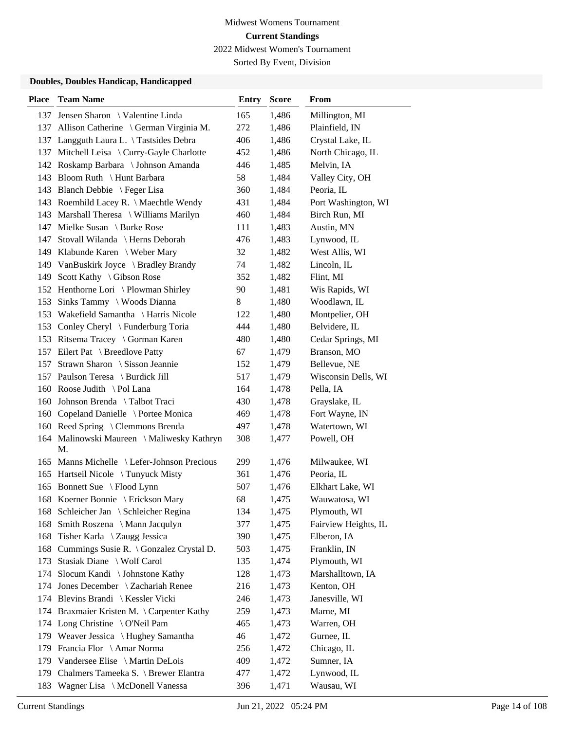Sorted By Event, Division

| <b>Place</b> | <b>Team Name</b>                                 | <b>Entry</b> | <b>Score</b> | From                 |
|--------------|--------------------------------------------------|--------------|--------------|----------------------|
|              | 137 Jensen Sharon \ Valentine Linda              | 165          | 1,486        | Millington, MI       |
|              | 137 Allison Catherine \ German Virginia M.       | 272          | 1,486        | Plainfield, IN       |
|              | 137 Langguth Laura L. \Tastsides Debra           | 406          | 1,486        | Crystal Lake, IL     |
|              | 137 Mitchell Leisa \ Curry-Gayle Charlotte       | 452          | 1,486        | North Chicago, IL    |
|              | 142 Roskamp Barbara \ Johnson Amanda             | 446          | 1,485        | Melvin, IA           |
|              | 143 Bloom Ruth \ Hunt Barbara                    | 58           | 1,484        | Valley City, OH      |
|              | 143 Blanch Debbie \ Feger Lisa                   | 360          | 1,484        | Peoria, IL           |
|              | 143 Roemhild Lacey R. \ Maechtle Wendy           | 431          | 1,484        | Port Washington, WI  |
|              | 143 Marshall Theresa \ Williams Marilyn          | 460          | 1,484        | Birch Run, MI        |
|              | 147 Mielke Susan \ Burke Rose                    | 111          | 1,483        | Austin, MN           |
|              | 147 Stovall Wilanda \ Herns Deborah              | 476          | 1,483        | Lynwood, IL          |
|              | 149 Klabunde Karen \ Weber Mary                  | 32           | 1,482        | West Allis, WI       |
|              | 149 VanBuskirk Joyce \ Bradley Brandy            | 74           | 1,482        | Lincoln, IL          |
|              | 149 Scott Kathy \ Gibson Rose                    | 352          | 1,482        | Flint, MI            |
|              | 152 Henthorne Lori \Plowman Shirley              | 90           | 1,481        | Wis Rapids, WI       |
|              | 153 Sinks Tammy \ Woods Dianna                   | 8            | 1,480        | Woodlawn, IL         |
|              | 153 Wakefield Samantha \ Harris Nicole           | 122          | 1,480        | Montpelier, OH       |
|              | 153 Conley Cheryl \ Funderburg Toria             | 444          | 1,480        | Belvidere, IL        |
|              | 153 Ritsema Tracey \ Gorman Karen                | 480          | 1,480        | Cedar Springs, MI    |
|              | 157 Eilert Pat \ Breedlove Patty                 | 67           | 1,479        | Branson, MO          |
|              | 157 Strawn Sharon \ Sisson Jeannie               | 152          | 1,479        | Bellevue, NE         |
|              | 157 Paulson Teresa \ Burdick Jill                | 517          | 1,479        | Wisconsin Dells, WI  |
|              | 160 Roose Judith \Pol Lana                       | 164          | 1,478        | Pella, IA            |
|              | 160 Johnson Brenda \ Talbot Traci                | 430          | 1,478        | Grayslake, IL        |
|              | 160 Copeland Danielle \ Portee Monica            | 469          | 1,478        | Fort Wayne, IN       |
|              | 160 Reed Spring \ Clemmons Brenda                | 497          | 1,478        | Watertown, WI        |
|              | 164 Malinowski Maureen \ Maliwesky Kathryn<br>M. | 308          | 1,477        | Powell, OH           |
|              | 165 Manns Michelle \ Lefer-Johnson Precious      | 299          | 1,476        | Milwaukee, WI        |
|              | 165 Hartseil Nicole \Tunyuck Misty               | 361          | 1,476        | Peoria, IL           |
|              | 165 Bonnett Sue \ Flood Lynn                     | 507          | 1,476        | Elkhart Lake, WI     |
|              | 168 Koerner Bonnie \ Erickson Mary               | 68           | 1,475        | Wauwatosa, WI        |
|              | 168 Schleicher Jan \ Schleicher Regina           | 134          | 1,475        | Plymouth, WI         |
| 168          | Smith Roszena \ Mann Jacqulyn                    | 377          | 1,475        | Fairview Heights, IL |
| 168          | Tisher Karla \ Zaugg Jessica                     | 390          | 1,475        | Elberon, IA          |
|              | 168 Cummings Susie R. \ Gonzalez Crystal D.      | 503          | 1,475        | Franklin, IN         |
|              | 173 Stasiak Diane \ Wolf Carol                   | 135          | 1,474        | Plymouth, WI         |
|              | 174 Slocum Kandi \ Johnstone Kathy               | 128          | 1,473        | Marshalltown, IA     |
|              | 174 Jones December \ Zachariah Renee             | 216          | 1,473        | Kenton, OH           |
|              | 174 Blevins Brandi \ Kessler Vicki               | 246          | 1,473        | Janesville, WI       |
|              | 174 Braxmaier Kristen M. \ Carpenter Kathy       | 259          | 1,473        | Marne, MI            |
|              | 174 Long Christine \ O'Neil Pam                  | 465          | 1,473        | Warren, OH           |
|              | 179 Weaver Jessica \ Hughey Samantha             | 46           | 1,472        | Gurnee, IL           |
|              | 179 Francia Flor \ Amar Norma                    | 256          | 1,472        | Chicago, IL          |
|              | 179 Vandersee Elise \ Martin DeLois              | 409          | 1,472        | Sumner, IA           |
|              | 179 Chalmers Tameeka S. \ Brewer Elantra         | 477          | 1,472        | Lynwood, IL          |
| 183          | Wagner Lisa \ McDonell Vanessa                   | 396          | 1,471        | Wausau, WI           |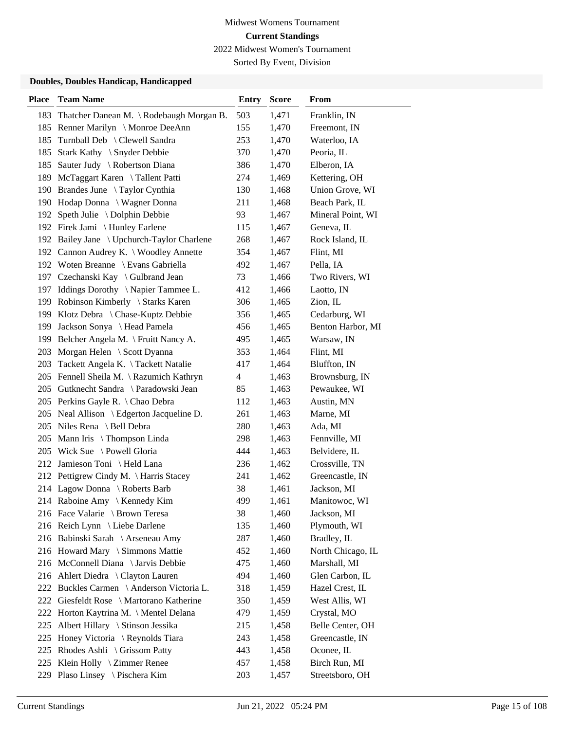Sorted By Event, Division

| <b>Place</b> | <b>Team Name</b>                                              | <b>Entry</b>             | <b>Score</b>   | From                           |
|--------------|---------------------------------------------------------------|--------------------------|----------------|--------------------------------|
|              | 183 Thatcher Danean M. \Rodebaugh Morgan B.                   | 503                      | 1,471          | Franklin, IN                   |
|              | 185 Renner Marilyn \ Monroe DeeAnn                            | 155                      | 1,470          | Freemont, IN                   |
| 185          | Turnball Deb \ Clewell Sandra                                 | 253                      | 1,470          | Waterloo, IA                   |
| 185          | Stark Kathy \ Snyder Debbie                                   | 370                      | 1,470          | Peoria, IL                     |
| 185          | Sauter Judy \ Robertson Diana                                 | 386                      | 1,470          | Elberon, IA                    |
|              | 189 McTaggart Karen \Tallent Patti                            | 274                      | 1,469          | Kettering, OH                  |
|              | 190 Brandes June \ Taylor Cynthia                             | 130                      | 1,468          | Union Grove, WI                |
|              | 190 Hodap Donna \ Wagner Donna                                | 211                      | 1,468          | Beach Park, IL                 |
| 192          | Speth Julie \ Dolphin Debbie                                  | 93                       | 1,467          | Mineral Point, WI              |
|              | 192 Firek Jami \ Hunley Earlene                               | 115                      | 1,467          | Geneva, IL                     |
|              | 192 Bailey Jane \ Upchurch-Taylor Charlene                    | 268                      | 1,467          | Rock Island, IL                |
|              | 192 Cannon Audrey K. \ Woodley Annette                        | 354                      | 1,467          | Flint, MI                      |
|              | 192 Woten Breanne \ Evans Gabriella                           | 492                      | 1,467          | Pella, IA                      |
|              | 197 Czechanski Kay \ Gulbrand Jean                            | 73                       | 1,466          | Two Rivers, WI                 |
|              | 197 Iddings Dorothy \Napier Tammee L.                         | 412                      | 1,466          | Laotto, IN                     |
|              | 199 Robinson Kimberly \ Starks Karen                          | 306                      | 1,465          | Zion, IL                       |
|              | 199 Klotz Debra \ Chase-Kuptz Debbie                          | 356                      | 1,465          | Cedarburg, WI                  |
| 199          | Jackson Sonya \ Head Pamela                                   | 456                      | 1,465          | Benton Harbor, MI              |
|              | 199 Belcher Angela M. \ Fruitt Nancy A.                       | 495                      | 1,465          | Warsaw, IN                     |
| 203          | Morgan Helen \ Scott Dyanna                                   | 353                      | 1,464          | Flint, MI                      |
| 203          | Tackett Angela K. \Tackett Natalie                            | 417                      | 1,464          | Bluffton, IN                   |
|              | 205 Fennell Sheila M. \ Razumich Kathryn                      | $\overline{\mathcal{L}}$ | 1,463          | Brownsburg, IN                 |
|              | 205 Gutknecht Sandra \ Paradowski Jean                        | 85                       | 1,463          | Pewaukee, WI                   |
|              | 205 Perkins Gayle R. \ Chao Debra                             | 112                      | 1,463          | Austin, MN                     |
|              | 205 Neal Allison \ Edgerton Jacqueline D.                     | 261                      | 1,463          | Marne, MI                      |
|              | 205 Niles Rena \ Bell Debra                                   | 280<br>298               | 1,463          | Ada, MI                        |
|              | 205 Mann Iris \ Thompson Linda<br>205 Wick Sue \Powell Gloria | 444                      | 1,463<br>1,463 | Fennville, MI<br>Belvidere, IL |
| 212          | Jamieson Toni \ Held Lana                                     | 236                      | 1,462          | Crossville, TN                 |
|              | 212 Pettigrew Cindy M. \ Harris Stacey                        | 241                      | 1,462          | Greencastle, IN                |
|              | 214 Lagow Donna \ Roberts Barb                                | 38                       | 1,461          | Jackson, MI                    |
|              | 214 Raboine Amy \ Kennedy Kim                                 | 499                      | 1,461          | Manitowoc, WI                  |
|              | 216 Face Valarie \ Brown Teresa                               | 38                       | 1,460          | Jackson, MI                    |
|              | 216 Reich Lynn \ Liebe Darlene                                | 135                      | 1,460          | Plymouth, WI                   |
|              | 216 Babinski Sarah \ Arseneau Amy                             | 287                      | 1,460          | Bradley, IL                    |
|              | 216 Howard Mary \ Simmons Mattie                              | 452                      | 1,460          | North Chicago, IL              |
|              | 216 McConnell Diana \ Jarvis Debbie                           | 475                      | 1,460          | Marshall, MI                   |
|              | 216 Ahlert Diedra \ Clayton Lauren                            | 494                      | 1,460          | Glen Carbon, IL                |
|              | 222 Buckles Carmen \ Anderson Victoria L.                     | 318                      | 1,459          | Hazel Crest, IL                |
| 222          | Giesfeldt Rose \ Martorano Katherine                          | 350                      | 1,459          | West Allis, WI                 |
| 222          | Horton Kaytrina M. \ Mentel Delana                            | 479                      | 1,459          | Crystal, MO                    |
| 225          | Albert Hillary \ Stinson Jessika                              | 215                      | 1,458          | Belle Center, OH               |
| 225          | Honey Victoria \ Reynolds Tiara                               | 243                      | 1,458          | Greencastle, IN                |
| 225          | Rhodes Ashli \ Grissom Patty                                  | 443                      | 1,458          | Oconee, IL                     |
| 225          | Klein Holly \ Zimmer Renee                                    | 457                      | 1,458          | Birch Run, MI                  |
| 229          | Plaso Linsey \ Pischera Kim                                   | 203                      | 1,457          | Streetsboro, OH                |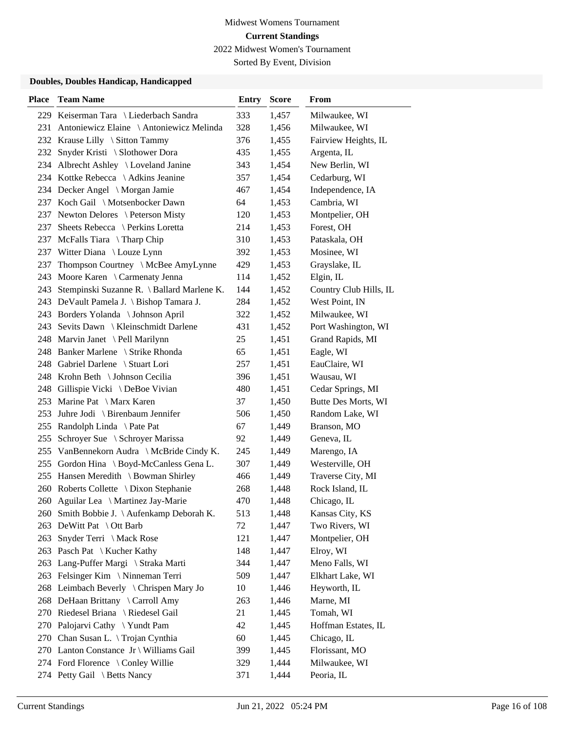Sorted By Event, Division

| <b>Place</b> | <b>Team Name</b>                             | <b>Entry</b> | <b>Score</b> | From                   |
|--------------|----------------------------------------------|--------------|--------------|------------------------|
|              | 229 Keiserman Tara \ Liederbach Sandra       | 333          | 1,457        | Milwaukee, WI          |
|              | 231 Antoniewicz Elaine \ Antoniewicz Melinda | 328          | 1,456        | Milwaukee, WI          |
|              | 232 Krause Lilly \ Sitton Tammy              | 376          | 1,455        | Fairview Heights, IL   |
| 232          | Snyder Kristi \ Slothower Dora               | 435          | 1,455        | Argenta, IL            |
|              | 234 Albrecht Ashley \ Loveland Janine        | 343          | 1,454        | New Berlin, WI         |
|              | 234 Kottke Rebecca \ Adkins Jeanine          | 357          | 1,454        | Cedarburg, WI          |
|              | 234 Decker Angel \ Morgan Jamie              | 467          | 1,454        | Independence, IA       |
|              | 237 Koch Gail \ Motsenbocker Dawn            | 64           | 1,453        | Cambria, WI            |
|              | 237 Newton Delores \ Peterson Misty          | 120          | 1,453        | Montpelier, OH         |
| 237          | Sheets Rebecca \ Perkins Loretta             | 214          | 1,453        | Forest, OH             |
|              | 237 McFalls Tiara \Tharp Chip                | 310          | 1,453        | Pataskala, OH          |
|              | 237 Witter Diana \ Louze Lynn                | 392          | 1,453        | Mosinee, WI            |
| 237          | Thompson Courtney \ McBee AmyLynne           | 429          | 1,453        | Grayslake, IL          |
| 243          | Moore Karen \ Carmenaty Jenna                | 114          | 1,452        | Elgin, IL              |
| 243          | Stempinski Suzanne R. \ Ballard Marlene K.   | 144          | 1,452        | Country Club Hills, IL |
|              | 243 DeVault Pamela J. \ Bishop Tamara J.     | 284          | 1,452        | West Point, IN         |
|              | 243 Borders Yolanda \ Johnson April          | 322          | 1,452        | Milwaukee, WI          |
| 243          | Sevits Dawn \ Kleinschmidt Darlene           | 431          | 1,452        | Port Washington, WI    |
|              | 248 Marvin Janet \ Pell Marilynn             | 25           | 1,451        | Grand Rapids, MI       |
|              | 248 Banker Marlene \ Strike Rhonda           | 65           | 1,451        | Eagle, WI              |
|              | 248 Gabriel Darlene \ Stuart Lori            | 257          | 1,451        | EauClaire, WI          |
|              | 248 Krohn Beth \ Johnson Cecilia             | 396          | 1,451        | Wausau, WI             |
|              | 248 Gillispie Vicki \DeBoe Vivian            | 480          | 1,451        | Cedar Springs, MI      |
|              | 253 Marine Pat \ Marx Karen                  | 37           | 1,450        | Butte Des Morts, WI    |
| 253          | Juhre Jodi \ Birenbaum Jennifer              | 506          | 1,450        | Random Lake, WI        |
| 255          | Randolph Linda \ Pate Pat                    | 67           | 1,449        | Branson, MO            |
| 255          | Schroyer Sue \ Schroyer Marissa              | 92           | 1,449        | Geneva, IL             |
| 255          | VanBennekorn Audra \ McBride Cindy K.        | 245          | 1,449        | Marengo, IA            |
| 255          | Gordon Hina \ Boyd-McCanless Gena L.         | 307          | 1,449        | Westerville, OH        |
|              | 255 Hansen Meredith \ Bowman Shirley         | 466          | 1,449        | Traverse City, MI      |
|              | 260 Roberts Collette \ Dixon Stephanie       | 268          | 1,448        | Rock Island, IL        |
|              | 260 Aguilar Lea \ Martinez Jay-Marie         | 470          | 1,448        | Chicago, IL            |
| 260 -        | Smith Bobbie J. \ Aufenkamp Deborah K.       | 513          | 1,448        | Kansas City, KS        |
| 263          | DeWitt Pat $\setminus$ Ott Barb              | 72           | 1,447        | Two Rivers, WI         |
| 263          | Snyder Terri \ Mack Rose                     | 121          | 1,447        | Montpelier, OH         |
|              | 263 Pasch Pat \ Kucher Kathy                 | 148          | 1,447        | Elroy, WI              |
| 263          | Lang-Puffer Margi \ Straka Marti             | 344          | 1,447        | Meno Falls, WI         |
| 263          | Felsinger Kim \ Ninneman Terri               | 509          | 1,447        | Elkhart Lake, WI       |
|              | 268 Leimbach Beverly \ Chrispen Mary Jo      | 10           | 1,446        | Heyworth, IL           |
|              | 268 DeHaan Brittany \ Carroll Amy            | 263          | 1,446        | Marne, MI              |
|              | 270 Riedesel Briana \ Riedesel Gail          | 21           | 1,445        | Tomah, WI              |
|              | 270 Palojarvi Cathy \Yundt Pam               | 42           | 1,445        | Hoffman Estates, IL    |
|              | 270 Chan Susan L. \ Trojan Cynthia           | 60           | 1,445        | Chicago, IL            |
|              | 270 Lanton Constance Jr \ Williams Gail      | 399          | 1,445        | Florissant, MO         |
|              | 274 Ford Florence \ Conley Willie            | 329          | 1,444        | Milwaukee, WI          |
|              | 274 Petty Gail \ Betts Nancy                 | 371          | 1,444        | Peoria, IL             |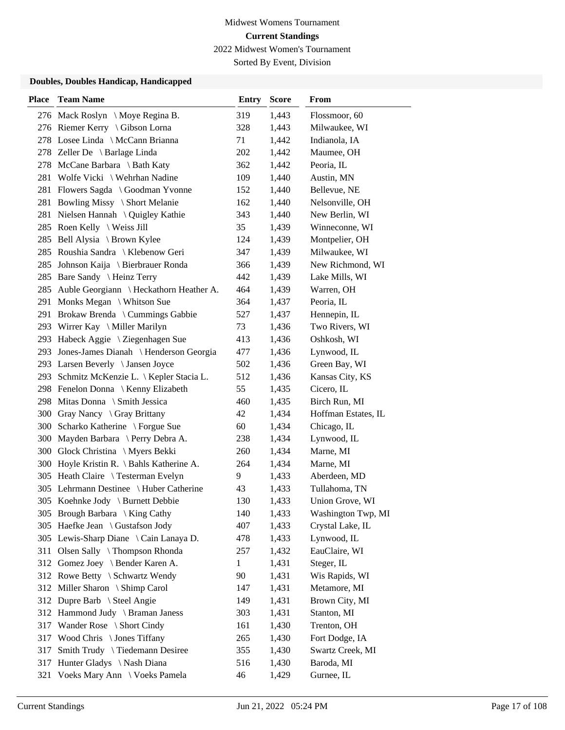Sorted By Event, Division

| <b>Place</b> | <b>Team Name</b>                            | <b>Entry</b> | <b>Score</b> | From                |
|--------------|---------------------------------------------|--------------|--------------|---------------------|
|              | 276 Mack Roslyn \ Moye Regina B.            | 319          | 1,443        | Flossmoor, 60       |
|              | 276 Riemer Kerry \ Gibson Lorna             | 328          | 1,443        | Milwaukee, WI       |
|              | 278 Losee Linda \ McCann Brianna            | 71           | 1,442        | Indianola, IA       |
|              | 278 Zeller De \ Barlage Linda               | 202          | 1,442        | Maumee, OH          |
|              | 278 McCane Barbara \ Bath Katy              | 362          | 1,442        | Peoria, IL          |
| 281          | Wolfe Vicki \ Wehrhan Nadine                | 109          | 1,440        | Austin, MN          |
|              | 281 Flowers Sagda \ Goodman Yvonne          | 152          | 1,440        | Bellevue, NE        |
|              | 281 Bowling Missy \ Short Melanie           | 162          | 1,440        | Nelsonville, OH     |
|              | 281 Nielsen Hannah \ Quigley Kathie         | 343          | 1,440        | New Berlin, WI      |
|              | 285 Roen Kelly \ Weiss Jill                 | 35           | 1,439        | Winneconne, WI      |
|              | 285 Bell Alysia \ Brown Kylee               | 124          | 1,439        | Montpelier, OH      |
|              | 285 Roushia Sandra \ Klebenow Geri          | 347          | 1,439        | Milwaukee, WI       |
| 285          | Johnson Kaija \ Bierbrauer Ronda            | 366          | 1,439        | New Richmond, WI    |
|              | 285 Bare Sandy \ Heinz Terry                | 442          | 1,439        | Lake Mills, WI      |
|              | 285 Auble Georgiann \ Heckathorn Heather A. | 464          | 1,439        | Warren, OH          |
|              | 291 Monks Megan \ Whitson Sue               | 364          | 1,437        | Peoria, IL          |
|              | 291 Brokaw Brenda \ Cummings Gabbie         | 527          | 1,437        | Hennepin, IL        |
|              | 293 Wirrer Kay \ Miller Marilyn             | 73           | 1,436        | Two Rivers, WI      |
|              | 293 Habeck Aggie \ Ziegenhagen Sue          | 413          | 1,436        | Oshkosh, WI         |
| 293          | Jones-James Dianah \ Henderson Georgia      | 477          | 1,436        | Lynwood, IL         |
|              | 293 Larsen Beverly \ Jansen Joyce           | 502          | 1,436        | Green Bay, WI       |
|              | 293 Schmitz McKenzie L. \ Kepler Stacia L.  | 512          | 1,436        | Kansas City, KS     |
|              | 298 Fenelon Donna \ Kenny Elizabeth         | 55           | 1,435        | Cicero, IL          |
|              | 298 Mitas Donna \ Smith Jessica             | 460          | 1,435        | Birch Run, MI       |
|              | 300 Gray Nancy \ Gray Brittany              | 42           | 1,434        | Hoffman Estates, IL |
| 300          | Scharko Katherine \ Forgue Sue              | 60           | 1,434        | Chicago, IL         |
|              | 300 Mayden Barbara \ Perry Debra A.         | 238          | 1,434        | Lynwood, IL         |
|              | 300 Glock Christina \ Myers Bekki           | 260          | 1,434        | Marne, MI           |
|              | 300 Hoyle Kristin R. \ Bahls Katherine A.   | 264          | 1,434        | Marne, MI           |
|              | 305 Heath Claire \ Testerman Evelyn         | 9            | 1,433        | Aberdeen, MD        |
|              | 305 Lehrmann Destinee \ Huber Catherine     | 43           | 1,433        | Tullahoma, TN       |
|              | 305 Koehnke Jody \ Burnett Debbie           | 130          | 1,433        | Union Grove, WI     |
|              | 305 Brough Barbara \ King Cathy             | 140          | 1,433        | Washington Twp, MI  |
|              | 305 Haefke Jean \ Gustafson Jody            | 407          | 1,433        | Crystal Lake, IL    |
|              | 305 Lewis-Sharp Diane \ Cain Lanaya D.      | 478          | 1,433        | Lynwood, IL         |
|              | 311 Olsen Sally \ Thompson Rhonda           | 257          | 1,432        | EauClaire, WI       |
| 312          | Gomez Joey \ Bender Karen A.                | 1            | 1,431        | Steger, IL          |
|              | 312 Rowe Betty \ Schwartz Wendy             | 90           | 1,431        | Wis Rapids, WI      |
|              | 312 Miller Sharon \ Shimp Carol             | 147          | 1,431        | Metamore, MI        |
|              | 312 Dupre Barb \ Steel Angie                | 149          | 1,431        | Brown City, MI      |
| 312          | Hammond Judy \ Braman Janess                | 303          | 1,431        | Stanton, MI         |
| 317          | Wander Rose \ Short Cindy                   | 161          | 1,430        | Trenton, OH         |
|              | 317 Wood Chris \ Jones Tiffany              | 265          | 1,430        | Fort Dodge, IA      |
| 317          | Smith Trudy \ Tiedemann Desiree             | 355          | 1,430        | Swartz Creek, MI    |
| 317          | Hunter Gladys \ Nash Diana                  | 516          | 1,430        | Baroda, MI          |
| 321          | Voeks Mary Ann \ Voeks Pamela               | 46           | 1,429        | Gurnee, IL          |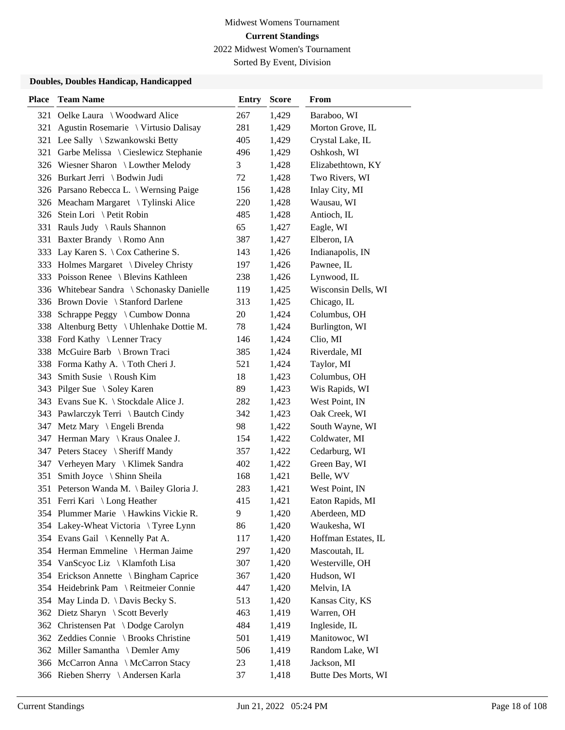Sorted By Event, Division

| <b>Place</b> | <b>Team Name</b>                          | <b>Entry</b> | <b>Score</b> | From                |
|--------------|-------------------------------------------|--------------|--------------|---------------------|
| 321          | Oelke Laura \ Woodward Alice              | 267          | 1,429        | Baraboo, WI         |
| 321          | Agustin Rosemarie \ Virtusio Dalisay      | 281          | 1,429        | Morton Grove, IL    |
| 321          | Lee Sally \ Szwankowski Betty             | 405          | 1,429        | Crystal Lake, IL    |
| 321          | Garbe Melissa \ Cieslewicz Stephanie      | 496          | 1,429        | Oshkosh, WI         |
|              | 326 Wiesner Sharon \ Lowther Melody       | 3            | 1,428        | Elizabethtown, KY   |
|              | 326 Burkart Jerri \ Bodwin Judi           | 72           | 1,428        | Two Rivers, WI      |
|              | 326 Parsano Rebecca L. \ Wernsing Paige   | 156          | 1,428        | Inlay City, MI      |
|              | 326 Meacham Margaret \Tylinski Alice      | 220          | 1,428        | Wausau, WI          |
|              | 326 Stein Lori \ Petit Robin              | 485          | 1,428        | Antioch, IL         |
|              | 331 Rauls Judy \ Rauls Shannon            | 65           | 1,427        | Eagle, WI           |
| 331          | Baxter Brandy \ Romo Ann                  | 387          | 1,427        | Elberon, IA         |
|              | 333 Lay Karen S. \ Cox Catherine S.       | 143          | 1,426        | Indianapolis, IN    |
|              | 333 Holmes Margaret \ Diveley Christy     | 197          | 1,426        | Pawnee, IL          |
|              | 333 Poisson Renee \ Blevins Kathleen      | 238          | 1,426        | Lynwood, IL         |
|              | 336 Whitebear Sandra \ Schonasky Danielle | 119          | 1,425        | Wisconsin Dells, WI |
|              | 336 Brown Dovie \ Stanford Darlene        | 313          | 1,425        | Chicago, IL         |
|              | 338 Schrappe Peggy \ Cumbow Donna         | 20           | 1,424        | Columbus, OH        |
|              | 338 Altenburg Betty \ Uhlenhake Dottie M. | 78           | 1,424        | Burlington, WI      |
|              | 338 Ford Kathy \ Lenner Tracy             | 146          | 1,424        | Clio, MI            |
|              | 338 McGuire Barb \ Brown Traci            | 385          | 1,424        | Riverdale, MI       |
|              | 338 Forma Kathy A. \Toth Cheri J.         | 521          | 1,424        | Taylor, MI          |
| 343          | Smith Susie \ Roush Kim                   | 18           | 1,423        | Columbus, OH        |
|              | 343 Pilger Sue \ Soley Karen              | 89           | 1,423        | Wis Rapids, WI      |
|              | 343 Evans Sue K. \ Stockdale Alice J.     | 282          | 1,423        | West Point, IN      |
|              | 343 Pawlarczyk Terri \ Bautch Cindy       | 342          | 1,423        | Oak Creek, WI       |
|              | 347 Metz Mary \ Engeli Brenda             | 98           | 1,422        | South Wayne, WI     |
|              | 347 Herman Mary \ Kraus Onalee J.         | 154          | 1,422        | Coldwater, MI       |
|              | 347 Peters Stacey \ Sheriff Mandy         | 357          | 1,422        | Cedarburg, WI       |
|              | 347 Verheyen Mary \ Klimek Sandra         | 402          | 1,422        | Green Bay, WI       |
| 351          | Smith Joyce \ Shinn Sheila                | 168          | 1,421        | Belle, WV           |
| 351          | Peterson Wanda M. \ Bailey Gloria J.      | 283          | 1,421        | West Point, IN      |
|              | 351 Ferri Kari \ Long Heather             | 415          | 1,421        | Eaton Rapids, MI    |
|              | 354 Plummer Marie \ Hawkins Vickie R.     | 9            | 1,420        | Aberdeen, MD        |
|              | 354 Lakey-Wheat Victoria \Tyree Lynn      | 86           | 1,420        | Waukesha, WI        |
|              | 354 Evans Gail \ Kennelly Pat A.          | 117          | 1,420        | Hoffman Estates, IL |
|              | 354 Herman Emmeline \ Herman Jaime        | 297          | 1,420        | Mascoutah, IL       |
|              | 354 VanScyoc Liz \ Klamfoth Lisa          | 307          | 1,420        | Westerville, OH     |
|              | 354 Erickson Annette \ Bingham Caprice    | 367          | 1,420        | Hudson, WI          |
|              | 354 Heidebrink Pam \ Reitmeier Connie     | 447          | 1,420        | Melvin, IA          |
| 354          | May Linda D. \ Davis Becky S.             | 513          | 1,420        | Kansas City, KS     |
| 362          | Dietz Sharyn \ Scott Beverly              | 463          | 1,419        | Warren, OH          |
| 362          | Christensen Pat \ Dodge Carolyn           | 484          | 1,419        | Ingleside, IL       |
|              | 362 Zeddies Connie \ Brooks Christine     | 501          | 1,419        | Manitowoc, WI       |
|              | 362 Miller Samantha \ Demler Amy          | 506          | 1,419        | Random Lake, WI     |
|              | 366 McCarron Anna \ McCarron Stacy        | 23           | 1,418        | Jackson, MI         |
|              | 366 Rieben Sherry \ Andersen Karla        | 37           | 1,418        | Butte Des Morts, WI |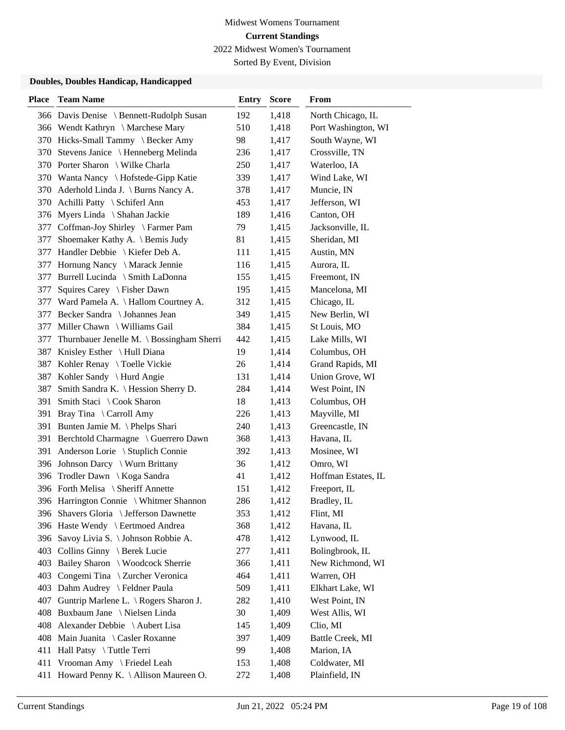Sorted By Event, Division

| <b>Place</b> | <b>Team Name</b>                          | <b>Entry</b> | <b>Score</b> | From                |
|--------------|-------------------------------------------|--------------|--------------|---------------------|
|              | 366 Davis Denise \ Bennett-Rudolph Susan  | 192          | 1,418        | North Chicago, IL   |
|              | 366 Wendt Kathryn \Marchese Mary          | 510          | 1,418        | Port Washington, WI |
|              | 370 Hicks-Small Tammy \ Becker Amy        | 98           | 1,417        | South Wayne, WI     |
|              | 370 Stevens Janice \ Henneberg Melinda    | 236          | 1,417        | Crossville, TN      |
|              | 370 Porter Sharon \ Wilke Charla          | 250          | 1,417        | Waterloo, IA        |
|              | 370 Wanta Nancy \ Hofstede-Gipp Katie     | 339          | 1,417        | Wind Lake, WI       |
|              | 370 Aderhold Linda J. \ Burns Nancy A.    | 378          | 1,417        | Muncie, IN          |
|              | 370 Achilli Patty \ Schiferl Ann          | 453          | 1,417        | Jefferson, WI       |
| 376          | Myers Linda \ Shahan Jackie               | 189          | 1,416        | Canton, OH          |
| 377          | Coffman-Joy Shirley \ Farmer Pam          | 79           | 1,415        | Jacksonville, IL    |
| 377          | Shoemaker Kathy A. \ Bemis Judy           | 81           | 1,415        | Sheridan, MI        |
| 377          | Handler Debbie \ Kiefer Deb A.            | 111          | 1,415        | Austin, MN          |
| 377          | Hornung Nancy \ Marack Jennie             | 116          | 1,415        | Aurora, IL          |
| 377          | Burrell Lucinda \ Smith LaDonna           | 155          | 1,415        | Freemont, IN        |
| 377          | Squires Carey \ Fisher Dawn               | 195          | 1,415        | Mancelona, MI       |
|              | 377 Ward Pamela A. \ Hallom Courtney A.   | 312          | 1,415        | Chicago, IL         |
| 377          | Becker Sandra \ Johannes Jean             | 349          | 1,415        | New Berlin, WI      |
| 377          | Miller Chawn \ Williams Gail              | 384          | 1,415        | St Louis, MO        |
| 377          | Thurnbauer Jenelle M. \ Bossingham Sherri | 442          | 1,415        | Lake Mills, WI      |
|              | 387 Knisley Esther \ Hull Diana           | 19           | 1,414        | Columbus, OH        |
| 387          | Kohler Renay \Toelle Vickie               | 26           | 1,414        | Grand Rapids, MI    |
|              | 387 Kohler Sandy \ Hurd Angie             | 131          | 1,414        | Union Grove, WI     |
| 387          | Smith Sandra K. \ Hession Sherry D.       | 284          | 1,414        | West Point, IN      |
| 391          | Smith Staci \ Cook Sharon                 | 18           | 1,413        | Columbus, OH        |
| 391          | Bray Tina \ Carroll Amy                   | 226          | 1,413        | Mayville, MI        |
| 391          | Bunten Jamie M. \ Phelps Shari            | 240          | 1,413        | Greencastle, IN     |
| 391          | Berchtold Charmagne \ Guerrero Dawn       | 368          | 1,413        | Havana, IL          |
| 391          | Anderson Lorie \ Stuplich Connie          | 392          | 1,413        | Mosinee, WI         |
|              | 396 Johnson Darcy \ Wurn Brittany         | 36           | 1,412        | Omro, WI            |
| 396          | Trodler Dawn \ Koga Sandra                | 41           | 1,412        | Hoffman Estates, IL |
|              | 396 Forth Melisa \ Sheriff Annette        | 151          | 1,412        | Freeport, IL        |
|              | 396 Harrington Connie \ Whitmer Shannon   | 286          | 1,412        | Bradley, IL         |
|              | 396 Shavers Gloria \ Jefferson Dawnette   | 353          | 1,412        | Flint, MI           |
|              | 396 Haste Wendy \ Eertmoed Andrea         | 368          | 1,412        | Havana, IL          |
|              | 396 Savoy Livia S. \ Johnson Robbie A.    | 478          | 1,412        | Lynwood, IL         |
|              | 403 Collins Ginny \ Berek Lucie           | 277          | 1,411        | Bolingbrook, IL     |
| 403          | Bailey Sharon \ Woodcock Sherrie          | 366          | 1,411        | New Richmond, WI    |
| 403          | Congemi Tina \ Zurcher Veronica           | 464          | 1,411        | Warren, OH          |
| 403          | Dahm Audrey \ Feldner Paula               | 509          | 1,411        | Elkhart Lake, WI    |
| 407          | Guntrip Marlene L. \ Rogers Sharon J.     | 282          | 1,410        | West Point, IN      |
| 408          | Buxbaum Jane \ Nielsen Linda              | 30           | 1,409        | West Allis, WI      |
| 408          | Alexander Debbie \ Aubert Lisa            | 145          | 1,409        | Clio, MI            |
| 408          | Main Juanita \ Casler Roxanne             | 397          | 1,409        | Battle Creek, MI    |
| 411          | Hall Patsy \ Tuttle Terri                 | 99           | 1,408        | Marion, IA          |
| 411          | Vrooman Amy \ Friedel Leah                | 153          | 1,408        | Coldwater, MI       |
|              | 411 Howard Penny K. \ Allison Maureen O.  | 272          | 1,408        | Plainfield, IN      |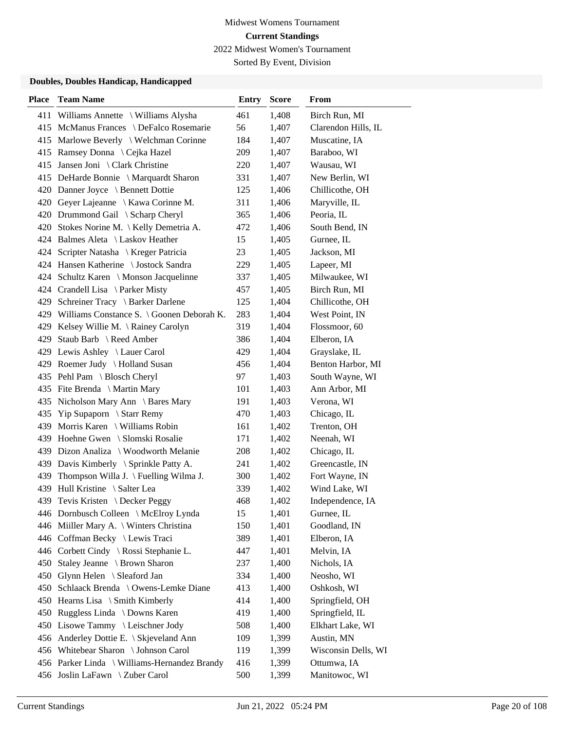Sorted By Event, Division

| <b>Place</b> | <b>Team Name</b>                              | <b>Entry</b> | <b>Score</b> | From                |
|--------------|-----------------------------------------------|--------------|--------------|---------------------|
| 411          | Williams Annette \ Williams Alysha            | 461          | 1,408        | Birch Run, MI       |
|              | 415 McManus Frances \ DeFalco Rosemarie       | 56           | 1,407        | Clarendon Hills, IL |
|              | 415 Marlowe Beverly \ Welchman Corinne        | 184          | 1,407        | Muscatine, IA       |
|              | 415 Ramsey Donna \ Cejka Hazel                | 209          | 1,407        | Baraboo, WI         |
| 415          | Jansen Joni \ Clark Christine                 | 220          | 1,407        | Wausau, WI          |
|              | 415 DeHarde Bonnie \ Marquardt Sharon         | 331          | 1,407        | New Berlin, WI      |
|              | 420 Danner Joyce \ Bennett Dottie             | 125          | 1,406        | Chillicothe, OH     |
|              | 420 Geyer Lajeanne \ Kawa Corinne M.          | 311          | 1,406        | Maryville, IL       |
|              | 420 Drummond Gail \ Scharp Cheryl             | 365          | 1,406        | Peoria, IL          |
| 420          | Stokes Norine M. \ Kelly Demetria A.          | 472          | 1,406        | South Bend, IN      |
|              | 424 Balmes Aleta \ Laskov Heather             | 15           | 1,405        | Gurnee, IL          |
|              | 424 Scripter Natasha \ Kreger Patricia        | 23           | 1,405        | Jackson, MI         |
|              | 424 Hansen Katherine \ Jostock Sandra         | 229          | 1,405        | Lapeer, MI          |
|              | 424 Schultz Karen \ Monson Jacquelinne        | 337          | 1,405        | Milwaukee, WI       |
|              | 424 Crandell Lisa \ Parker Misty              | 457          | 1,405        | Birch Run, MI       |
|              | 429 Schreiner Tracy \ Barker Darlene          | 125          | 1,404        | Chillicothe, OH     |
|              | 429 Williams Constance S. \ Goonen Deborah K. | 283          | 1,404        | West Point, IN      |
| 429          | Kelsey Willie M. \ Rainey Carolyn             | 319          | 1,404        | Flossmoor, 60       |
| 429          | Staub Barb \ Reed Amber                       | 386          | 1,404        | Elberon, IA         |
|              | 429 Lewis Ashley \ Lauer Carol                | 429          | 1,404        | Grayslake, IL       |
|              | 429 Roemer Judy \ Holland Susan               | 456          | 1,404        | Benton Harbor, MI   |
|              | 435 Pehl Pam \ Blosch Cheryl                  | 97           | 1,403        | South Wayne, WI     |
|              | 435 Fite Brenda \ Martin Mary                 | 101          | 1,403        | Ann Arbor, MI       |
|              | 435 Nicholson Mary Ann \ Bares Mary           | 191          | 1,403        | Verona, WI          |
| 435          | <b>Yip Supaporn</b> $\setminus$ Starr Remy    | 470          | 1,403        | Chicago, IL         |
| 439          | Morris Karen \ Williams Robin                 | 161          | 1,402        | Trenton, OH         |
|              | 439 Hoehne Gwen \ Slomski Rosalie             | 171          | 1,402        | Neenah, WI          |
|              | 439 Dizon Analiza \ Woodworth Melanie         | 208          | 1,402        | Chicago, IL         |
|              | 439 Davis Kimberly \ Sprinkle Patty A.        | 241          | 1,402        | Greencastle, IN     |
| 439          | Thompson Willa J. $\text{Fuelling Wilma J.}$  | 300          | 1,402        | Fort Wayne, IN      |
| 439          | Hull Kristine \ Salter Lea                    | 339          | 1,402        | Wind Lake, WI       |
| 439          | Tevis Kristen \ Decker Peggy                  | 468          | 1,402        | Independence, IA    |
|              | 446 Dornbusch Colleen \ McElroy Lynda         | 15           | 1,401        | Gurnee, IL          |
|              | 446 Miiller Mary A. \ Winters Christina       | 150          | 1,401        | Goodland, IN        |
|              | 446 Coffman Becky \ Lewis Traci               | 389          | 1,401        | Elberon, IA         |
|              | 446 Corbett Cindy \ Rossi Stephanie L.        | 447          | 1,401        | Melvin, IA          |
| 450          | Staley Jeanne \ Brown Sharon                  | 237          | 1,400        | Nichols, IA         |
| 450          | Glynn Helen \ Sleaford Jan                    | 334          | 1,400        | Neosho, WI          |
| 450          | Schlaack Brenda \ Owens-Lemke Diane           | 413          | 1,400        | Oshkosh, WI         |
|              | 450 Hearns Lisa \ Smith Kimberly              | 414          | 1,400        | Springfield, OH     |
| 450          | Ruggless Linda \ Downs Karen                  | 419          | 1,400        | Springfield, IL     |
|              | 450 Lisowe Tammy \ Leischner Jody             | 508          | 1,400        | Elkhart Lake, WI    |
|              | 456 Anderley Dottie E. \ Skjeveland Ann       | 109          | 1,399        | Austin, MN          |
|              | 456 Whitebear Sharon \ Johnson Carol          | 119          | 1,399        | Wisconsin Dells, WI |
|              | 456 Parker Linda \ Williams-Hernandez Brandy  | 416          | 1,399        | Ottumwa, IA         |
|              | 456 Joslin LaFawn \ Zuber Carol               | 500          | 1,399        | Manitowoc, WI       |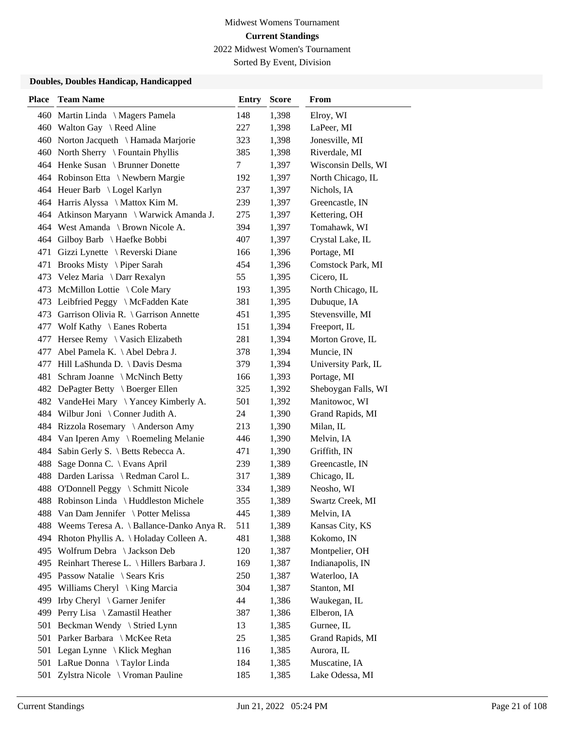Sorted By Event, Division

| <b>Place</b> | <b>Team Name</b>                             | <b>Entry</b> | <b>Score</b> | From                |
|--------------|----------------------------------------------|--------------|--------------|---------------------|
|              | 460 Martin Linda \ Magers Pamela             | 148          | 1,398        | Elroy, WI           |
|              | 460 Walton Gay \ Reed Aline                  | 227          | 1,398        | LaPeer, MI          |
|              | 460 Norton Jacqueth \ Hamada Marjorie        | 323          | 1,398        | Jonesville, MI      |
|              | 460 North Sherry \ Fountain Phyllis          | 385          | 1,398        | Riverdale, MI       |
|              | 464 Henke Susan \ Brunner Donette            | 7            | 1,397        | Wisconsin Dells, WI |
|              | 464 Robinson Etta \ Newbern Margie           | 192          | 1,397        | North Chicago, IL   |
|              | 464 Heuer Barb \ Logel Karlyn                | 237          | 1,397        | Nichols, IA         |
|              | 464 Harris Alyssa \ Mattox Kim M.            | 239          | 1,397        | Greencastle, IN     |
|              | 464 Atkinson Maryann \ Warwick Amanda J.     | 275          | 1,397        | Kettering, OH       |
|              | 464 West Amanda \ Brown Nicole A.            | 394          | 1,397        | Tomahawk, WI        |
|              | 464 Gilboy Barb \ Haefke Bobbi               | 407          | 1,397        | Crystal Lake, IL    |
|              | 471 Gizzi Lynette \ Reverski Diane           | 166          | 1,396        | Portage, MI         |
| 471          | Brooks Misty \ Piper Sarah                   | 454          | 1,396        | Comstock Park, MI   |
|              | 473 Velez Maria \ Darr Rexalyn               | 55           | 1,395        | Cicero, IL          |
|              | 473 McMillon Lottie \ Cole Mary              | 193          | 1,395        | North Chicago, IL   |
|              | 473 Leibfried Peggy \ McFadden Kate          | 381          | 1,395        | Dubuque, IA         |
|              | 473 Garrison Olivia R. \ Garrison Annette    | 451          | 1,395        | Stevensville, MI    |
|              | 477 Wolf Kathy \ Eanes Roberta               | 151          | 1,394        | Freeport, IL        |
|              | 477 Hersee Remy \ Vasich Elizabeth           | 281          | 1,394        | Morton Grove, IL    |
| 477          | Abel Pamela K. \ Abel Debra J.               | 378          | 1,394        | Muncie, IN          |
|              | 477 Hill LaShunda D. \ Davis Desma           | 379          | 1,394        | University Park, IL |
| 481          | Schram Joanne \ McNinch Betty                | 166          | 1,393        | Portage, MI         |
|              | 482 DePagter Betty \ Boerger Ellen           | 325          | 1,392        | Sheboygan Falls, WI |
|              | 482 VandeHei Mary \Yancey Kimberly A.        | 501          | 1,392        | Manitowoc, WI       |
|              | 484 Wilbur Joni \ Conner Judith A.           | 24           | 1,390        | Grand Rapids, MI    |
|              | 484 Rizzola Rosemary \ Anderson Amy          | 213          | 1,390        | Milan, IL           |
|              | 484 Van Iperen Amy \ Roemeling Melanie       | 446          | 1,390        | Melvin, IA          |
| 484          | Sabin Gerly S. \ Betts Rebecca A.            | 471          | 1,390        | Griffith, IN        |
| 488          | Sage Donna C. \ Evans April                  | 239          | 1,389        | Greencastle, IN     |
|              | 488 Darden Larissa \ Redman Carol L.         | 317          | 1,389        | Chicago, IL         |
|              | 488 O'Donnell Peggy \ Schmitt Nicole         | 334          | 1,389        | Neosho, WI          |
|              | 488 Robinson Linda \ Huddleston Michele      | 355          | 1,389        | Swartz Creek, MI    |
|              | 488 Van Dam Jennifer \ Potter Melissa        | 445          | 1,389        | Melvin, IA          |
|              | 488 Weems Teresa A. \ Ballance-Danko Anya R. | 511          | 1,389        | Kansas City, KS     |
|              | 494 Rhoton Phyllis A. \Holaday Colleen A.    | 481          | 1,388        | Kokomo, IN          |
|              | 495 Wolfrum Debra \ Jackson Deb              | 120          | 1,387        | Montpelier, OH      |
|              | 495 Reinhart Therese L. \ Hillers Barbara J. | 169          | 1,387        | Indianapolis, IN    |
|              | 495 Passow Natalie \ Sears Kris              | 250          | 1,387        | Waterloo, IA        |
| 495          | Williams Cheryl $\setminus$ King Marcia      | 304          | 1,387        | Stanton, MI         |
| 499          | Irby Cheryl \ Garner Jenifer                 | 44           | 1,386        | Waukegan, IL        |
| 499          | Perry Lisa \ Zamastil Heather                | 387          | 1,386        | Elberon, IA         |
| 501          | Beckman Wendy \ Stried Lynn                  | 13           | 1,385        | Gurnee, IL          |
| 501          | Parker Barbara \ McKee Reta                  | 25           | 1,385        | Grand Rapids, MI    |
|              | 501 Legan Lynne \ Klick Meghan               | 116          | 1,385        | Aurora, IL          |
|              | 501 LaRue Donna \ Taylor Linda               | 184          | 1,385        | Muscatine, IA       |
| 501          | Zylstra Nicole \ Vroman Pauline              | 185          | 1,385        | Lake Odessa, MI     |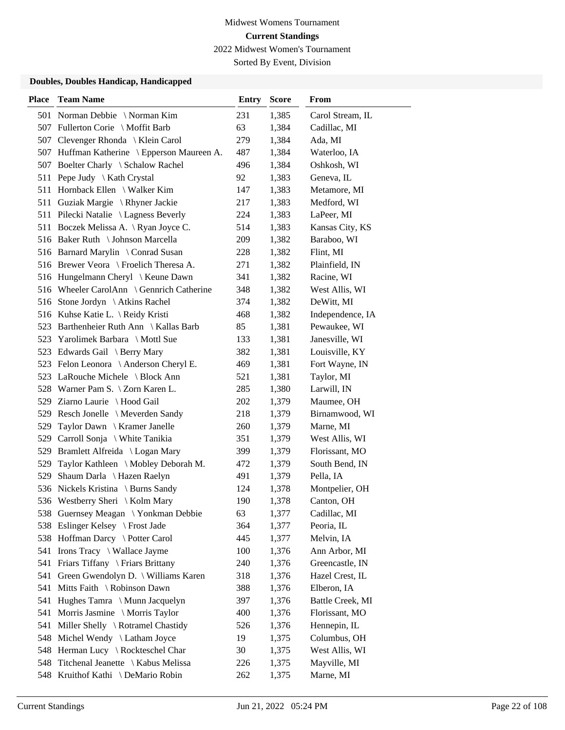Sorted By Event, Division

| <b>Place</b> | <b>Team Name</b>                                                       | Entry     | <b>Score</b>   | From                       |
|--------------|------------------------------------------------------------------------|-----------|----------------|----------------------------|
|              | 501 Norman Debbie \Norman Kim                                          | 231       | 1,385          | Carol Stream, IL           |
|              | 507 Fullerton Corie \ Moffit Barb                                      | 63        | 1,384          | Cadillac, MI               |
| 507          | Clevenger Rhonda \ Klein Carol                                         | 279       | 1,384          | Ada, MI                    |
| 507          | Huffman Katherine \ Epperson Maureen A.                                | 487       | 1,384          | Waterloo, IA               |
|              | 507 Boelter Charly \ Schalow Rachel                                    | 496       | 1,384          | Oshkosh, WI                |
|              | 511 Pepe Judy \ Kath Crystal                                           | 92        | 1,383          | Geneva, IL                 |
|              | 511 Hornback Ellen \ Walker Kim                                        | 147       | 1,383          | Metamore, MI               |
|              | 511 Guziak Margie \ Rhyner Jackie                                      | 217       | 1,383          | Medford, WI                |
|              | 511 Pilecki Natalie \ Lagness Beverly                                  | 224       | 1,383          | LaPeer, MI                 |
|              | 511 Boczek Melissa A. \ Ryan Joyce C.                                  | 514       | 1,383          | Kansas City, KS            |
|              | 516 Baker Ruth \ Johnson Marcella                                      | 209       | 1,382          | Baraboo, WI                |
|              | 516 Barnard Marylin \ Conrad Susan                                     | 228       | 1,382          | Flint, MI                  |
|              | 516 Brewer Veora \ Froelich Theresa A.                                 | 271       | 1,382          | Plainfield, IN             |
|              | 516 Hungelmann Cheryl \ Keune Dawn                                     | 341       | 1,382          | Racine, WI                 |
|              | 516 Wheeler CarolAnn \ Gennrich Catherine                              | 348       | 1,382          | West Allis, WI             |
|              | 516 Stone Jordyn \ Atkins Rachel                                       | 374       | 1,382          | DeWitt, MI                 |
|              | 516 Kuhse Katie L. \ Reidy Kristi                                      | 468       | 1,382          | Independence, IA           |
|              | 523 Barthenheier Ruth Ann \ Kallas Barb                                | 85        | 1,381          | Pewaukee, WI               |
| 523          | Yarolimek Barbara \ Mottl Sue                                          | 133       | 1,381          | Janesville, WI             |
|              | 523 Edwards Gail \ Berry Mary                                          | 382       | 1,381          | Louisville, KY             |
|              | 523 Felon Leonora \ Anderson Cheryl E.                                 | 469       | 1,381          | Fort Wayne, IN             |
|              | 523 LaRouche Michele \ Block Ann                                       | 521       | 1,381          | Taylor, MI                 |
|              | 528 Warner Pam S. \ Zorn Karen L.                                      | 285       | 1,380          | Larwill, IN                |
|              | 529 Ziarno Laurie \ Hood Gail                                          | 202       | 1,379          | Maumee, OH                 |
|              | 529 Resch Jonelle \ Meverden Sandy                                     | 218       | 1,379          | Birnamwood, WI             |
| 529          | Taylor Dawn \ Kramer Janelle                                           | 260       | 1,379          | Marne, MI                  |
| 529          | Carroll Sonja \ White Tanikia                                          | 351       | 1,379          | West Allis, WI             |
|              | 529 Bramlett Alfreida \ Logan Mary                                     | 399       | 1,379          | Florissant, MO             |
| 529          | Taylor Kathleen \ Mobley Deborah M.                                    | 472       | 1,379          | South Bend, IN             |
| 529          | Shaum Darla \ Hazen Raelyn                                             | 491       | 1,379          | Pella, IA                  |
|              | 536 Nickels Kristina \ Burns Sandy                                     | 124       | 1,378          | Montpelier, OH             |
|              | 536 Westberry Sheri \ Kolm Mary<br>538 Guernsey Meagan \Yonkman Debbie | 190       | 1,378          | Canton, OH                 |
|              | Eslinger Kelsey \ Frost Jade                                           | 63<br>364 | 1,377          | Cadillac, MI<br>Peoria, IL |
| 538          | 538 Hoffman Darcy \ Potter Carol                                       | 445       | 1,377<br>1,377 | Melvin, IA                 |
|              | 541 Irons Tracy \ Wallace Jayme                                        | 100       | 1,376          | Ann Arbor, MI              |
| 541          | Friars Tiffany \ Friars Brittany                                       | 240       | 1,376          | Greencastle, IN            |
| 541          | Green Gwendolyn D. \ Williams Karen                                    | 318       | 1,376          | Hazel Crest, IL            |
| 541          | Mitts Faith \ Robinson Dawn                                            | 388       | 1,376          | Elberon, IA                |
| 541          | Hughes Tamra \ Munn Jacquelyn                                          | 397       | 1,376          | Battle Creek, MI           |
| 541          | Morris Jasmine \ Morris Taylor                                         | 400       | 1,376          | Florissant, MO             |
| 541          | Miller Shelly \ Rotramel Chastidy                                      | 526       | 1,376          | Hennepin, IL               |
| 548          | Michel Wendy \ Latham Joyce                                            | 19        | 1,375          | Columbus, OH               |
| 548          | Herman Lucy \ Rockteschel Char                                         | 30        | 1,375          | West Allis, WI             |
| 548          | Titchenal Jeanette \ Kabus Melissa                                     | 226       | 1,375          | Mayville, MI               |
|              | 548 Kruithof Kathi \ DeMario Robin                                     | 262       | 1,375          | Marne, MI                  |
|              |                                                                        |           |                |                            |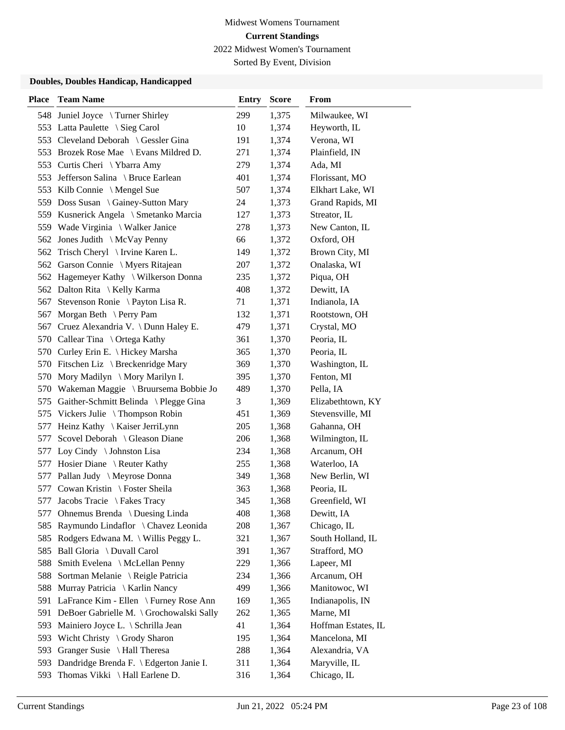Sorted By Event, Division

| <b>Place</b> | <b>Team Name</b>                          | <b>Entry</b> | <b>Score</b> | <b>From</b>         |
|--------------|-------------------------------------------|--------------|--------------|---------------------|
|              | 548 Juniel Joyce \ Turner Shirley         | 299          | 1,375        | Milwaukee, WI       |
|              | 553 Latta Paulette \ Sieg Carol           | 10           | 1,374        | Heyworth, IL        |
|              | 553 Cleveland Deborah \ Gessler Gina      | 191          | 1,374        | Verona, WI          |
|              | 553 Brozek Rose Mae \ Evans Mildred D.    | 271          | 1,374        | Plainfield, IN      |
|              | 553 Curtis Cheri \Ybarra Amy              | 279          | 1,374        | Ada, MI             |
|              | 553 Jefferson Salina \ Bruce Earlean      | 401          | 1,374        | Florissant, MO      |
|              | 553 Kilb Connie \ Mengel Sue              | 507          | 1,374        | Elkhart Lake, WI    |
|              | 559 Doss Susan \ Gainey-Sutton Mary       | 24           | 1,373        | Grand Rapids, MI    |
|              | 559 Kusnerick Angela \ Smetanko Marcia    | 127          | 1,373        | Streator, IL        |
|              | 559 Wade Virginia \ Walker Janice         | 278          | 1,373        | New Canton, IL      |
|              | 562 Jones Judith \ McVay Penny            | 66           | 1,372        | Oxford, OH          |
|              | 562 Trisch Cheryl \ Irvine Karen L.       | 149          | 1,372        | Brown City, MI      |
|              | 562 Garson Connie \ Myers Ritajean        | 207          | 1,372        | Onalaska, WI        |
|              | 562 Hagemeyer Kathy \ Wilkerson Donna     | 235          | 1,372        | Piqua, OH           |
|              | 562 Dalton Rita \ Kelly Karma             | 408          | 1,372        | Dewitt, IA          |
| 567          | Stevenson Ronie \ Payton Lisa R.          | 71           | 1,371        | Indianola, IA       |
| 567          | Morgan Beth $\ \$ Perry Pam               | 132          | 1,371        | Rootstown, OH       |
|              | 567 Cruez Alexandria V. \Dunn Haley E.    | 479          | 1,371        | Crystal, MO         |
|              | 570 Callear Tina \ Ortega Kathy           | 361          | 1,370        | Peoria, IL          |
|              | 570 Curley Erin E. \ Hickey Marsha        | 365          | 1,370        | Peoria, IL          |
|              | 570 Fitschen Liz \ Breckenridge Mary      | 369          | 1,370        | Washington, IL      |
| 570          | Mory Madilyn \ Mory Marilyn I.            | 395          | 1,370        | Fenton, MI          |
|              | 570 Wakeman Maggie \ Bruursema Bobbie Jo  | 489          | 1,370        | Pella, IA           |
|              | 575 Gaither-Schmitt Belinda \ Plegge Gina | 3            | 1,369        | Elizabethtown, KY   |
|              | 575 Vickers Julie \ Thompson Robin        | 451          | 1,369        | Stevensville, MI    |
| 577          | Heinz Kathy \ Kaiser JerriLynn            | 205          | 1,368        | Gahanna, OH         |
| 577          | Scovel Deborah \ Gleason Diane            | 206          | 1,368        | Wilmington, IL      |
|              | 577 Loy Cindy \ Johnston Lisa             | 234          | 1,368        | Arcanum, OH         |
|              | 577 Hosier Diane \ Reuter Kathy           | 255          | 1,368        | Waterloo, IA        |
|              | 577 Pallan Judy \ Meyrose Donna           | 349          | 1,368        | New Berlin, WI      |
| 577          | Cowan Kristin \ Foster Sheila             | 363          | 1,368        | Peoria, IL          |
|              | 577 Jacobs Tracie \ Fakes Tracy           | 345          | 1,368        | Greenfield, WI      |
| 577          | Ohnemus Brenda \ Duesing Linda            | 408          | 1,368        | Dewitt, IA          |
| 585          | Raymundo Lindaflor \ Chavez Leonida       | 208          | 1,367        | Chicago, IL         |
| 585          | Rodgers Edwana M. \ Willis Peggy L.       | 321          | 1,367        | South Holland, IL   |
|              | 585 Ball Gloria \ Duvall Carol            | 391          | 1,367        | Strafford, MO       |
| 588          | Smith Evelena \ McLellan Penny            | 229          | 1,366        | Lapeer, MI          |
| 588          | Sortman Melanie \ Reigle Patricia         | 234          | 1,366        | Arcanum, OH         |
| 588          | Murray Patricia \ Karlin Nancy            | 499          | 1,366        | Manitowoc, WI       |
| 591          | LaFrance Kim - Ellen \ Furney Rose Ann    | 169          | 1,365        | Indianapolis, IN    |
| 591          | DeBoer Gabrielle M. \ Grochowalski Sally  | 262          | 1,365        | Marne, MI           |
| 593          | Mainiero Joyce L. \ Schrilla Jean         | 41           | 1,364        | Hoffman Estates, IL |
| 593          | Wicht Christy \ Grody Sharon              | 195          | 1,364        | Mancelona, MI       |
| 593          | Granger Susie \ Hall Theresa              | 288          | 1,364        | Alexandria, VA      |
| 593          | Dandridge Brenda F. \ Edgerton Janie I.   | 311          | 1,364        | Maryville, IL       |
| 593          | Thomas Vikki \ Hall Earlene D.            | 316          | 1,364        | Chicago, IL         |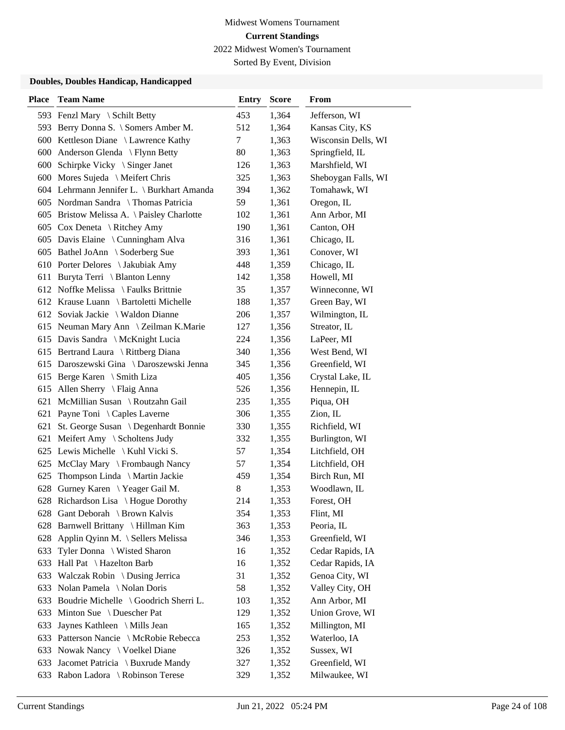Sorted By Event, Division

| <b>Place</b> | <b>Team Name</b>                             | <b>Entry</b> | <b>Score</b> | From                |
|--------------|----------------------------------------------|--------------|--------------|---------------------|
|              | 593 Fenzl Mary \ Schilt Betty                | 453          | 1,364        | Jefferson, WI       |
|              | 593 Berry Donna S. \ Somers Amber M.         | 512          | 1,364        | Kansas City, KS     |
|              | 600 Kettleson Diane \ Lawrence Kathy         | 7            | 1,363        | Wisconsin Dells, WI |
| 600          | Anderson Glenda \ Flynn Betty                | 80           | 1,363        | Springfield, IL     |
|              | 600 Schirpke Vicky \ Singer Janet            | 126          | 1,363        | Marshfield, WI      |
|              | 600 Mores Sujeda \ Meifert Chris             | 325          | 1,363        | Sheboygan Falls, WI |
|              | 604 Lehrmann Jennifer L. \ Burkhart Amanda   | 394          | 1,362        | Tomahawk, WI        |
|              | 605 Nordman Sandra \ Thomas Patricia         | 59           | 1,361        | Oregon, IL          |
|              | 605 Bristow Melissa A. \ Paisley Charlotte   | 102          | 1,361        | Ann Arbor, MI       |
|              | 605 Cox Deneta \ Ritchey Amy                 | 190          | 1,361        | Canton, OH          |
|              | 605 Davis Elaine \ Cunningham Alva           | 316          | 1,361        | Chicago, IL         |
|              | 605 Bathel JoAnn \ Soderberg Sue             | 393          | 1,361        | Conover, WI         |
|              | 610 Porter Delores \ Jakubiak Amy            | 448          | 1,359        | Chicago, IL         |
|              | 611 Buryta Terri \ Blanton Lenny             | 142          | 1,358        | Howell, MI          |
|              | 612 Noffke Melissa \ Faulks Brittnie         | 35           | 1,357        | Winneconne, WI      |
|              | 612 Krause Luann \ Bartoletti Michelle       | 188          | 1,357        | Green Bay, WI       |
|              | 612 Soviak Jackie \ Waldon Dianne            | 206          | 1,357        | Wilmington, IL      |
|              | 615 Neuman Mary Ann \ Zeilman K.Marie        | 127          | 1,356        | Streator, IL        |
|              | 615 Davis Sandra \ McKnight Lucia            | 224          | 1,356        | LaPeer, MI          |
|              | 615 Bertrand Laura \ Rittberg Diana          | 340          | 1,356        | West Bend, WI       |
|              | 615 Daroszewski Gina \ Daroszewski Jenna     | 345          | 1,356        | Greenfield, WI      |
|              | 615 Berge Karen \ Smith Liza                 | 405          | 1,356        | Crystal Lake, IL    |
|              | 615 Allen Sherry \ Flaig Anna                | 526          | 1,356        | Hennepin, IL        |
|              | 621 McMillian Susan \ Routzahn Gail          | 235          | 1,355        | Piqua, OH           |
| 621          | Payne Toni \ Caples Laverne                  | 306          | 1,355        | Zion, IL            |
| 621          | St. George Susan \ Degenhardt Bonnie         | 330          | 1,355        | Richfield, WI       |
| 621          | Meifert Amy \ Scholtens Judy                 | 332          | 1,355        | Burlington, WI      |
|              | 625 Lewis Michelle $\setminus$ Kuhl Vicki S. | 57           | 1,354        | Litchfield, OH      |
|              | 625 McClay Mary \ Frombaugh Nancy            | 57           | 1,354        | Litchfield, OH      |
| 625          | Thompson Linda \ Martin Jackie               | 459          | 1,354        | Birch Run, MI       |
| 628          | Gurney Karen \ Yeager Gail M.                | 8            | 1,353        | Woodlawn, IL        |
|              | 628 Richardson Lisa \ Hogue Dorothy          | 214          | 1,353        | Forest, OH          |
|              | 628 Gant Deborah \ Brown Kalvis              | 354          | 1,353        | Flint, MI           |
| 628          | Barnwell Brittany \ Hillman Kim              | 363          | 1,353        | Peoria, IL          |
| 628          | Applin Qyinn M. \ Sellers Melissa            | 346          | 1,353        | Greenfield, WI      |
| 633          | Tyler Donna \ Wisted Sharon                  | 16           | 1,352        | Cedar Rapids, IA    |
| 633          | Hall Pat \ Hazelton Barb                     | 16           | 1,352        | Cedar Rapids, IA    |
| 633          | Walczak Robin \ Dusing Jerrica               | 31           | 1,352        | Genoa City, WI      |
| 633          | Nolan Pamela \ Nolan Doris                   | 58           | 1,352        | Valley City, OH     |
| 633          | Boudrie Michelle \ Goodrich Sherri L.        | 103          | 1,352        | Ann Arbor, MI       |
| 633          | Minton Sue \ Duescher Pat                    | 129          | 1,352        | Union Grove, WI     |
| 633          | Jaynes Kathleen \ Mills Jean                 | 165          | 1,352        | Millington, MI      |
| 633          | Patterson Nancie \ McRobie Rebecca           | 253          | 1,352        | Waterloo, IA        |
|              | 633 Nowak Nancy \ Voelkel Diane              | 326          | 1,352        | Sussex, WI          |
| 633          | Jacomet Patricia \ Buxrude Mandy             | 327          | 1,352        | Greenfield, WI      |
|              | 633 Rabon Ladora \ Robinson Terese           | 329          | 1,352        | Milwaukee, WI       |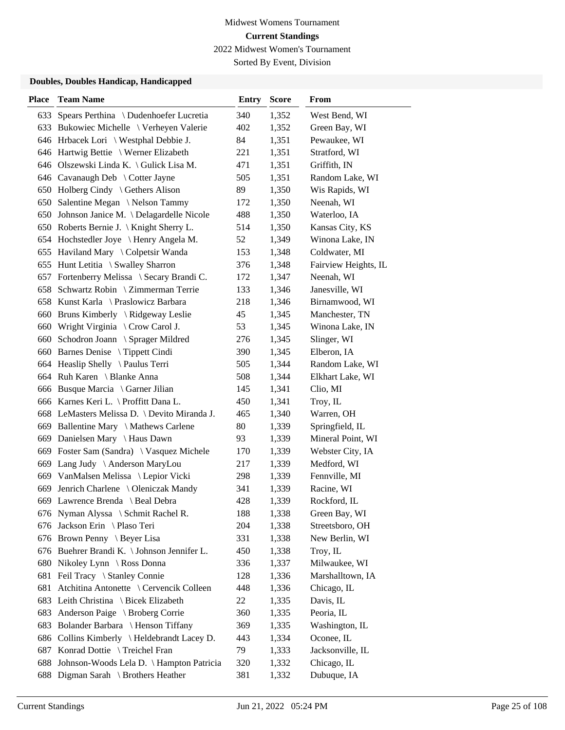Sorted By Event, Division

| <b>Place</b> | <b>Team Name</b>                             | <b>Entry</b> | <b>Score</b> | From                 |
|--------------|----------------------------------------------|--------------|--------------|----------------------|
|              | 633 Spears Perthina \ Dudenhoefer Lucretia   | 340          | 1,352        | West Bend, WI        |
|              | 633 Bukowiec Michelle \ Verheyen Valerie     | 402          | 1,352        | Green Bay, WI        |
|              | 646 Hrbacek Lori \ Westphal Debbie J.        | 84           | 1,351        | Pewaukee, WI         |
|              | 646 Hartwig Bettie \ Werner Elizabeth        | 221          | 1,351        | Stratford, WI        |
|              | 646 Olszewski Linda K. \ Gulick Lisa M.      | 471          | 1,351        | Griffith, IN         |
|              | 646 Cavanaugh Deb \ Cotter Jayne             | 505          | 1,351        | Random Lake, WI      |
|              | 650 Holberg Cindy \ Gethers Alison           | 89           | 1,350        | Wis Rapids, WI       |
|              | 650 Salentine Megan \Nelson Tammy            | 172          | 1,350        | Neenah, WI           |
|              | 650 Johnson Janice M. \Delagardelle Nicole   | 488          | 1,350        | Waterloo, IA         |
|              | 650 Roberts Bernie J. \ Knight Sherry L.     | 514          | 1,350        | Kansas City, KS      |
|              | 654 Hochstedler Joye \ Henry Angela M.       | 52           | 1,349        | Winona Lake, IN      |
|              | 655 Haviland Mary \ Colpetsir Wanda          | 153          | 1,348        | Coldwater, MI        |
|              | 655 Hunt Letitia \ Swalley Sharron           | 376          | 1,348        | Fairview Heights, IL |
|              | 657 Fortenberry Melissa \ Secary Brandi C.   | 172          | 1,347        | Neenah, WI           |
|              | 658 Schwartz Robin \ Zimmerman Terrie        | 133          | 1,346        | Janesville, WI       |
|              | 658 Kunst Karla \ Praslowicz Barbara         | 218          | 1,346        | Birnamwood, WI       |
|              | 660 Bruns Kimberly \ Ridgeway Leslie         | 45           | 1,345        | Manchester, TN       |
|              | 660 Wright Virginia \ Crow Carol J.          | 53           | 1,345        | Winona Lake, IN      |
|              | 660 Schodron Joann \ Sprager Mildred         | 276          | 1,345        | Slinger, WI          |
|              | 660 Barnes Denise \ Tippett Cindi            | 390          | 1,345        | Elberon, IA          |
|              | 664 Heaslip Shelly \Paulus Terri             | 505          | 1,344        | Random Lake, WI      |
|              | 664 Ruh Karen \ Blanke Anna                  | 508          | 1,344        | Elkhart Lake, WI     |
|              | 666 Busque Marcia \ Garner Jilian            | 145          | 1,341        | Clio, MI             |
|              | 666 Karnes Keri L. \ Proffitt Dana L.        | 450          | 1,341        | Troy, IL             |
|              | 668 LeMasters Melissa D. \ Devito Miranda J. | 465          | 1,340        | Warren, OH           |
|              | 669 Ballentine Mary \ Mathews Carlene        | 80           | 1,339        | Springfield, IL      |
|              | 669 Danielsen Mary \ Haus Dawn               | 93           | 1,339        | Mineral Point, WI    |
|              | 669 Foster Sam (Sandra) \ Vasquez Michele    | 170          | 1,339        | Webster City, IA     |
|              | 669 Lang Judy \ Anderson MaryLou             | 217          | 1,339        | Medford, WI          |
|              | 669 VanMalsen Melissa \ Lepior Vicki         | 298          | 1,339        | Fennville, MI        |
|              | 669 Jenrich Charlene \ Oleniczak Mandy       | 341          | 1,339        | Racine, WI           |
|              | 669 Lawrence Brenda \ Beal Debra             | 428          | 1,339        | Rockford, IL         |
|              | 676 Nyman Alyssa \ Schmit Rachel R.          | 188          | 1,338        | Green Bay, WI        |
|              | 676 Jackson Erin \Plaso Teri                 | 204          | 1,338        | Streetsboro, OH      |
|              | 676 Brown Penny \ Beyer Lisa                 | 331          | 1,338        | New Berlin, WI       |
|              | 676 Buehrer Brandi K. \ Johnson Jennifer L.  | 450          | 1,338        | Troy, IL             |
|              | 680 Nikoley Lynn \ Ross Donna                | 336          | 1,337        | Milwaukee, WI        |
| 681          | Feil Tracy \ Stanley Connie                  | 128          | 1,336        | Marshalltown, IA     |
| 681          | Atchitina Antonette \ Cervencik Colleen      | 448          | 1,336        | Chicago, IL          |
| 683          | Leith Christina \ Bicek Elizabeth            | 22           | 1,335        | Davis, IL            |
| 683          | Anderson Paige \ Broberg Corrie              | 360          | 1,335        | Peoria, IL           |
| 683          | Bolander Barbara \ Henson Tiffany            | 369          | 1,335        | Washington, IL       |
|              | 686 Collins Kimberly \ Heldebrandt Lacey D.  | 443          | 1,334        | Oconee, IL           |
|              | 687 Konrad Dottie \ Treichel Fran            | 79           | 1,333        | Jacksonville, IL     |
| 688          | Johnson-Woods Lela D. \ Hampton Patricia     | 320          | 1,332        | Chicago, IL          |
| 688          | Digman Sarah \ Brothers Heather              | 381          | 1,332        | Dubuque, IA          |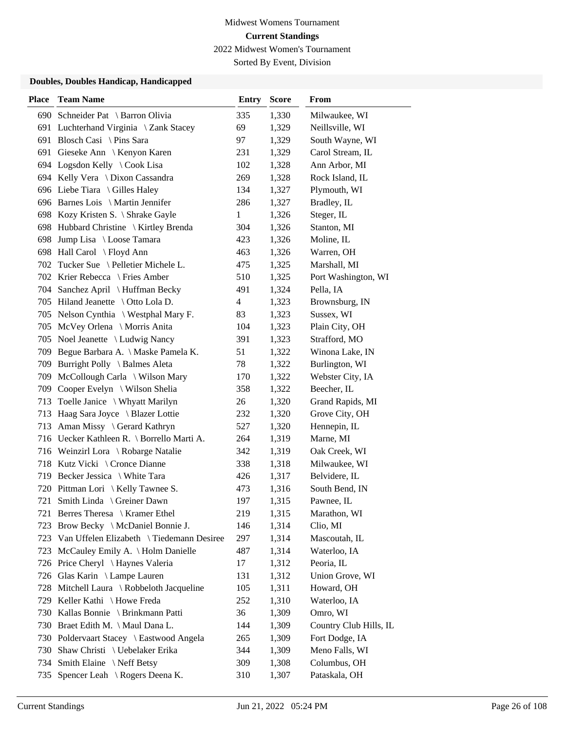Sorted By Event, Division

| <b>Place</b> | <b>Team Name</b>                           | <b>Entry</b> | <b>Score</b> | From                   |
|--------------|--------------------------------------------|--------------|--------------|------------------------|
|              | 690 Schneider Pat \ Barron Olivia          | 335          | 1,330        | Milwaukee, WI          |
|              | 691 Luchterhand Virginia \ Zank Stacey     | 69           | 1,329        | Neillsville, WI        |
|              | 691 Blosch Casi \ Pins Sara                | 97           | 1,329        | South Wayne, WI        |
| 691          | Gieseke Ann \ Kenyon Karen                 | 231          | 1,329        | Carol Stream, IL       |
|              | 694 Logsdon Kelly \ Cook Lisa              | 102          | 1,328        | Ann Arbor, MI          |
|              | 694 Kelly Vera \ Dixon Cassandra           | 269          | 1,328        | Rock Island, IL        |
|              | 696 Liebe Tiara \ Gilles Haley             | 134          | 1,327        | Plymouth, WI           |
|              | 696 Barnes Lois \ Martin Jennifer          | 286          | 1,327        | Bradley, IL            |
|              | 698 Kozy Kristen S. \ Shrake Gayle         | 1            | 1,326        | Steger, IL             |
| 698          | Hubbard Christine \ Kirtley Brenda         | 304          | 1,326        | Stanton, MI            |
| 698          | Jump Lisa \ Loose Tamara                   | 423          | 1,326        | Moline, IL             |
|              | 698 Hall Carol \ Floyd Ann                 | 463          | 1,326        | Warren, OH             |
|              | 702 Tucker Sue \ Pelletier Michele L.      | 475          | 1,325        | Marshall, MI           |
|              | 702 Krier Rebecca \ Fries Amber            | 510          | 1,325        | Port Washington, WI    |
|              | 704 Sanchez April \ Huffman Becky          | 491          | 1,324        | Pella, IA              |
|              | 705 Hiland Jeanette \ Otto Lola D.         | 4            | 1,323        | Brownsburg, IN         |
|              | 705 Nelson Cynthia \ Westphal Mary F.      | 83           | 1,323        | Sussex, WI             |
|              | 705 McVey Orlena \ Morris Anita            | 104          | 1,323        | Plain City, OH         |
| 705          | Noel Jeanette \ Ludwig Nancy               | 391          | 1,323        | Strafford, MO          |
|              | 709 Begue Barbara A. \ Maske Pamela K.     | 51           | 1,322        | Winona Lake, IN        |
| 709          | Burright Polly \ Balmes Aleta              | 78           | 1,322        | Burlington, WI         |
| 709          | McCollough Carla \ Wilson Mary             | 170          | 1,322        | Webster City, IA       |
| 709          | Cooper Evelyn \ Wilson Shelia              | 358          | 1,322        | Beecher, IL            |
| 713          | Toelle Janice \ Whyatt Marilyn             | 26           | 1,320        | Grand Rapids, MI       |
| 713          | Haag Sara Joyce \ Blazer Lottie            | 232          | 1,320        | Grove City, OH         |
| 713          | Aman Missy \ Gerard Kathryn                | 527          | 1,320        | Hennepin, IL           |
|              | 716 Uecker Kathleen R. \ Borrello Marti A. | 264          | 1,319        | Marne, MI              |
|              | 716 Weinzirl Lora \ Robarge Natalie        | 342          | 1,319        | Oak Creek, WI          |
|              | 718 Kutz Vicki \ Cronce Dianne             | 338          | 1,318        | Milwaukee, WI          |
|              | 719 Becker Jessica \ White Tara            | 426          | 1,317        | Belvidere, IL          |
|              | 720 Pittman Lori \ Kelly Tawnee S.         | 473          | 1,316        | South Bend, IN         |
| 721          | Smith Linda \ Greiner Dawn                 | 197          | 1,315        | Pawnee, IL             |
|              | 721 Berres Theresa \ Kramer Ethel          | 219          | 1,315        | Marathon, WI           |
| 723          | Brow Becky \ McDaniel Bonnie J.            | 146          | 1,314        | Clio, MI               |
| 723          | Van Uffelen Elizabeth \ Tiedemann Desiree  | 297          | 1,314        | Mascoutah, IL          |
| 723          | McCauley Emily A. \ Holm Danielle          | 487          | 1,314        | Waterloo, IA           |
|              | 726 Price Cheryl \Haynes Valeria           | 17           | 1,312        | Peoria, IL             |
|              | 726 Glas Karin \ Lampe Lauren              | 131          | 1,312        | Union Grove, WI        |
| 728          | Mitchell Laura \ Robbeloth Jacqueline      | 105          | 1,311        | Howard, OH             |
|              | 729 Keller Kathi \ Howe Freda              | 252          | 1,310        | Waterloo, IA           |
|              | 730 Kallas Bonnie \ Brinkmann Patti        | 36           | 1,309        | Omro, WI               |
|              | 730 Braet Edith M. \ Maul Dana L.          | 144          | 1,309        | Country Club Hills, IL |
|              | 730 Poldervaart Stacey \ Eastwood Angela   | 265          | 1,309        | Fort Dodge, IA         |
|              | 730 Shaw Christi \ Uebelaker Erika         | 344          | 1,309        | Meno Falls, WI         |
| 734          | Smith Elaine \Neff Betsy                   | 309          | 1,308        | Columbus, OH           |
| 735          | Spencer Leah \ Rogers Deena K.             | 310          | 1,307        | Pataskala, OH          |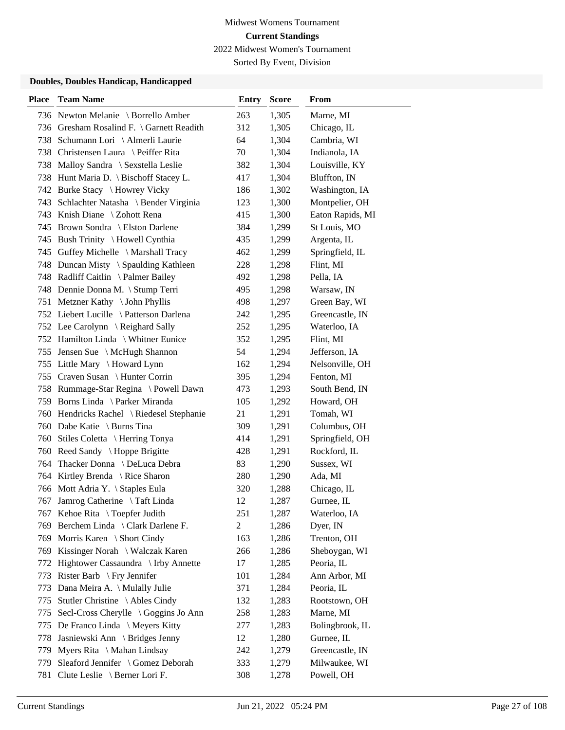Sorted By Event, Division

| <b>Place</b> | <b>Team Name</b>                          | <b>Entry</b>   | <b>Score</b> | From             |
|--------------|-------------------------------------------|----------------|--------------|------------------|
|              | 736 Newton Melanie \ Borrello Amber       | 263            | 1,305        | Marne, MI        |
|              | 736 Gresham Rosalind F. \ Garnett Readith | 312            | 1,305        | Chicago, IL      |
|              | 738 Schumann Lori \ Almerli Laurie        | 64             | 1,304        | Cambria, WI      |
|              | 738 Christensen Laura \ Peiffer Rita      | 70             | 1,304        | Indianola, IA    |
|              | 738 Malloy Sandra \ Sexstella Leslie      | 382            | 1,304        | Louisville, KY   |
|              | 738 Hunt Maria D. \ Bischoff Stacey L.    | 417            | 1,304        | Bluffton, IN     |
|              | 742 Burke Stacy \ Howrey Vicky            | 186            | 1,302        | Washington, IA   |
|              | 743 Schlachter Natasha \ Bender Virginia  | 123            | 1,300        | Montpelier, OH   |
|              | 743 Knish Diane \ Zohott Rena             | 415            | 1,300        | Eaton Rapids, MI |
|              | 745 Brown Sondra \ Elston Darlene         | 384            | 1,299        | St Louis, MO     |
|              | 745 Bush Trinity \ Howell Cynthia         | 435            | 1,299        | Argenta, IL      |
|              | 745 Guffey Michelle \ Marshall Tracy      | 462            | 1,299        | Springfield, IL  |
|              | 748 Duncan Misty \ Spaulding Kathleen     | 228            | 1,298        | Flint, MI        |
|              | 748 Radliff Caitlin \Palmer Bailey        | 492            | 1,298        | Pella, IA        |
|              | 748 Dennie Donna M. \ Stump Terri         | 495            | 1,298        | Warsaw, IN       |
|              | 751 Metzner Kathy \ John Phyllis          | 498            | 1,297        | Green Bay, WI    |
|              | 752 Liebert Lucille \ Patterson Darlena   | 242            | 1,295        | Greencastle, IN  |
|              | 752 Lee Carolynn \ Reighard Sally         | 252            | 1,295        | Waterloo, IA     |
|              | 752 Hamilton Linda \ Whitner Eunice       | 352            | 1,295        | Flint, MI        |
|              | 755 Jensen Sue \ McHugh Shannon           | 54             | 1,294        | Jefferson, IA    |
|              | 755 Little Mary \ Howard Lynn             | 162            | 1,294        | Nelsonville, OH  |
|              | 755 Craven Susan \ Hunter Corrin          | 395            | 1,294        | Fenton, MI       |
|              | 758 Rummage-Star Regina \ Powell Dawn     | 473            | 1,293        | South Bend, IN   |
|              | 759 Borns Linda \ Parker Miranda          | 105            | 1,292        | Howard, OH       |
|              | 760 Hendricks Rachel \ Riedesel Stephanie | 21             | 1,291        | Tomah, WI        |
|              | 760 Dabe Katie \ Burns Tina               | 309            | 1,291        | Columbus, OH     |
| 760          | Stiles Coletta \ Herring Tonya            | 414            | 1,291        | Springfield, OH  |
|              | 760 Reed Sandy \ Hoppe Brigitte           | 428            | 1,291        | Rockford, IL     |
| 764          | Thacker Donna \ DeLuca Debra              | 83             | 1,290        | Sussex, WI       |
|              | 764 Kirtley Brenda \ Rice Sharon          | 280            | 1,290        | Ada, MI          |
|              | 766 Mott Adria Y. \ Staples Eula          | 320            | 1,288        | Chicago, IL      |
| 767          | Jamrog Catherine \ Taft Linda             | 12             | 1,287        | Gurnee, IL       |
|              | 767 Kehoe Rita \ Toepfer Judith           | 251            | 1,287        | Waterloo, IA     |
|              | 769 Berchem Linda \ Clark Darlene F.      | $\overline{2}$ | 1,286        | Dyer, IN         |
|              | 769 Morris Karen \ Short Cindy            | 163            | 1,286        | Trenton, OH      |
|              | 769 Kissinger Norah \ Walczak Karen       | 266            | 1,286        | Sheboygan, WI    |
|              | 772 Hightower Cassaundra \ Irby Annette   | 17             | 1,285        | Peoria, IL       |
|              | 773 Rister Barb \ Fry Jennifer            | 101            | 1,284        | Ann Arbor, MI    |
| 773          | Dana Meira A. \ Mulally Julie             | 371            | 1,284        | Peoria, IL       |
| 775          | Stutler Christine \ Ables Cindy           | 132            | 1,283        | Rootstown, OH    |
| 775          | Secl-Cross Cherylle \ Goggins Jo Ann      | 258            | 1,283        | Marne, MI        |
|              | 775 De Franco Linda \ Meyers Kitty        | 277            | 1,283        | Bolingbrook, IL  |
| 778          | Jasniewski Ann \ Bridges Jenny            | 12             | 1,280        | Gurnee, IL       |
|              | 779 Myers Rita \ Mahan Lindsay            | 242            | 1,279        | Greencastle, IN  |
| 779          | Sleaford Jennifer \ Gomez Deborah         | 333            | 1,279        | Milwaukee, WI    |
| 781          | Clute Leslie \ Berner Lori F.             | 308            | 1,278        | Powell, OH       |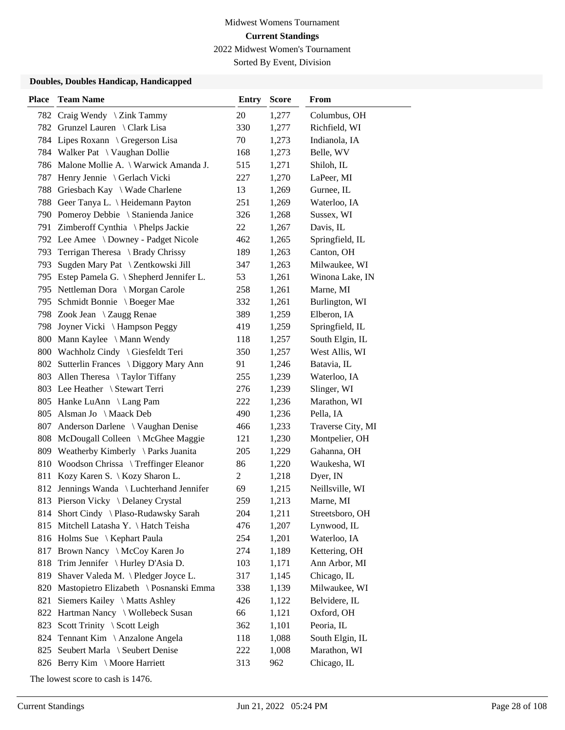Sorted By Event, Division

### **Doubles, Doubles Handicap, Handicapped**

| <b>Place</b> | <b>Team Name</b>                           | <b>Entry</b>   | <b>Score</b> | From              |
|--------------|--------------------------------------------|----------------|--------------|-------------------|
| 782          | Craig Wendy $\setminus$ Zink Tammy         | 20             | 1,277        | Columbus, OH      |
| 782          | Grunzel Lauren \ Clark Lisa                | 330            | 1,277        | Richfield, WI     |
|              | 784 Lipes Roxann \ Gregerson Lisa          | 70             | 1,273        | Indianola, IA     |
|              | 784 Walker Pat \ Vaughan Dollie            | 168            | 1,273        | Belle, WV         |
|              | 786 Malone Mollie A. \ Warwick Amanda J.   | 515            | 1,271        | Shiloh, IL        |
| 787          | Henry Jennie \ Gerlach Vicki               | 227            | 1,270        | LaPeer, MI        |
| 788          | Griesbach Kay \ Wade Charlene              | 13             | 1,269        | Gurnee, IL        |
|              | 788 Geer Tanya L. \ Heidemann Payton       | 251            | 1,269        | Waterloo, IA      |
|              | 790 Pomeroy Debbie \ Stanienda Janice      | 326            | 1,268        | Sussex, WI        |
| 791          | Zimberoff Cynthia \ Phelps Jackie          | 22             | 1,267        | Davis, IL         |
|              | 792 Lee Amee \ Downey - Padget Nicole      | 462            | 1,265        | Springfield, IL   |
| 793          | Terrigan Theresa \ Brady Chrissy           | 189            | 1,263        | Canton, OH        |
| 793          | Sugden Mary Pat \ Zentkowski Jill          | 347            | 1,263        | Milwaukee, WI     |
|              | 795 Estep Pamela G. \ Shepherd Jennifer L. | 53             | 1,261        | Winona Lake, IN   |
|              | 795 Nettleman Dora \ Morgan Carole         | 258            | 1,261        | Marne, MI         |
|              | 795 Schmidt Bonnie \ Boeger Mae            | 332            | 1,261        | Burlington, WI    |
|              | 798 Zook Jean \ Zaugg Renae                | 389            | 1,259        | Elberon, IA       |
| 798          | Joyner Vicki \ Hampson Peggy               | 419            | 1,259        | Springfield, IL   |
| 800          | Mann Kaylee \ Mann Wendy                   | 118            | 1,257        | South Elgin, IL   |
|              | 800 Wachholz Cindy \ Giesfeldt Teri        | 350            | 1,257        | West Allis, WI    |
|              | 802 Sutterlin Frances \ Diggory Mary Ann   | 91             | 1,246        | Batavia, IL       |
|              | 803 Allen Theresa \Taylor Tiffany          | 255            | 1,239        | Waterloo, IA      |
|              | 803 Lee Heather \ Stewart Terri            | 276            | 1,239        | Slinger, WI       |
|              | 805 Hanke LuAnn \ Lang Pam                 | 222            | 1,236        | Marathon, WI      |
| 805          | Alsman Jo \ Maack Deb                      | 490            | 1,236        | Pella, IA         |
| 807          | Anderson Darlene \ Vaughan Denise          | 466            | 1,233        | Traverse City, MI |
| 808          | McDougall Colleen \ McGhee Maggie          | 121            | 1,230        | Montpelier, OH    |
| 809          | Weatherby Kimberly \ Parks Juanita         | 205            | 1,229        | Gahanna, OH       |
| 810          | Woodson Chrissa \ Treffinger Eleanor       | 86             | 1,220        | Waukesha, WI      |
| 811          | Kozy Karen S. \ Kozy Sharon L.             | $\overline{c}$ | 1,218        | Dyer, IN          |
| 812          | Jennings Wanda \ Luchterhand Jennifer      | 69             | 1,215        | Neillsville, WI   |
|              | 813 Pierson Vicky \ Delaney Crystal        | 259            | 1,213        | Marne, MI         |
|              | 814 Short Cindy \ Plaso-Rudawsky Sarah     | 204            | 1,211        | Streetsboro, OH   |
| 815          | Mitchell Latasha Y. \ Hatch Teisha         | 476            | 1,207        | Lynwood, IL       |
|              | 816 Holms Sue \ Kephart Paula              | 254            | 1,201        | Waterloo, IA      |
|              | 817 Brown Nancy \ McCoy Karen Jo           | 274            | 1,189        | Kettering, OH     |
| 818          | Trim Jennifer \ Hurley D'Asia D.           | 103            | 1,171        | Ann Arbor, MI     |
| 819          | Shaver Valeda M. \ Pledger Joyce L.        | 317            | 1,145        | Chicago, IL       |
| 820          | Mastopietro Elizabeth \ Posnanski Emma     | 338            | 1,139        | Milwaukee, WI     |
| 821          | Siemers Kailey \ Matts Ashley              | 426            | 1,122        | Belvidere, IL     |
| 822          | Hartman Nancy \ Wollebeck Susan            | 66             | 1,121        | Oxford, OH        |
| 823          | Scott Trinity \ Scott Leigh                | 362            | 1,101        | Peoria, IL        |
| 824          | Tennant Kim \ Anzalone Angela              | 118            | 1,088        | South Elgin, IL   |
| 825          | Seubert Marla \ Seubert Denise             | 222            | 1,008        | Marathon, WI      |
|              | 826 Berry Kim \ Moore Harriett             | 313            | 962          | Chicago, IL       |

The lowest score to cash is 1476.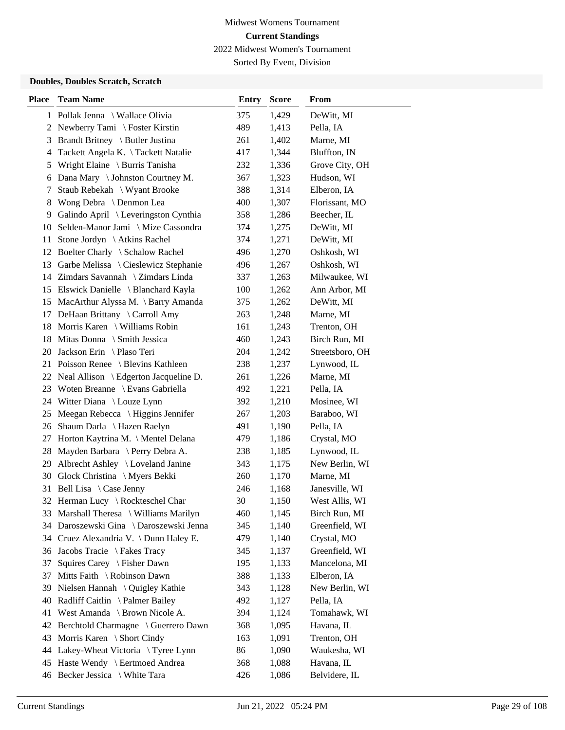Sorted By Event, Division

### **Doubles, Doubles Scratch, Scratch**

| <b>Place</b> | <b>Team Name</b>                         | <b>Entry</b> | <b>Score</b> | From            |
|--------------|------------------------------------------|--------------|--------------|-----------------|
|              | 1 Pollak Jenna \ Wallace Olivia          | 375          | 1,429        | DeWitt, MI      |
|              | 2 Newberry Tami \ Foster Kirstin         | 489          | 1,413        | Pella, IA       |
| 3            | Brandt Britney \ Butler Justina          | 261          | 1,402        | Marne, MI       |
| 4            | Tackett Angela K. \Tackett Natalie       | 417          | 1,344        | Bluffton, IN    |
| 5            | Wright Elaine \ Burris Tanisha           | 232          | 1,336        | Grove City, OH  |
| 6            | Dana Mary \ Johnston Courtney M.         | 367          | 1,323        | Hudson, WI      |
| 7            | Staub Rebekah \ Wyant Brooke             | 388          | 1,314        | Elberon, IA     |
| 8            | Wong Debra \ Denmon Lea                  | 400          | 1,307        | Florissant, MO  |
| 9            | Galindo April \ Leveringston Cynthia     | 358          | 1,286        | Beecher, IL     |
| 10           | Selden-Manor Jami \ Mize Cassondra       | 374          | 1,275        | DeWitt, MI      |
| 11           | Stone Jordyn \ Atkins Rachel             | 374          | 1,271        | DeWitt, MI      |
|              | 12 Boelter Charly \ Schalow Rachel       | 496          | 1,270        | Oshkosh, WI     |
| 13           | Garbe Melissa \ Cieslewicz Stephanie     | 496          | 1,267        | Oshkosh, WI     |
|              | 14 Zimdars Savannah \ Zimdars Linda      | 337          | 1,263        | Milwaukee, WI   |
|              | 15 Elswick Danielle \ Blanchard Kayla    | 100          | 1,262        | Ann Arbor, MI   |
|              | 15 MacArthur Alyssa M. \ Barry Amanda    | 375          | 1,262        | DeWitt, MI      |
| 17           | DeHaan Brittany \ Carroll Amy            | 263          | 1,248        | Marne, MI       |
| 18           | Morris Karen \ Williams Robin            | 161          | 1,243        | Trenton, OH     |
| 18           | Mitas Donna \ Smith Jessica              | 460          | 1,243        | Birch Run, MI   |
| 20           | Jackson Erin \Plaso Teri                 | 204          | 1,242        | Streetsboro, OH |
| 21           | Poisson Renee \ Blevins Kathleen         | 238          | 1,237        | Lynwood, IL     |
|              | 22 Neal Allison \ Edgerton Jacqueline D. | 261          | 1,226        | Marne, MI       |
| 23           | Woten Breanne \ Evans Gabriella          | 492          | 1,221        | Pella, IA       |
| 24           | Witter Diana \ Louze Lynn                | 392          | 1,210        | Mosinee, WI     |
| 25           | Meegan Rebecca \ Higgins Jennifer        | 267          | 1,203        | Baraboo, WI     |
| 26           | Shaum Darla \ Hazen Raelyn               | 491          | 1,190        | Pella, IA       |
| 27           | Horton Kaytrina M. \ Mentel Delana       | 479          | 1,186        | Crystal, MO     |
| 28           | Mayden Barbara \ Perry Debra A.          | 238          | 1,185        | Lynwood, IL     |
| 29           | Albrecht Ashley \ Loveland Janine        | 343          | 1,175        | New Berlin, WI  |
| 30           | Glock Christina \ Myers Bekki            | 260          | 1,170        | Marne, MI       |
| 31           | Bell Lisa \ Case Jenny                   | 246          | 1,168        | Janesville, WI  |
|              | 32 Herman Lucy \ Rockteschel Char        | 30           | 1,150        | West Allis, WI  |
|              | 33 Marshall Theresa \ Williams Marilyn   | 460          | 1,145        | Birch Run, MI   |
|              | 34 Daroszewski Gina \ Daroszewski Jenna  | 345          | 1,140        | Greenfield, WI  |
|              | 34 Cruez Alexandria V. \Dunn Haley E.    | 479          | 1,140        | Crystal, MO     |
|              | 36 Jacobs Tracie \ Fakes Tracy           | 345          | 1,137        | Greenfield, WI  |
| 37           | Squires Carey \ Fisher Dawn              | 195          | 1,133        | Mancelona, MI   |
| 37           | Mitts Faith \ Robinson Dawn              | 388          | 1,133        | Elberon, IA     |
| 39           | Nielsen Hannah \ Quigley Kathie          | 343          | 1,128        | New Berlin, WI  |
| 40           | Radliff Caitlin \ Palmer Bailey          | 492          | 1,127        | Pella, IA       |
| 41           | West Amanda \ Brown Nicole A.            | 394          | 1,124        | Tomahawk, WI    |
| 42           | Berchtold Charmagne \ Guerrero Dawn      | 368          | 1,095        | Havana, IL      |
| 43           | Morris Karen \ Short Cindy               | 163          | 1,091        | Trenton, OH     |
| 44           | Lakey-Wheat Victoria \ Tyree Lynn        | 86           | 1,090        | Waukesha, WI    |
| 45           | Haste Wendy \ Eertmoed Andrea            | 368          | 1,088        | Havana, IL      |
|              | 46 Becker Jessica \ White Tara           | 426          | 1,086        | Belvidere, IL   |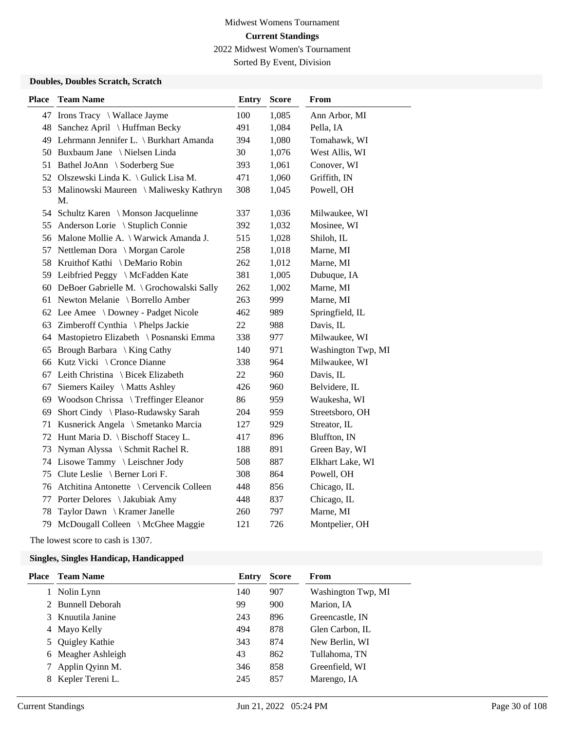Sorted By Event, Division

### **Doubles, Doubles Scratch, Scratch**

| <b>Place</b> | <b>Team Name</b>                                | <b>Entry</b> | <b>Score</b> | <b>From</b>        |
|--------------|-------------------------------------------------|--------------|--------------|--------------------|
|              | 47 Irons Tracy \ Wallace Jayme                  | 100          | 1,085        | Ann Arbor, MI      |
|              | 48 Sanchez April \ Huffman Becky                | 491          | 1,084        | Pella, IA          |
|              | 49 Lehrmann Jennifer L. \ Burkhart Amanda       | 394          | 1,080        | Tomahawk, WI       |
|              | 50 Buxbaum Jane \ Nielsen Linda                 | 30           | 1,076        | West Allis, WI     |
|              | 51 Bathel JoAnn \ Soderberg Sue                 | 393          | 1,061        | Conover, WI        |
|              | 52 Olszewski Linda K. \ Gulick Lisa M.          | 471          | 1,060        | Griffith, IN       |
|              | 53 Malinowski Maureen \ Maliwesky Kathryn<br>M. | 308          | 1,045        | Powell, OH         |
|              | 54 Schultz Karen \ Monson Jacquelinne           | 337          | 1,036        | Milwaukee, WI      |
|              | 55 Anderson Lorie \ Stuplich Connie             | 392          | 1,032        | Mosinee, WI        |
|              | 56 Malone Mollie A. \ Warwick Amanda J.         | 515          | 1,028        | Shiloh, IL         |
| 57           | Nettleman Dora \ Morgan Carole                  | 258          | 1,018        | Marne, MI          |
|              | 58 Kruithof Kathi \ DeMario Robin               | 262          | 1,012        | Marne, MI          |
|              | 59 Leibfried Peggy \ McFadden Kate              | 381          | 1,005        | Dubuque, IA        |
|              | 60 DeBoer Gabrielle M. \ Grochowalski Sally     | 262          | 1,002        | Marne, MI          |
|              | 61 Newton Melanie \ Borrello Amber              | 263          | 999          | Marne, MI          |
|              | 62 Lee Amee \ Downey - Padget Nicole            | 462          | 989          | Springfield, IL    |
|              | 63 Zimberoff Cynthia \ Phelps Jackie            | 22           | 988          | Davis, IL          |
|              | 64 Mastopietro Elizabeth \ Posnanski Emma       | 338          | 977          | Milwaukee, WI      |
|              | 65 Brough Barbara \ King Cathy                  | 140          | 971          | Washington Twp, MI |
|              | 66 Kutz Vicki \ Cronce Dianne                   | 338          | 964          | Milwaukee, WI      |
|              | 67 Leith Christina \ Bicek Elizabeth            | 22           | 960          | Davis, IL          |
| 67           | Siemers Kailey \ Matts Ashley                   | 426          | 960          | Belvidere, IL      |
| 69           | Woodson Chrissa \ Treffinger Eleanor            | 86           | 959          | Waukesha, WI       |
| 69           | Short Cindy \ Plaso-Rudawsky Sarah              | 204          | 959          | Streetsboro, OH    |
| 71           | Kusnerick Angela \ Smetanko Marcia              | 127          | 929          | Streator, IL       |
|              | 72 Hunt Maria D. \ Bischoff Stacey L.           | 417          | 896          | Bluffton, IN       |
| 73           | Nyman Alyssa \ Schmit Rachel R.                 | 188          | 891          | Green Bay, WI      |
|              | 74 Lisowe Tammy \ Leischner Jody                | 508          | 887          | Elkhart Lake, WI   |
|              | 75 Clute Leslie \ Berner Lori F.                | 308          | 864          | Powell, OH         |
|              | 76 Atchitina Antonette \ Cervencik Colleen      | 448          | 856          | Chicago, IL        |
| 77           | Porter Delores \ Jakubiak Amy                   | 448          | 837          | Chicago, IL        |
| 78           | Taylor Dawn \ Kramer Janelle                    | 260          | 797          | Marne, MI          |
| 79           | McDougall Colleen \ McGhee Maggie               | 121          | 726          | Montpelier, OH     |

The lowest score to cash is 1307.

| <b>Place</b> | <b>Team Name</b>   | Entry | <b>Score</b> | <b>From</b>        |
|--------------|--------------------|-------|--------------|--------------------|
|              | Nolin Lynn         | 140   | 907          | Washington Twp, MI |
|              | 2 Bunnell Deborah  | 99    | 900          | Marion, IA         |
|              | 3 Knuutila Janine  | 243   | 896          | Greencastle, IN    |
|              | 4 Mayo Kelly       | 494   | 878          | Glen Carbon, IL    |
|              | Quigley Kathie     | 343   | 874          | New Berlin, WI     |
|              | 6 Meagher Ashleigh | 43    | 862          | Tullahoma, TN      |
|              | Applin Qyinn M.    | 346   | 858          | Greenfield, WI     |
|              | Kepler Tereni L.   | 245   | 857          | Marengo, IA        |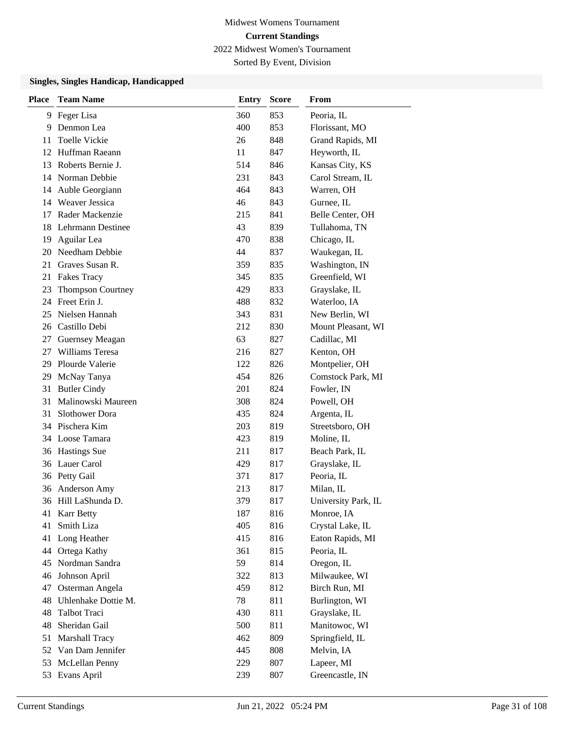Sorted By Event, Division

| <b>Place</b> | <b>Team Name</b>    | <b>Entry</b> | <b>Score</b> | From                |
|--------------|---------------------|--------------|--------------|---------------------|
| 9.           | Feger Lisa          | 360          | 853          | Peoria, IL          |
| 9            | Denmon Lea          | 400          | 853          | Florissant, MO      |
| 11           | Toelle Vickie       | 26           | 848          | Grand Rapids, MI    |
| 12           | Huffman Raeann      | 11           | 847          | Heyworth, IL        |
| 13           | Roberts Bernie J.   | 514          | 846          | Kansas City, KS     |
|              | 14 Norman Debbie    | 231          | 843          | Carol Stream, IL    |
| 14           | Auble Georgiann     | 464          | 843          | Warren, OH          |
|              | 14 Weaver Jessica   | 46           | 843          | Gurnee, IL          |
| 17           | Rader Mackenzie     | 215          | 841          | Belle Center, OH    |
| 18           | Lehrmann Destinee   | 43           | 839          | Tullahoma, TN       |
| 19           | Aguilar Lea         | 470          | 838          | Chicago, IL         |
| 20           | Needham Debbie      | 44           | 837          | Waukegan, IL        |
| 21           | Graves Susan R.     | 359          | 835          | Washington, IN      |
| 21           | <b>Fakes Tracy</b>  | 345          | 835          | Greenfield, WI      |
| 23           | Thompson Courtney   | 429          | 833          | Grayslake, IL       |
|              | 24 Freet Erin J.    | 488          | 832          | Waterloo, IA        |
| 25           | Nielsen Hannah      | 343          | 831          | New Berlin, WI      |
| 26           | Castillo Debi       | 212          | 830          | Mount Pleasant, WI  |
| 27           | Guernsey Meagan     | 63           | 827          | Cadillac, MI        |
| 27           | Williams Teresa     | 216          | 827          | Kenton, OH          |
| 29           | Plourde Valerie     | 122          | 826          | Montpelier, OH      |
| 29           | McNay Tanya         | 454          | 826          | Comstock Park, MI   |
| 31           | <b>Butler Cindy</b> | 201          | 824          | Fowler, IN          |
| 31           | Malinowski Maureen  | 308          | 824          | Powell, OH          |
| 31           | Slothower Dora      | 435          | 824          | Argenta, IL         |
|              | 34 Pischera Kim     | 203          | 819          | Streetsboro, OH     |
|              | 34 Loose Tamara     | 423          | 819          | Moline, IL          |
| 36           | <b>Hastings</b> Sue | 211          | 817          | Beach Park, IL      |
|              | 36 Lauer Carol      | 429          | 817          | Grayslake, IL       |
|              | 36 Petty Gail       | 371          | 817          | Peoria, IL          |
| 36           | Anderson Amy        | 213          | 817          | Milan, IL           |
|              | 36 Hill LaShunda D. | 379          | 817          | University Park, IL |
|              | 41 Karr Betty       | 187          | 816          | Monroe, IA          |
| 41           | Smith Liza          | 405          | 816          | Crystal Lake, IL    |
| 41           | Long Heather        | 415          | 816          | Eaton Rapids, MI    |
| 44           | Ortega Kathy        | 361          | 815          | Peoria, IL          |
| 45           | Nordman Sandra      | 59           | 814          | Oregon, IL          |
| 46           | Johnson April       | 322          | 813          | Milwaukee, WI       |
| 47           | Osterman Angela     | 459          | 812          | Birch Run, MI       |
| 48           | Uhlenhake Dottie M. | 78           | 811          | Burlington, WI      |
| 48           | Talbot Traci        | 430          | 811          | Grayslake, IL       |
| 48           | Sheridan Gail       | 500          | 811          | Manitowoc, WI       |
| 51           | Marshall Tracy      | 462          | 809          | Springfield, IL     |
| 52           | Van Dam Jennifer    | 445          | 808          | Melvin, IA          |
| 53           | McLellan Penny      | 229          | 807          | Lapeer, MI          |
|              | 53 Evans April      | 239          | 807          | Greencastle, IN     |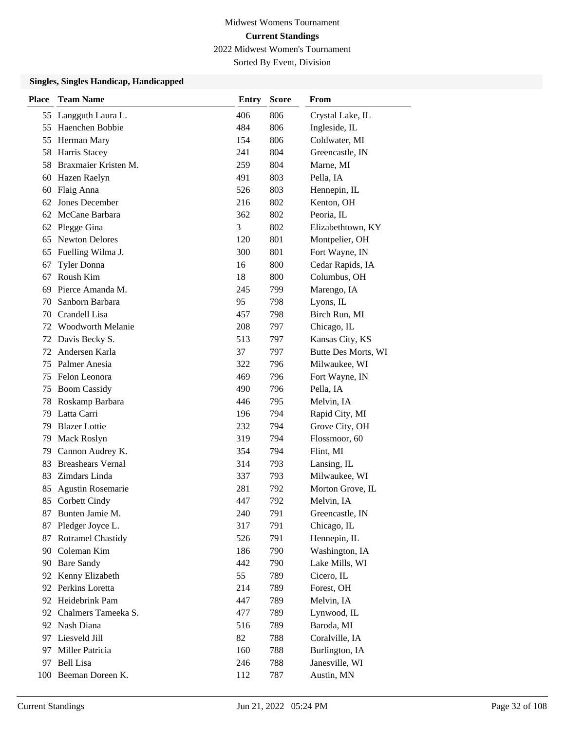Sorted By Event, Division

| <b>Place</b> | <b>Team Name</b>         | <b>Entry</b> | <b>Score</b> | From                |
|--------------|--------------------------|--------------|--------------|---------------------|
| 55           | Langguth Laura L.        | 406          | 806          | Crystal Lake, IL    |
| 55           | Haenchen Bobbie          | 484          | 806          | Ingleside, IL       |
| 55           | Herman Mary              | 154          | 806          | Coldwater, MI       |
| 58           | Harris Stacey            | 241          | 804          | Greencastle, IN     |
| 58           | Braxmaier Kristen M.     | 259          | 804          | Marne, MI           |
| 60           | Hazen Raelyn             | 491          | 803          | Pella, IA           |
| 60           | Flaig Anna               | 526          | 803          | Hennepin, IL        |
| 62           | Jones December           | 216          | 802          | Kenton, OH          |
| 62           | McCane Barbara           | 362          | 802          | Peoria, IL          |
| 62           | Plegge Gina              | 3            | 802          | Elizabethtown, KY   |
| 65           | <b>Newton Delores</b>    | 120          | 801          | Montpelier, OH      |
| 65           | Fuelling Wilma J.        | 300          | 801          | Fort Wayne, IN      |
| 67           | <b>Tyler Donna</b>       | 16           | 800          | Cedar Rapids, IA    |
| 67           | Roush Kim                | 18           | 800          | Columbus, OH        |
| 69           | Pierce Amanda M.         | 245          | 799          | Marengo, IA         |
| 70           | Sanborn Barbara          | 95           | 798          | Lyons, IL           |
| 70           | Crandell Lisa            | 457          | 798          | Birch Run, MI       |
| 72           | Woodworth Melanie        | 208          | 797          | Chicago, IL         |
| 72           | Davis Becky S.           | 513          | 797          | Kansas City, KS     |
| 72           | Andersen Karla           | 37           | 797          | Butte Des Morts, WI |
| 75           | Palmer Anesia            | 322          | 796          | Milwaukee, WI       |
| 75           | Felon Leonora            | 469          | 796          | Fort Wayne, IN      |
| 75           | <b>Boom Cassidy</b>      | 490          | 796          | Pella, IA           |
| 78           | Roskamp Barbara          | 446          | 795          | Melvin, IA          |
| 79           | Latta Carri              | 196          | 794          | Rapid City, MI      |
| 79           | <b>Blazer</b> Lottie     | 232          | 794          | Grove City, OH      |
| 79           | Mack Roslyn              | 319          | 794          | Flossmoor, 60       |
| 79           | Cannon Audrey K.         | 354          | 794          | Flint, MI           |
| 83           | <b>Breashears Vernal</b> | 314          | 793          | Lansing, IL         |
| 83           | Zimdars Linda            | 337          | 793          | Milwaukee, WI       |
| 85           | <b>Agustin Rosemarie</b> | 281          | 792          | Morton Grove, IL    |
| 85           | Corbett Cindy            | 447          | 792          | Melvin, IA          |
| 87           | Bunten Jamie M.          | 240          | 791          | Greencastle, IN     |
| 87           | Pledger Joyce L.         | 317          | 791          | Chicago, IL         |
| 87           | <b>Rotramel Chastidy</b> | 526          | 791          | Hennepin, IL        |
|              | 90 Coleman Kim           | 186          | 790          | Washington, IA      |
| 90           | <b>Bare Sandy</b>        | 442          | 790          | Lake Mills, WI      |
| 92           | Kenny Elizabeth          | 55           | 789          | Cicero, IL          |
| 92           | Perkins Loretta          | 214          | 789          | Forest, OH          |
| 92           | Heidebrink Pam           | 447          | 789          | Melvin, IA          |
| 92           | Chalmers Tameeka S.      | 477          | 789          | Lynwood, IL         |
| 92           | Nash Diana               | 516          | 789          | Baroda, MI          |
| 97           | Liesveld Jill            | 82           | 788          | Coralville, IA      |
| 97           | Miller Patricia          | 160          | 788          | Burlington, IA      |
| 97           | <b>Bell Lisa</b>         | 246          | 788          | Janesville, WI      |
|              | 100 Beeman Doreen K.     | 112          | 787          | Austin, MN          |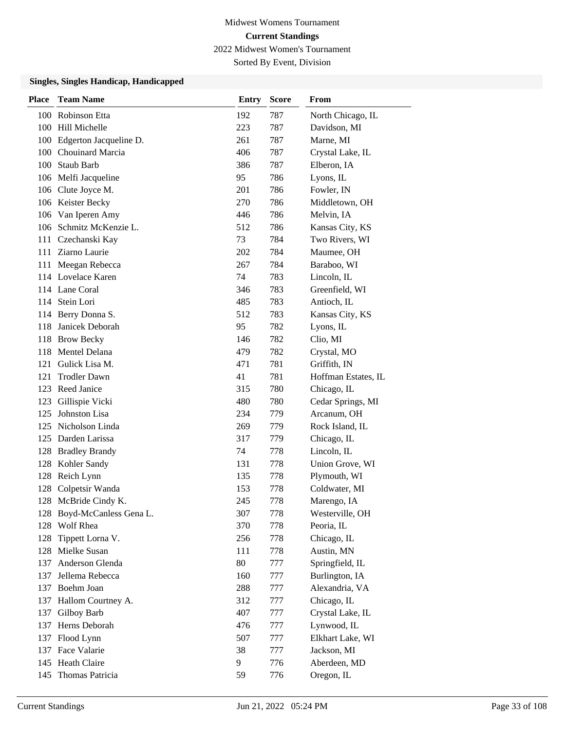Sorted By Event, Division

| <b>Place</b> | <b>Team Name</b>           | <b>Entry</b> | <b>Score</b> | From                |
|--------------|----------------------------|--------------|--------------|---------------------|
| 100          | Robinson Etta              | 192          | 787          | North Chicago, IL   |
|              | 100 Hill Michelle          | 223          | 787          | Davidson, MI        |
| 100          | Edgerton Jacqueline D.     | 261          | 787          | Marne, MI           |
|              | 100 Chouinard Marcia       | 406          | 787          | Crystal Lake, IL    |
|              | 100 Staub Barb             | 386          | 787          | Elberon, IA         |
|              | 106 Melfi Jacqueline       | 95           | 786          | Lyons, IL           |
|              | 106 Clute Joyce M.         | 201          | 786          | Fowler, IN          |
|              | 106 Keister Becky          | 270          | 786          | Middletown, OH      |
|              | 106 Van Iperen Amy         | 446          | 786          | Melvin, IA          |
|              | 106 Schmitz McKenzie L.    | 512          | 786          | Kansas City, KS     |
| 111          | Czechanski Kay             | 73           | 784          | Two Rivers, WI      |
|              | 111 Ziarno Laurie          | 202          | 784          | Maumee, OH          |
| 111          | Meegan Rebecca             | 267          | 784          | Baraboo, WI         |
|              | 114 Lovelace Karen         | 74           | 783          | Lincoln, IL         |
|              | 114 Lane Coral             | 346          | 783          | Greenfield, WI      |
|              | 114 Stein Lori             | 485          | 783          | Antioch, IL         |
|              | 114 Berry Donna S.         | 512          | 783          | Kansas City, KS     |
| 118          | Janicek Deborah            | 95           | 782          | Lyons, IL           |
|              | 118 Brow Becky             | 146          | 782          | Clio, MI            |
|              | 118 Mentel Delana          | 479          | 782          | Crystal, MO         |
| 121          | Gulick Lisa M.             | 471          | 781          | Griffith, IN        |
| 121          | <b>Trodler Dawn</b>        | 41           | 781          | Hoffman Estates, IL |
|              | 123 Reed Janice            | 315          | 780          | Chicago, IL         |
|              | 123 Gillispie Vicki        | 480          | 780          | Cedar Springs, MI   |
| 125          | Johnston Lisa              | 234          | 779          | Arcanum, OH         |
| 125          | Nicholson Linda            | 269          | 779          | Rock Island, IL     |
| 125          | Darden Larissa             | 317          | 779          | Chicago, IL         |
| 128          | <b>Bradley Brandy</b>      | 74           | 778          | Lincoln, IL         |
| 128          | Kohler Sandy               | 131          | 778          | Union Grove, WI     |
| 128          | Reich Lynn                 | 135          | 778          | Plymouth, WI        |
| 128          | Colpetsir Wanda            | 153          | 778          | Coldwater, MI       |
|              | 128 McBride Cindy K.       | 245          | 778          | Marengo, IA         |
|              | 128 Boyd-McCanless Gena L. | 307          | 778          | Westerville, OH     |
| 128          | Wolf Rhea                  | 370          | 778          | Peoria, IL          |
| 128          | Tippett Lorna V.           | 256          | 778          | Chicago, IL         |
|              | 128 Mielke Susan           | 111          | 778          | Austin, MN          |
| 137          | Anderson Glenda            | 80           | 777          | Springfield, IL     |
| 137          | Jellema Rebecca            | 160          | 777          | Burlington, IA      |
| 137          | Boehm Joan                 | 288          | 777          | Alexandria, VA      |
| 137          | Hallom Courtney A.         | 312          | 777          | Chicago, IL         |
| 137          | Gilboy Barb                | 407          | 777          | Crystal Lake, IL    |
| 137          | Herns Deborah              | 476          | 777          | Lynwood, IL         |
| 137          | Flood Lynn                 | 507          | 777          | Elkhart Lake, WI    |
|              | 137 Face Valarie           | 38           | 777          | Jackson, MI         |
| 145          | Heath Claire               | 9            | 776          | Aberdeen, MD        |
| 145          | Thomas Patricia            | 59           | 776          | Oregon, IL          |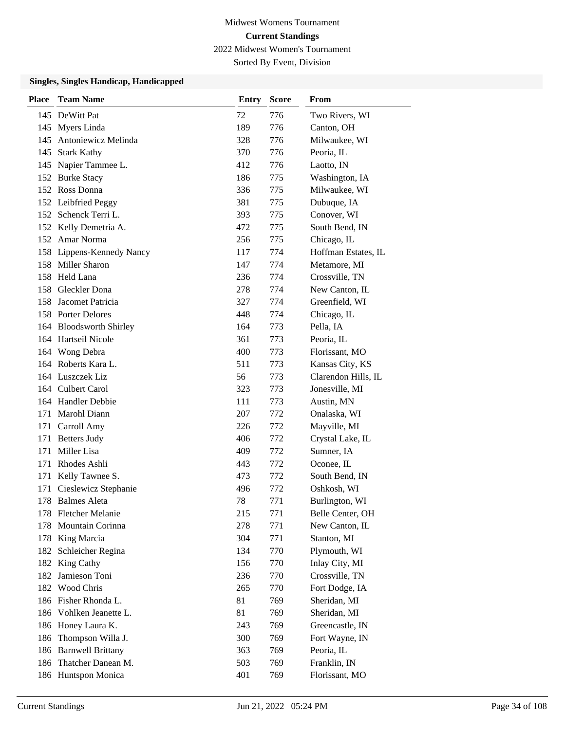Sorted By Event, Division

| <b>Place</b> | <b>Team Name</b>          | <b>Entry</b> | <b>Score</b> | From                |
|--------------|---------------------------|--------------|--------------|---------------------|
|              | 145 DeWitt Pat            | 72           | 776          | Two Rivers, WI      |
|              | 145 Myers Linda           | 189          | 776          | Canton, OH          |
|              | 145 Antoniewicz Melinda   | 328          | 776          | Milwaukee, WI       |
|              | 145 Stark Kathy           | 370          | 776          | Peoria, IL          |
|              | 145 Napier Tammee L.      | 412          | 776          | Laotto, IN          |
|              | 152 Burke Stacy           | 186          | 775          | Washington, IA      |
|              | 152 Ross Donna            | 336          | 775          | Milwaukee, WI       |
|              | 152 Leibfried Peggy       | 381          | 775          | Dubuque, IA         |
|              | 152 Schenck Terri L.      | 393          | 775          | Conover, WI         |
|              | 152 Kelly Demetria A.     | 472          | 775          | South Bend, IN      |
|              | 152 Amar Norma            | 256          | 775          | Chicago, IL         |
|              | 158 Lippens-Kennedy Nancy | 117          | 774          | Hoffman Estates, IL |
|              | 158 Miller Sharon         | 147          | 774          | Metamore, MI        |
|              | 158 Held Lana             | 236          | 774          | Crossville, TN      |
|              | 158 Gleckler Dona         | 278          | 774          | New Canton, IL      |
| 158          | Jacomet Patricia          | 327          | 774          | Greenfield, WI      |
|              | 158 Porter Delores        | 448          | 774          | Chicago, IL         |
|              | 164 Bloodsworth Shirley   | 164          | 773          | Pella, IA           |
|              | 164 Hartseil Nicole       | 361          | 773          | Peoria, IL          |
|              | 164 Wong Debra            | 400          | 773          | Florissant, MO      |
|              | 164 Roberts Kara L.       | 511          | 773          | Kansas City, KS     |
|              | 164 Luszczek Liz          | 56           | 773          | Clarendon Hills, IL |
|              | 164 Culbert Carol         | 323          | 773          | Jonesville, MI      |
|              | 164 Handler Debbie        | 111          | 773          | Austin, MN          |
| 171          | Marohl Diann              | 207          | 772          | Onalaska, WI        |
|              | 171 Carroll Amy           | 226          | 772          | Mayville, MI        |
| 171          | <b>Betters Judy</b>       | 406          | 772          | Crystal Lake, IL    |
| 171          | Miller Lisa               | 409          | 772          | Sumner, IA          |
| 171          | Rhodes Ashli              | 443          | 772          | Oconee, IL          |
| 171          | Kelly Tawnee S.           | 473          | 772          | South Bend, IN      |
| 171          | Cieslewicz Stephanie      | 496          | 772          | Oshkosh, WI         |
| 178          | <b>Balmes Aleta</b>       | 78           | 771          | Burlington, WI      |
|              | 178 Fletcher Melanie      | 215          | 771          | Belle Center, OH    |
| 178          | Mountain Corinna          | 278          | 771          | New Canton, IL      |
| 178          | King Marcia               | 304          | 771          | Stanton, MI         |
|              | 182 Schleicher Regina     | 134          | 770          | Plymouth, WI        |
| 182          | King Cathy                | 156          | 770          | Inlay City, MI      |
| 182          | Jamieson Toni             | 236          | 770          | Crossville, TN      |
| 182          | Wood Chris                | 265          | 770          | Fort Dodge, IA      |
|              | 186 Fisher Rhonda L.      | 81           | 769          | Sheridan, MI        |
| 186          | Vohlken Jeanette L.       | 81           | 769          | Sheridan, MI        |
| 186          | Honey Laura K.            | 243          | 769          | Greencastle, IN     |
| 186          | Thompson Willa J.         | 300          | 769          | Fort Wayne, IN      |
| 186          | <b>Barnwell Brittany</b>  | 363          | 769          | Peoria, IL          |
| 186          | Thatcher Danean M.        | 503          | 769          | Franklin, IN        |
|              | 186 Huntspon Monica       | 401          | 769          | Florissant, MO      |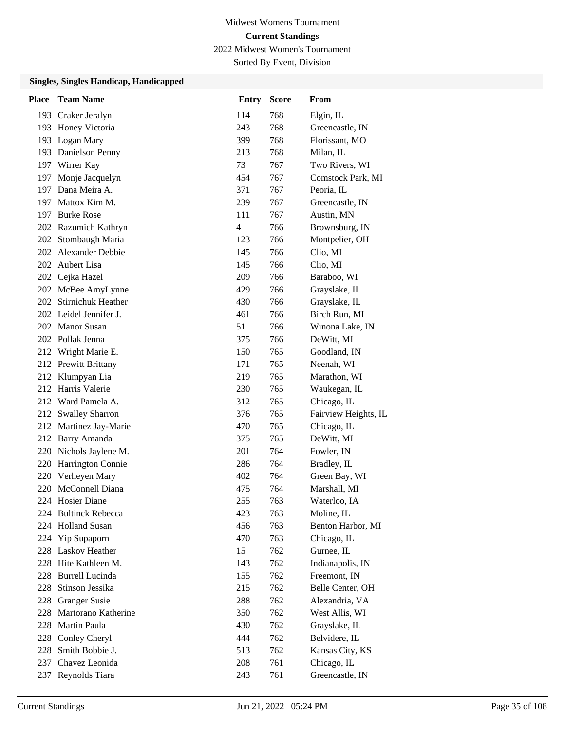Sorted By Event, Division

| <b>Place</b> | <b>Team Name</b>       | <b>Entry</b> | <b>Score</b> | From                 |
|--------------|------------------------|--------------|--------------|----------------------|
|              | 193 Craker Jeralyn     | 114          | 768          | Elgin, $IL$          |
|              | 193 Honey Victoria     | 243          | 768          | Greencastle, IN      |
|              | 193 Logan Mary         | 399          | 768          | Florissant, MO       |
|              | 193 Danielson Penny    | 213          | 768          | Milan, IL            |
|              | 197 Wirrer Kay         | 73           | 767          | Two Rivers, WI       |
| 197          | Monje Jacquelyn        | 454          | 767          | Comstock Park, MI    |
|              | 197 Dana Meira A.      | 371          | 767          | Peoria, IL           |
|              | 197 Mattox Kim M.      | 239          | 767          | Greencastle, IN      |
|              | 197 Burke Rose         | 111          | 767          | Austin, MN           |
|              | 202 Razumich Kathryn   | 4            | 766          | Brownsburg, IN       |
| 202          | Stombaugh Maria        | 123          | 766          | Montpelier, OH       |
|              | 202 Alexander Debbie   | 145          | 766          | Clio, MI             |
|              | 202 Aubert Lisa        | 145          | 766          | Clio, MI             |
| 202          | Cejka Hazel            | 209          | 766          | Baraboo, WI          |
|              | 202 McBee AmyLynne     | 429          | 766          | Grayslake, IL        |
|              | 202 Stirnichuk Heather | 430          | 766          | Grayslake, IL        |
|              | 202 Leidel Jennifer J. | 461          | 766          | Birch Run, MI        |
|              | 202 Manor Susan        | 51           | 766          | Winona Lake, IN      |
|              | 202 Pollak Jenna       | 375          | 766          | DeWitt, MI           |
|              | 212 Wright Marie E.    | 150          | 765          | Goodland, IN         |
|              | 212 Prewitt Brittany   | 171          | 765          | Neenah, WI           |
| 212          | Klumpyan Lia           | 219          | 765          | Marathon, WI         |
|              | 212 Harris Valerie     | 230          | 765          | Waukegan, IL         |
|              | 212 Ward Pamela A.     | 312          | 765          | Chicago, IL          |
| 212          | <b>Swalley Sharron</b> | 376          | 765          | Fairview Heights, IL |
| 212          | Martinez Jay-Marie     | 470          | 765          | Chicago, IL          |
| 212          | Barry Amanda           | 375          | 765          | DeWitt, MI           |
|              | 220 Nichols Jaylene M. | 201          | 764          | Fowler, IN           |
| 220          | Harrington Connie      | 286          | 764          | Bradley, IL          |
| 220          | Verheyen Mary          | 402          | 764          | Green Bay, WI        |
| 220          | McConnell Diana        | 475          | 764          | Marshall, MI         |
|              | 224 Hosier Diane       | 255          | 763          | Waterloo, IA         |
|              | 224 Bultinck Rebecca   | 423          | 763          | Moline, IL           |
| 224          | <b>Holland Susan</b>   | 456          | 763          | Benton Harbor, MI    |
| 224          | Yip Supaporn           | 470          | 763          | Chicago, IL          |
|              | 228 Laskov Heather     | 15           | 762          | Gurnee, IL           |
|              | 228 Hite Kathleen M.   | 143          | 762          | Indianapolis, IN     |
| 228          | <b>Burrell Lucinda</b> | 155          | 762          | Freemont, IN         |
| 228          | Stinson Jessika        | 215          | 762          | Belle Center, OH     |
| 228          | <b>Granger Susie</b>   | 288          | 762          | Alexandria, VA       |
| 228          | Martorano Katherine    | 350          | 762          | West Allis, WI       |
| 228          | Martin Paula           | 430          | 762          | Grayslake, IL        |
|              | 228 Conley Cheryl      | 444          | 762          | Belvidere, IL        |
|              | 228 Smith Bobbie J.    | 513          | 762          | Kansas City, KS      |
| 237          | Chavez Leonida         | 208          | 761          | Chicago, IL          |
| 237          | Reynolds Tiara         | 243          | 761          | Greencastle, IN      |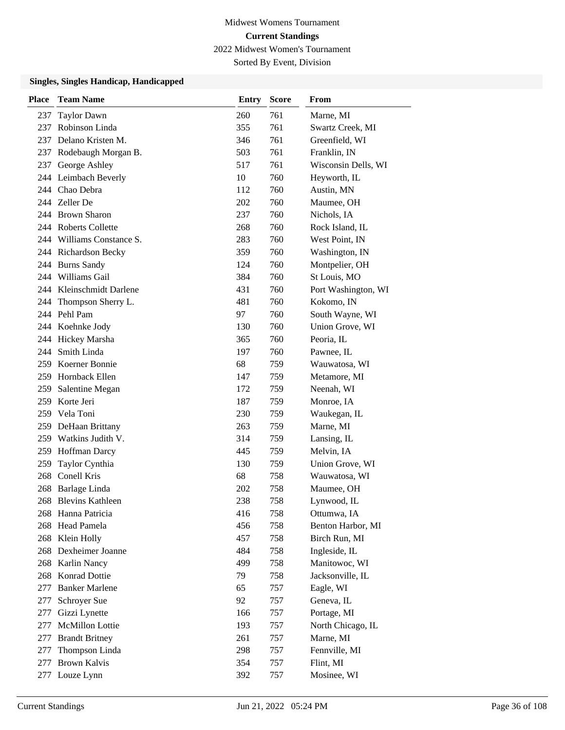Sorted By Event, Division

| <b>Place</b> | <b>Team Name</b>          | <b>Entry</b> | <b>Score</b> | From                |
|--------------|---------------------------|--------------|--------------|---------------------|
| 237          | <b>Taylor Dawn</b>        | 260          | 761          | Marne, MI           |
| 237          | Robinson Linda            | 355          | 761          | Swartz Creek, MI    |
|              | 237 Delano Kristen M.     | 346          | 761          | Greenfield, WI      |
| 237          | Rodebaugh Morgan B.       | 503          | 761          | Franklin, IN        |
| 237          | George Ashley             | 517          | 761          | Wisconsin Dells, WI |
|              | 244 Leimbach Beverly      | 10           | 760          | Heyworth, IL        |
|              | 244 Chao Debra            | 112          | 760          | Austin, MN          |
|              | 244 Zeller De             | 202          | 760          | Maumee, OH          |
|              | 244 Brown Sharon          | 237          | 760          | Nichols, IA         |
|              | 244 Roberts Collette      | 268          | 760          | Rock Island, IL     |
|              | 244 Williams Constance S. | 283          | 760          | West Point, IN      |
|              | 244 Richardson Becky      | 359          | 760          | Washington, IN      |
|              | 244 Burns Sandy           | 124          | 760          | Montpelier, OH      |
|              | 244 Williams Gail         | 384          | 760          | St Louis, MO        |
|              | 244 Kleinschmidt Darlene  | 431          | 760          | Port Washington, WI |
| 244          | Thompson Sherry L.        | 481          | 760          | Kokomo, IN          |
|              | 244 Pehl Pam              | 97           | 760          | South Wayne, WI     |
|              | 244 Koehnke Jody          | 130          | 760          | Union Grove, WI     |
|              | 244 Hickey Marsha         | 365          | 760          | Peoria, IL          |
|              | 244 Smith Linda           | 197          | 760          | Pawnee, IL          |
|              | 259 Koerner Bonnie        | 68           | 759          | Wauwatosa, WI       |
|              | 259 Hornback Ellen        | 147          | 759          | Metamore, MI        |
| 259          | Salentine Megan           | 172          | 759          | Neenah, WI          |
| 259          | Korte Jeri                | 187          | 759          | Monroe, IA          |
|              | 259 Vela Toni             | 230          | 759          | Waukegan, IL        |
|              | 259 DeHaan Brittany       | 263          | 759          | Marne, MI           |
|              | 259 Watkins Judith V.     | 314          | 759          | Lansing, IL         |
|              | 259 Hoffman Darcy         | 445          | 759          | Melvin, IA          |
| 259          | Taylor Cynthia            | 130          | 759          | Union Grove, WI     |
| 268          | Conell Kris               | 68           | 758          | Wauwatosa, WI       |
| 268          | Barlage Linda             | 202          | 758          | Maumee, OH          |
| 268          | <b>Blevins Kathleen</b>   | 238          | 758          | Lynwood, IL         |
|              | 268 Hanna Patricia        | 416          | 758          | Ottumwa, IA         |
|              | 268 Head Pamela           | 456          | 758          | Benton Harbor, MI   |
|              | 268 Klein Holly           | 457          | 758          | Birch Run, MI       |
|              | 268 Dexheimer Joanne      | 484          | 758          | Ingleside, IL       |
|              | 268 Karlin Nancy          | 499          | 758          | Manitowoc, WI       |
|              | 268 Konrad Dottie         | 79           | 758          | Jacksonville, IL    |
| 277          | <b>Banker Marlene</b>     | 65           | 757          | Eagle, WI           |
| 277          | Schroyer Sue              | 92           | 757          | Geneva, IL          |
| 277          | Gizzi Lynette             | 166          | 757          | Portage, MI         |
| 277          | <b>McMillon Lottie</b>    | 193          | 757          | North Chicago, IL   |
| 277          | <b>Brandt Britney</b>     | 261          | 757          | Marne, MI           |
| 277          | Thompson Linda            | 298          | 757          | Fennville, MI       |
| 277          | <b>Brown Kalvis</b>       | 354          | 757          | Flint, MI           |
|              | 277 Louze Lynn            | 392          | 757          | Mosinee, WI         |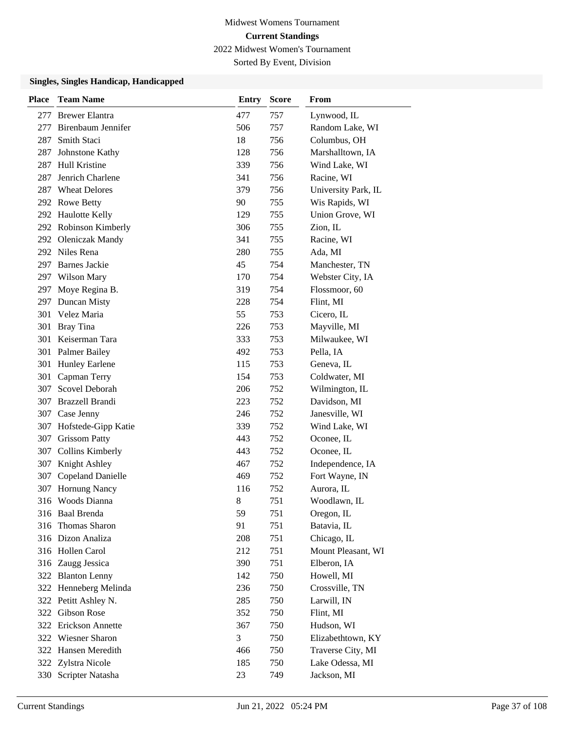Sorted By Event, Division

| <b>Place</b> | <b>Team Name</b>         | <b>Entry</b> | <b>Score</b> | From                |
|--------------|--------------------------|--------------|--------------|---------------------|
|              | 277 Brewer Elantra       | 477          | 757          | Lynwood, IL         |
| 277          | Birenbaum Jennifer       | 506          | 757          | Random Lake, WI     |
| 287          | Smith Staci              | 18           | 756          | Columbus, OH        |
| 287          | Johnstone Kathy          | 128          | 756          | Marshalltown, IA    |
| 287          | Hull Kristine            | 339          | 756          | Wind Lake, WI       |
| 287          | Jenrich Charlene         | 341          | 756          | Racine, WI          |
| 287          | <b>Wheat Delores</b>     | 379          | 756          | University Park, IL |
|              | 292 Rowe Betty           | 90           | 755          | Wis Rapids, WI      |
|              | 292 Haulotte Kelly       | 129          | 755          | Union Grove, WI     |
|              | 292 Robinson Kimberly    | 306          | 755          | Zion, IL            |
|              | 292 Oleniczak Mandy      | 341          | 755          | Racine, WI          |
|              | 292 Niles Rena           | 280          | 755          | Ada, MI             |
| 297          | <b>Barnes Jackie</b>     | 45           | 754          | Manchester, TN      |
|              | 297 Wilson Mary          | 170          | 754          | Webster City, IA    |
|              | 297 Moye Regina B.       | 319          | 754          | Flossmoor, 60       |
| 297          | Duncan Misty             | 228          | 754          | Flint, MI           |
| 301          | Velez Maria              | 55           | 753          | Cicero, IL          |
| 301          | <b>Bray Tina</b>         | 226          | 753          | Mayville, MI        |
| 301          | Keiserman Tara           | 333          | 753          | Milwaukee, WI       |
|              | 301 Palmer Bailey        | 492          | 753          | Pella, IA           |
| 301          | <b>Hunley Earlene</b>    | 115          | 753          | Geneva, IL          |
| 301          | Capman Terry             | 154          | 753          | Coldwater, MI       |
| 307          | Scovel Deborah           | 206          | 752          | Wilmington, IL      |
|              | 307 Brazzell Brandi      | 223          | 752          | Davidson, MI        |
| 307          | Case Jenny               | 246          | 752          | Janesville, WI      |
| 307          | Hofstede-Gipp Katie      | 339          | 752          | Wind Lake, WI       |
| 307          | <b>Grissom Patty</b>     | 443          | 752          | Oconee, IL          |
| 307          | <b>Collins Kimberly</b>  | 443          | 752          | Oconee, IL          |
| 307          | Knight Ashley            | 467          | 752          | Independence, IA    |
| 307          | <b>Copeland Danielle</b> | 469          | 752          | Fort Wayne, IN      |
| 307          | Hornung Nancy            | 116          | 752          | Aurora, IL          |
| 316          | Woods Dianna             | 8            | 751          | Woodlawn, IL        |
|              | 316 Baal Brenda          | 59           | 751          | Oregon, IL          |
| 316          | Thomas Sharon            | 91           | 751          | Batavia, IL         |
|              | 316 Dizon Analiza        | 208          | 751          | Chicago, IL         |
|              | 316 Hollen Carol         | 212          | 751          | Mount Pleasant, WI  |
|              | 316 Zaugg Jessica        | 390          | 751          | Elberon, IA         |
|              | 322 Blanton Lenny        | 142          | 750          | Howell, MI          |
|              | 322 Henneberg Melinda    | 236          | 750          | Crossville, TN      |
|              | 322 Petitt Ashley N.     | 285          | 750          | Larwill, IN         |
|              | 322 Gibson Rose          | 352          | 750          | Flint, MI           |
|              | 322 Erickson Annette     | 367          | 750          | Hudson, WI          |
|              | 322 Wiesner Sharon       | 3            | 750          | Elizabethtown, KY   |
|              | 322 Hansen Meredith      | 466          | 750          | Traverse City, MI   |
| 322          | Zylstra Nicole           | 185          | 750          | Lake Odessa, MI     |
|              | 330 Scripter Natasha     | 23           | 749          | Jackson, MI         |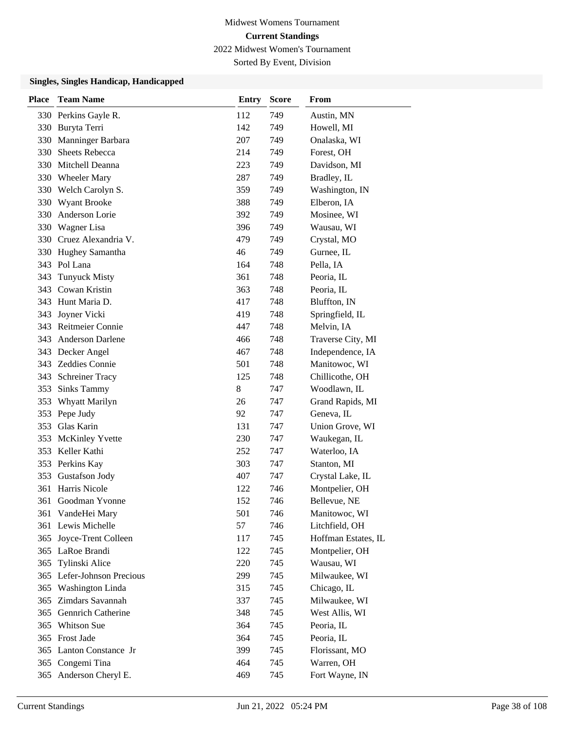Sorted By Event, Division

| <b>Place</b> | <b>Team Name</b>           | Entry | <b>Score</b> | From                |
|--------------|----------------------------|-------|--------------|---------------------|
|              | 330 Perkins Gayle R.       | 112   | 749          | Austin, MN          |
| 330          | Buryta Terri               | 142   | 749          | Howell, MI          |
| 330          | Manninger Barbara          | 207   | 749          | Onalaska, WI        |
| 330          | <b>Sheets Rebecca</b>      | 214   | 749          | Forest, OH          |
| 330          | Mitchell Deanna            | 223   | 749          | Davidson, MI        |
| 330          | <b>Wheeler Mary</b>        | 287   | 749          | Bradley, IL         |
| 330          | Welch Carolyn S.           | 359   | 749          | Washington, IN      |
| 330          | <b>Wyant Brooke</b>        | 388   | 749          | Elberon, IA         |
| 330          | Anderson Lorie             | 392   | 749          | Mosinee, WI         |
| 330          | Wagner Lisa                | 396   | 749          | Wausau, WI          |
| 330          | Cruez Alexandria V.        | 479   | 749          | Crystal, MO         |
| 330          | Hughey Samantha            | 46    | 749          | Gurnee, IL          |
|              | 343 Pol Lana               | 164   | 748          | Pella, IA           |
| 343          | <b>Tunyuck Misty</b>       | 361   | 748          | Peoria, IL          |
| 343          | Cowan Kristin              | 363   | 748          | Peoria, IL          |
|              | 343 Hunt Maria D.          | 417   | 748          | Bluffton, IN        |
| 343          | Joyner Vicki               | 419   | 748          | Springfield, IL     |
| 343          | Reitmeier Connie           | 447   | 748          | Melvin, IA          |
| 343          | Anderson Darlene           | 466   | 748          | Traverse City, MI   |
|              | 343 Decker Angel           | 467   | 748          | Independence, IA    |
|              | 343 Zeddies Connie         | 501   | 748          | Manitowoc, WI       |
| 343          | <b>Schreiner Tracy</b>     | 125   | 748          | Chillicothe, OH     |
| 353          | <b>Sinks Tammy</b>         | 8     | 747          | Woodlawn, IL        |
| 353          | Whyatt Marilyn             | 26    | 747          | Grand Rapids, MI    |
| 353          | Pepe Judy                  | 92    | 747          | Geneva, IL          |
| 353          | Glas Karin                 | 131   | 747          | Union Grove, WI     |
| 353          | <b>McKinley Yvette</b>     | 230   | 747          | Waukegan, IL        |
| 353          | Keller Kathi               | 252   | 747          | Waterloo, IA        |
|              | 353 Perkins Kay            | 303   | 747          | Stanton, MI         |
| 353          | Gustafson Jody             | 407   | 747          | Crystal Lake, IL    |
| 361          | Harris Nicole              | 122   | 746          | Montpelier, OH      |
| 361          | Goodman Yvonne             | 152   | 746          | Bellevue, NE        |
|              | 361 VandeHei Mary          | 501   | 746          | Manitowoc, WI       |
|              | 361 Lewis Michelle         | 57    | 746          | Litchfield, OH      |
| 365          | Joyce-Trent Colleen        | 117   | 745          | Hoffman Estates, IL |
|              | 365 LaRoe Brandi           | 122   | 745          | Montpelier, OH      |
| 365          | Tylinski Alice             | 220   | 745          | Wausau, WI          |
|              | 365 Lefer-Johnson Precious | 299   | 745          | Milwaukee, WI       |
| 365          | Washington Linda           | 315   | 745          | Chicago, IL         |
| 365          | Zimdars Savannah           | 337   | 745          | Milwaukee, WI       |
| 365          | <b>Gennrich Catherine</b>  | 348   | 745          | West Allis, WI      |
| 365          | Whitson Sue                | 364   | 745          | Peoria, IL          |
|              | 365 Frost Jade             | 364   | 745          | Peoria, IL          |
|              | 365 Lanton Constance Jr    | 399   | 745          | Florissant, MO      |
| 365          | Congemi Tina               | 464   | 745          | Warren, OH          |
| 365          | Anderson Cheryl E.         | 469   | 745          | Fort Wayne, IN      |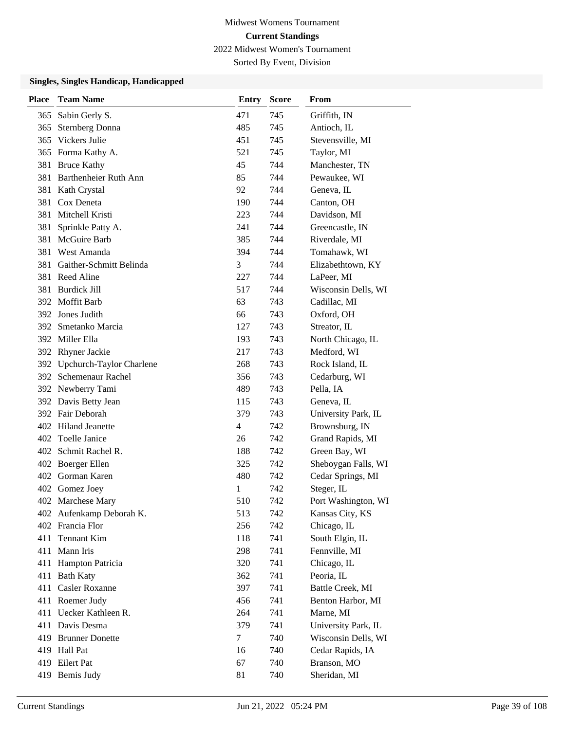Sorted By Event, Division

| <b>Place</b> | <b>Team Name</b>             | Entry  | <b>Score</b> | From                |
|--------------|------------------------------|--------|--------------|---------------------|
| 365          | Sabin Gerly S.               | 471    | 745          | Griffith, IN        |
| 365          | <b>Sternberg Donna</b>       | 485    | 745          | Antioch, IL         |
| 365          | Vickers Julie                | 451    | 745          | Stevensville, MI    |
|              | 365 Forma Kathy A.           | 521    | 745          | Taylor, MI          |
| 381          | <b>Bruce Kathy</b>           | 45     | 744          | Manchester, TN      |
|              | 381 Barthenheier Ruth Ann    | 85     | 744          | Pewaukee, WI        |
|              | 381 Kath Crystal             | 92     | 744          | Geneva, IL          |
|              | 381 Cox Deneta               | 190    | 744          | Canton, OH          |
| 381          | Mitchell Kristi              | 223    | 744          | Davidson, MI        |
| 381          | Sprinkle Patty A.            | 241    | 744          | Greencastle, IN     |
| 381          | McGuire Barb                 | 385    | 744          | Riverdale, MI       |
| 381          | West Amanda                  | 394    | 744          | Tomahawk, WI        |
| 381          | Gaither-Schmitt Belinda      | 3      | 744          | Elizabethtown, KY   |
|              | 381 Reed Aline               | 227    | 744          | LaPeer, MI          |
| 381          | <b>Burdick Jill</b>          | 517    | 744          | Wisconsin Dells, WI |
|              | 392 Moffit Barb              | 63     | 743          | Cadillac, MI        |
|              | 392 Jones Judith             | 66     | 743          | Oxford, OH          |
| 392          | Smetanko Marcia              | 127    | 743          | Streator, IL        |
|              | 392 Miller Ella              | 193    | 743          | North Chicago, IL   |
|              | 392 Rhyner Jackie            | 217    | 743          | Medford, WI         |
|              | 392 Upchurch-Taylor Charlene | 268    | 743          | Rock Island, IL     |
| 392          | Schemenaur Rachel            | 356    | 743          | Cedarburg, WI       |
|              | 392 Newberry Tami            | 489    | 743          | Pella, IA           |
|              | 392 Davis Betty Jean         | 115    | 743          | Geneva, IL          |
|              | 392 Fair Deborah             | 379    | 743          | University Park, IL |
| 402          | <b>Hiland Jeanette</b>       | 4      | 742          | Brownsburg, IN      |
|              | 402 Toelle Janice            | 26     | 742          | Grand Rapids, MI    |
|              | 402 Schmit Rachel R.         | 188    | 742          | Green Bay, WI       |
|              | 402 Boerger Ellen            | 325    | 742          | Sheboygan Falls, WI |
|              | 402 Gorman Karen             | 480    | 742          | Cedar Springs, MI   |
|              | 402 Gomez Joey               | 1      | 742          | Steger, IL          |
|              | 402 Marchese Mary            | 510    | 742          | Port Washington, WI |
|              | 402 Aufenkamp Deborah K.     | 513    | 742          | Kansas City, KS     |
|              | 402 Francia Flor             | 256    | 742          | Chicago, IL         |
| 411          | Tennant Kim                  | 118    | 741          | South Elgin, IL     |
|              | 411 Mann Iris                | 298    | 741          | Fennville, MI       |
| 411          | Hampton Patricia             | 320    | 741          | Chicago, IL         |
| 411          | <b>Bath Katy</b>             | 362    | 741          | Peoria, IL          |
| 411          | <b>Casler Roxanne</b>        | 397    | 741          | Battle Creek, MI    |
|              | 411 Roemer Judy              | 456    | 741          | Benton Harbor, MI   |
| 411          | Uecker Kathleen R.           | 264    | 741          | Marne, MI           |
|              | 411 Davis Desma              | 379    | 741          | University Park, IL |
|              | 419 Brunner Donette          | $\tau$ | 740          | Wisconsin Dells, WI |
|              | 419 Hall Pat                 | 16     | 740          | Cedar Rapids, IA    |
|              | 419 Eilert Pat               | 67     | 740          | Branson, MO         |
|              | 419 Bemis Judy               | 81     | 740          | Sheridan, MI        |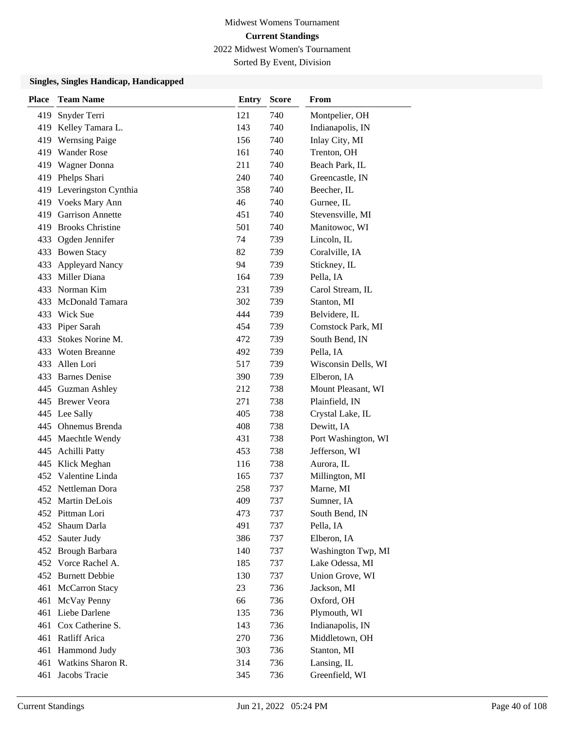Sorted By Event, Division

| Place | <b>Team Name</b>        | <b>Entry</b> | <b>Score</b> | <b>From</b>         |
|-------|-------------------------|--------------|--------------|---------------------|
| 419   | Snyder Terri            | 121          | 740          | Montpelier, OH      |
| 419   | Kelley Tamara L.        | 143          | 740          | Indianapolis, IN    |
| 419   | <b>Wernsing Paige</b>   | 156          | 740          | Inlay City, MI      |
| 419   | <b>Wander Rose</b>      | 161          | 740          | Trenton, OH         |
| 419   | Wagner Donna            | 211          | 740          | Beach Park, IL      |
| 419   | Phelps Shari            | 240          | 740          | Greencastle, IN     |
| 419   | Leveringston Cynthia    | 358          | 740          | Beecher, IL         |
|       | 419 Voeks Mary Ann      | 46           | 740          | Gurnee, IL          |
| 419   | <b>Garrison Annette</b> | 451          | 740          | Stevensville, MI    |
| 419   | <b>Brooks Christine</b> | 501          | 740          | Manitowoc, WI       |
| 433   | Ogden Jennifer          | 74           | 739          | Lincoln, IL         |
| 433   | <b>Bowen Stacy</b>      | 82           | 739          | Coralville, IA      |
| 433   | <b>Appleyard Nancy</b>  | 94           | 739          | Stickney, IL        |
| 433   | Miller Diana            | 164          | 739          | Pella, IA           |
|       | 433 Norman Kim          | 231          | 739          | Carol Stream, IL    |
|       | 433 McDonald Tamara     | 302          | 739          | Stanton, MI         |
| 433   | Wick Sue                | 444          | 739          | Belvidere, IL       |
| 433   | Piper Sarah             | 454          | 739          | Comstock Park, MI   |
| 433   | Stokes Norine M.        | 472          | 739          | South Bend, IN      |
| 433   | <b>Woten Breanne</b>    | 492          | 739          | Pella, IA           |
| 433   | Allen Lori              | 517          | 739          | Wisconsin Dells, WI |
| 433   | <b>Barnes Denise</b>    | 390          | 739          | Elberon, IA         |
|       | 445 Guzman Ashley       | 212          | 738          | Mount Pleasant, WI  |
|       | 445 Brewer Veora        | 271          | 738          | Plainfield, IN      |
|       | 445 Lee Sally           | 405          | 738          | Crystal Lake, IL    |
| 445   | Ohnemus Brenda          | 408          | 738          | Dewitt, IA          |
| 445   | Maechtle Wendy          | 431          | 738          | Port Washington, WI |
| 445   | <b>Achilli Patty</b>    | 453          | 738          | Jefferson, WI       |
| 445   | Klick Meghan            | 116          | 738          | Aurora, IL          |
| 452   | Valentine Linda         | 165          | 737          | Millington, MI      |
|       | 452 Nettleman Dora      | 258          | 737          | Marne, MI           |
|       | 452 Martin DeLois       | 409          | 737          | Sumner, IA          |
|       | 452 Pittman Lori        | 473          | 737          | South Bend, IN      |
| 452   | Shaum Darla             | 491          | 737          | Pella, IA           |
| 452   | Sauter Judy             | 386          | 737          | Elberon, IA         |
|       | 452 Brough Barbara      | 140          | 737          | Washington Twp, MI  |
|       | 452 Vorce Rachel A.     | 185          | 737          | Lake Odessa, MI     |
| 452   | <b>Burnett Debbie</b>   | 130          | 737          | Union Grove, WI     |
| 461   | McCarron Stacy          | 23           | 736          | Jackson, MI         |
| 461   | McVay Penny             | 66           | 736          | Oxford, OH          |
| 461   | Liebe Darlene           | 135          | 736          | Plymouth, WI        |
| 461   | Cox Catherine S.        | 143          | 736          | Indianapolis, IN    |
|       | 461 Ratliff Arica       | 270          | 736          | Middletown, OH      |
|       | 461 Hammond Judy        | 303          | 736          | Stanton, MI         |
| 461   | Watkins Sharon R.       | 314          | 736          | Lansing, IL         |
| 461   | Jacobs Tracie           | 345          | 736          | Greenfield, WI      |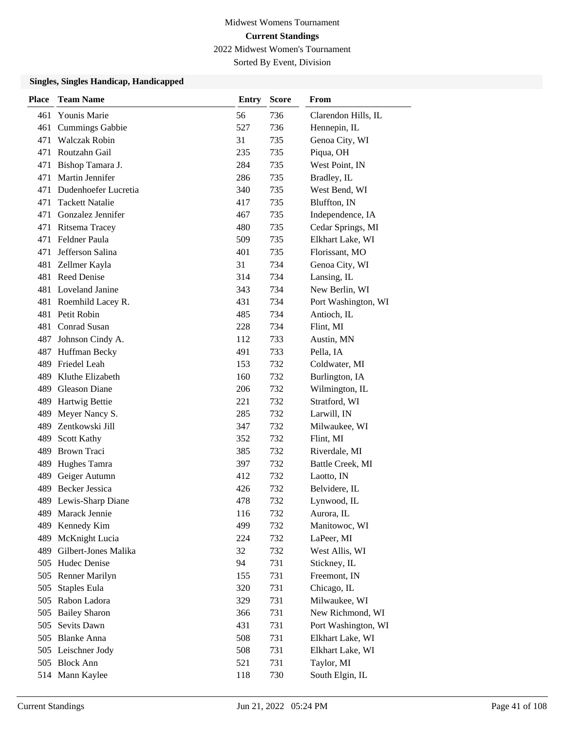Sorted By Event, Division

| <b>Place</b> | <b>Team Name</b>         | <b>Entry</b> | <b>Score</b> | From                |
|--------------|--------------------------|--------------|--------------|---------------------|
| 461          | <b>Younis Marie</b>      | 56           | 736          | Clarendon Hills, IL |
| 461          | <b>Cummings Gabbie</b>   | 527          | 736          | Hennepin, IL        |
| 471          | <b>Walczak Robin</b>     | 31           | 735          | Genoa City, WI      |
| 471          | Routzahn Gail            | 235          | 735          | Piqua, OH           |
| 471          | Bishop Tamara J.         | 284          | 735          | West Point, IN      |
| 471          | Martin Jennifer          | 286          | 735          | Bradley, IL         |
| 471          | Dudenhoefer Lucretia     | 340          | 735          | West Bend, WI       |
| 471          | <b>Tackett Natalie</b>   | 417          | 735          | Bluffton, IN        |
| 471          | Gonzalez Jennifer        | 467          | 735          | Independence, IA    |
| 471          | Ritsema Tracey           | 480          | 735          | Cedar Springs, MI   |
| 471          | Feldner Paula            | 509          | 735          | Elkhart Lake, WI    |
| 471          | Jefferson Salina         | 401          | 735          | Florissant, MO      |
| 481          | Zellmer Kayla            | 31           | 734          | Genoa City, WI      |
| 481          | <b>Reed Denise</b>       | 314          | 734          | Lansing, IL         |
|              | 481 Loveland Janine      | 343          | 734          | New Berlin, WI      |
|              | 481 Roemhild Lacey R.    | 431          | 734          | Port Washington, WI |
| 481          | Petit Robin              | 485          | 734          | Antioch, IL         |
| 481          | Conrad Susan             | 228          | 734          | Flint, MI           |
| 487          | Johnson Cindy A.         | 112          | 733          | Austin, MN          |
| 487          | Huffman Becky            | 491          | 733          | Pella, IA           |
| 489          | Friedel Leah             | 153          | 732          | Coldwater, MI       |
| 489          | Kluthe Elizabeth         | 160          | 732          | Burlington, IA      |
| 489          | Gleason Diane            | 206          | 732          | Wilmington, IL      |
| 489          | Hartwig Bettie           | 221          | 732          | Stratford, WI       |
| 489          | Meyer Nancy S.           | 285          | 732          | Larwill, IN         |
| 489          | Zentkowski Jill          | 347          | 732          | Milwaukee, WI       |
| 489          | <b>Scott Kathy</b>       | 352          | 732          | Flint, MI           |
| 489          | <b>Brown Traci</b>       | 385          | 732          | Riverdale, MI       |
| 489          | Hughes Tamra             | 397          | 732          | Battle Creek, MI    |
| 489          | Geiger Autumn            | 412          | 732          | Laotto, IN          |
| 489          | <b>Becker Jessica</b>    | 426          | 732          | Belvidere, IL       |
|              | 489 Lewis-Sharp Diane    | 478          | 732          | Lynwood, IL         |
| 489          | Marack Jennie            | 116          | 732          | Aurora, IL          |
| 489          | Kennedy Kim              | 499          | 732          | Manitowoc, WI       |
| 489          | McKnight Lucia           | 224          | 732          | LaPeer, MI          |
|              | 489 Gilbert-Jones Malika | 32           | 732          | West Allis, WI      |
|              | 505 Hudec Denise         | 94           | 731          | Stickney, IL        |
|              | 505 Renner Marilyn       | 155          | 731          | Freemont, IN        |
| 505          | Staples Eula             | 320          | 731          | Chicago, IL         |
| 505          | Rabon Ladora             | 329          | 731          | Milwaukee, WI       |
| 505          | <b>Bailey Sharon</b>     | 366          | 731          | New Richmond, WI    |
| 505          | Sevits Dawn              | 431          | 731          | Port Washington, WI |
|              | 505 Blanke Anna          | 508          | 731          | Elkhart Lake, WI    |
|              | 505 Leischner Jody       | 508          | 731          | Elkhart Lake, WI    |
|              | 505 Block Ann            | 521          | 731          | Taylor, MI          |
|              | 514 Mann Kaylee          | 118          | 730          | South Elgin, IL     |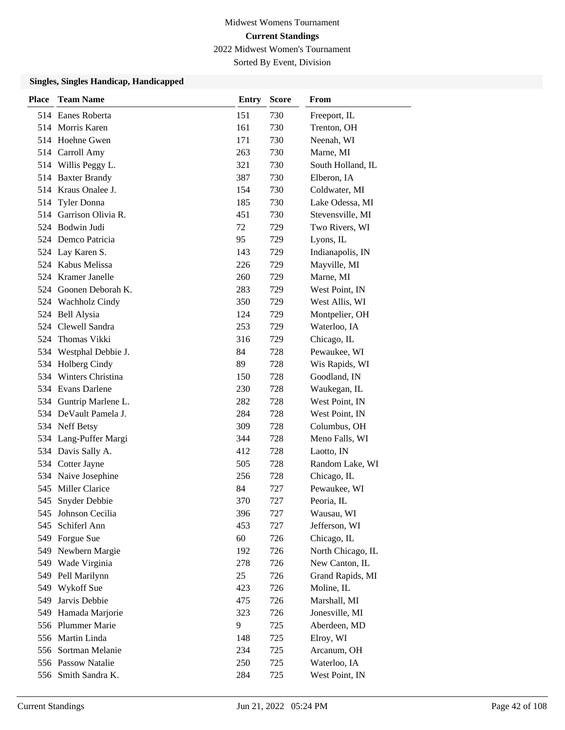Sorted By Event, Division

| <b>Place</b> | <b>Team Name</b>       | <b>Entry</b> | <b>Score</b> | From              |
|--------------|------------------------|--------------|--------------|-------------------|
|              | 514 Eanes Roberta      | 151          | 730          | Freeport, IL      |
|              | 514 Morris Karen       | 161          | 730          | Trenton, OH       |
|              | 514 Hoehne Gwen        | 171          | 730          | Neenah, WI        |
|              | 514 Carroll Amy        | 263          | 730          | Marne, MI         |
|              | 514 Willis Peggy L.    | 321          | 730          | South Holland, IL |
|              | 514 Baxter Brandy      | 387          | 730          | Elberon, IA       |
|              | 514 Kraus Onalee J.    | 154          | 730          | Coldwater, MI     |
| 514          | Tyler Donna            | 185          | 730          | Lake Odessa, MI   |
| 514          | Garrison Olivia R.     | 451          | 730          | Stevensville, MI  |
|              | 524 Bodwin Judi        | 72           | 729          | Two Rivers, WI    |
|              | 524 Demco Patricia     | 95           | 729          | Lyons, IL         |
|              | 524 Lay Karen S.       | 143          | 729          | Indianapolis, IN  |
|              | 524 Kabus Melissa      | 226          | 729          | Mayville, MI      |
|              | 524 Kramer Janelle     | 260          | 729          | Marne, MI         |
|              | 524 Goonen Deborah K.  | 283          | 729          | West Point, IN    |
|              | 524 Wachholz Cindy     | 350          | 729          | West Allis, WI    |
|              | 524 Bell Alysia        | 124          | 729          | Montpelier, OH    |
| 524          | Clewell Sandra         | 253          | 729          | Waterloo, IA      |
|              | 524 Thomas Vikki       | 316          | 729          | Chicago, IL       |
|              | 534 Westphal Debbie J. | 84           | 728          | Pewaukee, WI      |
|              | 534 Holberg Cindy      | 89           | 728          | Wis Rapids, WI    |
|              | 534 Winters Christina  | 150          | 728          | Goodland, IN      |
|              | 534 Evans Darlene      | 230          | 728          | Waukegan, IL      |
| 534          | Guntrip Marlene L.     | 282          | 728          | West Point, IN    |
|              | 534 DeVault Pamela J.  | 284          | 728          | West Point, IN    |
|              | 534 Neff Betsy         | 309          | 728          | Columbus, OH      |
|              | 534 Lang-Puffer Margi  | 344          | 728          | Meno Falls, WI    |
|              | 534 Davis Sally A.     | 412          | 728          | Laotto, IN        |
|              | 534 Cotter Jayne       | 505          | 728          | Random Lake, WI   |
|              | 534 Naive Josephine    | 256          | 728          | Chicago, IL       |
|              | 545 Miller Clarice     | 84           | 727          | Pewaukee, WI      |
| 545          | Snyder Debbie          | 370          | 727          | Peoria, IL        |
|              | 545 Johnson Cecilia    | 396          | 727          | Wausau, WI        |
| 545          | Schiferl Ann           | 453          | 727          | Jefferson, WI     |
|              | 549 Forgue Sue         | 60           | 726          | Chicago, IL       |
| 549          | Newbern Margie         | 192          | 726          | North Chicago, IL |
| 549          | Wade Virginia          | 278          | 726          | New Canton, IL    |
| 549          | Pell Marilynn          | 25           | 726          | Grand Rapids, MI  |
| 549          | Wykoff Sue             | 423          | 726          | Moline, IL        |
| 549          | Jarvis Debbie          | 475          | 726          | Marshall, MI      |
| 549          | Hamada Marjorie        | 323          | 726          | Jonesville, MI    |
|              | 556 Plummer Marie      | 9            | 725          | Aberdeen, MD      |
|              | 556 Martin Linda       | 148          | 725          | Elroy, WI         |
|              | 556 Sortman Melanie    | 234          | 725          | Arcanum, OH       |
|              | 556 Passow Natalie     | 250          | 725          | Waterloo, IA      |
|              | 556 Smith Sandra K.    | 284          | 725          | West Point, IN    |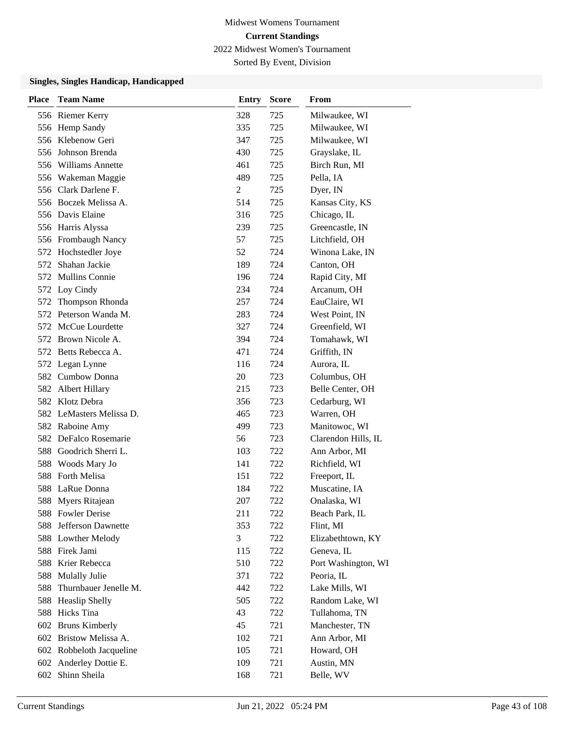Sorted By Event, Division

| Place | <b>Team Name</b>         | <b>Entry</b> | <b>Score</b> | From                |
|-------|--------------------------|--------------|--------------|---------------------|
|       | 556 Riemer Kerry         | 328          | 725          | Milwaukee, WI       |
|       | 556 Hemp Sandy           | 335          | 725          | Milwaukee, WI       |
|       | 556 Klebenow Geri        | 347          | 725          | Milwaukee, WI       |
|       | 556 Johnson Brenda       | 430          | 725          | Grayslake, IL       |
|       | 556 Williams Annette     | 461          | 725          | Birch Run, MI       |
|       | 556 Wakeman Maggie       | 489          | 725          | Pella, IA           |
|       | 556 Clark Darlene F.     | 2            | 725          | Dyer, IN            |
|       | 556 Boczek Melissa A.    | 514          | 725          | Kansas City, KS     |
|       | 556 Davis Elaine         | 316          | 725          | Chicago, IL         |
|       | 556 Harris Alyssa        | 239          | 725          | Greencastle, IN     |
|       | 556 Frombaugh Nancy      | 57           | 725          | Litchfield, OH      |
|       | 572 Hochstedler Joye     | 52           | 724          | Winona Lake, IN     |
| 572   | Shahan Jackie            | 189          | 724          | Canton, OH          |
| 572   | <b>Mullins Connie</b>    | 196          | 724          | Rapid City, MI      |
|       | 572 Loy Cindy            | 234          | 724          | Arcanum, OH         |
| 572   | Thompson Rhonda          | 257          | 724          | EauClaire, WI       |
|       | 572 Peterson Wanda M.    | 283          | 724          | West Point, IN      |
| 572   | McCue Lourdette          | 327          | 724          | Greenfield, WI      |
| 572   | Brown Nicole A.          | 394          | 724          | Tomahawk, WI        |
|       | 572 Betts Rebecca A.     | 471          | 724          | Griffith, IN        |
|       | 572 Legan Lynne          | 116          | 724          | Aurora, IL          |
| 582   | Cumbow Donna             | 20           | 723          | Columbus, OH        |
|       | 582 Albert Hillary       | 215          | 723          | Belle Center, OH    |
|       | 582 Klotz Debra          | 356          | 723          | Cedarburg, WI       |
|       | 582 LeMasters Melissa D. | 465          | 723          | Warren, OH          |
|       | 582 Raboine Amy          | 499          | 723          | Manitowoc, WI       |
| 582.  | DeFalco Rosemarie        | 56           | 723          | Clarendon Hills, IL |
| 588   | Goodrich Sherri L.       | 103          | 722          | Ann Arbor, MI       |
| 588   | Woods Mary Jo            | 141          | 722          | Richfield, WI       |
| 588   | <b>Forth Melisa</b>      | 151          | 722          | Freeport, IL        |
| 588   | LaRue Donna              | 184          | 722          | Muscatine, IA       |
| 588   | Myers Ritajean           | 207          | 722          | Onalaska, WI        |
|       | 588 Fowler Derise        | 211          | 722          | Beach Park, IL      |
| 588   | Jefferson Dawnette       | 353          | 722          | Flint, MI           |
|       | 588 Lowther Melody       | 3            | 722          | Elizabethtown, KY   |
|       | 588 Firek Jami           | 115          | 722          | Geneva, IL          |
|       | 588 Krier Rebecca        | 510          | 722          | Port Washington, WI |
| 588   | <b>Mulally Julie</b>     | 371          | 722          | Peoria, IL          |
| 588   | Thurnbauer Jenelle M.    | 442          | 722          | Lake Mills, WI      |
| 588   | <b>Heaslip Shelly</b>    | 505          | 722          | Random Lake, WI     |
| 588   | Hicks Tina               | 43           | 722          | Tullahoma, TN       |
|       | 602 Bruns Kimberly       | 45           | 721          | Manchester, TN      |
|       | 602 Bristow Melissa A.   | 102          | 721          | Ann Arbor, MI       |
|       | 602 Robbeloth Jacqueline | 105          | 721          | Howard, OH          |
|       | 602 Anderley Dottie E.   | 109          | 721          | Austin, MN          |
| 602   | Shinn Sheila             | 168          | 721          | Belle, WV           |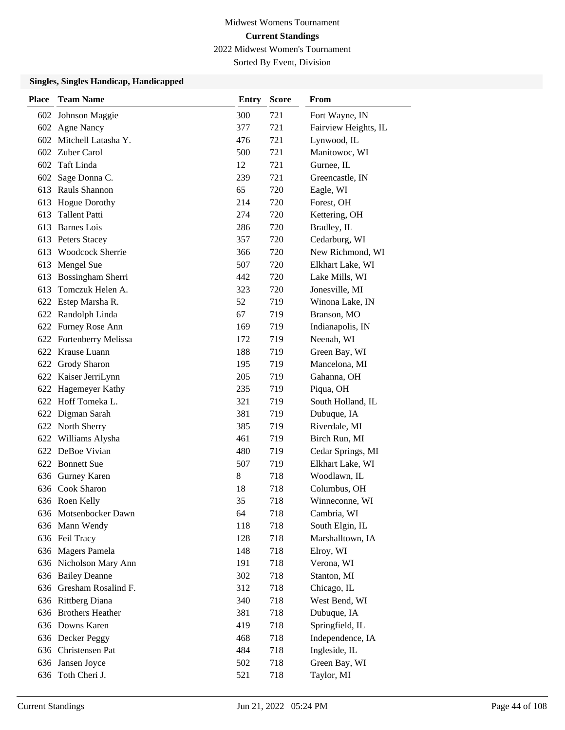Sorted By Event, Division

| Place | <b>Team Name</b>           | <b>Entry</b> | <b>Score</b> | From                 |
|-------|----------------------------|--------------|--------------|----------------------|
|       | 602 Johnson Maggie         | 300          | 721          | Fort Wayne, IN       |
|       | 602 Agne Nancy             | 377          | 721          | Fairview Heights, IL |
| 602   | Mitchell Latasha Y.        | 476          | 721          | Lynwood, IL          |
| 602   | Zuber Carol                | 500          | 721          | Manitowoc, WI        |
| 602   | Taft Linda                 | 12           | 721          | Gurnee, IL           |
| 602   | Sage Donna C.              | 239          | 721          | Greencastle, IN      |
| 613   | Rauls Shannon              | 65           | 720          | Eagle, WI            |
| 613   | <b>Hogue Dorothy</b>       | 214          | 720          | Forest, OH           |
| 613   | <b>Tallent Patti</b>       | 274          | 720          | Kettering, OH        |
| 613   | <b>Barnes</b> Lois         | 286          | 720          | Bradley, IL          |
| 613   | Peters Stacey              | 357          | 720          | Cedarburg, WI        |
| 613   | <b>Woodcock Sherrie</b>    | 366          | 720          | New Richmond, WI     |
| 613   | Mengel Sue                 | 507          | 720          | Elkhart Lake, WI     |
| 613   | Bossingham Sherri          | 442          | 720          | Lake Mills, WI       |
| 613   | Tomczuk Helen A.           | 323          | 720          | Jonesville, MI       |
|       | 622 Estep Marsha R.        | 52           | 719          | Winona Lake, IN      |
|       | 622 Randolph Linda         | 67           | 719          | Branson, MO          |
| 622   | Furney Rose Ann            | 169          | 719          | Indianapolis, IN     |
| 622   | <b>Fortenberry Melissa</b> | 172          | 719          | Neenah, WI           |
|       | 622 Krause Luann           | 188          | 719          | Green Bay, WI        |
| 622   | Grody Sharon               | 195          | 719          | Mancelona, MI        |
| 622   | Kaiser JerriLynn           | 205          | 719          | Gahanna, OH          |
| 622   | Hagemeyer Kathy            | 235          | 719          | Piqua, OH            |
|       | 622 Hoff Tomeka L.         | 321          | 719          | South Holland, IL    |
| 622   | Digman Sarah               | 381          | 719          | Dubuque, IA          |
|       | 622 North Sherry           | 385          | 719          | Riverdale, MI        |
| 622   | Williams Alysha            | 461          | 719          | Birch Run, MI        |
|       | 622 DeBoe Vivian           | 480          | 719          | Cedar Springs, MI    |
| 622   | <b>Bonnett</b> Sue         | 507          | 719          | Elkhart Lake, WI     |
| 636   | Gurney Karen               | 8            | 718          | Woodlawn, IL         |
|       | 636 Cook Sharon            | 18           | 718          | Columbus, OH         |
|       | 636 Roen Kelly             | 35           | 718          | Winneconne, WI       |
|       | 636 Motsenbocker Dawn      | 64           | 718          | Cambria, WI          |
|       | 636 Mann Wendy             | 118          | 718          | South Elgin, IL      |
|       | 636 Feil Tracy             | 128          | 718          | Marshalltown, IA     |
|       | 636 Magers Pamela          | 148          | 718          | Elroy, WI            |
|       | 636 Nicholson Mary Ann     | 191          | 718          | Verona, WI           |
| 636   | <b>Bailey Deanne</b>       | 302          | 718          | Stanton, MI          |
| 636   | Gresham Rosalind F.        | 312          | 718          | Chicago, IL          |
|       | 636 Rittberg Diana         | 340          | 718          | West Bend, WI        |
| 636   | <b>Brothers Heather</b>    | 381          | 718          | Dubuque, IA          |
|       | 636 Downs Karen            | 419          | 718          | Springfield, IL      |
|       | 636 Decker Peggy           | 468          | 718          | Independence, IA     |
|       | 636 Christensen Pat        | 484          | 718          | Ingleside, IL        |
|       | 636 Jansen Joyce           | 502          | 718          | Green Bay, WI        |
| 636   | Toth Cheri J.              | 521          | 718          | Taylor, MI           |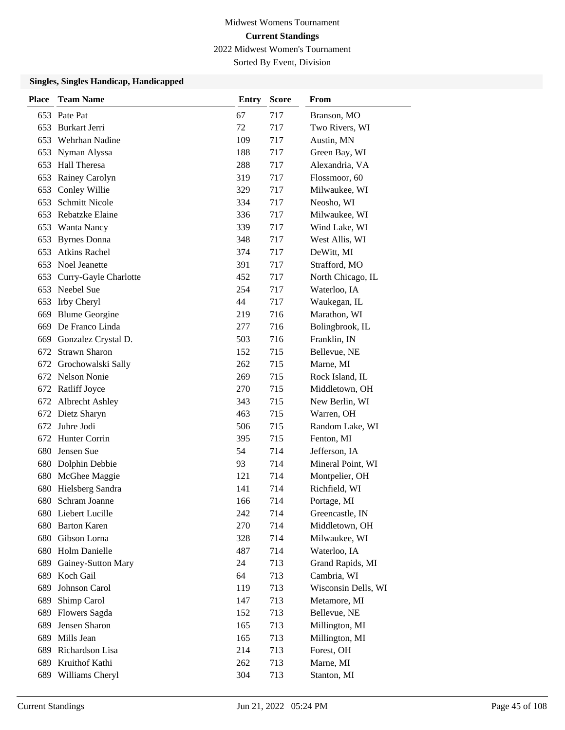Sorted By Event, Division

| <b>Place</b> | <b>Team Name</b>      | <b>Entry</b> | <b>Score</b> | From                |
|--------------|-----------------------|--------------|--------------|---------------------|
| 653          | Pate Pat              | 67           | 717          | Branson, MO         |
| 653          | Burkart Jerri         | 72           | 717          | Two Rivers, WI      |
| 653          | Wehrhan Nadine        | 109          | 717          | Austin, MN          |
| 653          | Nyman Alyssa          | 188          | 717          | Green Bay, WI       |
| 653          | Hall Theresa          | 288          | 717          | Alexandria, VA      |
| 653          | Rainey Carolyn        | 319          | 717          | Flossmoor, 60       |
| 653          | Conley Willie         | 329          | 717          | Milwaukee, WI       |
| 653          | <b>Schmitt Nicole</b> | 334          | 717          | Neosho, WI          |
| 653          | Rebatzke Elaine       | 336          | 717          | Milwaukee, WI       |
| 653          | Wanta Nancy           | 339          | 717          | Wind Lake, WI       |
| 653          | <b>Byrnes</b> Donna   | 348          | 717          | West Allis, WI      |
| 653          | <b>Atkins Rachel</b>  | 374          | 717          | DeWitt, MI          |
| 653          | Noel Jeanette         | 391          | 717          | Strafford, MO       |
| 653          | Curry-Gayle Charlotte | 452          | 717          | North Chicago, IL   |
| 653          | Neebel Sue            | 254          | 717          | Waterloo, IA        |
| 653          | Irby Cheryl           | 44           | 717          | Waukegan, IL        |
| 669          | <b>Blume Georgine</b> | 219          | 716          | Marathon, WI        |
| 669          | De Franco Linda       | 277          | 716          | Bolingbrook, IL     |
| 669          | Gonzalez Crystal D.   | 503          | 716          | Franklin, IN        |
| 672          | <b>Strawn Sharon</b>  | 152          | 715          | Bellevue, NE        |
| 672          | Grochowalski Sally    | 262          | 715          | Marne, MI           |
|              | 672 Nelson Nonie      | 269          | 715          | Rock Island, IL     |
| 672          | <b>Ratliff Joyce</b>  | 270          | 715          | Middletown, OH      |
|              | 672 Albrecht Ashley   | 343          | 715          | New Berlin, WI      |
| 672          | Dietz Sharyn          | 463          | 715          | Warren, OH          |
| 672          | Juhre Jodi            | 506          | 715          | Random Lake, WI     |
| 672          | Hunter Corrin         | 395          | 715          | Fenton, MI          |
| 680          | Jensen Sue            | 54           | 714          | Jefferson, IA       |
| 680          | Dolphin Debbie        | 93           | 714          | Mineral Point, WI   |
| 680          | McGhee Maggie         | 121          | 714          | Montpelier, OH      |
| 680          | Hielsberg Sandra      | 141          | 714          | Richfield, WI       |
| 680          | Schram Joanne         | 166          | 714          | Portage, MI         |
|              | 680 Liebert Lucille   | 242          | 714          | Greencastle, IN     |
| 680          | <b>Barton Karen</b>   | 270          | 714          | Middletown, OH      |
| 680          | Gibson Lorna          | 328          | 714          | Milwaukee, WI       |
|              | 680 Holm Danielle     | 487          | 714          | Waterloo, IA        |
| 689          | Gainey-Sutton Mary    | 24           | 713          | Grand Rapids, MI    |
| 689          | Koch Gail             | 64           | 713          | Cambria, WI         |
| 689          | Johnson Carol         | 119          | 713          | Wisconsin Dells, WI |
| 689          | Shimp Carol           | 147          | 713          | Metamore, MI        |
| 689          | Flowers Sagda         | 152          | 713          | Bellevue, NE        |
| 689          | Jensen Sharon         | 165          | 713          | Millington, MI      |
| 689          | Mills Jean            | 165          | 713          | Millington, MI      |
| 689          | Richardson Lisa       | 214          | 713          | Forest, OH          |
| 689          | Kruithof Kathi        | 262          | 713          | Marne, MI           |
| 689          | Williams Cheryl       | 304          | 713          | Stanton, MI         |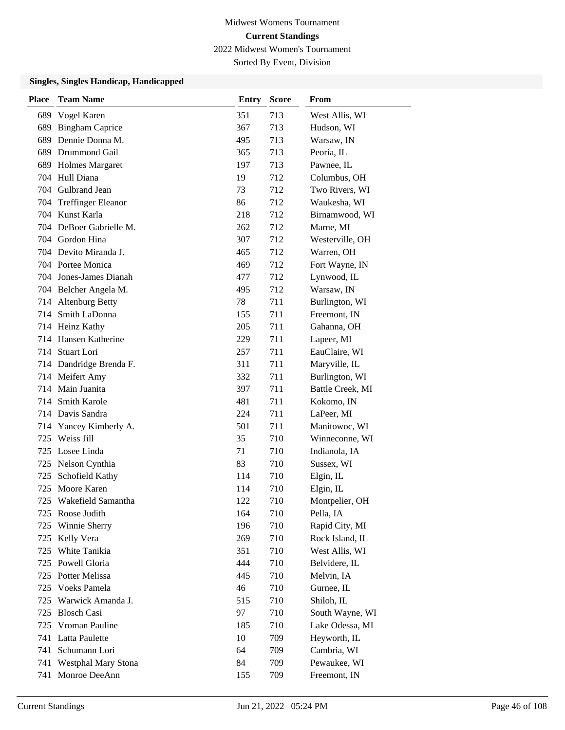Sorted By Event, Division

| <b>Place</b> | <b>Team Name</b>           | <b>Entry</b> | <b>Score</b> | From             |
|--------------|----------------------------|--------------|--------------|------------------|
| 689          | Vogel Karen                | 351          | 713          | West Allis, WI   |
| 689          | <b>Bingham Caprice</b>     | 367          | 713          | Hudson, WI       |
| 689          | Dennie Donna M.            | 495          | 713          | Warsaw, IN       |
| 689          | Drummond Gail              | 365          | 713          | Peoria, IL       |
| 689          | <b>Holmes Margaret</b>     | 197          | 713          | Pawnee, IL       |
|              | 704 Hull Diana             | 19           | 712          | Columbus, OH     |
|              | 704 Gulbrand Jean          | 73           | 712          | Two Rivers, WI   |
| 704          | <b>Treffinger Eleanor</b>  | 86           | 712          | Waukesha, WI     |
| 704          | Kunst Karla                | 218          | 712          | Birnamwood, WI   |
| 704          | DeBoer Gabrielle M.        | 262          | 712          | Marne, MI        |
|              | 704 Gordon Hina            | 307          | 712          | Westerville, OH  |
|              | 704 Devito Miranda J.      | 465          | 712          | Warren, OH       |
|              | 704 Portee Monica          | 469          | 712          | Fort Wayne, IN   |
|              | 704 Jones-James Dianah     | 477          | 712          | Lynwood, IL      |
|              | 704 Belcher Angela M.      | 495          | 712          | Warsaw, IN       |
|              | 714 Altenburg Betty        | 78           | 711          | Burlington, WI   |
| 714          | Smith LaDonna              | 155          | 711          | Freemont, IN     |
|              | 714 Heinz Kathy            | 205          | 711          | Gahanna, OH      |
| 714          | Hansen Katherine           | 229          | 711          | Lapeer, MI       |
| 714          | Stuart Lori                | 257          | 711          | EauClaire, WI    |
|              | 714 Dandridge Brenda F.    | 311          | 711          | Maryville, IL    |
|              | 714 Meifert Amy            | 332          | 711          | Burlington, WI   |
|              | 714 Main Juanita           | 397          | 711          | Battle Creek, MI |
| 714          | Smith Karole               | 481          | 711          | Kokomo, IN       |
|              | 714 Davis Sandra           | 224          | 711          | LaPeer, MI       |
| 714          | Yancey Kimberly A.         | 501          | 711          | Manitowoc, WI    |
| 725          | Weiss Jill                 | 35           | 710          | Winneconne, WI   |
| 725          | Losee Linda                | 71           | 710          | Indianola, IA    |
|              | 725 Nelson Cynthia         | 83           | 710          | Sussex, WI       |
| 725          | Schofield Kathy            | 114          | 710          | Elgin, IL        |
| 725          | Moore Karen                | 114          | 710          | Elgin, IL        |
| 725          | Wakefield Samantha         | 122          | 710          | Montpelier, OH   |
|              | 725 Roose Judith           | 164          | 710          | Pella, IA        |
| 725          | Winnie Sherry              | 196          | 710          | Rapid City, MI   |
| 725          | Kelly Vera                 | 269          | 710          | Rock Island, IL  |
| 725          | White Tanikia              | 351          | 710          | West Allis, WI   |
| 725          | Powell Gloria              | 444          | 710          | Belvidere, IL    |
| 725          | Potter Melissa             | 445          | 710          | Melvin, IA       |
| 725          | Voeks Pamela               | 46           | 710          | Gurnee, IL       |
| 725          | Warwick Amanda J.          | 515          | 710          | Shiloh, IL       |
| 725          | <b>Blosch Casi</b>         | 97           | 710          | South Wayne, WI  |
| 725          | Vroman Pauline             | 185          | 710          | Lake Odessa, MI  |
| 741          | Latta Paulette             | 10           | 709          | Heyworth, IL     |
| 741          | Schumann Lori              | 64           | 709          | Cambria, WI      |
| 741          | <b>Westphal Mary Stona</b> | 84           | 709          | Pewaukee, WI     |
| 741          | Monroe DeeAnn              | 155          | 709          | Freemont, IN     |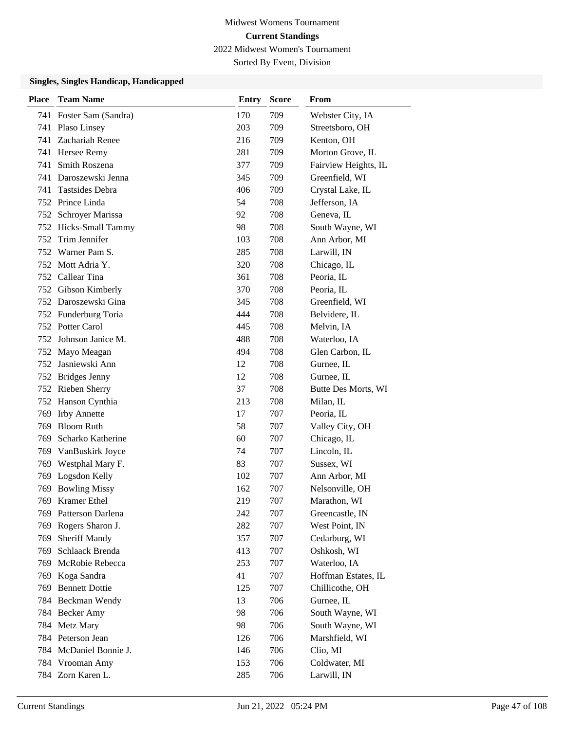Sorted By Event, Division

| <b>Place</b> | <b>Team Name</b>        | <b>Entry</b> | <b>Score</b> | From                 |
|--------------|-------------------------|--------------|--------------|----------------------|
|              | 741 Foster Sam (Sandra) | 170          | 709          | Webster City, IA     |
|              | 741 Plaso Linsey        | 203          | 709          | Streetsboro, OH      |
| 741          | Zachariah Renee         | 216          | 709          | Kenton, OH           |
|              | 741 Hersee Remy         | 281          | 709          | Morton Grove, IL     |
| 741          | Smith Roszena           | 377          | 709          | Fairview Heights, IL |
| 741          | Daroszewski Jenna       | 345          | 709          | Greenfield, WI       |
| 741          | Tastsides Debra         | 406          | 709          | Crystal Lake, IL     |
|              | 752 Prince Linda        | 54           | 708          | Jefferson, IA        |
|              | 752 Schroyer Marissa    | 92           | 708          | Geneva, IL           |
|              | 752 Hicks-Small Tammy   | 98           | 708          | South Wayne, WI      |
| 752          | Trim Jennifer           | 103          | 708          | Ann Arbor, MI        |
|              | 752 Warner Pam S.       | 285          | 708          | Larwill, IN          |
|              | 752 Mott Adria Y.       | 320          | 708          | Chicago, IL          |
|              | 752 Callear Tina        | 361          | 708          | Peoria, IL           |
|              | 752 Gibson Kimberly     | 370          | 708          | Peoria, IL           |
|              | 752 Daroszewski Gina    | 345          | 708          | Greenfield, WI       |
|              | 752 Funderburg Toria    | 444          | 708          | Belvidere, IL        |
|              | 752 Potter Carol        | 445          | 708          | Melvin, IA           |
|              | 752 Johnson Janice M.   | 488          | 708          | Waterloo, IA         |
|              | 752 Mayo Meagan         | 494          | 708          | Glen Carbon, IL      |
| 752          | Jasniewski Ann          | 12           | 708          | Gurnee, IL           |
| 752          | <b>Bridges Jenny</b>    | 12           | 708          | Gurnee, IL           |
|              | 752 Rieben Sherry       | 37           | 708          | Butte Des Morts, WI  |
|              | 752 Hanson Cynthia      | 213          | 708          | Milan, IL            |
| 769          | <b>Irby Annette</b>     | 17           | 707          | Peoria, IL           |
| 769          | <b>Bloom Ruth</b>       | 58           | 707          | Valley City, OH      |
| 769          | Scharko Katherine       | 60           | 707          | Chicago, IL          |
| 769          | VanBuskirk Joyce        | 74           | 707          | Lincoln, IL          |
| 769          | Westphal Mary F.        | 83           | 707          | Sussex, WI           |
| 769          | Logsdon Kelly           | 102          | 707          | Ann Arbor, MI        |
| 769          | <b>Bowling Missy</b>    | 162          | 707          | Nelsonville, OH      |
| 769          | <b>Kramer</b> Ethel     | 219          | 707          | Marathon, WI         |
|              | 769 Patterson Darlena   | 242          | 707          | Greencastle, IN      |
| 769          | Rogers Sharon J.        | 282          | 707          | West Point, IN       |
| 769          | <b>Sheriff Mandy</b>    | 357          | 707          | Cedarburg, WI        |
| 769          | Schlaack Brenda         | 413          | 707          | Oshkosh, WI          |
| 769          | McRobie Rebecca         | 253          | 707          | Waterloo, IA         |
| 769          | Koga Sandra             | 41           | 707          | Hoffman Estates, IL  |
| 769          | <b>Bennett Dottie</b>   | 125          | 707          | Chillicothe, OH      |
|              | 784 Beckman Wendy       | 13           | 706          | Gurnee, IL           |
|              | 784 Becker Amy          | 98           | 706          | South Wayne, WI      |
|              | 784 Metz Mary           | 98           | 706          | South Wayne, WI      |
|              | 784 Peterson Jean       | 126          | 706          | Marshfield, WI       |
|              | 784 McDaniel Bonnie J.  | 146          | 706          | Clio, MI             |
|              | 784 Vrooman Amy         | 153          | 706          | Coldwater, MI        |
|              | 784 Zorn Karen L.       | 285          | 706          | Larwill, IN          |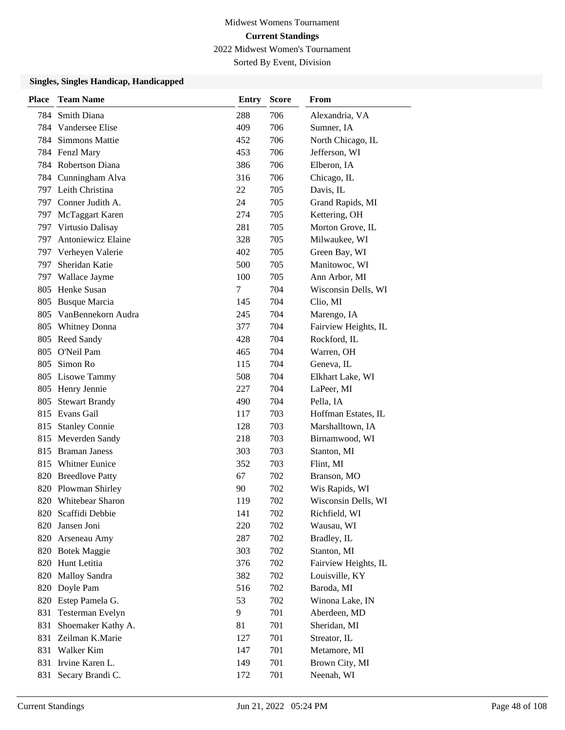Sorted By Event, Division

| Place | <b>Team Name</b>        | <b>Entry</b> | <b>Score</b> | From                 |
|-------|-------------------------|--------------|--------------|----------------------|
| 784   | <b>Smith Diana</b>      | 288          | 706          | Alexandria, VA       |
| 784   | Vandersee Elise         | 409          | 706          | Sumner, IA           |
| 784   | <b>Simmons Mattie</b>   | 452          | 706          | North Chicago, IL    |
|       | 784 Fenzl Mary          | 453          | 706          | Jefferson, WI        |
|       | 784 Robertson Diana     | 386          | 706          | Elberon, IA          |
|       | 784 Cunningham Alva     | 316          | 706          | Chicago, IL          |
|       | 797 Leith Christina     | 22           | 705          | Davis, IL            |
|       | 797 Conner Judith A.    | 24           | 705          | Grand Rapids, MI     |
| 797   | McTaggart Karen         | 274          | 705          | Kettering, OH        |
| 797   | Virtusio Dalisay        | 281          | 705          | Morton Grove, IL     |
| 797.  | Antoniewicz Elaine      | 328          | 705          | Milwaukee, WI        |
| 797   | Verheyen Valerie        | 402          | 705          | Green Bay, WI        |
| 797   | Sheridan Katie          | 500          | 705          | Manitowoc, WI        |
| 797   | Wallace Jayme           | 100          | 705          | Ann Arbor, MI        |
| 805   | Henke Susan             | 7            | 704          | Wisconsin Dells, WI  |
| 805   | <b>Busque Marcia</b>    | 145          | 704          | Clio, MI             |
| 805   | VanBennekorn Audra      | 245          | 704          | Marengo, IA          |
| 805   | <b>Whitney Donna</b>    | 377          | 704          | Fairview Heights, IL |
| 805   | Reed Sandy              | 428          | 704          | Rockford, IL         |
| 805   | O'Neil Pam              | 465          | 704          | Warren, OH           |
| 805   | Simon Ro                | 115          | 704          | Geneva, IL           |
| 805   | Lisowe Tammy            | 508          | 704          | Elkhart Lake, WI     |
| 805   | Henry Jennie            | 227          | 704          | LaPeer, MI           |
| 805   | <b>Stewart Brandy</b>   | 490          | 704          | Pella, IA            |
| 815   | Evans Gail              | 117          | 703          | Hoffman Estates, IL  |
| 815   | <b>Stanley Connie</b>   | 128          | 703          | Marshalltown, IA     |
| 815   | Meverden Sandy          | 218          | 703          | Birnamwood, WI       |
| 815   | <b>Braman Janess</b>    | 303          | 703          | Stanton, MI          |
| 815   | <b>Whitner Eunice</b>   | 352          | 703          | Flint, MI            |
| 820   | <b>Breedlove Patty</b>  | 67           | 702          | Branson, MO          |
| 820   | Plowman Shirley         | 90           | 702          | Wis Rapids, WI       |
| 820   | <b>Whitebear Sharon</b> | 119          | 702          | Wisconsin Dells, WI  |
| 820   | Scaffidi Debbie         | 141          | 702          | Richfield, WI        |
| 820   | Jansen Joni             | 220          | 702          | Wausau, WI           |
| 820   | Arseneau Amy            | 287          | 702          | Bradley, IL          |
|       | 820 Botek Maggie        | 303          | 702          | Stanton, MI          |
|       | 820 Hunt Letitia        | 376          | 702          | Fairview Heights, IL |
| 820   | Malloy Sandra           | 382          | 702          | Louisville, KY       |
| 820   | Doyle Pam               | 516          | 702          | Baroda, MI           |
| 820   | Estep Pamela G.         | 53           | 702          | Winona Lake, IN      |
| 831   | Testerman Evelyn        | 9            | 701          | Aberdeen, MD         |
| 831   | Shoemaker Kathy A.      | 81           | 701          | Sheridan, MI         |
| 831   | Zeilman K.Marie         | 127          | 701          | Streator, IL         |
| 831   | Walker Kim              | 147          | 701          | Metamore, MI         |
| 831   | Irvine Karen L.         | 149          | 701          | Brown City, MI       |
| 831   | Secary Brandi C.        | 172          | 701          | Neenah, WI           |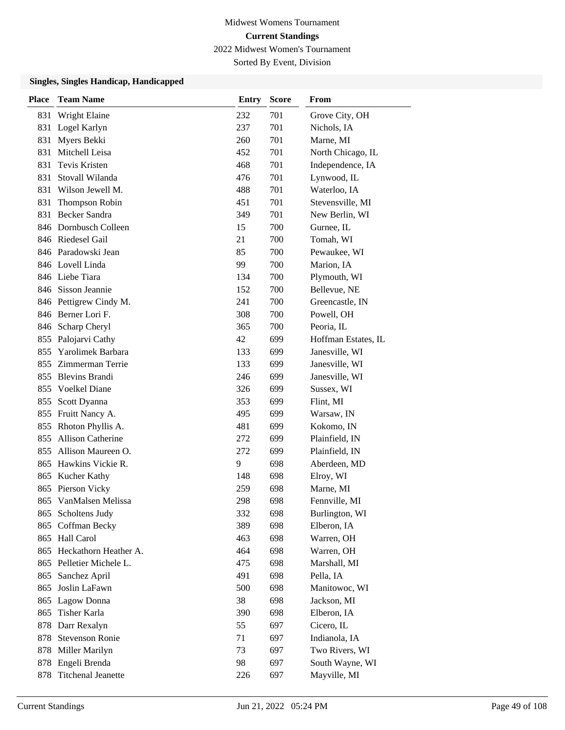Sorted By Event, Division

| <b>Place</b> | <b>Team Name</b>         | <b>Entry</b> | <b>Score</b> | From                |
|--------------|--------------------------|--------------|--------------|---------------------|
| 831          | Wright Elaine            | 232          | 701          | Grove City, OH      |
| 831          | Logel Karlyn             | 237          | 701          | Nichols, IA         |
| 831          | Myers Bekki              | 260          | 701          | Marne, MI           |
| 831          | Mitchell Leisa           | 452          | 701          | North Chicago, IL   |
| 831          | Tevis Kristen            | 468          | 701          | Independence, IA    |
| 831          | Stovall Wilanda          | 476          | 701          | Lynwood, IL         |
| 831          | Wilson Jewell M.         | 488          | 701          | Waterloo, IA        |
| 831          | Thompson Robin           | 451          | 701          | Stevensville, MI    |
| 831          | <b>Becker Sandra</b>     | 349          | 701          | New Berlin, WI      |
| 846          | Dornbusch Colleen        | 15           | 700          | Gurnee, IL          |
|              | 846 Riedesel Gail        | 21           | 700          | Tomah, WI           |
|              | 846 Paradowski Jean      | 85           | 700          | Pewaukee, WI        |
|              | 846 Lovell Linda         | 99           | 700          | Marion, IA          |
|              | 846 Liebe Tiara          | 134          | 700          | Plymouth, WI        |
|              | 846 Sisson Jeannie       | 152          | 700          | Bellevue, NE        |
|              | 846 Pettigrew Cindy M.   | 241          | 700          | Greencastle, IN     |
|              | 846 Berner Lori F.       | 308          | 700          | Powell, OH          |
| 846          | Scharp Cheryl            | 365          | 700          | Peoria, IL          |
| 855          | Palojarvi Cathy          | 42           | 699          | Hoffman Estates, IL |
| 855          | Yarolimek Barbara        | 133          | 699          | Janesville, WI      |
| 855          | Zimmerman Terrie         | 133          | 699          | Janesville, WI      |
| 855          | <b>Blevins Brandi</b>    | 246          | 699          | Janesville, WI      |
| 855          | Voelkel Diane            | 326          | 699          | Sussex, WI          |
| 855          | Scott Dyanna             | 353          | 699          | Flint, MI           |
|              | 855 Fruitt Nancy A.      | 495          | 699          | Warsaw, IN          |
| 855          | Rhoton Phyllis A.        | 481          | 699          | Kokomo, IN          |
| 855          | <b>Allison Catherine</b> | 272          | 699          | Plainfield, IN      |
| 855          | Allison Maureen O.       | 272          | 699          | Plainfield, IN      |
| 865          | Hawkins Vickie R.        | 9            | 698          | Aberdeen, MD        |
| 865          | Kucher Kathy             | 148          | 698          | Elroy, WI           |
| 865          | Pierson Vicky            | 259          | 698          | Marne, MI           |
| 865          | VanMalsen Melissa        | 298          | 698          | Fennville, MI       |
| 865          | Scholtens Judy           | 332          | 698          | Burlington, WI      |
| 865          | Coffman Becky            | 389          | 698          | Elberon, IA         |
|              | 865 Hall Carol           | 463          | 698          | Warren, OH          |
| 865          | Heckathorn Heather A.    | 464          | 698          | Warren, OH          |
|              | 865 Pelletier Michele L. | 475          | 698          | Marshall, MI        |
| 865          | Sanchez April            | 491          | 698          | Pella, IA           |
| 865          | Joslin LaFawn            | 500          | 698          | Manitowoc, WI       |
| 865          | Lagow Donna              | 38           | 698          | Jackson, MI         |
| 865          | Tisher Karla             | 390          | 698          | Elberon, IA         |
| 878          | Darr Rexalyn             | 55           | 697          | Cicero, IL          |
| 878          | <b>Stevenson Ronie</b>   | 71           | 697          | Indianola, IA       |
| 878          | Miller Marilyn           | 73           | 697          | Two Rivers, WI      |
| 878          | Engeli Brenda            | 98           | 697          | South Wayne, WI     |
| 878          | Titchenal Jeanette       | 226          | 697          | Mayville, MI        |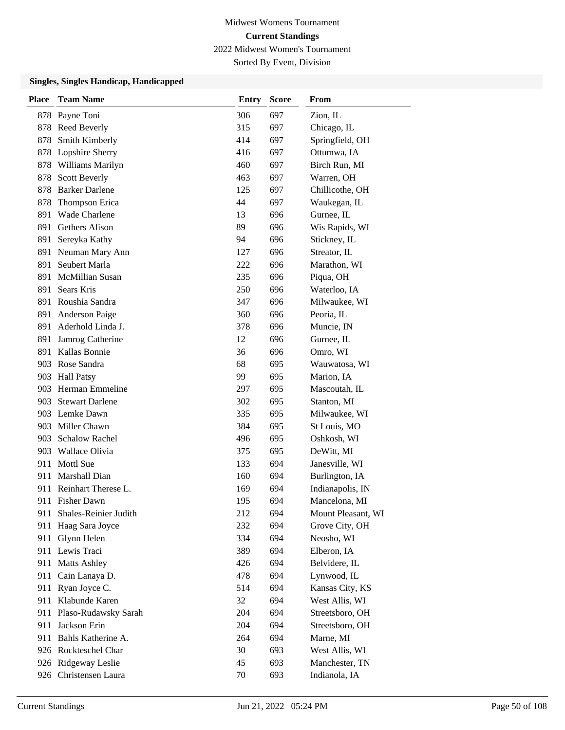Sorted By Event, Division

| Place | <b>Team Name</b>          | Entry | Score | From               |
|-------|---------------------------|-------|-------|--------------------|
|       | 878 Payne Toni            | 306   | 697   | Zion, IL           |
|       | 878 Reed Beverly          | 315   | 697   | Chicago, IL        |
| 878   | Smith Kimberly            | 414   | 697   | Springfield, OH    |
|       | 878 Lopshire Sherry       | 416   | 697   | Ottumwa, IA        |
| 878   | Williams Marilyn          | 460   | 697   | Birch Run, MI      |
| 878   | <b>Scott Beverly</b>      | 463   | 697   | Warren, OH         |
| 878   | <b>Barker Darlene</b>     | 125   | 697   | Chillicothe, OH    |
| 878   | Thompson Erica            | 44    | 697   | Waukegan, IL       |
| 891   | <b>Wade Charlene</b>      | 13    | 696   | Gurnee, IL         |
| 891   | Gethers Alison            | 89    | 696   | Wis Rapids, WI     |
| 891   | Sereyka Kathy             | 94    | 696   | Stickney, IL       |
|       | 891 Neuman Mary Ann       | 127   | 696   | Streator, IL       |
| 891   | Seubert Marla             | 222   | 696   | Marathon, WI       |
| 891   | McMillian Susan           | 235   | 696   | Piqua, OH          |
| 891   | Sears Kris                | 250   | 696   | Waterloo, IA       |
|       | 891 Roushia Sandra        | 347   | 696   | Milwaukee, WI      |
| 891   | Anderson Paige            | 360   | 696   | Peoria, IL         |
| 891   | Aderhold Linda J.         | 378   | 696   | Muncie, IN         |
| 891   | Jamrog Catherine          | 12    | 696   | Gurnee, IL         |
|       | 891 Kallas Bonnie         | 36    | 696   | Omro, WI           |
|       | 903 Rose Sandra           | 68    | 695   | Wauwatosa, WI      |
|       | 903 Hall Patsy            | 99    | 695   | Marion, IA         |
|       | 903 Herman Emmeline       | 297   | 695   | Mascoutah, IL      |
|       | 903 Stewart Darlene       | 302   | 695   | Stanton, MI        |
|       | 903 Lemke Dawn            | 335   | 695   | Milwaukee, WI      |
|       | 903 Miller Chawn          | 384   | 695   | St Louis, MO       |
|       | 903 Schalow Rachel        | 496   | 695   | Oshkosh, WI        |
|       | 903 Wallace Olivia        | 375   | 695   | DeWitt, MI         |
|       | 911 Mottl Sue             | 133   | 694   | Janesville, WI     |
| 911   | Marshall Dian             | 160   | 694   | Burlington, IA     |
|       | 911 Reinhart Therese L.   | 169   | 694   | Indianapolis, IN   |
| 911   | <b>Fisher Dawn</b>        | 195   | 694   | Mancelona, MI      |
|       | 911 Shales-Reinier Judith | 212   | 694   | Mount Pleasant, WI |
|       | 911 Haag Sara Joyce       | 232   | 694   | Grove City, OH     |
|       | 911 Glynn Helen           | 334   | 694   | Neosho, WI         |
|       | 911 Lewis Traci           | 389   | 694   | Elberon, IA        |
|       | 911 Matts Ashley          | 426   | 694   | Belvidere, IL      |
|       | 911 Cain Lanaya D.        | 478   | 694   | Lynwood, IL        |
|       | 911 Ryan Joyce C.         | 514   | 694   | Kansas City, KS    |
|       | 911 Klabunde Karen        | 32    | 694   | West Allis, WI     |
|       | 911 Plaso-Rudawsky Sarah  | 204   | 694   | Streetsboro, OH    |
| 911   | Jackson Erin              | 204   | 694   | Streetsboro, OH    |
|       | 911 Bahls Katherine A.    | 264   | 694   | Marne, MI          |
|       | 926 Rockteschel Char      | 30    | 693   | West Allis, WI     |
|       | 926 Ridgeway Leslie       | 45    | 693   | Manchester, TN     |
|       | 926 Christensen Laura     | 70    | 693   | Indianola, IA      |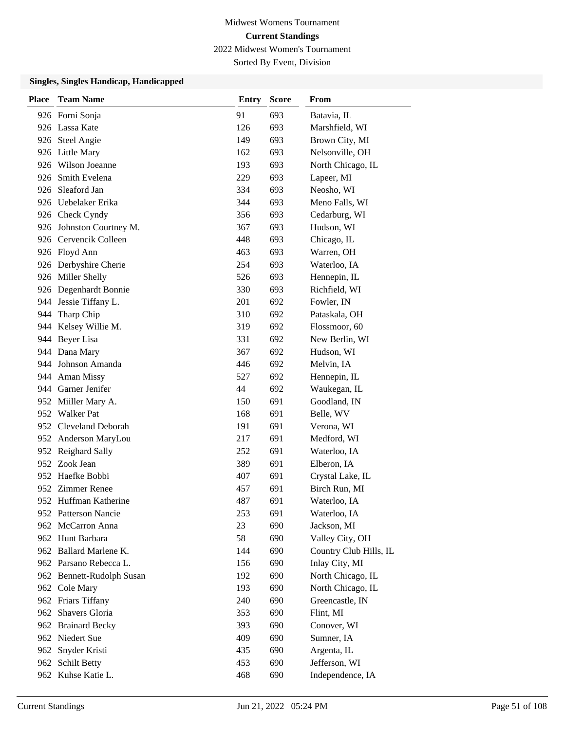Sorted By Event, Division

| <b>Place</b> | <b>Team Name</b>          | <b>Entry</b> | <b>Score</b> | From                   |
|--------------|---------------------------|--------------|--------------|------------------------|
|              | 926 Forni Sonja           | 91           | 693          | Batavia, IL            |
|              | 926 Lassa Kate            | 126          | 693          | Marshfield, WI         |
|              | 926 Steel Angie           | 149          | 693          | Brown City, MI         |
|              | 926 Little Mary           | 162          | 693          | Nelsonville, OH        |
|              | 926 Wilson Joeanne        | 193          | 693          | North Chicago, IL      |
|              | 926 Smith Evelena         | 229          | 693          | Lapeer, MI             |
|              | 926 Sleaford Jan          | 334          | 693          | Neosho, WI             |
|              | 926 Uebelaker Erika       | 344          | 693          | Meno Falls, WI         |
|              | 926 Check Cyndy           | 356          | 693          | Cedarburg, WI          |
|              | 926 Johnston Courtney M.  | 367          | 693          | Hudson, WI             |
|              | 926 Cervencik Colleen     | 448          | 693          | Chicago, IL            |
|              | 926 Floyd Ann             | 463          | 693          | Warren, OH             |
|              | 926 Derbyshire Cherie     | 254          | 693          | Waterloo, IA           |
|              | 926 Miller Shelly         | 526          | 693          | Hennepin, IL           |
|              | 926 Degenhardt Bonnie     | 330          | 693          | Richfield, WI          |
|              | 944 Jessie Tiffany L.     | 201          | 692          | Fowler, IN             |
| 944          | Tharp Chip                | 310          | 692          | Pataskala, OH          |
|              | 944 Kelsey Willie M.      | 319          | 692          | Flossmoor, 60          |
|              | 944 Beyer Lisa            | 331          | 692          | New Berlin, WI         |
|              | 944 Dana Mary             | 367          | 692          | Hudson, WI             |
|              | 944 Johnson Amanda        | 446          | 692          | Melvin, IA             |
|              | 944 Aman Missy            | 527          | 692          | Hennepin, IL           |
|              | 944 Garner Jenifer        | 44           | 692          | Waukegan, IL           |
|              | 952 Miiller Mary A.       | 150          | 691          | Goodland, IN           |
|              | 952 Walker Pat            | 168          | 691          | Belle, WV              |
|              | 952 Cleveland Deborah     | 191          | 691          | Verona, WI             |
|              | 952 Anderson MaryLou      | 217          | 691          | Medford, WI            |
|              | 952 Reighard Sally        | 252          | 691          | Waterloo, IA           |
|              | 952 Zook Jean             | 389          | 691          | Elberon, IA            |
|              | 952 Haefke Bobbi          | 407          | 691          | Crystal Lake, IL       |
|              | 952 Zimmer Renee          | 457          | 691          | Birch Run, MI          |
|              | 952 Huffman Katherine     | 487          | 691          | Waterloo, IA           |
|              | 952 Patterson Nancie      | 253          | 691          | Waterloo, IA           |
|              | 962 McCarron Anna         | 23           | 690          | Jackson, MI            |
|              | 962 Hunt Barbara          | 58           | 690          | Valley City, OH        |
|              | 962 Ballard Marlene K.    | 144          | 690          | Country Club Hills, IL |
|              | 962 Parsano Rebecca L.    | 156          | 690          | Inlay City, MI         |
|              | 962 Bennett-Rudolph Susan | 192          | 690          | North Chicago, IL      |
|              | 962 Cole Mary             | 193          | 690          | North Chicago, IL      |
|              | 962 Friars Tiffany        | 240          | 690          | Greencastle, IN        |
|              | 962 Shavers Gloria        | 353          | 690          | Flint, MI              |
|              | 962 Brainard Becky        | 393          | 690          | Conover, WI            |
|              | 962 Niedert Sue           | 409          | 690          | Sumner, IA             |
|              | 962 Snyder Kristi         | 435          | 690          | Argenta, IL            |
|              | 962 Schilt Betty          | 453          | 690          | Jefferson, WI          |
|              | 962 Kuhse Katie L.        | 468          | 690          | Independence, IA       |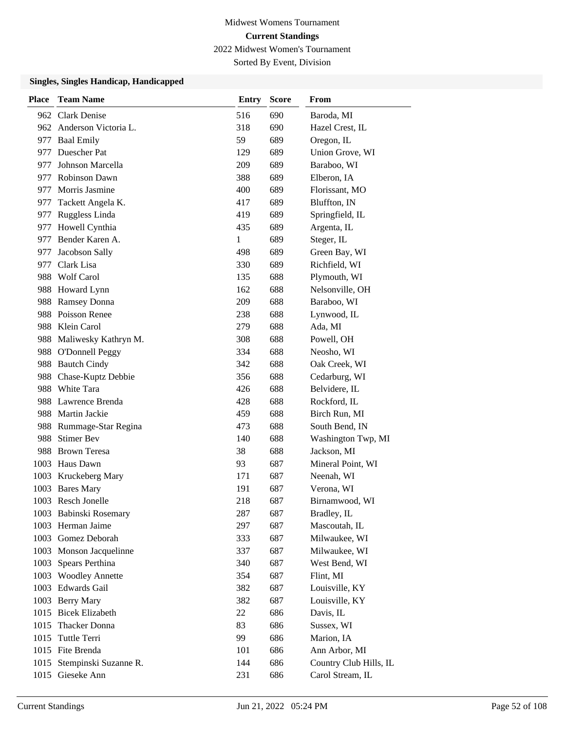Sorted By Event, Division

| <b>Place</b> | <b>Team Name</b>         | <b>Entry</b> | <b>Score</b> | From                   |
|--------------|--------------------------|--------------|--------------|------------------------|
|              | 962 Clark Denise         | 516          | 690          | Baroda, MI             |
|              | 962 Anderson Victoria L. | 318          | 690          | Hazel Crest, IL        |
|              | 977 Baal Emily           | 59           | 689          | Oregon, IL             |
|              | 977 Duescher Pat         | 129          | 689          | Union Grove, WI        |
|              | 977 Johnson Marcella     | 209          | 689          | Baraboo, WI            |
|              | 977 Robinson Dawn        | 388          | 689          | Elberon, IA            |
|              | 977 Morris Jasmine       | 400          | 689          | Florissant, MO         |
| 977          | Tackett Angela K.        | 417          | 689          | Bluffton, IN           |
|              | 977 Ruggless Linda       | 419          | 689          | Springfield, IL        |
|              | 977 Howell Cynthia       | 435          | 689          | Argenta, IL            |
|              | 977 Bender Karen A.      | 1            | 689          | Steger, IL             |
|              | 977 Jacobson Sally       | 498          | 689          | Green Bay, WI          |
|              | 977 Clark Lisa           | 330          | 689          | Richfield, WI          |
|              | 988 Wolf Carol           | 135          | 688          | Plymouth, WI           |
|              | 988 Howard Lynn          | 162          | 688          | Nelsonville, OH        |
|              | 988 Ramsey Donna         | 209          | 688          | Baraboo, WI            |
|              | 988 Poisson Renee        | 238          | 688          | Lynwood, IL            |
|              | 988 Klein Carol          | 279          | 688          | Ada, MI                |
|              | 988 Maliwesky Kathryn M. | 308          | 688          | Powell, OH             |
|              | 988 O'Donnell Peggy      | 334          | 688          | Neosho, WI             |
|              | 988 Bautch Cindy         | 342          | 688          | Oak Creek, WI          |
|              | 988 Chase-Kuptz Debbie   | 356          | 688          | Cedarburg, WI          |
|              | 988 White Tara           | 426          | 688          | Belvidere, IL          |
|              | 988 Lawrence Brenda      | 428          | 688          | Rockford, IL           |
|              | 988 Martin Jackie        | 459          | 688          | Birch Run, MI          |
|              | 988 Rummage-Star Regina  | 473          | 688          | South Bend, IN         |
|              | 988 Stimer Bev           | 140          | 688          | Washington Twp, MI     |
|              | 988 Brown Teresa         | 38           | 688          | Jackson, MI            |
|              | 1003 Haus Dawn           | 93           | 687          | Mineral Point, WI      |
|              | 1003 Kruckeberg Mary     | 171          | 687          | Neenah, WI             |
|              | 1003 Bares Mary          | 191          | 687          | Verona, WI             |
|              | 1003 Resch Jonelle       | 218          | 687          | Birnamwood, WI         |
|              | 1003 Babinski Rosemary   | 287          | 687          | Bradley, IL            |
|              | 1003 Herman Jaime        | 297          | 687          | Mascoutah, IL          |
|              | 1003 Gomez Deborah       | 333          | 687          | Milwaukee, WI          |
|              | 1003 Monson Jacquelinne  | 337          | 687          | Milwaukee, WI          |
| 1003         | Spears Perthina          | 340          | 687          | West Bend, WI          |
|              | 1003 Woodley Annette     | 354          | 687          | Flint, MI              |
|              | 1003 Edwards Gail        | 382          | 687          | Louisville, KY         |
|              | 1003 Berry Mary          | 382          | 687          | Louisville, KY         |
|              | 1015 Bicek Elizabeth     | 22           | 686          | Davis, IL              |
|              | 1015 Thacker Donna       | 83           | 686          | Sussex, WI             |
|              | 1015 Tuttle Terri        | 99           | 686          | Marion, IA             |
|              | 1015 Fite Brenda         | 101          | 686          | Ann Arbor, MI          |
| 1015         | Stempinski Suzanne R.    | 144          | 686          | Country Club Hills, IL |
| 1015         | Gieseke Ann              | 231          | 686          | Carol Stream, IL       |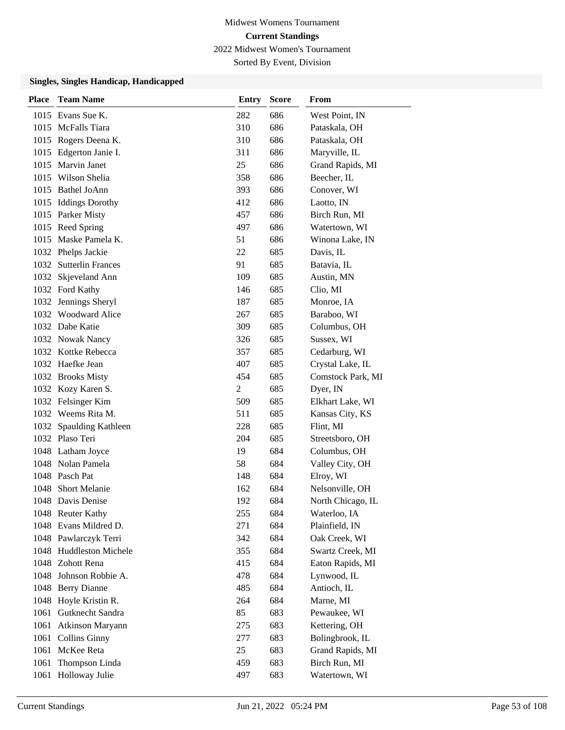Sorted By Event, Division

| <b>Place</b> | <b>Team Name</b>          | <b>Entry</b>   | <b>Score</b> | From              |
|--------------|---------------------------|----------------|--------------|-------------------|
|              | 1015 Evans Sue K.         | 282            | 686          | West Point, IN    |
|              | 1015 McFalls Tiara        | 310            | 686          | Pataskala, OH     |
|              | 1015 Rogers Deena K.      | 310            | 686          | Pataskala, OH     |
|              | 1015 Edgerton Janie I.    | 311            | 686          | Maryville, IL     |
| 1015         | Marvin Janet              | 25             | 686          | Grand Rapids, MI  |
|              | 1015 Wilson Shelia        | 358            | 686          | Beecher, IL       |
|              | 1015 Bathel JoAnn         | 393            | 686          | Conover, WI       |
|              | 1015 Iddings Dorothy      | 412            | 686          | Laotto, IN        |
|              | 1015 Parker Misty         | 457            | 686          | Birch Run, MI     |
|              | 1015 Reed Spring          | 497            | 686          | Watertown, WI     |
|              | 1015 Maske Pamela K.      | 51             | 686          | Winona Lake, IN   |
|              | 1032 Phelps Jackie        | 22             | 685          | Davis, IL         |
| 1032         | <b>Sutterlin Frances</b>  | 91             | 685          | Batavia, IL       |
| 1032         | Skjeveland Ann            | 109            | 685          | Austin, MN        |
|              | 1032 Ford Kathy           | 146            | 685          | Clio, MI          |
|              | 1032 Jennings Sheryl      | 187            | 685          | Monroe, IA        |
|              | 1032 Woodward Alice       | 267            | 685          | Baraboo, WI       |
|              | 1032 Dabe Katie           | 309            | 685          | Columbus, OH      |
|              | 1032 Nowak Nancy          | 326            | 685          | Sussex, WI        |
|              | 1032 Kottke Rebecca       | 357            | 685          | Cedarburg, WI     |
|              | 1032 Haefke Jean          | 407            | 685          | Crystal Lake, IL  |
|              | 1032 Brooks Misty         | 454            | 685          | Comstock Park, MI |
|              | 1032 Kozy Karen S.        | $\overline{c}$ | 685          | Dyer, IN          |
|              | 1032 Felsinger Kim        | 509            | 685          | Elkhart Lake, WI  |
|              | 1032 Weems Rita M.        | 511            | 685          | Kansas City, KS   |
| 1032         | <b>Spaulding Kathleen</b> | 228            | 685          | Flint, MI         |
|              | 1032 Plaso Teri           | 204            | 685          | Streetsboro, OH   |
|              | 1048 Latham Joyce         | 19             | 684          | Columbus, OH      |
|              | 1048 Nolan Pamela         | 58             | 684          | Valley City, OH   |
|              | 1048 Pasch Pat            | 148            | 684          | Elroy, WI         |
|              | 1048 Short Melanie        | 162            | 684          | Nelsonville, OH   |
|              | 1048 Davis Denise         | 192            | 684          | North Chicago, IL |
|              | 1048 Reuter Kathy         | 255            | 684          | Waterloo, IA      |
|              | 1048 Evans Mildred D.     | 271            | 684          | Plainfield, IN    |
|              | 1048 Pawlarczyk Terri     | 342            | 684          | Oak Creek, WI     |
|              | 1048 Huddleston Michele   | 355            | 684          | Swartz Creek, MI  |
|              | 1048 Zohott Rena          | 415            | 684          | Eaton Rapids, MI  |
| 1048         | Johnson Robbie A.         | 478            | 684          | Lynwood, IL       |
|              | 1048 Berry Dianne         | 485            | 684          | Antioch, IL       |
|              | 1048 Hoyle Kristin R.     | 264            | 684          | Marne, MI         |
| 1061         | Gutknecht Sandra          | 85             | 683          | Pewaukee, WI      |
| 1061         | Atkinson Maryann          | 275            | 683          | Kettering, OH     |
| 1061         | <b>Collins Ginny</b>      | 277            | 683          | Bolingbrook, IL   |
|              | 1061 McKee Reta           | 25             | 683          | Grand Rapids, MI  |
| 1061         | Thompson Linda            | 459            | 683          | Birch Run, MI     |
|              | 1061 Holloway Julie       | 497            | 683          | Watertown, WI     |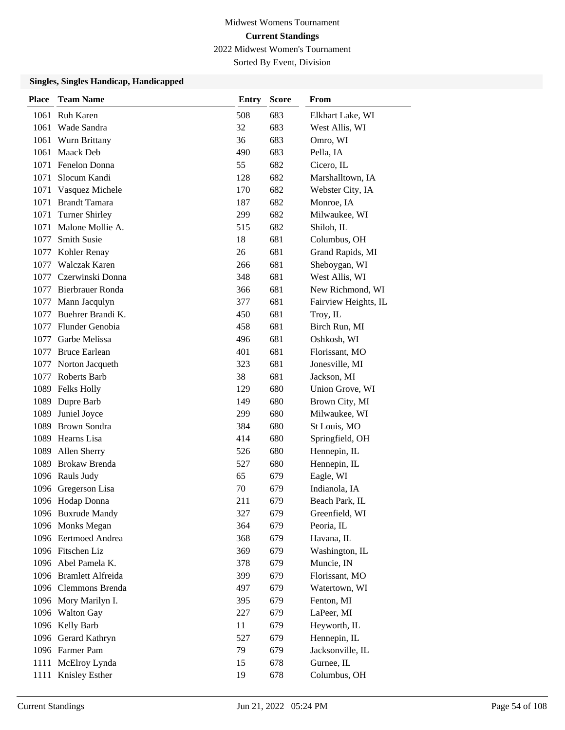Sorted By Event, Division

| <b>Place</b> | <b>Team Name</b>       | <b>Entry</b> | <b>Score</b> | <b>From</b>          |
|--------------|------------------------|--------------|--------------|----------------------|
| 1061         | <b>Ruh Karen</b>       | 508          | 683          | Elkhart Lake, WI     |
| 1061         | Wade Sandra            | 32           | 683          | West Allis, WI       |
| 1061         | Wurn Brittany          | 36           | 683          | Omro, WI             |
| 1061         | Maack Deb              | 490          | 683          | Pella, IA            |
| 1071         | <b>Fenelon Donna</b>   | 55           | 682          | Cicero, IL           |
| 1071         | Slocum Kandi           | 128          | 682          | Marshalltown, IA     |
| 1071         | Vasquez Michele        | 170          | 682          | Webster City, IA     |
|              | 1071 Brandt Tamara     | 187          | 682          | Monroe, IA           |
| 1071         | Turner Shirley         | 299          | 682          | Milwaukee, WI        |
| 1071         | Malone Mollie A.       | 515          | 682          | Shiloh, IL           |
| 1077         | <b>Smith Susie</b>     | 18           | 681          | Columbus, OH         |
| 1077         | Kohler Renay           | 26           | 681          | Grand Rapids, MI     |
| 1077         | <b>Walczak Karen</b>   | 266          | 681          | Sheboygan, WI        |
| 1077         | Czerwinski Donna       | 348          | 681          | West Allis, WI       |
|              | 1077 Bierbrauer Ronda  | 366          | 681          | New Richmond, WI     |
| 1077         | Mann Jacqulyn          | 377          | 681          | Fairview Heights, IL |
| 1077         | Buehrer Brandi K.      | 450          | 681          | Troy, IL             |
| 1077         | Flunder Genobia        | 458          | 681          | Birch Run, MI        |
| 1077         | Garbe Melissa          | 496          | 681          | Oshkosh, WI          |
| 1077         | <b>Bruce Earlean</b>   | 401          | 681          | Florissant, MO       |
| 1077         | Norton Jacqueth        | 323          | 681          | Jonesville, MI       |
| 1077         | Roberts Barb           | 38           | 681          | Jackson, MI          |
|              | 1089 Felks Holly       | 129          | 680          | Union Grove, WI      |
|              | 1089 Dupre Barb        | 149          | 680          | Brown City, MI       |
| 1089         | Juniel Joyce           | 299          | 680          | Milwaukee, WI        |
| 1089         | <b>Brown Sondra</b>    | 384          | 680          | St Louis, MO         |
|              | 1089 Hearns Lisa       | 414          | 680          | Springfield, OH      |
| 1089         | Allen Sherry           | 526          | 680          | Hennepin, IL         |
| 1089         | Brokaw Brenda          | 527          | 680          | Hennepin, IL         |
|              | 1096 Rauls Judy        | 65           | 679          | Eagle, WI            |
|              | 1096 Gregerson Lisa    | 70           | 679          | Indianola, IA        |
|              | 1096 Hodap Donna       | 211          | 679          | Beach Park, IL       |
|              | 1096 Buxrude Mandy     | 327          | 679          | Greenfield, WI       |
|              | 1096 Monks Megan       | 364          | 679          | Peoria, IL           |
|              | 1096 Eertmoed Andrea   | 368          | 679          | Havana, IL           |
|              | 1096 Fitschen Liz      | 369          | 679          | Washington, IL       |
|              | 1096 Abel Pamela K.    | 378          | 679          | Muncie, IN           |
|              | 1096 Bramlett Alfreida | 399          | 679          | Florissant, MO       |
|              | 1096 Clemmons Brenda   | 497          | 679          | Watertown, WI        |
|              | 1096 Mory Marilyn I.   | 395          | 679          | Fenton, MI           |
|              | 1096 Walton Gay        | 227          | 679          | LaPeer, MI           |
|              | 1096 Kelly Barb        | 11           | 679          | Heyworth, IL         |
|              | 1096 Gerard Kathryn    | 527          | 679          | Hennepin, IL         |
|              | 1096 Farmer Pam        | 79           | 679          | Jacksonville, IL     |
|              | 1111 McElroy Lynda     | 15           | 678          | Gurnee, IL           |
| 1111         | Knisley Esther         | 19           | 678          | Columbus, OH         |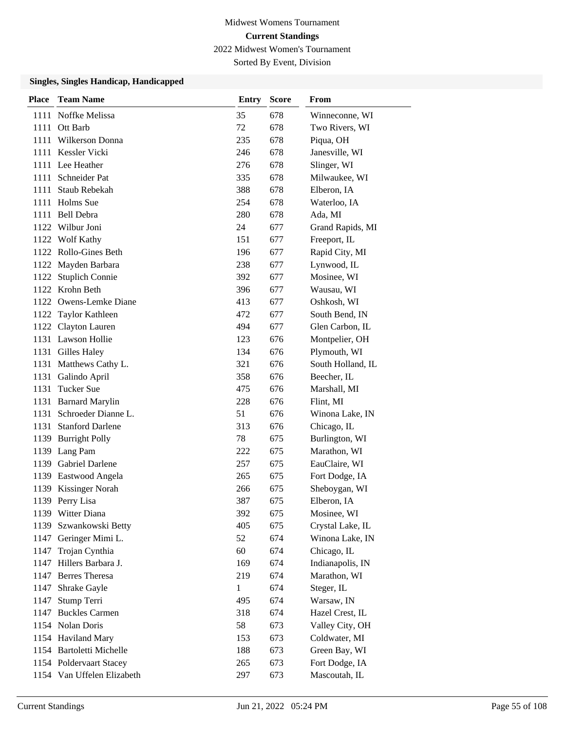Sorted By Event, Division

| <b>Place</b> | <b>Team Name</b>           | <b>Entry</b> | <b>Score</b> | From              |
|--------------|----------------------------|--------------|--------------|-------------------|
| 1111         | Noffke Melissa             | 35           | 678          | Winneconne, WI    |
| 1111         | Ott Barb                   | 72           | 678          | Two Rivers, WI    |
| 1111         | Wilkerson Donna            | 235          | 678          | Piqua, OH         |
|              | 1111 Kessler Vicki         | 246          | 678          | Janesville, WI    |
| 1111         | Lee Heather                | 276          | 678          | Slinger, WI       |
| 1111         | Schneider Pat              | 335          | 678          | Milwaukee, WI     |
| 1111         | Staub Rebekah              | 388          | 678          | Elberon, IA       |
|              | 1111 Holms Sue             | 254          | 678          | Waterloo, IA      |
| 1111         | Bell Debra                 | 280          | 678          | Ada, MI           |
|              | 1122 Wilbur Joni           | 24           | 677          | Grand Rapids, MI  |
|              | 1122 Wolf Kathy            | 151          | 677          | Freeport, IL      |
|              | 1122 Rollo-Gines Beth      | 196          | 677          | Rapid City, MI    |
| 1122         | Mayden Barbara             | 238          | 677          | Lynwood, IL       |
| 1122         | <b>Stuplich Connie</b>     | 392          | 677          | Mosinee, WI       |
|              | 1122 Krohn Beth            | 396          | 677          | Wausau, WI        |
|              | 1122 Owens-Lemke Diane     | 413          | 677          | Oshkosh, WI       |
|              | 1122 Taylor Kathleen       | 472          | 677          | South Bend, IN    |
|              | 1122 Clayton Lauren        | 494          | 677          | Glen Carbon, IL   |
|              | 1131 Lawson Hollie         | 123          | 676          | Montpelier, OH    |
|              | 1131 Gilles Haley          | 134          | 676          | Plymouth, WI      |
| 1131         | Matthews Cathy L.          | 321          | 676          | South Holland, IL |
| 1131         | Galindo April              | 358          | 676          | Beecher, IL       |
| 1131         | <b>Tucker Sue</b>          | 475          | 676          | Marshall, MI      |
|              | 1131 Barnard Marylin       | 228          | 676          | Flint, MI         |
| 1131         | Schroeder Dianne L.        | 51           | 676          | Winona Lake, IN   |
| 1131         | <b>Stanford Darlene</b>    | 313          | 676          | Chicago, IL       |
| 1139         | <b>Burright Polly</b>      | 78           | 675          | Burlington, WI    |
|              | 1139 Lang Pam              | 222          | 675          | Marathon, WI      |
| 1139         | <b>Gabriel Darlene</b>     | 257          | 675          | EauClaire, WI     |
| 1139         | Eastwood Angela            | 265          | 675          | Fort Dodge, IA    |
|              | 1139 Kissinger Norah       | 266          | 675          | Sheboygan, WI     |
|              | 1139 Perry Lisa            | 387          | 675          | Elberon, IA       |
|              | 1139 Witter Diana          | 392          | 675          | Mosinee, WI       |
| 1139         | Szwankowski Betty          | 405          | 675          | Crystal Lake, IL  |
| 1147         | Geringer Mimi L.           | 52           | 674          | Winona Lake, IN   |
| 1147         | Trojan Cynthia             | 60           | 674          | Chicago, IL       |
| 1147         | Hillers Barbara J.         | 169          | 674          | Indianapolis, IN  |
| 1147         | <b>Berres</b> Theresa      | 219          | 674          | Marathon, WI      |
| 1147         | Shrake Gayle               | 1            | 674          | Steger, IL        |
| 1147         | Stump Terri                | 495          | 674          | Warsaw, IN        |
| 1147         | <b>Buckles Carmen</b>      | 318          | 674          | Hazel Crest, IL   |
|              | 1154 Nolan Doris           | 58           | 673          | Valley City, OH   |
|              | 1154 Haviland Mary         | 153          | 673          | Coldwater, MI     |
|              | 1154 Bartoletti Michelle   | 188          | 673          | Green Bay, WI     |
|              | 1154 Poldervaart Stacey    | 265          | 673          | Fort Dodge, IA    |
|              | 1154 Van Uffelen Elizabeth | 297          | 673          | Mascoutah, IL     |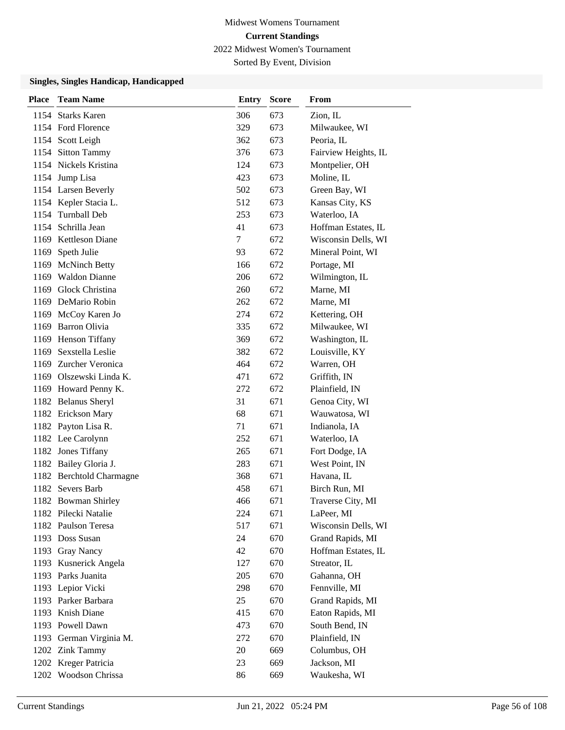Sorted By Event, Division

| <b>Place</b> | <b>Team Name</b>         | <b>Entry</b> | <b>Score</b> | From                 |
|--------------|--------------------------|--------------|--------------|----------------------|
|              | 1154 Starks Karen        | 306          | 673          | Zion, IL             |
|              | 1154 Ford Florence       | 329          | 673          | Milwaukee, WI        |
|              | 1154 Scott Leigh         | 362          | 673          | Peoria, IL           |
|              | 1154 Sitton Tammy        | 376          | 673          | Fairview Heights, IL |
|              | 1154 Nickels Kristina    | 124          | 673          | Montpelier, OH       |
|              | 1154 Jump Lisa           | 423          | 673          | Moline, IL           |
|              | 1154 Larsen Beverly      | 502          | 673          | Green Bay, WI        |
|              | 1154 Kepler Stacia L.    | 512          | 673          | Kansas City, KS      |
|              | 1154 Turnball Deb        | 253          | 673          | Waterloo, IA         |
|              | 1154 Schrilla Jean       | 41           | 673          | Hoffman Estates, IL  |
|              | 1169 Kettleson Diane     | $\tau$       | 672          | Wisconsin Dells, WI  |
| 1169         | Speth Julie              | 93           | 672          | Mineral Point, WI    |
|              | 1169 McNinch Betty       | 166          | 672          | Portage, MI          |
|              | 1169 Waldon Dianne       | 206          | 672          | Wilmington, IL       |
|              | 1169 Glock Christina     | 260          | 672          | Marne, MI            |
|              | 1169 DeMario Robin       | 262          | 672          | Marne, MI            |
|              | 1169 McCoy Karen Jo      | 274          | 672          | Kettering, OH        |
|              | 1169 Barron Olivia       | 335          | 672          | Milwaukee, WI        |
|              | 1169 Henson Tiffany      | 369          | 672          | Washington, IL       |
|              | 1169 Sexstella Leslie    | 382          | 672          | Louisville, KY       |
|              | 1169 Zurcher Veronica    | 464          | 672          | Warren, OH           |
|              | 1169 Olszewski Linda K.  | 471          | 672          | Griffith, IN         |
|              | 1169 Howard Penny K.     | 272          | 672          | Plainfield, IN       |
|              | 1182 Belanus Sheryl      | 31           | 671          | Genoa City, WI       |
|              | 1182 Erickson Mary       | 68           | 671          | Wauwatosa, WI        |
|              | 1182 Payton Lisa R.      | 71           | 671          | Indianola, IA        |
|              | 1182 Lee Carolynn        | 252          | 671          | Waterloo, IA         |
|              | 1182 Jones Tiffany       | 265          | 671          | Fort Dodge, IA       |
|              | 1182 Bailey Gloria J.    | 283          | 671          | West Point, IN       |
|              | 1182 Berchtold Charmagne | 368          | 671          | Havana, IL           |
|              | 1182 Severs Barb         | 458          | 671          | Birch Run, MI        |
|              | 1182 Bowman Shirley      | 466          | 671          | Traverse City, MI    |
|              | 1182 Pilecki Natalie     | 224          | 671          | LaPeer, MI           |
|              | 1182 Paulson Teresa      | 517          | 671          | Wisconsin Dells, WI  |
|              | 1193 Doss Susan          | 24           | 670          | Grand Rapids, MI     |
|              | 1193 Gray Nancy          | 42           | 670          | Hoffman Estates, IL  |
|              | 1193 Kusnerick Angela    | 127          | 670          | Streator, IL         |
|              | 1193 Parks Juanita       | 205          | 670          | Gahanna, OH          |
|              | 1193 Lepior Vicki        | 298          | 670          | Fennville, MI        |
|              | 1193 Parker Barbara      | 25           | 670          | Grand Rapids, MI     |
|              | 1193 Knish Diane         | 415          | 670          | Eaton Rapids, MI     |
|              | 1193 Powell Dawn         | 473          | 670          | South Bend, IN       |
|              | 1193 German Virginia M.  | 272          | 670          | Plainfield, IN       |
|              | 1202 Zink Tammy          | 20           | 669          | Columbus, OH         |
|              | 1202 Kreger Patricia     | 23           | 669          | Jackson, MI          |
|              | 1202 Woodson Chrissa     | 86           | 669          | Waukesha, WI         |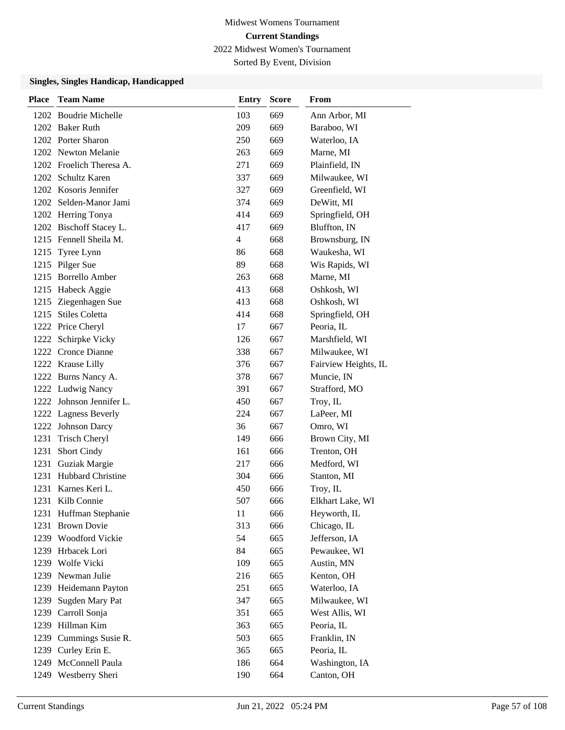Sorted By Event, Division

| <b>Place</b> | <b>Team Name</b>         | <b>Entry</b>   | Score | <b>From</b>          |
|--------------|--------------------------|----------------|-------|----------------------|
|              | 1202 Boudrie Michelle    | 103            | 669   | Ann Arbor, MI        |
|              | 1202 Baker Ruth          | 209            | 669   | Baraboo, WI          |
|              | 1202 Porter Sharon       | 250            | 669   | Waterloo, IA         |
|              | 1202 Newton Melanie      | 263            | 669   | Marne, MI            |
|              | 1202 Froelich Theresa A. | 271            | 669   | Plainfield, IN       |
|              | 1202 Schultz Karen       | 337            | 669   | Milwaukee, WI        |
|              | 1202 Kosoris Jennifer    | 327            | 669   | Greenfield, WI       |
|              | 1202 Selden-Manor Jami   | 374            | 669   | DeWitt, MI           |
|              | 1202 Herring Tonya       | 414            | 669   | Springfield, OH      |
|              | 1202 Bischoff Stacey L.  | 417            | 669   | Bluffton, IN         |
|              | 1215 Fennell Sheila M.   | $\overline{4}$ | 668   | Brownsburg, IN       |
|              | 1215 Tyree Lynn          | 86             | 668   | Waukesha, WI         |
|              | 1215 Pilger Sue          | 89             | 668   | Wis Rapids, WI       |
|              | 1215 Borrello Amber      | 263            | 668   | Marne, MI            |
|              | 1215 Habeck Aggie        | 413            | 668   | Oshkosh, WI          |
|              | 1215 Ziegenhagen Sue     | 413            | 668   | Oshkosh, WI          |
|              | 1215 Stiles Coletta      | 414            | 668   | Springfield, OH      |
|              | 1222 Price Cheryl        | 17             | 667   | Peoria, IL           |
|              | 1222 Schirpke Vicky      | 126            | 667   | Marshfield, WI       |
|              | 1222 Cronce Dianne       | 338            | 667   | Milwaukee, WI        |
|              | 1222 Krause Lilly        | 376            | 667   | Fairview Heights, IL |
|              | 1222 Burns Nancy A.      | 378            | 667   | Muncie, IN           |
|              | 1222 Ludwig Nancy        | 391            | 667   | Strafford, MO        |
|              | 1222 Johnson Jennifer L. | 450            | 667   | Troy, IL             |
|              | 1222 Lagness Beverly     | 224            | 667   | LaPeer, MI           |
|              | 1222 Johnson Darcy       | 36             | 667   | Omro, WI             |
| 1231         | <b>Trisch Cheryl</b>     | 149            | 666   | Brown City, MI       |
| 1231         | Short Cindy              | 161            | 666   | Trenton, OH          |
| 1231         | Guziak Margie            | 217            | 666   | Medford, WI          |
|              | 1231 Hubbard Christine   | 304            | 666   | Stanton, MI          |
|              | 1231 Karnes Keri L.      | 450            | 666   | Troy, IL             |
| 1231         | Kilb Connie              | 507            | 666   | Elkhart Lake, WI     |
|              | 1231 Huffman Stephanie   | 11             | 666   | Heyworth, IL         |
| 1231         | <b>Brown Dovie</b>       | 313            | 666   | Chicago, IL          |
|              | 1239 Woodford Vickie     | 54             | 665   | Jefferson, IA        |
|              | 1239 Hrbacek Lori        | 84             | 665   | Pewaukee, WI         |
|              | 1239 Wolfe Vicki         | 109            | 665   | Austin, MN           |
|              | 1239 Newman Julie        | 216            | 665   | Kenton, OH           |
|              | 1239 Heidemann Payton    | 251            | 665   | Waterloo, IA         |
| 1239         | Sugden Mary Pat          | 347            | 665   | Milwaukee, WI        |
| 1239         | Carroll Sonja            | 351            | 665   | West Allis, WI       |
| 1239         | Hillman Kim              | 363            | 665   | Peoria, IL           |
|              | 1239 Cummings Susie R.   | 503            | 665   | Franklin, IN         |
|              | 1239 Curley Erin E.      | 365            | 665   | Peoria, IL           |
| 1249         | McConnell Paula          | 186            | 664   | Washington, IA       |
| 1249         | Westberry Sheri          | 190            | 664   | Canton, OH           |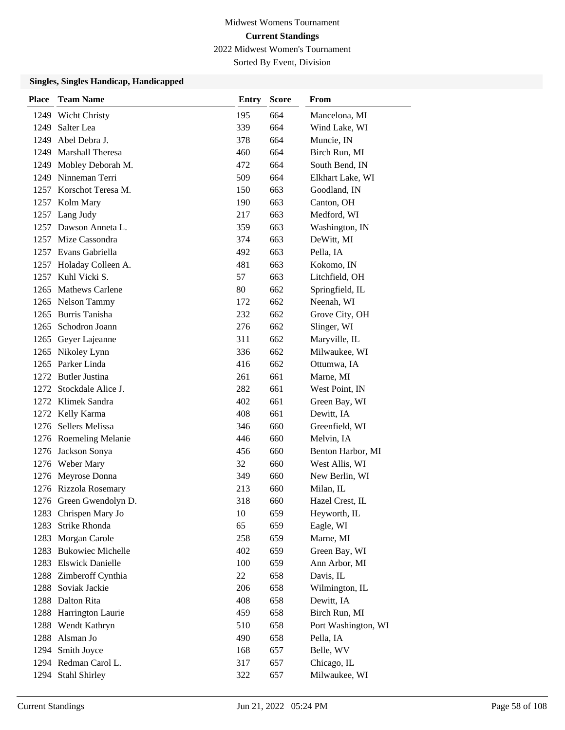Sorted By Event, Division

| <b>Place</b> | <b>Team Name</b>        | <b>Entry</b> | <b>Score</b> | From                |
|--------------|-------------------------|--------------|--------------|---------------------|
| 1249         | <b>Wicht Christy</b>    | 195          | 664          | Mancelona, MI       |
| 1249         | Salter Lea              | 339          | 664          | Wind Lake, WI       |
| 1249         | Abel Debra J.           | 378          | 664          | Muncie, IN          |
| 1249         | <b>Marshall Theresa</b> | 460          | 664          | Birch Run, MI       |
|              | 1249 Mobley Deborah M.  | 472          | 664          | South Bend, IN      |
|              | 1249 Ninneman Terri     | 509          | 664          | Elkhart Lake, WI    |
|              | 1257 Korschot Teresa M. | 150          | 663          | Goodland, IN        |
|              | 1257 Kolm Mary          | 190          | 663          | Canton, OH          |
|              | 1257 Lang Judy          | 217          | 663          | Medford, WI         |
|              | 1257 Dawson Anneta L.   | 359          | 663          | Washington, IN      |
|              | 1257 Mize Cassondra     | 374          | 663          | DeWitt, MI          |
|              | 1257 Evans Gabriella    | 492          | 663          | Pella, IA           |
|              | 1257 Holaday Colleen A. | 481          | 663          | Kokomo, IN          |
|              | 1257 Kuhl Vicki S.      | 57           | 663          | Litchfield, OH      |
|              | 1265 Mathews Carlene    | 80           | 662          | Springfield, IL     |
|              | 1265 Nelson Tammy       | 172          | 662          | Neenah, WI          |
|              | 1265 Burris Tanisha     | 232          | 662          | Grove City, OH      |
|              | 1265 Schodron Joann     | 276          | 662          | Slinger, WI         |
|              | 1265 Geyer Lajeanne     | 311          | 662          | Maryville, IL       |
|              | 1265 Nikoley Lynn       | 336          | 662          | Milwaukee, WI       |
|              | 1265 Parker Linda       | 416          | 662          | Ottumwa, IA         |
|              | 1272 Butler Justina     | 261          | 661          | Marne, MI           |
|              | 1272 Stockdale Alice J. | 282          | 661          | West Point, IN      |
|              | 1272 Klimek Sandra      | 402          | 661          | Green Bay, WI       |
|              | 1272 Kelly Karma        | 408          | 661          | Dewitt, IA          |
|              | 1276 Sellers Melissa    | 346          | 660          | Greenfield, WI      |
|              | 1276 Roemeling Melanie  | 446          | 660          | Melvin, IA          |
|              | 1276 Jackson Sonya      | 456          | 660          | Benton Harbor, MI   |
|              | 1276 Weber Mary         | 32           | 660          | West Allis, WI      |
|              | 1276 Meyrose Donna      | 349          | 660          | New Berlin, WI      |
|              | 1276 Rizzola Rosemary   | 213          | 660          | Milan, IL           |
|              | 1276 Green Gwendolyn D. | 318          | 660          | Hazel Crest, IL     |
|              | 1283 Chrispen Mary Jo   | 10           | 659          | Heyworth, IL        |
| 1283         | Strike Rhonda           | 65           | 659          | Eagle, WI           |
|              | 1283 Morgan Carole      | 258          | 659          | Marne, MI           |
|              | 1283 Bukowiec Michelle  | 402          | 659          | Green Bay, WI       |
|              | 1283 Elswick Danielle   | 100          | 659          | Ann Arbor, MI       |
|              | 1288 Zimberoff Cynthia  | 22           | 658          | Davis, IL           |
|              | 1288 Soviak Jackie      | 206          | 658          | Wilmington, IL      |
|              | 1288 Dalton Rita        | 408          | 658          | Dewitt, IA          |
| 1288         | Harrington Laurie       | 459          | 658          | Birch Run, MI       |
| 1288         | Wendt Kathryn           | 510          | 658          | Port Washington, WI |
|              | 1288 Alsman Jo          | 490          | 658          | Pella, IA           |
|              | 1294 Smith Joyce        | 168          | 657          | Belle, WV           |
|              | 1294 Redman Carol L.    | 317          | 657          | Chicago, IL         |
|              | 1294 Stahl Shirley      | 322          | 657          | Milwaukee, WI       |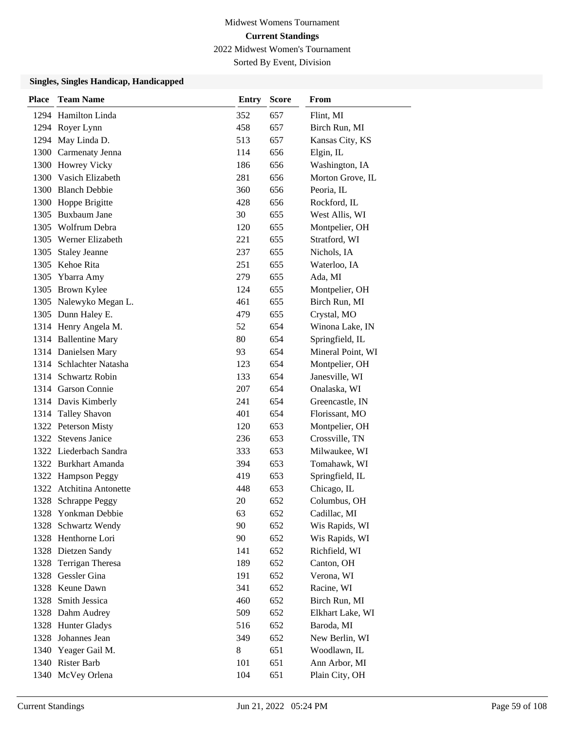Sorted By Event, Division

| <b>Place</b> | <b>Team Name</b>         | <b>Entry</b> | <b>Score</b> | From              |
|--------------|--------------------------|--------------|--------------|-------------------|
|              | 1294 Hamilton Linda      | 352          | 657          | Flint, MI         |
|              | 1294 Royer Lynn          | 458          | 657          | Birch Run, MI     |
|              | 1294 May Linda D.        | 513          | 657          | Kansas City, KS   |
|              | 1300 Carmenaty Jenna     | 114          | 656          | Elgin, IL         |
|              | 1300 Howrey Vicky        | 186          | 656          | Washington, IA    |
|              | 1300 Vasich Elizabeth    | 281          | 656          | Morton Grove, IL  |
|              | 1300 Blanch Debbie       | 360          | 656          | Peoria, IL        |
|              | 1300 Hoppe Brigitte      | 428          | 656          | Rockford, IL      |
|              | 1305 Buxbaum Jane        | 30           | 655          | West Allis, WI    |
|              | 1305 Wolfrum Debra       | 120          | 655          | Montpelier, OH    |
|              | 1305 Werner Elizabeth    | 221          | 655          | Stratford, WI     |
| 1305         | <b>Staley Jeanne</b>     | 237          | 655          | Nichols, IA       |
|              | 1305 Kehoe Rita          | 251          | 655          | Waterloo, IA      |
|              | 1305 Ybarra Amy          | 279          | 655          | Ada, MI           |
|              | 1305 Brown Kylee         | 124          | 655          | Montpelier, OH    |
|              | 1305 Nalewyko Megan L.   | 461          | 655          | Birch Run, MI     |
|              | 1305 Dunn Haley E.       | 479          | 655          | Crystal, MO       |
|              | 1314 Henry Angela M.     | 52           | 654          | Winona Lake, IN   |
|              | 1314 Ballentine Mary     | 80           | 654          | Springfield, IL   |
|              | 1314 Danielsen Mary      | 93           | 654          | Mineral Point, WI |
|              | 1314 Schlachter Natasha  | 123          | 654          | Montpelier, OH    |
|              | 1314 Schwartz Robin      | 133          | 654          | Janesville, WI    |
|              | 1314 Garson Connie       | 207          | 654          | Onalaska, WI      |
|              | 1314 Davis Kimberly      | 241          | 654          | Greencastle, IN   |
|              | 1314 Talley Shavon       | 401          | 654          | Florissant, MO    |
|              | 1322 Peterson Misty      | 120          | 653          | Montpelier, OH    |
|              | 1322 Stevens Janice      | 236          | 653          | Crossville, TN    |
|              | 1322 Liederbach Sandra   | 333          | 653          | Milwaukee, WI     |
|              | 1322 Burkhart Amanda     | 394          | 653          | Tomahawk, WI      |
|              | 1322 Hampson Peggy       | 419          | 653          | Springfield, IL   |
|              | 1322 Atchitina Antonette | 448          | 653          | Chicago, IL       |
| 1328         | <b>Schrappe Peggy</b>    | 20           | 652          | Columbus, OH      |
|              | 1328 Yonkman Debbie      | 63           | 652          | Cadillac, MI      |
| 1328         | Schwartz Wendy           | 90           | 652          | Wis Rapids, WI    |
|              | 1328 Henthorne Lori      | 90           | 652          | Wis Rapids, WI    |
|              | 1328 Dietzen Sandy       | 141          | 652          | Richfield, WI     |
| 1328         | Terrigan Theresa         | 189          | 652          | Canton, OH        |
|              | 1328 Gessler Gina        | 191          | 652          | Verona, WI        |
|              | 1328 Keune Dawn          | 341          | 652          | Racine, WI        |
| 1328         | Smith Jessica            | 460          | 652          | Birch Run, MI     |
|              | 1328 Dahm Audrey         | 509          | 652          | Elkhart Lake, WI  |
|              | 1328 Hunter Gladys       | 516          | 652          | Baroda, MI        |
|              | 1328 Johannes Jean       | 349          | 652          | New Berlin, WI    |
|              | 1340 Yeager Gail M.      | 8            | 651          | Woodlawn, IL      |
|              | 1340 Rister Barb         | 101          | 651          | Ann Arbor, MI     |
|              | 1340 McVey Orlena        | 104          | 651          | Plain City, OH    |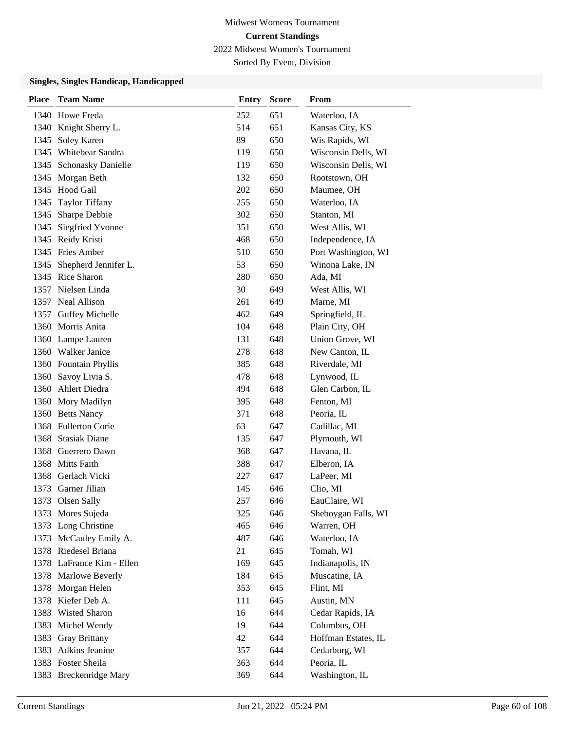Sorted By Event, Division

| <b>Place</b> | <b>Team Name</b>          | <b>Entry</b> | <b>Score</b> | From                |
|--------------|---------------------------|--------------|--------------|---------------------|
|              | 1340 Howe Freda           | 252          | 651          | Waterloo, IA        |
|              | 1340 Knight Sherry L.     | 514          | 651          | Kansas City, KS     |
|              | 1345 Soley Karen          | 89           | 650          | Wis Rapids, WI      |
| 1345         | Whitebear Sandra          | 119          | 650          | Wisconsin Dells, WI |
|              | 1345 Schonasky Danielle   | 119          | 650          | Wisconsin Dells, WI |
|              | 1345 Morgan Beth          | 132          | 650          | Rootstown, OH       |
|              | 1345 Hood Gail            | 202          | 650          | Maumee, OH          |
| 1345         | <b>Taylor Tiffany</b>     | 255          | 650          | Waterloo, IA        |
| 1345         | Sharpe Debbie             | 302          | 650          | Stanton, MI         |
|              | 1345 Siegfried Yvonne     | 351          | 650          | West Allis, WI      |
|              | 1345 Reidy Kristi         | 468          | 650          | Independence, IA    |
|              | 1345 Fries Amber          | 510          | 650          | Port Washington, WI |
| 1345         | Shepherd Jennifer L.      | 53           | 650          | Winona Lake, IN     |
|              | 1345 Rice Sharon          | 280          | 650          | Ada, MI             |
|              | 1357 Nielsen Linda        | 30           | 649          | West Allis, WI      |
|              | 1357 Neal Allison         | 261          | 649          | Marne, MI           |
| 1357         | <b>Guffey Michelle</b>    | 462          | 649          | Springfield, IL     |
|              | 1360 Morris Anita         | 104          | 648          | Plain City, OH      |
|              | 1360 Lampe Lauren         | 131          | 648          | Union Grove, WI     |
| 1360         | Walker Janice             | 278          | 648          | New Canton, IL      |
|              | 1360 Fountain Phyllis     | 385          | 648          | Riverdale, MI       |
|              | 1360 Savoy Livia S.       | 478          | 648          | Lynwood, IL         |
|              | 1360 Ahlert Diedra        | 494          | 648          | Glen Carbon, IL     |
|              | 1360 Mory Madilyn         | 395          | 648          | Fenton, MI          |
|              | 1360 Betts Nancy          | 371          | 648          | Peoria, IL          |
|              | 1368 Fullerton Corie      | 63           | 647          | Cadillac, MI        |
|              | 1368 Stasiak Diane        | 135          | 647          | Plymouth, WI        |
| 1368         | Guerrero Dawn             | 368          | 647          | Havana, IL          |
|              | 1368 Mitts Faith          | 388          | 647          | Elberon, IA         |
|              | 1368 Gerlach Vicki        | 227          | 647          | LaPeer, MI          |
|              | 1373 Garner Jilian        | 145          | 646          | Clio, MI            |
| 1373         | Olsen Sally               | 257          | 646          | EauClaire, WI       |
|              | 1373 Mores Sujeda         | 325          | 646          | Sheboygan Falls, WI |
|              | 1373 Long Christine       | 465          | 646          | Warren, OH          |
|              | 1373 McCauley Emily A.    | 487          | 646          | Waterloo, IA        |
|              | 1378 Riedesel Briana      | 21           | 645          | Tomah, WI           |
|              | 1378 LaFrance Kim - Ellen | 169          | 645          | Indianapolis, IN    |
|              | 1378 Marlowe Beverly      | 184          | 645          | Muscatine, IA       |
|              | 1378 Morgan Helen         | 353          | 645          | Flint, MI           |
| 1378         | Kiefer Deb A.             | 111          | 645          | Austin, MN          |
|              | 1383 Wisted Sharon        | 16           | 644          | Cedar Rapids, IA    |
|              | 1383 Michel Wendy         | 19           | 644          | Columbus, OH        |
|              | 1383 Gray Brittany        | 42           | 644          | Hoffman Estates, IL |
|              | 1383 Adkins Jeanine       | 357          | 644          | Cedarburg, WI       |
|              | 1383 Foster Sheila        | 363          | 644          | Peoria, IL          |
|              | 1383 Breckenridge Mary    | 369          | 644          | Washington, IL      |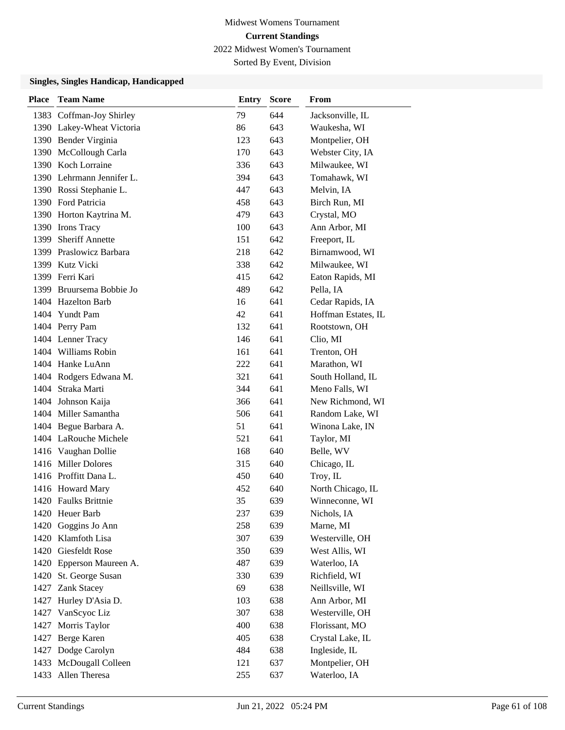Sorted By Event, Division

| <b>Place</b> | <b>Team Name</b>          | <b>Entry</b> | <b>Score</b> | From                |
|--------------|---------------------------|--------------|--------------|---------------------|
|              | 1383 Coffman-Joy Shirley  | 79           | 644          | Jacksonville, IL    |
|              | 1390 Lakey-Wheat Victoria | 86           | 643          | Waukesha, WI        |
|              | 1390 Bender Virginia      | 123          | 643          | Montpelier, OH      |
|              | 1390 McCollough Carla     | 170          | 643          | Webster City, IA    |
|              | 1390 Koch Lorraine        | 336          | 643          | Milwaukee, WI       |
|              | 1390 Lehrmann Jennifer L. | 394          | 643          | Tomahawk, WI        |
|              | 1390 Rossi Stephanie L.   | 447          | 643          | Melvin, IA          |
|              | 1390 Ford Patricia        | 458          | 643          | Birch Run, MI       |
|              | 1390 Horton Kaytrina M.   | 479          | 643          | Crystal, MO         |
|              | 1390 Irons Tracy          | 100          | 643          | Ann Arbor, MI       |
| 1399         | <b>Sheriff Annette</b>    | 151          | 642          | Freeport, IL        |
|              | 1399 Praslowicz Barbara   | 218          | 642          | Birnamwood, WI      |
|              | 1399 Kutz Vicki           | 338          | 642          | Milwaukee, WI       |
|              | 1399 Ferri Kari           | 415          | 642          | Eaton Rapids, MI    |
|              | 1399 Bruursema Bobbie Jo  | 489          | 642          | Pella, IA           |
|              | 1404 Hazelton Barb        | 16           | 641          | Cedar Rapids, IA    |
|              | 1404 Yundt Pam            | 42           | 641          | Hoffman Estates, IL |
|              | 1404 Perry Pam            | 132          | 641          | Rootstown, OH       |
|              | 1404 Lenner Tracy         | 146          | 641          | Clio, MI            |
|              | 1404 Williams Robin       | 161          | 641          | Trenton, OH         |
|              | 1404 Hanke LuAnn          | 222          | 641          | Marathon, WI        |
|              | 1404 Rodgers Edwana M.    | 321          | 641          | South Holland, IL   |
|              | 1404 Straka Marti         | 344          | 641          | Meno Falls, WI      |
|              | 1404 Johnson Kaija        | 366          | 641          | New Richmond, WI    |
|              | 1404 Miller Samantha      | 506          | 641          | Random Lake, WI     |
|              | 1404 Begue Barbara A.     | 51           | 641          | Winona Lake, IN     |
|              | 1404 LaRouche Michele     | 521          | 641          | Taylor, MI          |
|              | 1416 Vaughan Dollie       | 168          | 640          | Belle, WV           |
|              | 1416 Miller Dolores       | 315          | 640          | Chicago, IL         |
|              | 1416 Proffitt Dana L.     | 450          | 640          | Troy, IL            |
|              | 1416 Howard Mary          | 452          | 640          | North Chicago, IL   |
|              | 1420 Faulks Brittnie      | 35           | 639          | Winneconne, WI      |
| 1420         | Heuer Barb                | 237          | 639          | Nichols, IA         |
| 1420         | Goggins Jo Ann            | 258          | 639          | Marne, MI           |
| 1420         | Klamfoth Lisa             | 307          | 639          | Westerville, OH     |
|              | 1420 Giesfeldt Rose       | 350          | 639          | West Allis, WI      |
| 1420         | Epperson Maureen A.       | 487          | 639          | Waterloo, IA        |
| 1420         | St. George Susan          | 330          | 639          | Richfield, WI       |
| 1427         | <b>Zank Stacey</b>        | 69           | 638          | Neillsville, WI     |
| 1427         | Hurley D'Asia D.          | 103          | 638          | Ann Arbor, MI       |
| 1427         | VanScyoc Liz              | 307          | 638          | Westerville, OH     |
| 1427         | Morris Taylor             | 400          | 638          | Florissant, MO      |
| 1427         | Berge Karen               | 405          | 638          | Crystal Lake, IL    |
| 1427         | Dodge Carolyn             | 484          | 638          | Ingleside, IL       |
| 1433         | McDougall Colleen         | 121          | 637          | Montpelier, OH      |
| 1433         | Allen Theresa             | 255          | 637          | Waterloo, IA        |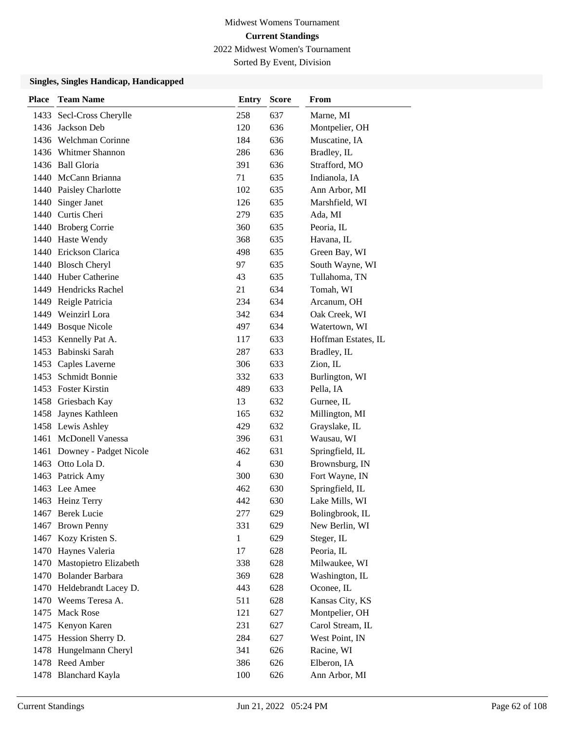Sorted By Event, Division

| <b>Place</b> | <b>Team Name</b>            | <b>Entry</b> | <b>Score</b> | From                |
|--------------|-----------------------------|--------------|--------------|---------------------|
| 1433         | Secl-Cross Cherylle         | 258          | 637          | Marne, MI           |
|              | 1436 Jackson Deb            | 120          | 636          | Montpelier, OH      |
|              | 1436 Welchman Corinne       | 184          | 636          | Muscatine, IA       |
|              | 1436 Whitmer Shannon        | 286          | 636          | Bradley, IL         |
|              | 1436 Ball Gloria            | 391          | 636          | Strafford, MO       |
|              | 1440 McCann Brianna         | 71           | 635          | Indianola, IA       |
|              | 1440 Paisley Charlotte      | 102          | 635          | Ann Arbor, MI       |
|              | 1440 Singer Janet           | 126          | 635          | Marshfield, WI      |
|              | 1440 Curtis Cheri           | 279          | 635          | Ada, MI             |
|              | 1440 Broberg Corrie         | 360          | 635          | Peoria, IL          |
|              | 1440 Haste Wendy            | 368          | 635          | Havana, IL          |
|              | 1440 Erickson Clarica       | 498          | 635          | Green Bay, WI       |
|              | 1440 Blosch Cheryl          | 97           | 635          | South Wayne, WI     |
|              | 1440 Huber Catherine        | 43           | 635          | Tullahoma, TN       |
|              | 1449 Hendricks Rachel       | 21           | 634          | Tomah, WI           |
|              | 1449 Reigle Patricia        | 234          | 634          | Arcanum, OH         |
|              | 1449 Weinzirl Lora          | 342          | 634          | Oak Creek, WI       |
| 1449         | <b>Bosque Nicole</b>        | 497          | 634          | Watertown, WI       |
|              | 1453 Kennelly Pat A.        | 117          | 633          | Hoffman Estates, IL |
|              | 1453 Babinski Sarah         | 287          | 633          | Bradley, IL         |
|              | 1453 Caples Laverne         | 306          | 633          | Zion, IL            |
| 1453         | Schmidt Bonnie              | 332          | 633          | Burlington, WI      |
|              | 1453 Foster Kirstin         | 489          | 633          | Pella, IA           |
|              | 1458 Griesbach Kay          | 13           | 632          | Gurnee, IL          |
|              | 1458 Jaynes Kathleen        | 165          | 632          | Millington, MI      |
|              | 1458 Lewis Ashley           | 429          | 632          | Grayslake, IL       |
|              | 1461 McDonell Vanessa       | 396          | 631          | Wausau, WI          |
|              | 1461 Downey - Padget Nicole | 462          | 631          | Springfield, IL     |
|              | 1463 Otto Lola D.           | 4            | 630          | Brownsburg, IN      |
|              | 1463 Patrick Amy            | 300          | 630          | Fort Wayne, IN      |
|              | 1463 Lee Amee               | 462          | 630          | Springfield, IL     |
|              | 1463 Heinz Terry            | 442          | 630          | Lake Mills, WI      |
|              | 1467 Berek Lucie            | 277          | 629          | Bolingbrook, IL     |
| 1467         | <b>Brown Penny</b>          | 331          | 629          | New Berlin, WI      |
|              | 1467 Kozy Kristen S.        | $\mathbf{1}$ | 629          | Steger, IL          |
|              | 1470 Haynes Valeria         | 17           | 628          | Peoria, IL          |
| 1470         | Mastopietro Elizabeth       | 338          | 628          | Milwaukee, WI       |
|              | 1470 Bolander Barbara       | 369          | 628          | Washington, IL      |
|              | 1470 Heldebrandt Lacey D.   | 443          | 628          | Oconee, IL          |
|              | 1470 Weems Teresa A.        | 511          | 628          | Kansas City, KS     |
| 1475         | <b>Mack Rose</b>            | 121          | 627          | Montpelier, OH      |
| 1475         | Kenyon Karen                | 231          | 627          | Carol Stream, IL    |
|              | 1475 Hession Sherry D.      | 284          | 627          | West Point, IN      |
|              | 1478 Hungelmann Cheryl      | 341          | 626          | Racine, WI          |
|              | 1478 Reed Amber             | 386          | 626          | Elberon, IA         |
|              | 1478 Blanchard Kayla        | 100          | 626          | Ann Arbor, MI       |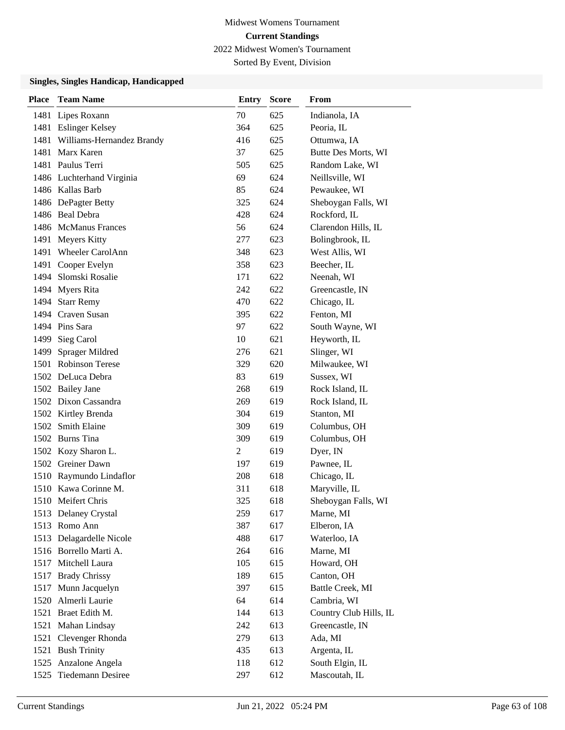Sorted By Event, Division

| <b>Place</b> | <b>Team Name</b>               | Entry          | <b>Score</b> | From                   |
|--------------|--------------------------------|----------------|--------------|------------------------|
| 1481         | Lipes Roxann                   | 70             | 625          | Indianola, IA          |
|              | 1481 Eslinger Kelsey           | 364            | 625          | Peoria, IL             |
|              | 1481 Williams-Hernandez Brandy | 416            | 625          | Ottumwa, IA            |
| 1481         | Marx Karen                     | 37             | 625          | Butte Des Morts, WI    |
|              | 1481 Paulus Terri              | 505            | 625          | Random Lake, WI        |
|              | 1486 Luchterhand Virginia      | 69             | 624          | Neillsville, WI        |
|              | 1486 Kallas Barb               | 85             | 624          | Pewaukee, WI           |
|              | 1486 DePagter Betty            | 325            | 624          | Sheboygan Falls, WI    |
|              | 1486 Beal Debra                | 428            | 624          | Rockford, IL           |
|              | 1486 McManus Frances           | 56             | 624          | Clarendon Hills, IL    |
|              | 1491 Meyers Kitty              | 277            | 623          | Bolingbrook, IL        |
| 1491         | <b>Wheeler CarolAnn</b>        | 348            | 623          | West Allis, WI         |
| 1491         | Cooper Evelyn                  | 358            | 623          | Beecher, IL            |
| 1494         | Slomski Rosalie                | 171            | 622          | Neenah, WI             |
|              | 1494 Myers Rita                | 242            | 622          | Greencastle, IN        |
|              | 1494 Starr Remy                | 470            | 622          | Chicago, IL            |
|              | 1494 Craven Susan              | 395            | 622          | Fenton, MI             |
|              | 1494 Pins Sara                 | 97             | 622          | South Wayne, WI        |
| 1499         | Sieg Carol                     | 10             | 621          | Heyworth, IL           |
| 1499         | Sprager Mildred                | 276            | 621          | Slinger, WI            |
|              | 1501 Robinson Terese           | 329            | 620          | Milwaukee, WI          |
|              | 1502 DeLuca Debra              | 83             | 619          | Sussex, WI             |
|              | 1502 Bailey Jane               | 268            | 619          | Rock Island, IL        |
|              | 1502 Dixon Cassandra           | 269            | 619          | Rock Island, IL        |
|              | 1502 Kirtley Brenda            | 304            | 619          | Stanton, MI            |
|              | 1502 Smith Elaine              | 309            | 619          | Columbus, OH           |
|              | 1502 Burns Tina                | 309            | 619          | Columbus, OH           |
|              | 1502 Kozy Sharon L.            | $\overline{2}$ | 619          | Dyer, IN               |
|              | 1502 Greiner Dawn              | 197            | 619          | Pawnee, IL             |
|              | 1510 Raymundo Lindaflor        | 208            | 618          | Chicago, IL            |
|              | 1510 Kawa Corinne M.           | 311            | 618          | Maryville, IL          |
|              | 1510 Meifert Chris             | 325            | 618          | Sheboygan Falls, WI    |
|              | 1513 Delaney Crystal           | 259            | 617          | Marne, MI              |
|              | 1513 Romo Ann                  | 387            | 617          | Elberon, IA            |
|              | 1513 Delagardelle Nicole       | 488            | 617          | Waterloo, IA           |
|              | 1516 Borrello Marti A.         | 264            | 616          | Marne, MI              |
|              | 1517 Mitchell Laura            | 105            | 615          | Howard, OH             |
|              | 1517 Brady Chrissy             | 189            | 615          | Canton, OH             |
|              | 1517 Munn Jacquelyn            | 397            | 615          | Battle Creek, MI       |
|              | 1520 Almerli Laurie            | 64             | 614          | Cambria, WI            |
| 1521         | Braet Edith M.                 | 144            | 613          | Country Club Hills, IL |
| 1521         | Mahan Lindsay                  | 242            | 613          | Greencastle, IN        |
| 1521         | Clevenger Rhonda               | 279            | 613          | Ada, MI                |
|              | 1521 Bush Trinity              | 435            | 613          | Argenta, IL            |
|              | 1525 Anzalone Angela           | 118            | 612          | South Elgin, IL        |
| 1525         | Tiedemann Desiree              | 297            | 612          | Mascoutah, IL          |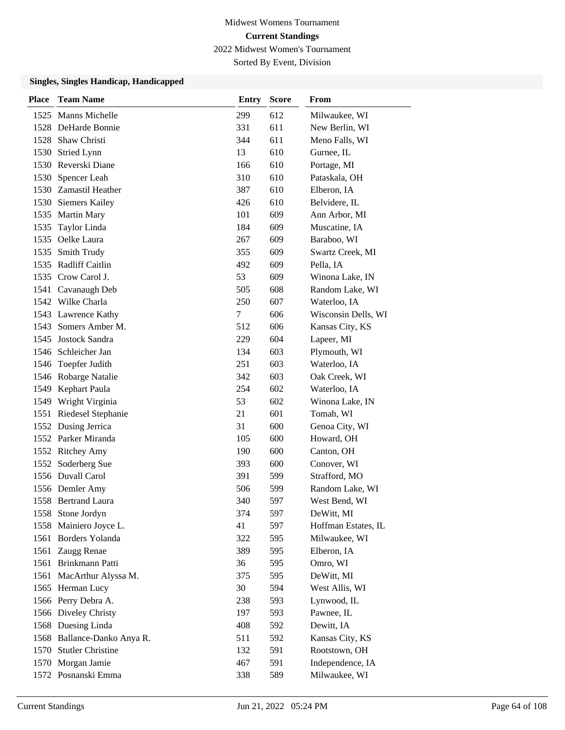Sorted By Event, Division

| <b>Place</b> | <b>Team Name</b>            | <b>Entry</b> | <b>Score</b> | From                |
|--------------|-----------------------------|--------------|--------------|---------------------|
|              | 1525 Manns Michelle         | 299          | 612          | Milwaukee, WI       |
|              | 1528 DeHarde Bonnie         | 331          | 611          | New Berlin, WI      |
|              | 1528 Shaw Christi           | 344          | 611          | Meno Falls, WI      |
|              | 1530 Stried Lynn            | 13           | 610          | Gurnee, IL          |
|              | 1530 Reverski Diane         | 166          | 610          | Portage, MI         |
| 1530         | Spencer Leah                | 310          | 610          | Pataskala, OH       |
|              | 1530 Zamastil Heather       | 387          | 610          | Elberon, IA         |
|              | 1530 Siemers Kailey         | 426          | 610          | Belvidere, IL       |
|              | 1535 Martin Mary            | 101          | 609          | Ann Arbor, MI       |
| 1535         | Taylor Linda                | 184          | 609          | Muscatine, IA       |
|              | 1535 Oelke Laura            | 267          | 609          | Baraboo, WI         |
|              | 1535 Smith Trudy            | 355          | 609          | Swartz Creek, MI    |
| 1535         | <b>Radliff Caitlin</b>      | 492          | 609          | Pella, IA           |
|              | 1535 Crow Carol J.          | 53           | 609          | Winona Lake, IN     |
|              | 1541 Cavanaugh Deb          | 505          | 608          | Random Lake, WI     |
|              | 1542 Wilke Charla           | 250          | 607          | Waterloo, IA        |
|              | 1543 Lawrence Kathy         | 7            | 606          | Wisconsin Dells, WI |
| 1543         | Somers Amber M.             | 512          | 606          | Kansas City, KS     |
|              | 1545 Jostock Sandra         | 229          | 604          | Lapeer, MI          |
|              | 1546 Schleicher Jan         | 134          | 603          | Plymouth, WI        |
| 1546         | Toepfer Judith              | 251          | 603          | Waterloo, IA        |
|              | 1546 Robarge Natalie        | 342          | 603          | Oak Creek, WI       |
|              | 1549 Kephart Paula          | 254          | 602          | Waterloo, IA        |
|              | 1549 Wright Virginia        | 53           | 602          | Winona Lake, IN     |
|              | 1551 Riedesel Stephanie     | 21           | 601          | Tomah, WI           |
|              | 1552 Dusing Jerrica         | 31           | 600          | Genoa City, WI      |
|              | 1552 Parker Miranda         | 105          | 600          | Howard, OH          |
|              | 1552 Ritchey Amy            | 190          | 600          | Canton, OH          |
| 1552         | Soderberg Sue               | 393          | 600          | Conover, WI         |
|              | 1556 Duvall Carol           | 391          | 599          | Strafford, MO       |
|              | 1556 Demler Amy             | 506          | 599          | Random Lake, WI     |
|              | 1558 Bertrand Laura         | 340          | 597          | West Bend, WI       |
|              | 1558 Stone Jordyn           | 374          | 597          | DeWitt, MI          |
| 1558         | Mainiero Joyce L.           | 41           | 597          | Hoffman Estates, IL |
|              | 1561 Borders Yolanda        | 322          | 595          | Milwaukee, WI       |
| 1561         | Zaugg Renae                 | 389          | 595          | Elberon, IA         |
|              | 1561 Brinkmann Patti        | 36           | 595          | Omro, WI            |
| 1561         | MacArthur Alyssa M.         | 375          | 595          | DeWitt, MI          |
|              | 1565 Herman Lucy            | 30           | 594          | West Allis, WI      |
|              | 1566 Perry Debra A.         | 238          | 593          | Lynwood, IL         |
|              | 1566 Diveley Christy        | 197          | 593          | Pawnee, IL          |
|              | 1568 Duesing Linda          | 408          | 592          | Dewitt, IA          |
|              | 1568 Ballance-Danko Anya R. | 511          | 592          | Kansas City, KS     |
|              | 1570 Stutler Christine      | 132          | 591          | Rootstown, OH       |
|              | 1570 Morgan Jamie           | 467          | 591          | Independence, IA    |
|              | 1572 Posnanski Emma         | 338          | 589          | Milwaukee, WI       |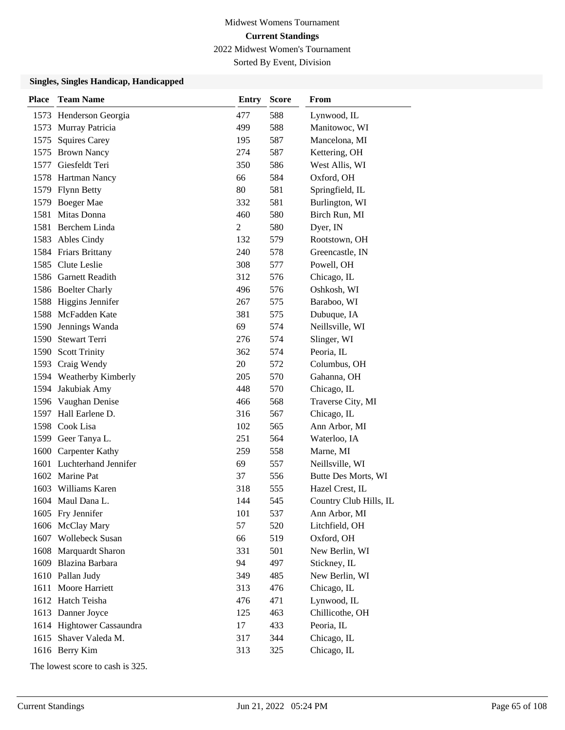Sorted By Event, Division

#### **Singles, Singles Handicap, Handicapped**

| <b>Place</b> | <b>Team Name</b>          | <b>Entry</b> | <b>Score</b> | From                   |
|--------------|---------------------------|--------------|--------------|------------------------|
|              | 1573 Henderson Georgia    | 477          | 588          | Lynwood, IL            |
|              | 1573 Murray Patricia      | 499          | 588          | Manitowoc, WI          |
| 1575         | <b>Squires Carey</b>      | 195          | 587          | Mancelona, MI          |
|              | 1575 Brown Nancy          | 274          | 587          | Kettering, OH          |
| 1577         | Giesfeldt Teri            | 350          | 586          | West Allis, WI         |
|              | 1578 Hartman Nancy        | 66           | 584          | Oxford, OH             |
|              | 1579 Flynn Betty          | 80           | 581          | Springfield, IL        |
|              | 1579 Boeger Mae           | 332          | 581          | Burlington, WI         |
| 1581         | Mitas Donna               | 460          | 580          | Birch Run, MI          |
| 1581         | Berchem Linda             | 2            | 580          | Dyer, IN               |
|              | 1583 Ables Cindy          | 132          | 579          | Rootstown, OH          |
|              | 1584 Friars Brittany      | 240          | 578          | Greencastle, IN        |
|              | 1585 Clute Leslie         | 308          | 577          | Powell, OH             |
|              | 1586 Garnett Readith      | 312          | 576          | Chicago, IL            |
|              | 1586 Boelter Charly       | 496          | 576          | Oshkosh, WI            |
|              | 1588 Higgins Jennifer     | 267          | 575          | Baraboo, WI            |
|              | 1588 McFadden Kate        | 381          | 575          | Dubuque, IA            |
| 1590         | Jennings Wanda            | 69           | 574          | Neillsville, WI        |
|              | 1590 Stewart Terri        | 276          | 574          | Slinger, WI            |
|              | 1590 Scott Trinity        | 362          | 574          | Peoria, IL             |
| 1593         | Craig Wendy               | 20           | 572          | Columbus, OH           |
|              | 1594 Weatherby Kimberly   | 205          | 570          | Gahanna, OH            |
|              | 1594 Jakubiak Amy         | 448          | 570          | Chicago, IL            |
|              | 1596 Vaughan Denise       | 466          | 568          | Traverse City, MI      |
|              | 1597 Hall Earlene D.      | 316          | 567          | Chicago, IL            |
| 1598         | Cook Lisa                 | 102          | 565          | Ann Arbor, MI          |
|              | 1599 Geer Tanya L.        | 251          | 564          | Waterloo, IA           |
| 1600         | <b>Carpenter Kathy</b>    | 259          | 558          | Marne, MI              |
|              | 1601 Luchterhand Jennifer | 69           | 557          | Neillsville, WI        |
|              | 1602 Marine Pat           | 37           | 556          | Butte Des Morts, WI    |
|              | 1603 Williams Karen       | 318          | 555          | Hazel Crest, IL        |
|              | 1604 Maul Dana L.         | 144          | 545          | Country Club Hills, IL |
|              | 1605 Fry Jennifer         | 101          | 537          | Ann Arbor, MI          |
|              | 1606 McClay Mary          | 57           | 520          | Litchfield, OH         |
|              | 1607 Wollebeck Susan      | 66           | 519          | Oxford, OH             |
|              | 1608 Marquardt Sharon     | 331          | 501          | New Berlin, WI         |
|              | 1609 Blazina Barbara      | 94           | 497          | Stickney, IL           |
|              | 1610 Pallan Judy          | 349          | 485          | New Berlin, WI         |
|              | 1611 Moore Harriett       | 313          | 476          | Chicago, IL            |
|              | 1612 Hatch Teisha         | 476          | 471          | Lynwood, IL            |
|              | 1613 Danner Joyce         | 125          | 463          | Chillicothe, OH        |
|              | 1614 Hightower Cassaundra | 17           | 433          | Peoria, IL             |
|              | 1615 Shaver Valeda M.     | 317          | 344          | Chicago, IL            |
|              | 1616 Berry Kim            | 313          | 325          | Chicago, IL            |

The lowest score to cash is 325.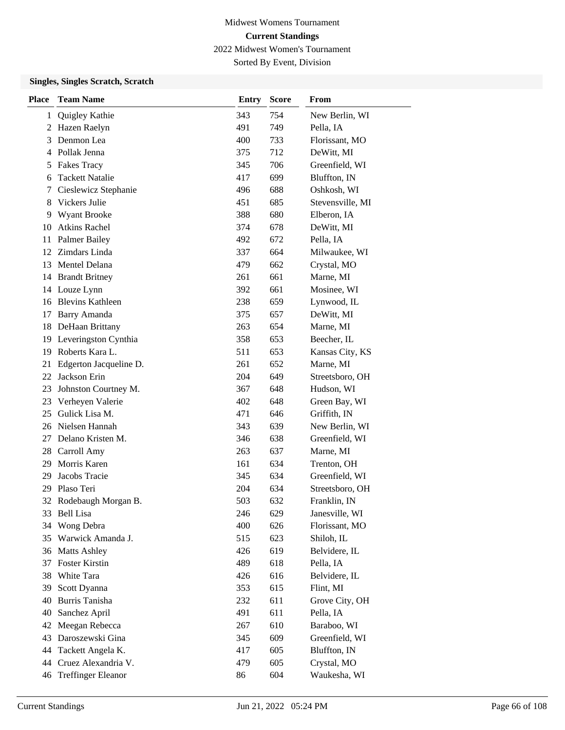Sorted By Event, Division

### **Singles, Singles Scratch, Scratch**

| <b>Place</b> | <b>Team Name</b>          | <b>Entry</b> | <b>Score</b> | From             |
|--------------|---------------------------|--------------|--------------|------------------|
| 1            | Quigley Kathie            | 343          | 754          | New Berlin, WI   |
| 2            | Hazen Raelyn              | 491          | 749          | Pella, IA        |
| 3            | Denmon Lea                | 400          | 733          | Florissant, MO   |
|              | 4 Pollak Jenna            | 375          | 712          | DeWitt, MI       |
| 5            | <b>Fakes Tracy</b>        | 345          | 706          | Greenfield, WI   |
| 6            | <b>Tackett Natalie</b>    | 417          | 699          | Bluffton, IN     |
| 7            | Cieslewicz Stephanie      | 496          | 688          | Oshkosh, WI      |
| 8            | Vickers Julie             | 451          | 685          | Stevensville, MI |
| 9            | Wyant Brooke              | 388          | 680          | Elberon, IA      |
| 10           | <b>Atkins Rachel</b>      | 374          | 678          | DeWitt, MI       |
| 11           | <b>Palmer Bailey</b>      | 492          | 672          | Pella, IA        |
| 12           | Zimdars Linda             | 337          | 664          | Milwaukee, WI    |
| 13           | Mentel Delana             | 479          | 662          | Crystal, MO      |
| 14           | <b>Brandt Britney</b>     | 261          | 661          | Marne, MI        |
| 14           | Louze Lynn                | 392          | 661          | Mosinee, WI      |
| 16           | <b>Blevins Kathleen</b>   | 238          | 659          | Lynwood, IL      |
| 17           | Barry Amanda              | 375          | 657          | DeWitt, MI       |
| 18           | DeHaan Brittany           | 263          | 654          | Marne, MI        |
| 19           | Leveringston Cynthia      | 358          | 653          | Beecher, IL      |
| 19           | Roberts Kara L.           | 511          | 653          | Kansas City, KS  |
| 21           | Edgerton Jacqueline D.    | 261          | 652          | Marne, MI        |
| 22           | Jackson Erin              | 204          | 649          | Streetsboro, OH  |
| 23           | Johnston Courtney M.      | 367          | 648          | Hudson, WI       |
| 23           | Verheyen Valerie          | 402          | 648          | Green Bay, WI    |
| 25           | Gulick Lisa M.            | 471          | 646          | Griffith, IN     |
| 26           | Nielsen Hannah            | 343          | 639          | New Berlin, WI   |
| 27           | Delano Kristen M.         | 346          | 638          | Greenfield, WI   |
|              | 28 Carroll Amy            | 263          | 637          | Marne, MI        |
| 29           | Morris Karen              | 161          | 634          | Trenton, OH      |
| 29           | Jacobs Tracie             | 345          | 634          | Greenfield, WI   |
| 29           | Plaso Teri                | 204          | 634          | Streetsboro, OH  |
| 32           | Rodebaugh Morgan B.       | 503          | 632          | Franklin, IN     |
| 33           | <b>Bell</b> Lisa          | 246          | 629          | Janesville, WI   |
| 34           | Wong Debra                | 400          | 626          | Florissant, MO   |
| 35           | Warwick Amanda J.         | 515          | 623          | Shiloh, IL       |
| 36           | <b>Matts Ashley</b>       | 426          | 619          | Belvidere, IL    |
| 37           | Foster Kirstin            | 489          | 618          | Pella, IA        |
| 38           | White Tara                | 426          | 616          | Belvidere, IL    |
| 39           | Scott Dyanna              | 353          | 615          | Flint, MI        |
| 40           | Burris Tanisha            | 232          | 611          | Grove City, OH   |
| 40           | Sanchez April             | 491          | 611          | Pella, IA        |
| 42           | Meegan Rebecca            | 267          | 610          | Baraboo, WI      |
| 43           | Daroszewski Gina          | 345          | 609          | Greenfield, WI   |
| 44           | Tackett Angela K.         | 417          | 605          | Bluffton, IN     |
| 44           | Cruez Alexandria V.       | 479          | 605          | Crystal, MO      |
| 46           | <b>Treffinger Eleanor</b> | 86           | 604          | Waukesha, WI     |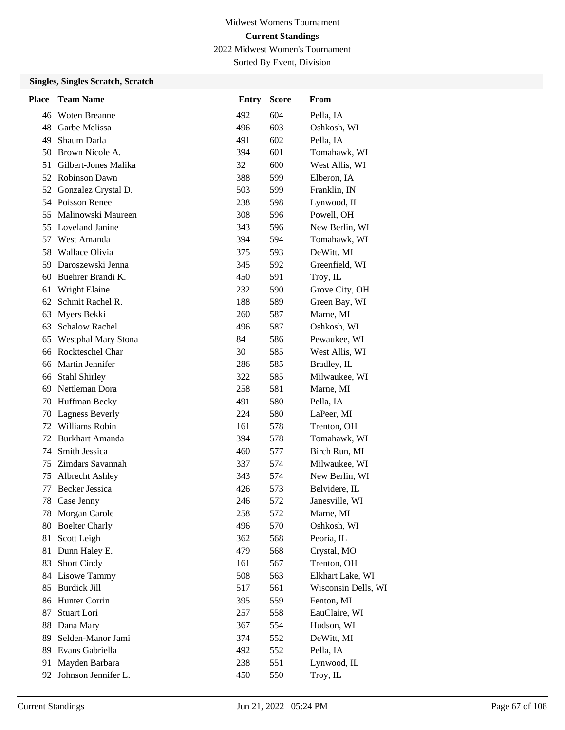Sorted By Event, Division

### **Singles, Singles Scratch, Scratch**

| <b>Place</b> | <b>Team Name</b>           | Entry | <b>Score</b> | From                |
|--------------|----------------------------|-------|--------------|---------------------|
| 46           | Woten Breanne              | 492   | 604          | Pella, IA           |
| 48           | Garbe Melissa              | 496   | 603          | Oshkosh, WI         |
| 49           | Shaum Darla                | 491   | 602          | Pella, IA           |
| 50           | Brown Nicole A.            | 394   | 601          | Tomahawk, WI        |
| 51           | Gilbert-Jones Malika       | 32    | 600          | West Allis, WI      |
| 52           | <b>Robinson Dawn</b>       | 388   | 599          | Elberon, IA         |
| 52           | Gonzalez Crystal D.        | 503   | 599          | Franklin, IN        |
|              | 54 Poisson Renee           | 238   | 598          | Lynwood, IL         |
| 55           | Malinowski Maureen         | 308   | 596          | Powell, OH          |
| 55           | Loveland Janine            | 343   | 596          | New Berlin, WI      |
| 57           | West Amanda                | 394   | 594          | Tomahawk, WI        |
| 58           | Wallace Olivia             | 375   | 593          | DeWitt, MI          |
| 59           | Daroszewski Jenna          | 345   | 592          | Greenfield, WI      |
| 60           | Buehrer Brandi K.          | 450   | 591          | Troy, IL            |
| 61           | Wright Elaine              | 232   | 590          | Grove City, OH      |
| 62           | Schmit Rachel R.           | 188   | 589          | Green Bay, WI       |
| 63           | Myers Bekki                | 260   | 587          | Marne, MI           |
| 63           | <b>Schalow Rachel</b>      | 496   | 587          | Oshkosh, WI         |
| 65           | <b>Westphal Mary Stona</b> | 84    | 586          | Pewaukee, WI        |
| 66           | Rockteschel Char           | 30    | 585          | West Allis, WI      |
| 66           | Martin Jennifer            | 286   | 585          | Bradley, IL         |
| 66           | Stahl Shirley              | 322   | 585          | Milwaukee, WI       |
| 69           | Nettleman Dora             | 258   | 581          | Marne, MI           |
| 70           | Huffman Becky              | 491   | 580          | Pella, IA           |
| 70           | <b>Lagness Beverly</b>     | 224   | 580          | LaPeer, MI          |
| 72           | Williams Robin             | 161   | 578          | Trenton, OH         |
| 72           | Burkhart Amanda            | 394   | 578          | Tomahawk, WI        |
| 74           | Smith Jessica              | 460   | 577          | Birch Run, MI       |
| 75           | Zimdars Savannah           | 337   | 574          | Milwaukee, WI       |
| 75           | <b>Albrecht Ashley</b>     | 343   | 574          | New Berlin, WI      |
| 77           | <b>Becker Jessica</b>      | 426   | 573          | Belvidere, IL       |
| 78           | Case Jenny                 | 246   | 572          | Janesville, WI      |
| 78           | Morgan Carole              | 258   | 572          | Marne, MI           |
| 80           | <b>Boelter Charly</b>      | 496   | 570          | Oshkosh, WI         |
| 81           | Scott Leigh                | 362   | 568          | Peoria, IL          |
| 81           | Dunn Haley E.              | 479   | 568          | Crystal, MO         |
| 83           | Short Cindy                | 161   | 567          | Trenton, OH         |
| 84           | Lisowe Tammy               | 508   | 563          | Elkhart Lake, WI    |
| 85           | <b>Burdick Jill</b>        | 517   | 561          | Wisconsin Dells, WI |
| 86           | Hunter Corrin              | 395   | 559          | Fenton, MI          |
| 87           | Stuart Lori                | 257   | 558          | EauClaire, WI       |
| 88           | Dana Mary                  | 367   | 554          | Hudson, WI          |
| 89           | Selden-Manor Jami          | 374   | 552          | DeWitt, MI          |
| 89           | Evans Gabriella            | 492   | 552          | Pella, IA           |
| 91           | Mayden Barbara             | 238   | 551          | Lynwood, IL         |
|              | 92 Johnson Jennifer L.     | 450   | 550          | Troy, IL            |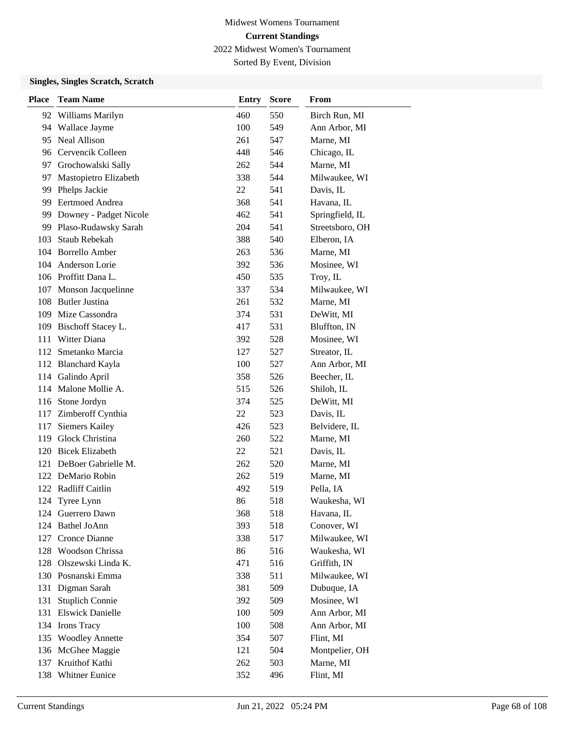Sorted By Event, Division

### **Singles, Singles Scratch, Scratch**

| <b>Place</b> | <b>Team Name</b>        | <b>Entry</b> | <b>Score</b> | From            |
|--------------|-------------------------|--------------|--------------|-----------------|
|              | 92 Williams Marilyn     | 460          | 550          | Birch Run, MI   |
|              | 94 Wallace Jayme        | 100          | 549          | Ann Arbor, MI   |
| 95           | Neal Allison            | 261          | 547          | Marne, MI       |
|              | 96 Cervencik Colleen    | 448          | 546          | Chicago, IL     |
| 97           | Grochowalski Sally      | 262          | 544          | Marne, MI       |
| 97           | Mastopietro Elizabeth   | 338          | 544          | Milwaukee, WI   |
| 99           | Phelps Jackie           | 22           | 541          | Davis, IL       |
|              | 99 Eertmoed Andrea      | 368          | 541          | Havana, IL      |
| 99           | Downey - Padget Nicole  | 462          | 541          | Springfield, IL |
| 99           | Plaso-Rudawsky Sarah    | 204          | 541          | Streetsboro, OH |
| 103          | Staub Rebekah           | 388          | 540          | Elberon, IA     |
|              | 104 Borrello Amber      | 263          | 536          | Marne, MI       |
|              | 104 Anderson Lorie      | 392          | 536          | Mosinee, WI     |
|              | 106 Proffitt Dana L.    | 450          | 535          | Troy, IL        |
| 107          | Monson Jacquelinne      | 337          | 534          | Milwaukee, WI   |
|              | 108 Butler Justina      | 261          | 532          | Marne, MI       |
| 109          | Mize Cassondra          | 374          | 531          | DeWitt, MI      |
| 109          | Bischoff Stacey L.      | 417          | 531          | Bluffton, IN    |
| 111          | Witter Diana            | 392          | 528          | Mosinee, WI     |
| 112          | Smetanko Marcia         | 127          | 527          | Streator, IL    |
| 112          | <b>Blanchard Kayla</b>  | 100          | 527          | Ann Arbor, MI   |
|              | 114 Galindo April       | 358          | 526          | Beecher, IL     |
|              | 114 Malone Mollie A.    | 515          | 526          | Shiloh, IL      |
|              | 116 Stone Jordyn        | 374          | 525          | DeWitt, MI      |
| 117          | Zimberoff Cynthia       | 22           | 523          | Davis, IL       |
| 117          | <b>Siemers Kailey</b>   | 426          | 523          | Belvidere, IL   |
| 119          | Glock Christina         | 260          | 522          | Marne, MI       |
| 120          | <b>Bicek Elizabeth</b>  | 22           | 521          | Davis, IL       |
| 121          | DeBoer Gabrielle M.     | 262          | 520          | Marne, MI       |
|              | 122 DeMario Robin       | 262          | 519          | Marne, MI       |
|              | 122 Radliff Caitlin     | 492          | 519          | Pella, IA       |
| 124          | Tyree Lynn              | 86           | 518          | Waukesha, WI    |
| 124          | Guerrero Dawn           | 368          | 518          | Havana, IL      |
| 124          | <b>Bathel JoAnn</b>     | 393          | 518          | Conover, WI     |
| 127          | Cronce Dianne           | 338          | 517          | Milwaukee, WI   |
| 128          | Woodson Chrissa         | 86           | 516          | Waukesha, WI    |
| 128          | Olszewski Linda K.      | 471          | 516          | Griffith, IN    |
|              | 130 Posnanski Emma      | 338          | 511          | Milwaukee, WI   |
| 131          | Digman Sarah            | 381          | 509          | Dubuque, IA     |
| 131          | <b>Stuplich Connie</b>  | 392          | 509          | Mosinee, WI     |
| 131          | <b>Elswick Danielle</b> | 100          | 509          | Ann Arbor, MI   |
| 134          | Irons Tracy             | 100          | 508          | Ann Arbor, MI   |
| 135          | <b>Woodley Annette</b>  | 354          | 507          | Flint, MI       |
| 136          | McGhee Maggie           | 121          | 504          | Montpelier, OH  |
| 137          | Kruithof Kathi          | 262          | 503          | Marne, MI       |
| 138          | Whitner Eunice          | 352          | 496          | Flint, MI       |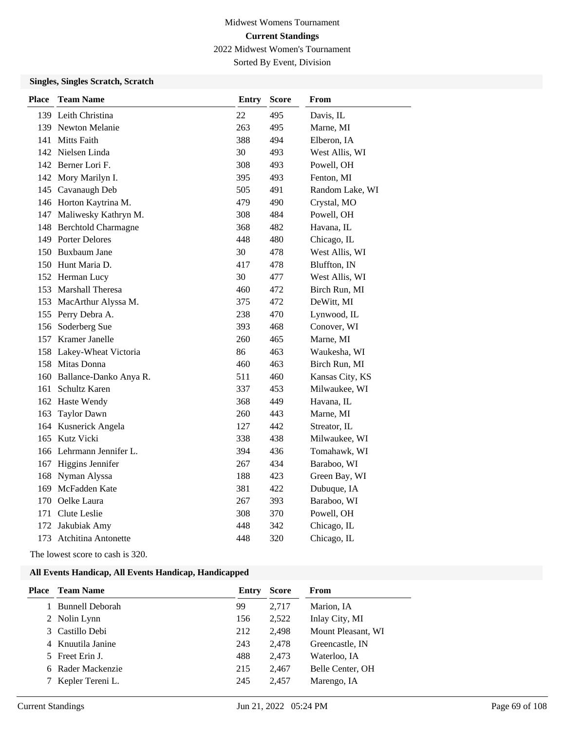Sorted By Event, Division

### **Singles, Singles Scratch, Scratch**

| <b>Place</b> | <b>Team Name</b>           | <b>Entry</b> | <b>Score</b> | From            |
|--------------|----------------------------|--------------|--------------|-----------------|
|              | 139 Leith Christina        | 22           | 495          | Davis, IL       |
|              | 139 Newton Melanie         | 263          | 495          | Marne, MI       |
|              | 141 Mitts Faith            | 388          | 494          | Elberon, IA     |
|              | 142 Nielsen Linda          | 30           | 493          | West Allis, WI  |
|              | 142 Berner Lori F.         | 308          | 493          | Powell, OH      |
|              | 142 Mory Marilyn I.        | 395          | 493          | Fenton, MI      |
|              | 145 Cavanaugh Deb          | 505          | 491          | Random Lake, WI |
|              | 146 Horton Kaytrina M.     | 479          | 490          | Crystal, MO     |
|              | 147 Maliwesky Kathryn M.   | 308          | 484          | Powell, OH      |
|              | 148 Berchtold Charmagne    | 368          | 482          | Havana, IL      |
|              | 149 Porter Delores         | 448          | 480          | Chicago, IL     |
|              | 150 Buxbaum Jane           | 30           | 478          | West Allis, WI  |
|              | 150 Hunt Maria D.          | 417          | 478          | Bluffton, IN    |
|              | 152 Herman Lucy            | 30           | 477          | West Allis, WI  |
|              | 153 Marshall Theresa       | 460          | 472          | Birch Run, MI   |
|              | 153 MacArthur Alyssa M.    | 375          | 472          | DeWitt, MI      |
|              | 155 Perry Debra A.         | 238          | 470          | Lynwood, IL     |
|              | 156 Soderberg Sue          | 393          | 468          | Conover, WI     |
|              | 157 Kramer Janelle         | 260          | 465          | Marne, MI       |
|              | 158 Lakey-Wheat Victoria   | 86           | 463          | Waukesha, WI    |
|              | 158 Mitas Donna            | 460          | 463          | Birch Run, MI   |
|              | 160 Ballance-Danko Anya R. | 511          | 460          | Kansas City, KS |
|              | 161 Schultz Karen          | 337          | 453          | Milwaukee, WI   |
|              | 162 Haste Wendy            | 368          | 449          | Havana, IL      |
| 163          | <b>Taylor Dawn</b>         | 260          | 443          | Marne, MI       |
|              | 164 Kusnerick Angela       | 127          | 442          | Streator, IL    |
| 165          | Kutz Vicki                 | 338          | 438          | Milwaukee, WI   |
|              | 166 Lehrmann Jennifer L.   | 394          | 436          | Tomahawk, WI    |
|              | 167 Higgins Jennifer       | 267          | 434          | Baraboo, WI     |
| 168          | Nyman Alyssa               | 188          | 423          | Green Bay, WI   |
| 169          | McFadden Kate              | 381          | 422          | Dubuque, IA     |
|              | 170 Oelke Laura            | 267          | 393          | Baraboo, WI     |
|              | 171 Clute Leslie           | 308          | 370          | Powell, OH      |
| 172          | Jakubiak Amy               | 448          | 342          | Chicago, IL     |
|              | 173 Atchitina Antonette    | 448          | 320          | Chicago, IL     |

The lowest score to cash is 320.

| Place | <b>Team Name</b>       | Entry | <b>Score</b> | From               |
|-------|------------------------|-------|--------------|--------------------|
|       | <b>Bunnell Deborah</b> | 99    | 2.717        | Marion, IA         |
|       | 2 Nolin Lynn           | 156   | 2,522        | Inlay City, MI     |
|       | 3 Castillo Debi        | 212   | 2,498        | Mount Pleasant, WI |
|       | 4 Knuutila Janine      | 243   | 2,478        | Greencastle, IN    |
|       | 5 Freet Erin J.        | 488   | 2,473        | Waterloo, IA       |
|       | 6 Rader Mackenzie      | 215   | 2,467        | Belle Center, OH   |
|       | Kepler Tereni L.       | 245   | 2,457        | Marengo, IA        |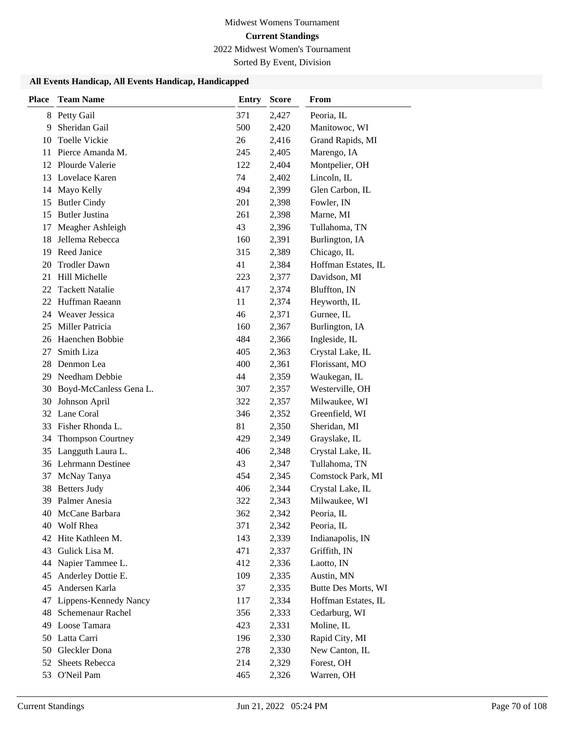# Midwest Womens Tournament **Current Standings**

2022 Midwest Women's Tournament

Sorted By Event, Division

| <b>Place</b> | <b>Team Name</b>                 | <b>Entry</b> | <b>Score</b>   | From                             |
|--------------|----------------------------------|--------------|----------------|----------------------------------|
| 8            | Petty Gail                       | 371          | 2,427          | Peoria, IL                       |
| 9            | Sheridan Gail                    | 500          | 2,420          | Manitowoc, WI                    |
| 10           | <b>Toelle Vickie</b>             | 26           | 2,416          | Grand Rapids, MI                 |
| 11           | Pierce Amanda M.                 | 245          | 2,405          | Marengo, IA                      |
|              | 12 Plourde Valerie               | 122          | 2,404          | Montpelier, OH                   |
| 13           | Lovelace Karen                   | 74           | 2,402          | Lincoln, IL                      |
| 14           | Mayo Kelly                       | 494          | 2,399          | Glen Carbon, IL                  |
| 15           | <b>Butler Cindy</b>              | 201          | 2,398          | Fowler, IN                       |
| 15           | <b>Butler Justina</b>            | 261          | 2,398          | Marne, MI                        |
| 17           | Meagher Ashleigh                 | 43           | 2,396          | Tullahoma, TN                    |
| 18           | Jellema Rebecca                  | 160          | 2,391          | Burlington, IA                   |
| 19           | Reed Janice                      | 315          | 2,389          | Chicago, IL                      |
| 20           | <b>Trodler Dawn</b>              | 41           | 2,384          | Hoffman Estates, IL              |
| 21           | Hill Michelle                    | 223          | 2,377          | Davidson, MI                     |
| 22           | <b>Tackett Natalie</b>           | 417          | 2,374          | Bluffton, IN                     |
| 22           | Huffman Raeann                   | 11           | 2,374          | Heyworth, IL                     |
| 24           | Weaver Jessica                   | 46           | 2,371          | Gurnee, IL                       |
| 25           | Miller Patricia                  | 160          | 2,367          | Burlington, IA                   |
| 26           | Haenchen Bobbie                  | 484          | 2,366          | Ingleside, IL                    |
| 27           | Smith Liza                       | 405          | 2,363          | Crystal Lake, IL                 |
| 28           | Denmon Lea                       | 400          | 2,361          | Florissant, MO                   |
| 29           | Needham Debbie                   | 44           | 2,359          | Waukegan, IL                     |
| 30           | Boyd-McCanless Gena L.           | 307          | 2,357          | Westerville, OH                  |
| 30           | Johnson April                    | 322          | 2,357          | Milwaukee, WI                    |
| 32           | Lane Coral                       | 346          | 2,352          | Greenfield, WI                   |
| 33           | Fisher Rhonda L.                 | 81           | 2,350          | Sheridan, MI                     |
| 34           | <b>Thompson Courtney</b>         | 429          | 2,349          | Grayslake, IL                    |
| 35           | Langguth Laura L.                | 406          | 2,348          | Crystal Lake, IL                 |
|              | 36 Lehrmann Destinee             | 43           | 2,347          | Tullahoma, TN                    |
| 37           | McNay Tanya                      | 454          | 2,345          | Comstock Park, MI                |
| 38           | <b>Betters Judy</b>              | 406          | 2,344          | Crystal Lake, IL                 |
|              | 39 Palmer Anesia                 | 322          | 2,343          | Milwaukee, WI                    |
|              | 40 McCane Barbara                | 362          | 2,342          | Peoria, IL                       |
| 40           | Wolf Rhea<br>42 Hite Kathleen M. | 371          | 2,342<br>2,339 | Peoria, IL                       |
| 43           | Gulick Lisa M.                   | 143<br>471   | 2,337          | Indianapolis, IN<br>Griffith, IN |
| 44           | Napier Tammee L.                 | 412          | 2,336          | Laotto, IN                       |
| 45           | Anderley Dottie E.               | 109          | 2,335          | Austin, MN                       |
| 45           | Andersen Karla                   | 37           | 2,335          | Butte Des Morts, WI              |
| 47           | Lippens-Kennedy Nancy            | 117          | 2,334          | Hoffman Estates, IL              |
| 48           | Schemenaur Rachel                | 356          | 2,333          | Cedarburg, WI                    |
| 49           | Loose Tamara                     | 423          | 2,331          | Moline, IL                       |
| 50           | Latta Carri                      | 196          | 2,330          | Rapid City, MI                   |
| 50           | Gleckler Dona                    | 278          | 2,330          | New Canton, IL                   |
| 52           | Sheets Rebecca                   | 214          | 2,329          | Forest, OH                       |
| 53           | O'Neil Pam                       | 465          | 2,326          | Warren, OH                       |
|              |                                  |              |                |                                  |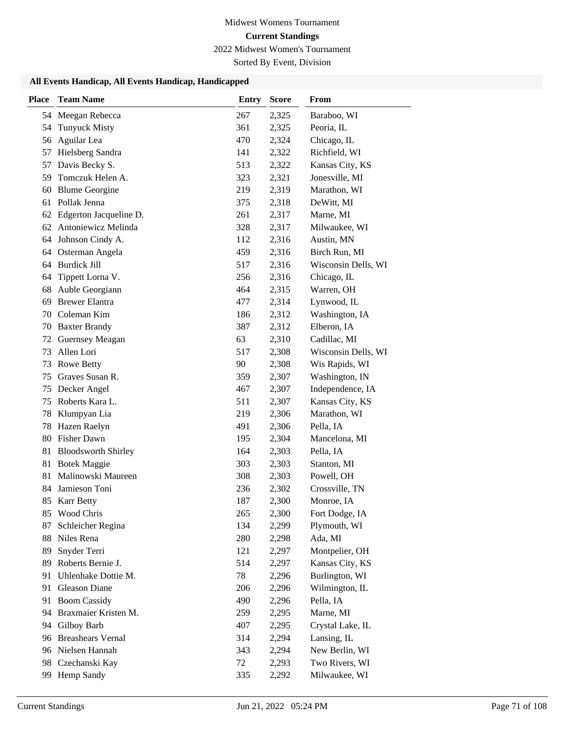# Midwest Womens Tournament **Current Standings**

2022 Midwest Women's Tournament

Sorted By Event, Division

| <b>Place</b> | <b>Team Name</b>           | <b>Entry</b> | <b>Score</b> | From                |
|--------------|----------------------------|--------------|--------------|---------------------|
| 54           | Meegan Rebecca             | 267          | 2,325        | Baraboo, WI         |
| 54           | <b>Tunyuck Misty</b>       | 361          | 2,325        | Peoria, IL          |
| 56           | Aguilar Lea                | 470          | 2,324        | Chicago, IL         |
| 57           | Hielsberg Sandra           | 141          | 2,322        | Richfield, WI       |
| 57           | Davis Becky S.             | 513          | 2,322        | Kansas City, KS     |
| 59           | Tomczuk Helen A.           | 323          | 2,321        | Jonesville, MI      |
| 60           | <b>Blume Georgine</b>      | 219          | 2,319        | Marathon, WI        |
| 61           | Pollak Jenna               | 375          | 2,318        | DeWitt, MI          |
| 62           | Edgerton Jacqueline D.     | 261          | 2,317        | Marne, MI           |
| 62           | Antoniewicz Melinda        | 328          | 2,317        | Milwaukee, WI       |
| 64           | Johnson Cindy A.           | 112          | 2,316        | Austin, MN          |
| 64           | Osterman Angela            | 459          | 2,316        | Birch Run, MI       |
| 64           | <b>Burdick Jill</b>        | 517          | 2,316        | Wisconsin Dells, WI |
| 64           | Tippett Lorna V.           | 256          | 2,316        | Chicago, IL         |
| 68           | Auble Georgiann            | 464          | 2,315        | Warren, OH          |
| 69           | <b>Brewer Elantra</b>      | 477          | 2,314        | Lynwood, IL         |
| 70           | Coleman Kim                | 186          | 2,312        | Washington, IA      |
| 70           | <b>Baxter Brandy</b>       | 387          | 2,312        | Elberon, IA         |
| 72           | <b>Guernsey Meagan</b>     | 63           | 2,310        | Cadillac, MI        |
| 73           | Allen Lori                 | 517          | 2,308        | Wisconsin Dells, WI |
| 73           | Rowe Betty                 | 90           | 2,308        | Wis Rapids, WI      |
| 75           | Graves Susan R.            | 359          | 2,307        | Washington, IN      |
| 75           | Decker Angel               | 467          | 2,307        | Independence, IA    |
| 75           | Roberts Kara L.            | 511          | 2,307        | Kansas City, KS     |
| 78           | Klumpyan Lia               | 219          | 2,306        | Marathon, WI        |
| 78           | Hazen Raelyn               | 491          | 2,306        | Pella, IA           |
| 80           | Fisher Dawn                | 195          | 2,304        | Mancelona, MI       |
| 81           | <b>Bloodsworth Shirley</b> | 164          | 2,303        | Pella, IA           |
| 81           | <b>Botek Maggie</b>        | 303          | 2,303        | Stanton, MI         |
| 81           | Malinowski Maureen         | 308          | 2,303        | Powell, OH          |
| 84           | Jamieson Toni              | 236          | 2,302        | Crossville, TN      |
| 85           | <b>Karr Betty</b>          | 187          | 2,300        | Monroe, IA          |
|              | 85 Wood Chris              | 265          | 2,300        | Fort Dodge, IA      |
| 87           | Schleicher Regina          | 134          | 2,299        | Plymouth, WI        |
| 88           | Niles Rena                 | 280          | 2,298        | Ada, MI             |
| 89           | Snyder Terri               | 121          | 2,297        | Montpelier, OH      |
| 89           | Roberts Bernie J.          | 514          | 2,297        | Kansas City, KS     |
| 91           | Uhlenhake Dottie M.        | 78           | 2,296        | Burlington, WI      |
| 91           | Gleason Diane              | 206          | 2,296        | Wilmington, IL      |
| 91           | <b>Boom Cassidy</b>        | 490          | 2,296        | Pella, IA           |
| 94           | Braxmaier Kristen M.       | 259          | 2,295        | Marne, MI           |
| 94           | Gilboy Barb                | 407          | 2,295        | Crystal Lake, IL    |
|              | 96 Breashears Vernal       | 314          | 2,294        | Lansing, IL         |
|              | 96 Nielsen Hannah          | 343          | 2,294        | New Berlin, WI      |
| 98           | Czechanski Kay             | 72           | 2,293        | Two Rivers, WI      |
| 99           | Hemp Sandy                 | 335          | 2,292        | Milwaukee, WI       |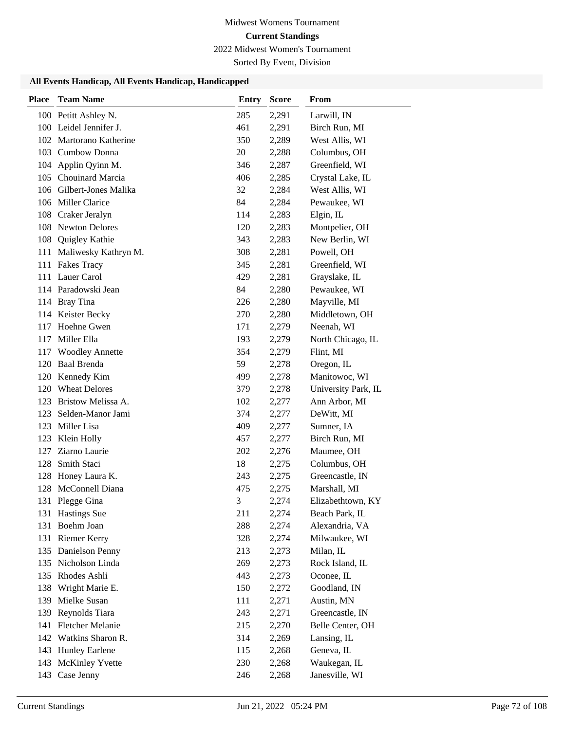# Midwest Womens Tournament **Current Standings**

2022 Midwest Women's Tournament

Sorted By Event, Division

| <b>Place</b> | <b>Team Name</b>         | <b>Entry</b> | <b>Score</b> | <b>From</b>         |
|--------------|--------------------------|--------------|--------------|---------------------|
|              | 100 Petitt Ashley N.     | 285          | 2,291        | Larwill, IN         |
|              | 100 Leidel Jennifer J.   | 461          | 2,291        | Birch Run, MI       |
|              | 102 Martorano Katherine  | 350          | 2,289        | West Allis, WI      |
| 103          | Cumbow Donna             | 20           | 2,288        | Columbus, OH        |
| 104          | Applin Qyinn M.          | 346          | 2,287        | Greenfield, WI      |
|              | 105 Chouinard Marcia     | 406          | 2,285        | Crystal Lake, IL    |
|              | 106 Gilbert-Jones Malika | 32           | 2,284        | West Allis, WI      |
| 106          | Miller Clarice           | 84           | 2,284        | Pewaukee, WI        |
| 108          | Craker Jeralyn           | 114          | 2,283        | Elgin, IL           |
| 108          | <b>Newton Delores</b>    | 120          | 2,283        | Montpelier, OH      |
| 108          | Quigley Kathie           | 343          | 2,283        | New Berlin, WI      |
| 111          | Maliwesky Kathryn M.     | 308          | 2,281        | Powell, OH          |
|              | 111 Fakes Tracy          | 345          | 2,281        | Greenfield, WI      |
|              | 111 Lauer Carol          | 429          | 2,281        | Grayslake, IL       |
|              | 114 Paradowski Jean      | 84           | 2,280        | Pewaukee, WI        |
|              | 114 Bray Tina            | 226          | 2,280        | Mayville, MI        |
|              | 114 Keister Becky        | 270          | 2,280        | Middletown, OH      |
| 117          | Hoehne Gwen              | 171          | 2,279        | Neenah, WI          |
| 117          | Miller Ella              | 193          | 2,279        | North Chicago, IL   |
| 117          | <b>Woodley Annette</b>   | 354          | 2,279        | Flint, MI           |
| 120          | <b>Baal Brenda</b>       | 59           | 2,278        | Oregon, IL          |
| 120          | Kennedy Kim              | 499          | 2,278        | Manitowoc, WI       |
|              | 120 Wheat Delores        | 379          | 2,278        | University Park, IL |
| 123          | Bristow Melissa A.       | 102          | 2,277        | Ann Arbor, MI       |
| 123          | Selden-Manor Jami        | 374          | 2,277        | DeWitt, MI          |
| 123          | Miller Lisa              | 409          | 2,277        | Sumner, IA          |
| 123          | Klein Holly              | 457          | 2,277        | Birch Run, MI       |
| 127          | Ziarno Laurie            | 202          | 2,276        | Maumee, OH          |
| 128          | Smith Staci              | 18           | 2,275        | Columbus, OH        |
| 128          | Honey Laura K.           | 243          | 2,275        | Greencastle, IN     |
| 128          | McConnell Diana          | 475          | 2,275        | Marshall, MI        |
| 131          | Plegge Gina              | 3            | 2,274        | Elizabethtown, KY   |
|              | 131 Hastings Sue         | 211          | 2,274        | Beach Park, IL      |
| 131          | Boehm Joan               | 288          | 2,274        | Alexandria, VA      |
|              | 131 Riemer Kerry         | 328          | 2,274        | Milwaukee, WI       |
|              | 135 Danielson Penny      | 213          | 2,273        | Milan, IL           |
|              | 135 Nicholson Linda      | 269          | 2,273        | Rock Island, IL     |
| 135          | Rhodes Ashli             | 443          | 2,273        | Oconee, IL          |
| 138          | Wright Marie E.          | 150          | 2,272        | Goodland, IN        |
| 139          | Mielke Susan             | 111          | 2,271        | Austin, MN          |
| 139          | Reynolds Tiara           | 243          | 2,271        | Greencastle, IN     |
| 141          | Fletcher Melanie         | 215          | 2,270        | Belle Center, OH    |
| 142          | Watkins Sharon R.        | 314          | 2,269        | Lansing, IL         |
| 143          | <b>Hunley Earlene</b>    | 115          | 2,268        | Geneva, IL          |
| 143          | McKinley Yvette          | 230          | 2,268        | Waukegan, IL        |
| 143          | Case Jenny               | 246          | 2,268        | Janesville, WI      |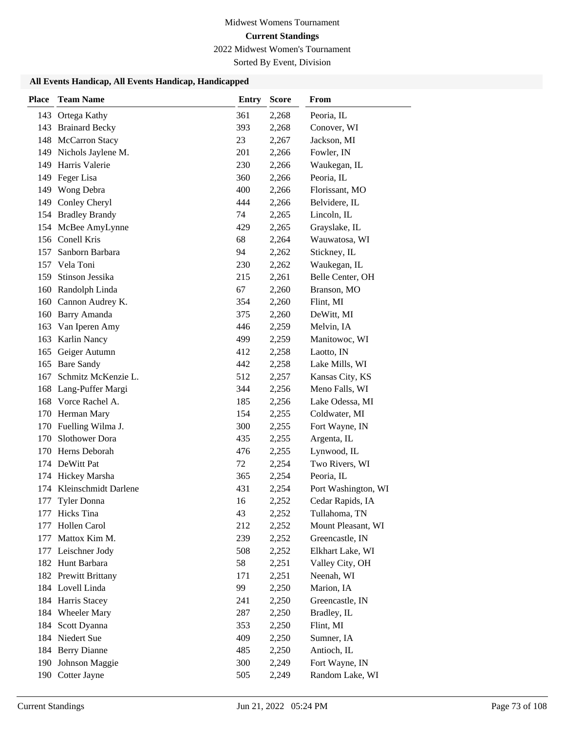2022 Midwest Women's Tournament

Sorted By Event, Division

| <b>Place</b> | <b>Team Name</b>         | <b>Entry</b> | <b>Score</b> | <b>From</b>         |
|--------------|--------------------------|--------------|--------------|---------------------|
|              | 143 Ortega Kathy         | 361          | 2,268        | Peoria, IL          |
|              | 143 Brainard Becky       | 393          | 2,268        | Conover, WI         |
| 148          | McCarron Stacy           | 23           | 2,267        | Jackson, MI         |
|              | 149 Nichols Jaylene M.   | 201          | 2,266        | Fowler, IN          |
|              | 149 Harris Valerie       | 230          | 2,266        | Waukegan, IL        |
|              | 149 Feger Lisa           | 360          | 2,266        | Peoria, IL          |
| 149          | Wong Debra               | 400          | 2,266        | Florissant, MO      |
| 149          | Conley Cheryl            | 444          | 2,266        | Belvidere, IL       |
|              | 154 Bradley Brandy       | 74           | 2,265        | Lincoln, IL         |
|              | 154 McBee AmyLynne       | 429          | 2,265        | Grayslake, IL       |
|              | 156 Conell Kris          | 68           | 2,264        | Wauwatosa, WI       |
|              | 157 Sanborn Barbara      | 94           | 2,262        | Stickney, IL        |
|              | 157 Vela Toni            | 230          | 2,262        | Waukegan, IL        |
|              | 159 Stinson Jessika      | 215          | 2,261        | Belle Center, OH    |
|              | 160 Randolph Linda       | 67           | 2,260        | Branson, MO         |
| 160          | Cannon Audrey K.         | 354          | 2,260        | Flint, MI           |
|              | 160 Barry Amanda         | 375          | 2,260        | DeWitt, MI          |
| 163          | Van Iperen Amy           | 446          | 2,259        | Melvin, IA          |
| 163          | <b>Karlin Nancy</b>      | 499          | 2,259        | Manitowoc, WI       |
| 165          | Geiger Autumn            | 412          | 2,258        | Laotto, IN          |
|              | 165 Bare Sandy           | 442          | 2,258        | Lake Mills, WI      |
|              | 167 Schmitz McKenzie L.  | 512          | 2,257        | Kansas City, KS     |
|              | 168 Lang-Puffer Margi    | 344          | 2,256        | Meno Falls, WI      |
|              | 168 Vorce Rachel A.      | 185          | 2,256        | Lake Odessa, MI     |
|              | 170 Herman Mary          | 154          | 2,255        | Coldwater, MI       |
|              | 170 Fuelling Wilma J.    | 300          | 2,255        | Fort Wayne, IN      |
| 170          | <b>Slothower Dora</b>    | 435          | 2,255        | Argenta, IL         |
| 170          | Herns Deborah            | 476          | 2,255        | Lynwood, IL         |
|              | 174 DeWitt Pat           | 72           | 2,254        | Two Rivers, WI      |
|              | 174 Hickey Marsha        | 365          | 2,254        | Peoria, IL          |
|              | 174 Kleinschmidt Darlene | 431          | 2,254        | Port Washington, WI |
| 177          | Tyler Donna              | 16           | 2,252        | Cedar Rapids, IA    |
|              | 177 Hicks Tina           | 43           | 2,252        | Tullahoma, TN       |
|              | 177 Hollen Carol         | 212          | 2,252        | Mount Pleasant, WI  |
|              | 177 Mattox Kim M.        | 239          | 2,252        | Greencastle, IN     |
|              | 177 Leischner Jody       | 508          | 2,252        | Elkhart Lake, WI    |
|              | 182 Hunt Barbara         | 58           | 2,251        | Valley City, OH     |
|              | 182 Prewitt Brittany     | 171          | 2,251        | Neenah, WI          |
|              | 184 Lovell Linda         | 99           | 2,250        | Marion, IA          |
|              | 184 Harris Stacey        | 241          | 2,250        | Greencastle, IN     |
|              | 184 Wheeler Mary         | 287          | 2,250        | Bradley, IL         |
|              | 184 Scott Dyanna         | 353          | 2,250        | Flint, MI           |
|              | 184 Niedert Sue          | 409          | 2,250        | Sumner, IA          |
|              | 184 Berry Dianne         | 485          | 2,250        | Antioch, IL         |
| 190          | Johnson Maggie           | 300          | 2,249        | Fort Wayne, IN      |
|              | 190 Cotter Jayne         | 505          | 2,249        | Random Lake, WI     |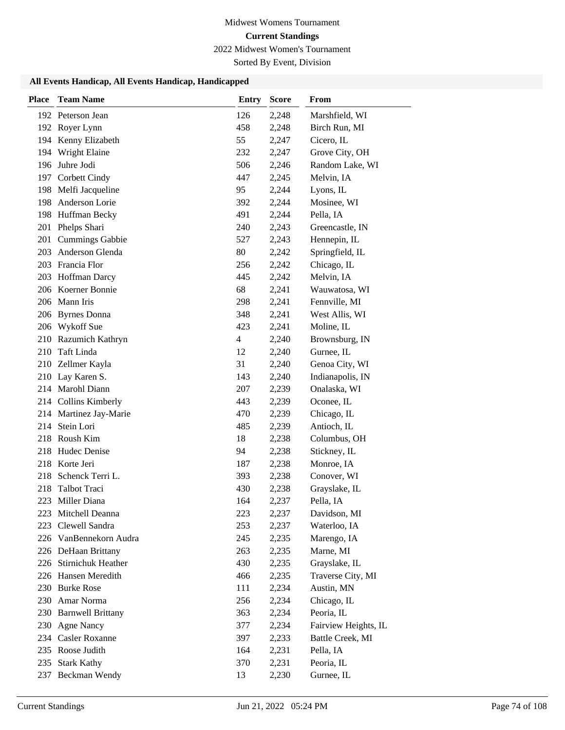2022 Midwest Women's Tournament

Sorted By Event, Division

| <b>Place</b> | <b>Team Name</b>       | <b>Entry</b> | <b>Score</b> | From                 |
|--------------|------------------------|--------------|--------------|----------------------|
|              | 192 Peterson Jean      | 126          | 2,248        | Marshfield, WI       |
|              | 192 Royer Lynn         | 458          | 2,248        | Birch Run, MI        |
|              | 194 Kenny Elizabeth    | 55           | 2,247        | Cicero, IL           |
| 194          | Wright Elaine          | 232          | 2,247        | Grove City, OH       |
| 196          | Juhre Jodi             | 506          | 2,246        | Random Lake, WI      |
| 197          | Corbett Cindy          | 447          | 2,245        | Melvin, IA           |
| 198          | Melfi Jacqueline       | 95           | 2,244        | Lyons, IL            |
| 198          | Anderson Lorie         | 392          | 2,244        | Mosinee, WI          |
| 198          | Huffman Becky          | 491          | 2,244        | Pella, IA            |
| 201          | Phelps Shari           | 240          | 2,243        | Greencastle, IN      |
| 201          | <b>Cummings Gabbie</b> | 527          | 2,243        | Hennepin, IL         |
| 203          | Anderson Glenda        | 80           | 2,242        | Springfield, IL      |
|              | 203 Francia Flor       | 256          | 2,242        | Chicago, IL          |
|              | 203 Hoffman Darcy      | 445          | 2,242        | Melvin, IA           |
|              | 206 Koerner Bonnie     | 68           | 2,241        | Wauwatosa, WI        |
|              | 206 Mann Iris          | 298          | 2,241        | Fennville, MI        |
| 206          | <b>Byrnes</b> Donna    | 348          | 2,241        | West Allis, WI       |
| 206          | Wykoff Sue             | 423          | 2,241        | Moline, IL           |
| 210          | Razumich Kathryn       | 4            | 2,240        | Brownsburg, IN       |
| 210          | Taft Linda             | 12           | 2,240        | Gurnee, IL           |
|              | 210 Zellmer Kayla      | 31           | 2,240        | Genoa City, WI       |
| 210          | Lay Karen S.           | 143          | 2,240        | Indianapolis, IN     |
|              | 214 Marohl Diann       | 207          | 2,239        | Onalaska, WI         |
|              | 214 Collins Kimberly   | 443          | 2,239        | Oconee, IL           |
|              | 214 Martinez Jay-Marie | 470          | 2,239        | Chicago, IL          |
| 214          | Stein Lori             | 485          | 2,239        | Antioch, IL          |
| 218          | Roush Kim              | 18           | 2,238        | Columbus, OH         |
| 218          | Hudec Denise           | 94           | 2,238        | Stickney, IL         |
| 218          | Korte Jeri             | 187          | 2,238        | Monroe, IA           |
| 218          | Schenck Terri L.       | 393          | 2,238        | Conover, WI          |
| 218          | Talbot Traci           | 430          | 2,238        | Grayslake, IL        |
| 223          | Miller Diana           | 164          | 2,237        | Pella, IA            |
|              | 223 Mitchell Deanna    | 223          | 2,237        | Davidson, MI         |
|              | 223 Clewell Sandra     | 253          | 2,237        | Waterloo, IA         |
|              | 226 VanBennekorn Audra | 245          | 2,235        | Marengo, IA          |
|              | 226 DeHaan Brittany    | 263          | 2,235        | Marne, MI            |
|              | 226 Stirnichuk Heather | 430          | 2,235        | Grayslake, IL        |
|              | 226 Hansen Meredith    | 466          | 2,235        | Traverse City, MI    |
|              | 230 Burke Rose         | 111          | 2,234        | Austin, MN           |
| 230          | Amar Norma             | 256          | 2,234        | Chicago, IL          |
|              | 230 Barnwell Brittany  | 363          | 2,234        | Peoria, IL           |
| 230          | <b>Agne Nancy</b>      | 377          | 2,234        | Fairview Heights, IL |
|              | 234 Casler Roxanne     | 397          | 2,233        | Battle Creek, MI     |
|              | 235 Roose Judith       | 164          | 2,231        | Pella, IA            |
| 235          | <b>Stark Kathy</b>     | 370          | 2,231        | Peoria, IL           |
| 237          | Beckman Wendy          | 13           | 2,230        | Gurnee, IL           |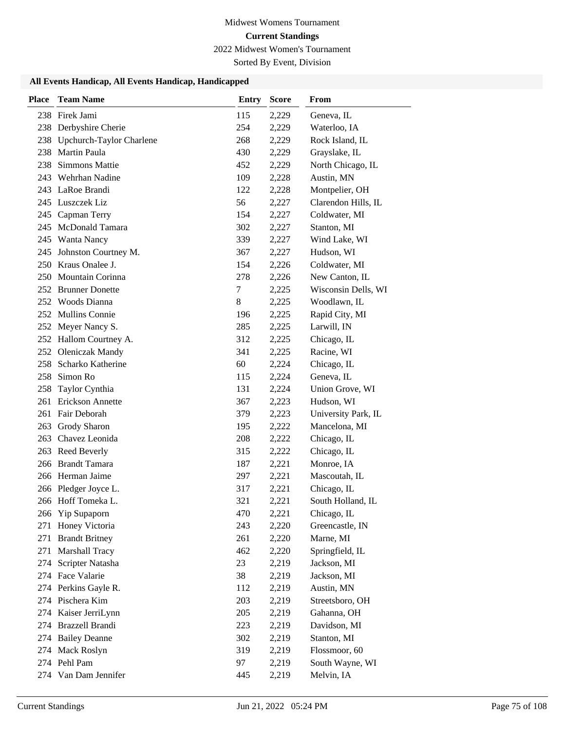2022 Midwest Women's Tournament

Sorted By Event, Division

| <b>Place</b> | <b>Team Name</b>                | <b>Entry</b> | <b>Score</b> | From                |
|--------------|---------------------------------|--------------|--------------|---------------------|
|              | 238 Firek Jami                  | 115          | 2,229        | Geneva, IL          |
| 238          | Derbyshire Cherie               | 254          | 2,229        | Waterloo, IA        |
| 238          | <b>Upchurch-Taylor Charlene</b> | 268          | 2,229        | Rock Island, IL     |
| 238          | Martin Paula                    | 430          | 2,229        | Grayslake, IL       |
| 238          | Simmons Mattie                  | 452          | 2,229        | North Chicago, IL   |
|              | 243 Wehrhan Nadine              | 109          | 2,228        | Austin, MN          |
|              | 243 LaRoe Brandi                | 122          | 2,228        | Montpelier, OH      |
|              | 245 Luszczek Liz                | 56           | 2,227        | Clarendon Hills, IL |
| 245          | Capman Terry                    | 154          | 2,227        | Coldwater, MI       |
| 245          | <b>McDonald Tamara</b>          | 302          | 2,227        | Stanton, MI         |
| 245          | Wanta Nancy                     | 339          | 2,227        | Wind Lake, WI       |
| 245          | Johnston Courtney M.            | 367          | 2,227        | Hudson, WI          |
|              | 250 Kraus Onalee J.             | 154          | 2,226        | Coldwater, MI       |
|              | 250 Mountain Corinna            | 278          | 2,226        | New Canton, IL      |
|              | 252 Brunner Donette             | 7            | 2,225        | Wisconsin Dells, WI |
|              | 252 Woods Dianna                | 8            | 2,225        | Woodlawn, IL        |
| 252          | <b>Mullins Connie</b>           | 196          | 2,225        | Rapid City, MI      |
|              | 252 Meyer Nancy S.              | 285          | 2,225        | Larwill, IN         |
|              | 252 Hallom Courtney A.          | 312          | 2,225        | Chicago, IL         |
|              | 252 Oleniczak Mandy             | 341          | 2,225        | Racine, WI          |
| 258          | Scharko Katherine               | 60           | 2,224        | Chicago, IL         |
| 258          | Simon Ro                        | 115          | 2,224        | Geneva, IL          |
| 258          | Taylor Cynthia                  | 131          | 2,224        | Union Grove, WI     |
| 261          | Erickson Annette                | 367          | 2,223        | Hudson, WI          |
| 261          | Fair Deborah                    | 379          | 2,223        | University Park, IL |
| 263          | Grody Sharon                    | 195          | 2,222        | Mancelona, MI       |
| 263          | Chavez Leonida                  | 208          | 2,222        | Chicago, IL         |
| 263          | Reed Beverly                    | 315          | 2,222        | Chicago, IL         |
| 266          | <b>Brandt Tamara</b>            | 187          | 2,221        | Monroe, IA          |
|              | 266 Herman Jaime                | 297          | 2,221        | Mascoutah, IL       |
|              | 266 Pledger Joyce L.            | 317          | 2,221        | Chicago, IL         |
|              | 266 Hoff Tomeka L.              | 321          | 2,221        | South Holland, IL   |
| 266          | Yip Supaporn                    | 470          | 2,221        | Chicago, IL         |
| 271          | Honey Victoria                  | 243          | 2,220        | Greencastle, IN     |
| 271          | <b>Brandt Britney</b>           | 261          | 2,220        | Marne, MI           |
| 271          | Marshall Tracy                  | 462          | 2,220        | Springfield, IL     |
| 274          | Scripter Natasha                | 23           | 2,219        | Jackson, MI         |
|              | 274 Face Valarie                | 38           | 2,219        | Jackson, MI         |
|              | 274 Perkins Gayle R.            | 112          | 2,219        | Austin, MN          |
|              | 274 Pischera Kim                | 203          | 2,219        | Streetsboro, OH     |
| 274          | Kaiser JerriLynn                | 205          | 2,219        | Gahanna, OH         |
| 274          | Brazzell Brandi                 | 223          | 2,219        | Davidson, MI        |
|              | 274 Bailey Deanne               | 302          | 2,219        | Stanton, MI         |
|              | 274 Mack Roslyn                 | 319          | 2,219        | Flossmoor, 60       |
|              | 274 Pehl Pam                    | 97           | 2,219        | South Wayne, WI     |
|              | 274 Van Dam Jennifer            | 445          | 2,219        | Melvin, IA          |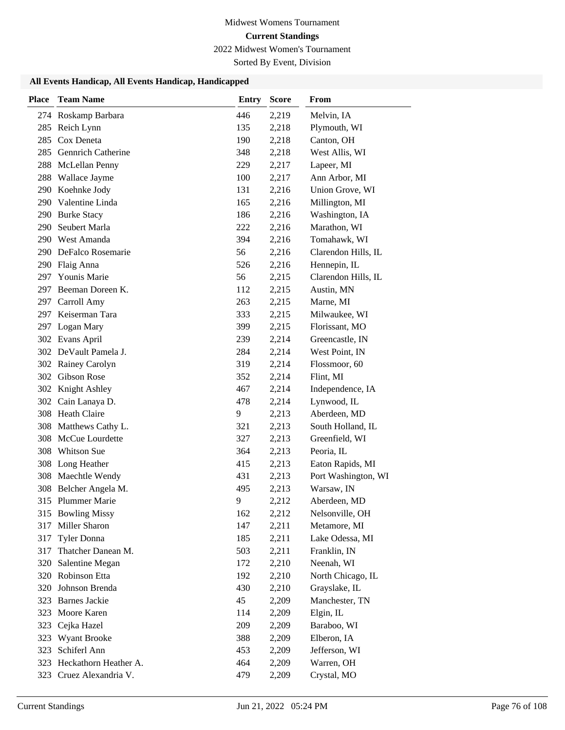2022 Midwest Women's Tournament

Sorted By Event, Division

| <b>Place</b> | <b>Team Name</b>                       | <b>Entry</b> | <b>Score</b>   | From                            |
|--------------|----------------------------------------|--------------|----------------|---------------------------------|
|              | 274 Roskamp Barbara                    | 446          | 2,219          | Melvin, IA                      |
|              | 285 Reich Lynn                         | 135          | 2,218          | Plymouth, WI                    |
| 285          | Cox Deneta                             | 190          | 2,218          | Canton, OH                      |
| 285          | <b>Gennrich Catherine</b>              | 348          | 2,218          | West Allis, WI                  |
| 288          | McLellan Penny                         | 229          | 2,217          | Lapeer, MI                      |
| 288          | Wallace Jayme                          | 100          | 2,217          | Ann Arbor, MI                   |
|              | 290 Koehnke Jody                       | 131          | 2,216          | Union Grove, WI                 |
| 290          | Valentine Linda                        | 165          | 2,216          | Millington, MI                  |
|              | 290 Burke Stacy                        | 186          | 2,216          | Washington, IA                  |
| 290          | Seubert Marla                          | 222          | 2,216          | Marathon, WI                    |
|              | 290 West Amanda                        | 394          | 2,216          | Tomahawk, WI                    |
|              | 290 DeFalco Rosemarie                  | 56           | 2,216          | Clarendon Hills, IL             |
|              | 290 Flaig Anna                         | 526          | 2,216          | Hennepin, IL                    |
| 297          | <b>Younis Marie</b>                    | 56           | 2,215          | Clarendon Hills, IL             |
|              | 297 Beeman Doreen K.                   | 112          | 2,215          | Austin, MN                      |
| 297          | Carroll Amy                            | 263          | 2,215          | Marne, MI                       |
| 297          | Keiserman Tara                         | 333          | 2,215          | Milwaukee, WI                   |
|              | 297 Logan Mary                         | 399          | 2,215          | Florissant, MO                  |
|              | 302 Evans April                        | 239          | 2,214          | Greencastle, IN                 |
|              | 302 DeVault Pamela J.                  | 284          | 2,214          | West Point, IN                  |
|              | 302 Rainey Carolyn                     | 319          | 2,214          | Flossmoor, 60                   |
|              | 302 Gibson Rose                        | 352          | 2,214          | Flint, MI                       |
|              | 302 Knight Ashley                      | 467          | 2,214          | Independence, IA                |
|              | 302 Cain Lanaya D.                     | 478          | 2,214          | Lynwood, IL                     |
|              | 308 Heath Claire                       | 9            | 2,213          | Aberdeen, MD                    |
| 308          | Matthews Cathy L.                      | 321          | 2,213          | South Holland, IL               |
| 308          | McCue Lourdette                        | 327          | 2,213          | Greenfield, WI                  |
| 308          | <b>Whitson Sue</b>                     | 364          | 2,213          | Peoria, IL                      |
| 308          | Long Heather                           | 415          | 2,213          | Eaton Rapids, MI                |
|              | 308 Maechtle Wendy                     | 431          | 2,213          | Port Washington, WI             |
|              | 308 Belcher Angela M.                  | 495          | 2,213          | Warsaw, IN                      |
|              | 315 Plummer Marie<br>315 Bowling Missy | 9<br>162     | 2,212<br>2,212 | Aberdeen, MD<br>Nelsonville, OH |
| 317          | Miller Sharon                          | 147          | 2,211          | Metamore, MI                    |
| 317          | Tyler Donna                            | 185          | 2,211          | Lake Odessa, MI                 |
| 317          | Thatcher Danean M.                     | 503          | 2,211          | Franklin, IN                    |
| 320          | Salentine Megan                        | 172          | 2,210          | Neenah, WI                      |
| 320          | Robinson Etta                          | 192          | 2,210          | North Chicago, IL               |
| 320          | Johnson Brenda                         | 430          | 2,210          | Grayslake, IL                   |
| 323          | <b>Barnes Jackie</b>                   | 45           | 2,209          | Manchester, TN                  |
| 323          | Moore Karen                            | 114          | 2,209          | Elgin, IL                       |
| 323          | Cejka Hazel                            | 209          | 2,209          | Baraboo, WI                     |
| 323          | <b>Wyant Brooke</b>                    | 388          | 2,209          | Elberon, IA                     |
| 323          | Schiferl Ann                           | 453          | 2,209          | Jefferson, WI                   |
| 323          | Heckathorn Heather A.                  | 464          | 2,209          | Warren, OH                      |
|              | 323 Cruez Alexandria V.                | 479          | 2,209          | Crystal, MO                     |
|              |                                        |              |                |                                 |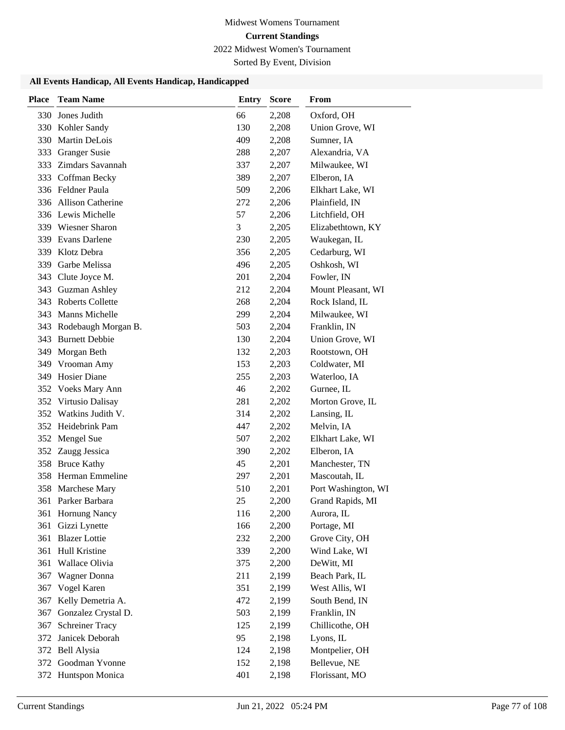2022 Midwest Women's Tournament

Sorted By Event, Division

| <b>Place</b> | <b>Team Name</b>        | <b>Entry</b> | <b>Score</b> | From                |
|--------------|-------------------------|--------------|--------------|---------------------|
| 330          | Jones Judith            | 66           | 2,208        | Oxford, OH          |
|              | 330 Kohler Sandy        | 130          | 2,208        | Union Grove, WI     |
| 330          | Martin DeLois           | 409          | 2,208        | Sumner, IA          |
|              | 333 Granger Susie       | 288          | 2,207        | Alexandria, VA      |
|              | 333 Zimdars Savannah    | 337          | 2,207        | Milwaukee, WI       |
| 333          | Coffman Becky           | 389          | 2,207        | Elberon, IA         |
|              | 336 Feldner Paula       | 509          | 2,206        | Elkhart Lake, WI    |
|              | 336 Allison Catherine   | 272          | 2,206        | Plainfield, IN      |
|              | 336 Lewis Michelle      | 57           | 2,206        | Litchfield, OH      |
|              | 339 Wiesner Sharon      | 3            | 2,205        | Elizabethtown, KY   |
|              | 339 Evans Darlene       | 230          | 2,205        | Waukegan, IL        |
| 339          | Klotz Debra             | 356          | 2,205        | Cedarburg, WI       |
| 339          | Garbe Melissa           | 496          | 2,205        | Oshkosh, WI         |
| 343          | Clute Joyce M.          | 201          | 2,204        | Fowler, IN          |
|              | 343 Guzman Ashley       | 212          | 2,204        | Mount Pleasant, WI  |
|              | 343 Roberts Collette    | 268          | 2,204        | Rock Island, IL     |
|              | 343 Manns Michelle      | 299          | 2,204        | Milwaukee, WI       |
|              | 343 Rodebaugh Morgan B. | 503          | 2,204        | Franklin, IN        |
|              | 343 Burnett Debbie      | 130          | 2,204        | Union Grove, WI     |
| 349          | Morgan Beth             | 132          | 2,203        | Rootstown, OH       |
|              | 349 Vrooman Amy         | 153          | 2,203        | Coldwater, MI       |
| 349          | <b>Hosier Diane</b>     | 255          | 2,203        | Waterloo, IA        |
| 352          | <b>Voeks Mary Ann</b>   | 46           | 2,202        | Gurnee, IL          |
|              | 352 Virtusio Dalisay    | 281          | 2,202        | Morton Grove, IL    |
|              | 352 Watkins Judith V.   | 314          | 2,202        | Lansing, IL         |
|              | 352 Heidebrink Pam      | 447          | 2,202        | Melvin, IA          |
|              | 352 Mengel Sue          | 507          | 2,202        | Elkhart Lake, WI    |
|              | 352 Zaugg Jessica       | 390          | 2,202        | Elberon, IA         |
| 358          | <b>Bruce Kathy</b>      | 45           | 2,201        | Manchester, TN      |
|              | 358 Herman Emmeline     | 297          | 2,201        | Mascoutah, IL       |
| 358          | Marchese Mary           | 510          | 2,201        | Port Washington, WI |
| 361          | Parker Barbara          | 25           | 2,200        | Grand Rapids, MI    |
| 361          | Hornung Nancy           | 116          | 2,200        | Aurora, IL          |
| 361          | Gizzi Lynette           | 166          | 2,200        | Portage, MI         |
| 361          | <b>Blazer</b> Lottie    | 232          | 2,200        | Grove City, OH      |
| 361          | Hull Kristine           | 339          | 2,200        | Wind Lake, WI       |
| 361          | Wallace Olivia          | 375          | 2,200        | DeWitt, MI          |
| 367          | Wagner Donna            | 211          | 2,199        | Beach Park, IL      |
| 367          | Vogel Karen             | 351          | 2,199        | West Allis, WI      |
| 367          | Kelly Demetria A.       | 472          | 2,199        | South Bend, IN      |
| 367          | Gonzalez Crystal D.     | 503          | 2,199        | Franklin, IN        |
| 367          | <b>Schreiner Tracy</b>  | 125          | 2,199        | Chillicothe, OH     |
| 372          | Janicek Deborah         | 95           | 2,198        | Lyons, IL           |
|              | 372 Bell Alysia         | 124          | 2,198        | Montpelier, OH      |
|              | 372 Goodman Yvonne      | 152          | 2,198        | Bellevue, NE        |
|              | 372 Huntspon Monica     | 401          | 2,198        | Florissant, MO      |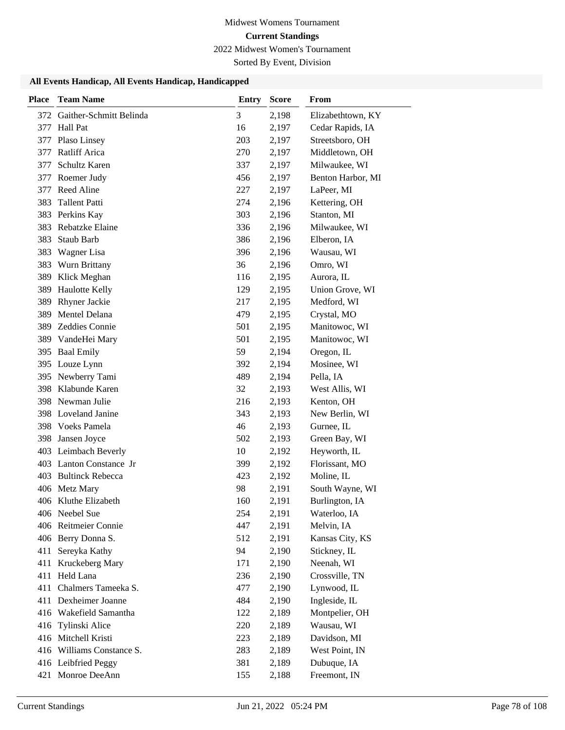2022 Midwest Women's Tournament

Sorted By Event, Division

| Place | <b>Team Name</b>                       | <b>Entry</b> | <b>Score</b>   | From                       |
|-------|----------------------------------------|--------------|----------------|----------------------------|
|       | 372 Gaither-Schmitt Belinda            | 3            | 2,198          | Elizabethtown, KY          |
| 377   | Hall Pat                               | 16           | 2,197          | Cedar Rapids, IA           |
| 377   | Plaso Linsey                           | 203          | 2,197          | Streetsboro, OH            |
| 377   | Ratliff Arica                          | 270          | 2,197          | Middletown, OH             |
| 377   | Schultz Karen                          | 337          | 2,197          | Milwaukee, WI              |
| 377   | Roemer Judy                            | 456          | 2,197          | Benton Harbor, MI          |
| 377   | Reed Aline                             | 227          | 2,197          | LaPeer, MI                 |
| 383   | <b>Tallent Patti</b>                   | 274          | 2,196          | Kettering, OH              |
| 383   | Perkins Kay                            | 303          | 2,196          | Stanton, MI                |
| 383   | Rebatzke Elaine                        | 336          | 2,196          | Milwaukee, WI              |
| 383   | Staub Barb                             | 386          | 2,196          | Elberon, IA                |
| 383   | Wagner Lisa                            | 396          | 2,196          | Wausau, WI                 |
| 383   | Wurn Brittany                          | 36           | 2,196          | Omro, WI                   |
| 389   | Klick Meghan                           | 116          | 2,195          | Aurora, IL                 |
| 389   | <b>Haulotte Kelly</b>                  | 129          | 2,195          | Union Grove, WI            |
| 389   | Rhyner Jackie                          | 217          | 2,195          | Medford, WI                |
| 389   | Mentel Delana                          | 479          | 2,195          | Crystal, MO                |
| 389   | Zeddies Connie                         | 501          | 2,195          | Manitowoc, WI              |
| 389   | VandeHei Mary                          | 501          | 2,195          | Manitowoc, WI              |
| 395   | <b>Baal Emily</b>                      | 59           | 2,194          | Oregon, IL                 |
| 395   | Louze Lynn                             | 392          | 2,194          | Mosinee, WI                |
| 395   | Newberry Tami                          | 489          | 2,194          | Pella, IA                  |
| 398   | Klabunde Karen                         | 32           | 2,193          | West Allis, WI             |
| 398   | Newman Julie                           | 216          | 2,193          | Kenton, OH                 |
| 398   | Loveland Janine                        | 343          | 2,193          | New Berlin, WI             |
| 398   | Voeks Pamela                           | 46           | 2,193          | Gurnee, IL                 |
| 398   | Jansen Joyce                           | 502          | 2,193          | Green Bay, WI              |
| 403   | Leimbach Beverly                       | 10           | 2,192          | Heyworth, IL               |
| 403   | Lanton Constance Jr                    | 399          | 2,192          | Florissant, MO             |
| 403   | <b>Bultinck Rebecca</b>                | 423          | 2,192          | Moline, IL                 |
|       | 406 Metz Mary                          | 98           | 2,191          | South Wayne, WI            |
|       | 406 Kluthe Elizabeth<br>406 Neebel Sue | 160<br>254   | 2,191          | Burlington, IA             |
|       | 406 Reitmeier Connie                   | 447          | 2,191<br>2,191 | Waterloo, IA<br>Melvin, IA |
|       | 406 Berry Donna S.                     | 512          | 2,191          | Kansas City, KS            |
| 411   | Sereyka Kathy                          | 94           | 2,190          | Stickney, IL               |
| 411   | Kruckeberg Mary                        | 171          | 2,190          | Neenah, WI                 |
| 411   | Held Lana                              | 236          | 2,190          | Crossville, TN             |
| 411   | Chalmers Tameeka S.                    | 477          | 2,190          | Lynwood, IL                |
| 411   | Dexheimer Joanne                       | 484          | 2,190          | Ingleside, IL              |
|       | 416 Wakefield Samantha                 | 122          | 2,189          | Montpelier, OH             |
| 416   | Tylinski Alice                         | 220          | 2,189          | Wausau, WI                 |
|       | 416 Mitchell Kristi                    | 223          | 2,189          | Davidson, MI               |
|       | 416 Williams Constance S.              | 283          | 2,189          | West Point, IN             |
|       | 416 Leibfried Peggy                    | 381          | 2,189          | Dubuque, IA                |
|       | 421 Monroe DeeAnn                      | 155          | 2,188          | Freemont, IN               |
|       |                                        |              |                |                            |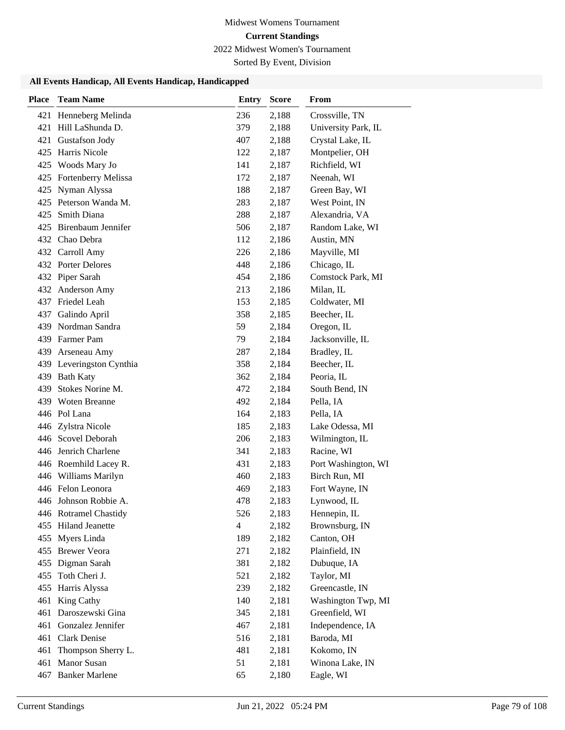2022 Midwest Women's Tournament

Sorted By Event, Division

| <b>Place</b> | <b>Team Name</b>          | <b>Entry</b>   | <b>Score</b> | From                |
|--------------|---------------------------|----------------|--------------|---------------------|
|              | 421 Henneberg Melinda     | 236            | 2,188        | Crossville, TN      |
| 421          | Hill LaShunda D.          | 379            | 2,188        | University Park, IL |
| 421          | Gustafson Jody            | 407            | 2,188        | Crystal Lake, IL    |
| 425          | Harris Nicole             | 122            | 2,187        | Montpelier, OH      |
| 425          | Woods Mary Jo             | 141            | 2,187        | Richfield, WI       |
| 425          | Fortenberry Melissa       | 172            | 2,187        | Neenah, WI          |
| 425          | Nyman Alyssa              | 188            | 2,187        | Green Bay, WI       |
| 425          | Peterson Wanda M.         | 283            | 2,187        | West Point, IN      |
| 425          | Smith Diana               | 288            | 2,187        | Alexandria, VA      |
| 425          | <b>Birenbaum Jennifer</b> | 506            | 2,187        | Random Lake, WI     |
|              | 432 Chao Debra            | 112            | 2,186        | Austin, MN          |
|              | 432 Carroll Amy           | 226            | 2,186        | Mayville, MI        |
|              | 432 Porter Delores        | 448            | 2,186        | Chicago, IL         |
|              | 432 Piper Sarah           | 454            | 2,186        | Comstock Park, MI   |
|              | 432 Anderson Amy          | 213            | 2,186        | Milan, IL           |
|              | 437 Friedel Leah          | 153            | 2,185        | Coldwater, MI       |
| 437          | Galindo April             | 358            | 2,185        | Beecher, IL         |
| 439          | Nordman Sandra            | 59             | 2,184        | Oregon, IL          |
|              | 439 Farmer Pam            | 79             | 2,184        | Jacksonville, IL    |
| 439          | Arseneau Amy              | 287            | 2,184        | Bradley, IL         |
|              | 439 Leveringston Cynthia  | 358            | 2,184        | Beecher, IL         |
|              | 439 Bath Katy             | 362            | 2,184        | Peoria, IL          |
| 439          | Stokes Norine M.          | 472            | 2,184        | South Bend, IN      |
|              | 439 Woten Breanne         | 492            | 2,184        | Pella, IA           |
|              | 446 Pol Lana              | 164            | 2,183        | Pella, IA           |
|              | 446 Zylstra Nicole        | 185            | 2,183        | Lake Odessa, MI     |
|              | 446 Scovel Deborah        | 206            | 2,183        | Wilmington, IL      |
| 446          | Jenrich Charlene          | 341            | 2,183        | Racine, WI          |
|              | 446 Roemhild Lacey R.     | 431            | 2,183        | Port Washington, WI |
|              | 446 Williams Marilyn      | 460            | 2,183        | Birch Run, MI       |
|              | 446 Felon Leonora         | 469            | 2,183        | Fort Wayne, IN      |
|              | 446 Johnson Robbie A.     | 478            | 2,183        | Lynwood, IL         |
|              | 446 Rotramel Chastidy     | 526            | 2,183        | Hennepin, IL        |
|              | 455 Hiland Jeanette       | $\overline{4}$ | 2,182        | Brownsburg, IN      |
|              | 455 Myers Linda           | 189            | 2,182        | Canton, OH          |
|              | 455 Brewer Veora          | 271            | 2,182        | Plainfield, IN      |
| 455          | Digman Sarah              | 381            | 2,182        | Dubuque, IA         |
| 455          | Toth Cheri J.             | 521            | 2,182        | Taylor, MI          |
| 455          | Harris Alyssa             | 239            | 2,182        | Greencastle, IN     |
| 461          | King Cathy                | 140            | 2,181        | Washington Twp, MI  |
| 461          | Daroszewski Gina          | 345            | 2,181        | Greenfield, WI      |
| 461          | Gonzalez Jennifer         | 467            | 2,181        | Independence, IA    |
| 461          | Clark Denise              | 516            | 2,181        | Baroda, MI          |
| 461          | Thompson Sherry L.        | 481            | 2,181        | Kokomo, IN          |
| 461          | Manor Susan               | 51             | 2,181        | Winona Lake, IN     |
| 467          | <b>Banker Marlene</b>     | 65             | 2,180        | Eagle, WI           |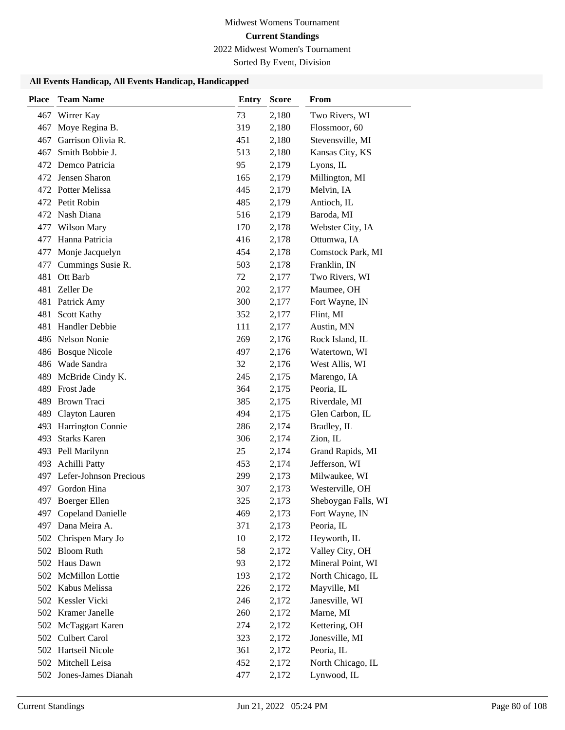2022 Midwest Women's Tournament

Sorted By Event, Division

| <b>Place</b> | <b>Team Name</b>           | <b>Entry</b> | <b>Score</b> | From                |
|--------------|----------------------------|--------------|--------------|---------------------|
| 467          | Wirrer Kay                 | 73           | 2,180        | Two Rivers, WI      |
| 467          | Moye Regina B.             | 319          | 2,180        | Flossmoor, 60       |
| 467          | Garrison Olivia R.         | 451          | 2,180        | Stevensville, MI    |
| 467          | Smith Bobbie J.            | 513          | 2,180        | Kansas City, KS     |
| 472.         | Demco Patricia             | 95           | 2,179        | Lyons, IL           |
|              | 472 Jensen Sharon          | 165          | 2,179        | Millington, MI      |
|              | 472 Potter Melissa         | 445          | 2,179        | Melvin, IA          |
|              | 472 Petit Robin            | 485          | 2,179        | Antioch, IL         |
| 472          | Nash Diana                 | 516          | 2,179        | Baroda, MI          |
| 477          | <b>Wilson Mary</b>         | 170          | 2,178        | Webster City, IA    |
| 477          | Hanna Patricia             | 416          | 2,178        | Ottumwa, IA         |
| 477          | Monje Jacquelyn            | 454          | 2,178        | Comstock Park, MI   |
| 477          | Cummings Susie R.          | 503          | 2,178        | Franklin, IN        |
| 481          | Ott Barb                   | $72\,$       | 2,177        | Two Rivers, WI      |
| 481          | Zeller De                  | 202          | 2,177        | Maumee, OH          |
| 481          | Patrick Amy                | 300          | 2,177        | Fort Wayne, IN      |
| 481          | Scott Kathy                | 352          | 2,177        | Flint, MI           |
| 481          | Handler Debbie             | 111          | 2,177        | Austin, MN          |
|              | 486 Nelson Nonie           | 269          | 2,176        | Rock Island, IL     |
| 486          | <b>Bosque Nicole</b>       | 497          | 2,176        | Watertown, WI       |
|              | 486 Wade Sandra            | 32           | 2,176        | West Allis, WI      |
| 489          | McBride Cindy K.           | 245          | 2,175        | Marengo, IA         |
|              | 489 Frost Jade             | 364          | 2,175        | Peoria, IL          |
| 489          | Brown Traci                | 385          | 2,175        | Riverdale, MI       |
| 489          | Clayton Lauren             | 494          | 2,175        | Glen Carbon, IL     |
| 493          | Harrington Connie          | 286          | 2,174        | Bradley, IL         |
| 493          | <b>Starks Karen</b>        | 306          | 2,174        | Zion, IL            |
| 493          | Pell Marilynn              | 25           | 2,174        | Grand Rapids, MI    |
| 493          | <b>Achilli Patty</b>       | 453          | 2,174        | Jefferson, WI       |
|              | 497 Lefer-Johnson Precious | 299          | 2,173        | Milwaukee, WI       |
|              | 497 Gordon Hina            | 307          | 2,173        | Westerville, OH     |
| 497          | Boerger Ellen              | 325          | 2,173        | Sheboygan Falls, WI |
| 497          | <b>Copeland Danielle</b>   | 469          | 2,173        | Fort Wayne, IN      |
| 497          | Dana Meira A.              | 371          | 2,173        | Peoria, IL          |
|              | 502 Chrispen Mary Jo       | 10           | 2,172        | Heyworth, IL        |
|              | 502 Bloom Ruth             | 58           | 2,172        | Valley City, OH     |
|              | 502 Haus Dawn              | 93           | 2,172        | Mineral Point, WI   |
|              | 502 McMillon Lottie        | 193          | 2,172        | North Chicago, IL   |
|              | 502 Kabus Melissa          | 226          | 2,172        | Mayville, MI        |
|              | 502 Kessler Vicki          | 246          | 2,172        | Janesville, WI      |
|              | 502 Kramer Janelle         | 260          | 2,172        | Marne, MI           |
|              | 502 McTaggart Karen        | 274          | 2,172        | Kettering, OH       |
|              | 502 Culbert Carol          | 323          | 2,172        | Jonesville, MI      |
|              | 502 Hartseil Nicole        | 361          | 2,172        | Peoria, IL          |
|              | 502 Mitchell Leisa         | 452          | 2,172        | North Chicago, IL   |
|              | 502 Jones-James Dianah     | 477          | 2,172        | Lynwood, IL         |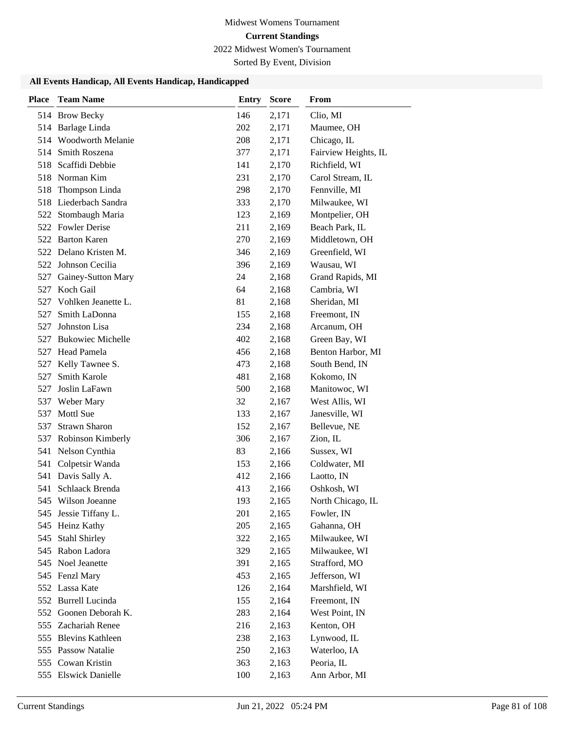2022 Midwest Women's Tournament

Sorted By Event, Division

| <b>Place</b> | <b>Team Name</b>                         | Entry      | <b>Score</b>   | From                           |
|--------------|------------------------------------------|------------|----------------|--------------------------------|
|              | 514 Brow Becky                           | 146        | 2,171          | Clio, MI                       |
|              | 514 Barlage Linda                        | 202        | 2,171          | Maumee, OH                     |
|              | 514 Woodworth Melanie                    | 208        | 2,171          | Chicago, IL                    |
| 514          | Smith Roszena                            | 377        | 2,171          | Fairview Heights, IL           |
| 518          | Scaffidi Debbie                          | 141        | 2,170          | Richfield, WI                  |
|              | 518 Norman Kim                           | 231        | 2,170          | Carol Stream, IL               |
| 518          | Thompson Linda                           | 298        | 2,170          | Fennville, MI                  |
|              | 518 Liederbach Sandra                    | 333        | 2,170          | Milwaukee, WI                  |
| 522          | Stombaugh Maria                          | 123        | 2,169          | Montpelier, OH                 |
| 522          | <b>Fowler Derise</b>                     | 211        | 2,169          | Beach Park, IL                 |
|              | 522 Barton Karen                         | 270        | 2,169          | Middletown, OH                 |
|              | 522 Delano Kristen M.                    | 346        | 2,169          | Greenfield, WI                 |
|              | 522 Johnson Cecilia                      | 396        | 2,169          | Wausau, WI                     |
| 527          | Gainey-Sutton Mary                       | 24         | 2,168          | Grand Rapids, MI               |
| 527          | Koch Gail                                | 64         | 2,168          | Cambria, WI                    |
| 527          | Vohlken Jeanette L.                      | 81         | 2,168          | Sheridan, MI                   |
| 527          | Smith LaDonna                            | 155        | 2,168          | Freemont, IN                   |
| 527          | Johnston Lisa                            | 234        | 2,168          | Arcanum, OH                    |
| 527          | <b>Bukowiec Michelle</b>                 | 402        | 2,168          | Green Bay, WI                  |
|              | 527 Head Pamela                          | 456        | 2,168          | Benton Harbor, MI              |
| 527          | Kelly Tawnee S.                          | 473        | 2,168          | South Bend, IN                 |
| 527          | <b>Smith Karole</b>                      | 481        | 2,168          | Kokomo, IN                     |
| 527          | Joslin LaFawn                            | 500        | 2,168          | Manitowoc, WI                  |
| 537          | Weber Mary                               | 32         | 2,167          | West Allis, WI                 |
| 537          | Mottl Sue                                | 133        | 2,167          | Janesville, WI                 |
| 537          | <b>Strawn Sharon</b>                     | 152        | 2,167          | Bellevue, NE                   |
| 537          | Robinson Kimberly                        | 306        | 2,167          | Zion, IL                       |
|              | 541 Nelson Cynthia                       | 83         | 2,166          | Sussex, WI                     |
| 541          | Colpetsir Wanda                          | 153        | 2,166          | Coldwater, MI                  |
|              | 541 Davis Sally A.                       | 412        | 2,166          | Laotto, IN                     |
| 541          | Schlaack Brenda                          | 413        | 2,166          | Oshkosh, WI                    |
|              | 545 Wilson Joeanne                       | 193        | 2,165          | North Chicago, IL              |
|              | 545 Jessie Tiffany L.                    | 201        | 2,165          | Fowler, IN                     |
|              | 545 Heinz Kathy                          | 205        | 2,165          | Gahanna, OH                    |
| 545          | <b>Stahl Shirley</b>                     | 322        | 2,165          | Milwaukee, WI                  |
|              | 545 Rabon Ladora                         | 329        | 2,165          | Milwaukee, WI                  |
|              | 545 Noel Jeanette                        | 391        | 2,165          | Strafford, MO                  |
|              | 545 Fenzl Mary<br>552 Lassa Kate         | 453        | 2,165          | Jefferson, WI                  |
|              |                                          | 126        | 2,164          | Marshfield, WI                 |
| 552          | 552 Burrell Lucinda<br>Goonen Deborah K. | 155<br>283 | 2,164          | Freemont, IN<br>West Point, IN |
|              | 555 Zachariah Renee                      | 216        | 2,164<br>2,163 | Kenton, OH                     |
|              | 555 Blevins Kathleen                     | 238        | 2,163          | Lynwood, IL                    |
|              | 555 Passow Natalie                       | 250        | 2,163          | Waterloo, IA                   |
| 555          | Cowan Kristin                            | 363        | 2,163          | Peoria, IL                     |
|              | 555 Elswick Danielle                     | 100        | 2,163          | Ann Arbor, MI                  |
|              |                                          |            |                |                                |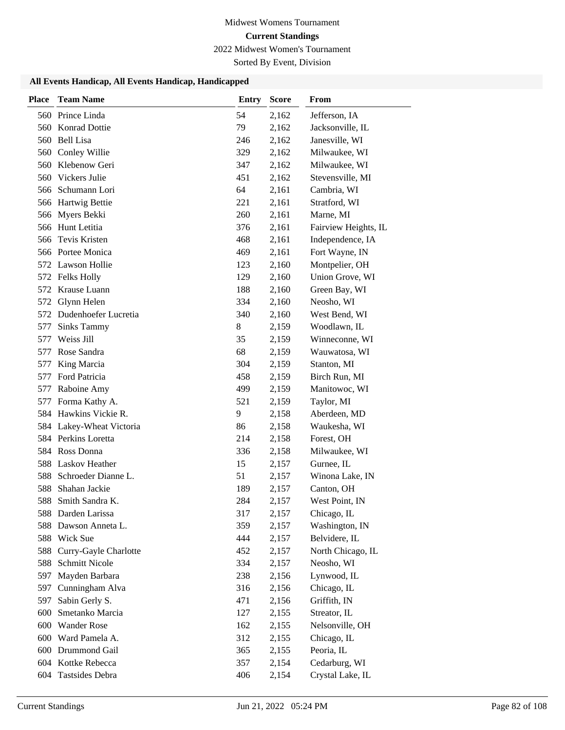2022 Midwest Women's Tournament

Sorted By Event, Division

| <b>Place</b> | <b>Team Name</b>         | <b>Entry</b> | <b>Score</b> | From                 |
|--------------|--------------------------|--------------|--------------|----------------------|
|              | 560 Prince Linda         | 54           | 2,162        | Jefferson, IA        |
| 560          | Konrad Dottie            | 79           | 2,162        | Jacksonville, IL     |
|              | 560 Bell Lisa            | 246          | 2,162        | Janesville, WI       |
|              | 560 Conley Willie        | 329          | 2,162        | Milwaukee, WI        |
| 560          | Klebenow Geri            | 347          | 2,162        | Milwaukee, WI        |
| 560          | Vickers Julie            | 451          | 2,162        | Stevensville, MI     |
|              | 566 Schumann Lori        | 64           | 2,161        | Cambria, WI          |
|              | 566 Hartwig Bettie       | 221          | 2,161        | Stratford, WI        |
| 566          | Myers Bekki              | 260          | 2,161        | Marne, MI            |
| 566          | Hunt Letitia             | 376          | 2,161        | Fairview Heights, IL |
| 566          | Tevis Kristen            | 468          | 2,161        | Independence, IA     |
|              | 566 Portee Monica        | 469          | 2,161        | Fort Wayne, IN       |
|              | 572 Lawson Hollie        | 123          | 2,160        | Montpelier, OH       |
|              | 572 Felks Holly          | 129          | 2,160        | Union Grove, WI      |
|              | 572 Krause Luann         | 188          | 2,160        | Green Bay, WI        |
|              | 572 Glynn Helen          | 334          | 2,160        | Neosho, WI           |
| 572          | Dudenhoefer Lucretia     | 340          | 2,160        | West Bend, WI        |
| 577          | <b>Sinks Tammy</b>       | 8            | 2,159        | Woodlawn, IL         |
| 577          | Weiss Jill               | 35           | 2,159        | Winneconne, WI       |
| 577          | Rose Sandra              | 68           | 2,159        | Wauwatosa, WI        |
| 577          | King Marcia              | 304          | 2,159        | Stanton, MI          |
| 577          | Ford Patricia            | 458          | 2,159        | Birch Run, MI        |
| 577          | Raboine Amy              | 499          | 2,159        | Manitowoc, WI        |
| 577          | Forma Kathy A.           | 521          | 2,159        | Taylor, MI           |
|              | 584 Hawkins Vickie R.    | 9            | 2,158        | Aberdeen, MD         |
|              | 584 Lakey-Wheat Victoria | 86           | 2,158        | Waukesha, WI         |
|              | 584 Perkins Loretta      | 214          | 2,158        | Forest, OH           |
|              | 584 Ross Donna           | 336          | 2,158        | Milwaukee, WI        |
| 588          | <b>Laskov Heather</b>    | 15           | 2,157        | Gurnee, IL           |
| 588          | Schroeder Dianne L.      | 51           | 2,157        | Winona Lake, IN      |
| 588          | Shahan Jackie            | 189          | 2,157        | Canton, OH           |
| 588          | Smith Sandra K.          | 284          | 2,157        | West Point, IN       |
|              | 588 Darden Larissa       | 317          | 2,157        | Chicago, IL          |
| 588          | Dawson Anneta L.         | 359          | 2,157        | Washington, IN       |
| 588          | Wick Sue                 | 444          | 2,157        | Belvidere, IL        |
| 588          | Curry-Gayle Charlotte    | 452          | 2,157        | North Chicago, IL    |
| 588          | <b>Schmitt Nicole</b>    | 334          | 2,157        | Neosho, WI           |
| 597          | Mayden Barbara           | 238          | 2,156        | Lynwood, IL          |
| 597          | Cunningham Alva          | 316          | 2,156        | Chicago, IL          |
| 597          | Sabin Gerly S.           | 471          | 2,156        | Griffith, IN         |
| 600          | Smetanko Marcia          | 127          | 2,155        | Streator, IL         |
| 600          | <b>Wander Rose</b>       | 162          | 2,155        | Nelsonville, OH      |
|              | 600 Ward Pamela A.       | 312          | 2,155        | Chicago, IL          |
| 600          | Drummond Gail            | 365          | 2,155        | Peoria, IL           |
| 604          | Kottke Rebecca           | 357          | 2,154        | Cedarburg, WI        |
| 604          | Tastsides Debra          | 406          | 2,154        | Crystal Lake, IL     |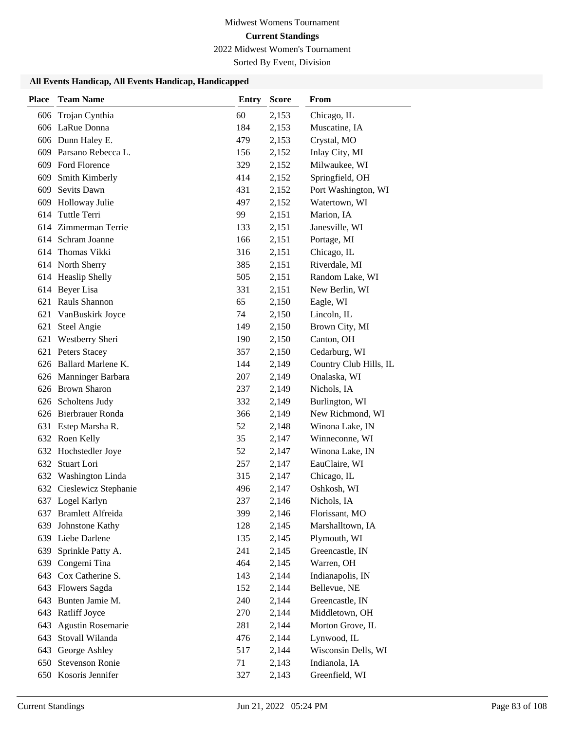2022 Midwest Women's Tournament

Sorted By Event, Division

| <b>Place</b> | <b>Team Name</b>                 | <b>Entry</b> | <b>Score</b>   | From                           |
|--------------|----------------------------------|--------------|----------------|--------------------------------|
| 606          | Trojan Cynthia                   | 60           | 2,153          | Chicago, IL                    |
|              | 606 LaRue Donna                  | 184          | 2,153          | Muscatine, IA                  |
|              | 606 Dunn Haley E.                | 479          | 2,153          | Crystal, MO                    |
|              | 609 Parsano Rebecca L.           | 156          | 2,152          | Inlay City, MI                 |
|              | 609 Ford Florence                | 329          | 2,152          | Milwaukee, WI                  |
| 609          | Smith Kimberly                   | 414          | 2,152          | Springfield, OH                |
| 609          | Sevits Dawn                      | 431          | 2,152          | Port Washington, WI            |
| 609          | Holloway Julie                   | 497          | 2,152          | Watertown, WI                  |
| 614          | Tuttle Terri                     | 99           | 2,151          | Marion, IA                     |
|              | 614 Zimmerman Terrie             | 133          | 2,151          | Janesville, WI                 |
|              | 614 Schram Joanne                | 166          | 2,151          | Portage, MI                    |
| 614          | Thomas Vikki                     | 316          | 2,151          | Chicago, IL                    |
|              | 614 North Sherry                 | 385          | 2,151          | Riverdale, MI                  |
|              | 614 Heaslip Shelly               | 505          | 2,151          | Random Lake, WI                |
|              | 614 Beyer Lisa                   | 331          | 2,151          | New Berlin, WI                 |
| 621          | Rauls Shannon                    | 65           | 2,150          | Eagle, WI                      |
| 621          | VanBuskirk Joyce                 | 74           | 2,150          | Lincoln, IL                    |
| 621          | <b>Steel Angie</b>               | 149          | 2,150          | Brown City, MI                 |
| 621          | Westberry Sheri                  | 190          | 2,150          | Canton, OH                     |
| 621          | <b>Peters Stacey</b>             | 357          | 2,150          | Cedarburg, WI                  |
|              | 626 Ballard Marlene K.           | 144          | 2,149          | Country Club Hills, IL         |
|              | 626 Manninger Barbara            | 207          | 2,149          | Onalaska, WI                   |
|              | 626 Brown Sharon                 | 237          | 2,149          | Nichols, IA                    |
|              | 626 Scholtens Judy               | 332          | 2,149          | Burlington, WI                 |
|              | 626 Bierbrauer Ronda             | 366          | 2,149          | New Richmond, WI               |
| 631          | Estep Marsha R.                  | 52           | 2,148          | Winona Lake, IN                |
|              | 632 Roen Kelly                   | 35           | 2,147          | Winneconne, WI                 |
|              | 632 Hochstedler Joye             | 52           | 2,147          | Winona Lake, IN                |
| 632          | Stuart Lori                      | 257          | 2,147          | EauClaire, WI                  |
|              | 632 Washington Linda             | 315          | 2,147          | Chicago, IL                    |
|              | 632 Cieslewicz Stephanie         | 496          | 2,147          | Oshkosh, WI                    |
|              | 637 Logel Karlyn                 | 237          | 2,146          | Nichols, IA                    |
|              | 637 Bramlett Alfreida            | 399          | 2,146          | Florissant, MO                 |
| 639          | Johnstone Kathy                  | 128          | 2,145          | Marshalltown, IA               |
|              | 639 Liebe Darlene                | 135          | 2,145          | Plymouth, WI                   |
| 639          | Sprinkle Patty A.                | 241<br>464   | 2,145          | Greencastle, IN                |
| 639<br>643   | Congemi Tina<br>Cox Catherine S. | 143          | 2,145<br>2,144 | Warren, OH<br>Indianapolis, IN |
|              | 643 Flowers Sagda                | 152          | 2,144          | Bellevue, NE                   |
| 643          | Bunten Jamie M.                  | 240          | 2,144          | Greencastle, IN                |
|              | 643 Ratliff Joyce                | 270          | 2,144          | Middletown, OH                 |
| 643          | Agustin Rosemarie                | 281          | 2,144          | Morton Grove, IL               |
| 643          | Stovall Wilanda                  | 476          | 2,144          | Lynwood, IL                    |
| 643          | George Ashley                    | 517          | 2,144          | Wisconsin Dells, WI            |
| 650          | <b>Stevenson Ronie</b>           | 71           | 2,143          | Indianola, IA                  |
|              | 650 Kosoris Jennifer             | 327          | 2,143          | Greenfield, WI                 |
|              |                                  |              |                |                                |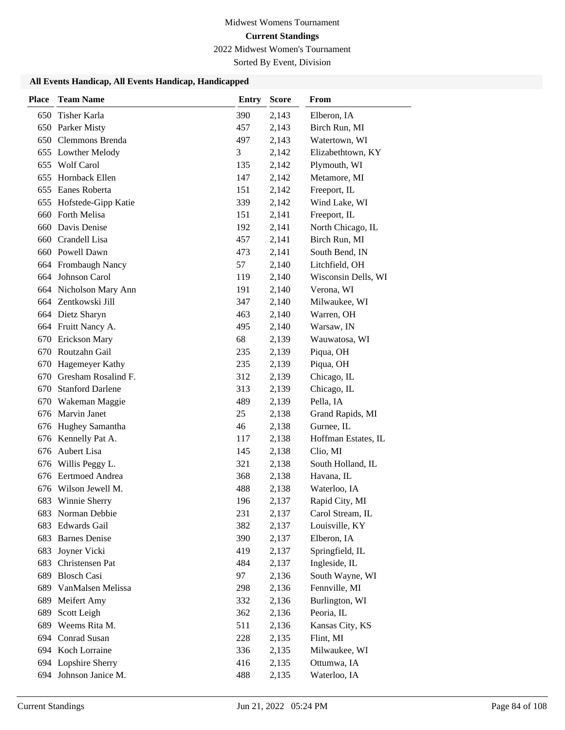2022 Midwest Women's Tournament

Sorted By Event, Division

| <b>Place</b> | <b>Team Name</b>        | <b>Entry</b> | <b>Score</b> | From                |
|--------------|-------------------------|--------------|--------------|---------------------|
| 650          | Tisher Karla            | 390          | 2,143        | Elberon, IA         |
|              | 650 Parker Misty        | 457          | 2,143        | Birch Run, MI       |
|              | 650 Clemmons Brenda     | 497          | 2,143        | Watertown, WI       |
|              | 655 Lowther Melody      | 3            | 2,142        | Elizabethtown, KY   |
| 655          | <b>Wolf Carol</b>       | 135          | 2,142        | Plymouth, WI        |
| 655          | Hornback Ellen          | 147          | 2,142        | Metamore, MI        |
|              | 655 Eanes Roberta       | 151          | 2,142        | Freeport, IL        |
|              | 655 Hofstede-Gipp Katie | 339          | 2,142        | Wind Lake, WI       |
| 660          | Forth Melisa            | 151          | 2,141        | Freeport, IL        |
| 660          | Davis Denise            | 192          | 2,141        | North Chicago, IL   |
| 660          | Crandell Lisa           | 457          | 2,141        | Birch Run, MI       |
| 660          | Powell Dawn             | 473          | 2,141        | South Bend, IN      |
|              | 664 Frombaugh Nancy     | 57           | 2,140        | Litchfield, OH      |
|              | 664 Johnson Carol       | 119          | 2,140        | Wisconsin Dells, WI |
|              | 664 Nicholson Mary Ann  | 191          | 2,140        | Verona, WI          |
|              | 664 Zentkowski Jill     | 347          | 2,140        | Milwaukee, WI       |
|              | 664 Dietz Sharyn        | 463          | 2,140        | Warren, OH          |
|              | 664 Fruitt Nancy A.     | 495          | 2,140        | Warsaw, IN          |
| 670          | Erickson Mary           | 68           | 2,139        | Wauwatosa, WI       |
| 670          | Routzahn Gail           | 235          | 2,139        | Piqua, OH           |
| 670          | Hagemeyer Kathy         | 235          | 2,139        | Piqua, OH           |
| 670          | Gresham Rosalind F.     | 312          | 2,139        | Chicago, IL         |
| 670          | <b>Stanford Darlene</b> | 313          | 2,139        | Chicago, IL         |
| 670          | Wakeman Maggie          | 489          | 2,139        | Pella, IA           |
|              | 676 Marvin Janet        | 25           | 2,138        | Grand Rapids, MI    |
| 676          | Hughey Samantha         | 46           | 2,138        | Gurnee, IL          |
| 676          | Kennelly Pat A.         | 117          | 2,138        | Hoffman Estates, IL |
| 676          | Aubert Lisa             | 145          | 2,138        | Clio, MI            |
| 676          | Willis Peggy L.         | 321          | 2,138        | South Holland, IL   |
| 676          | Eertmoed Andrea         | 368          | 2,138        | Havana, IL          |
|              | 676 Wilson Jewell M.    | 488          | 2,138        | Waterloo, IA        |
| 683          | Winnie Sherry           | 196          | 2,137        | Rapid City, MI      |
|              | 683 Norman Debbie       | 231          | 2,137        | Carol Stream, IL    |
|              | 683 Edwards Gail        | 382          | 2,137        | Louisville, KY      |
|              | 683 Barnes Denise       | 390          | 2,137        | Elberon, IA         |
| 683          | Joyner Vicki            | 419          | 2,137        | Springfield, IL     |
| 683          | Christensen Pat         | 484          | 2,137        | Ingleside, IL       |
| 689          | <b>Blosch Casi</b>      | 97           | 2,136        | South Wayne, WI     |
| 689          | VanMalsen Melissa       | 298          | 2,136        | Fennville, MI       |
| 689          | Meifert Amy             | 332          | 2,136        | Burlington, WI      |
| 689          | Scott Leigh             | 362          | 2,136        | Peoria, IL          |
| 689          | Weems Rita M.           | 511          | 2,136        | Kansas City, KS     |
|              | 694 Conrad Susan        | 228          | 2,135        | Flint, MI           |
|              | 694 Koch Lorraine       | 336          | 2,135        | Milwaukee, WI       |
|              | 694 Lopshire Sherry     | 416          | 2,135        | Ottumwa, IA         |
|              | 694 Johnson Janice M.   | 488          | 2,135        | Waterloo, IA        |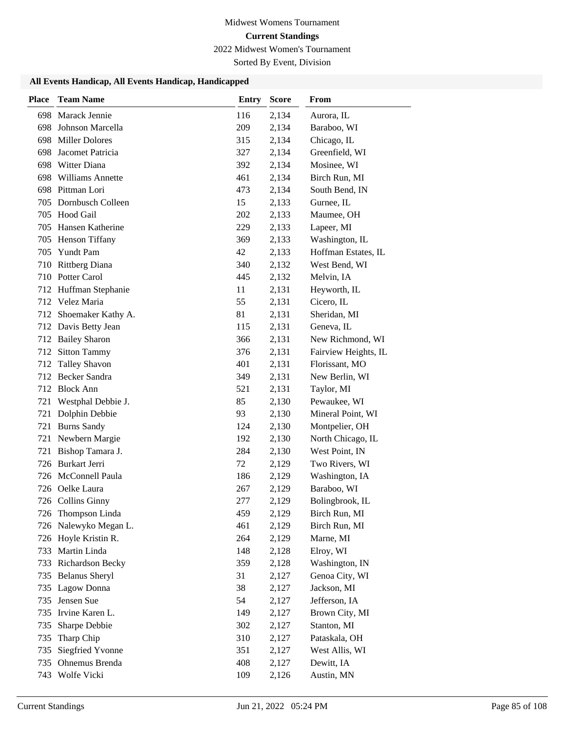2022 Midwest Women's Tournament

Sorted By Event, Division

| <b>Place</b> | <b>Team Name</b>        | <b>Entry</b> | <b>Score</b> | From                 |
|--------------|-------------------------|--------------|--------------|----------------------|
| 698          | Marack Jennie           | 116          | 2,134        | Aurora, IL           |
| 698          | Johnson Marcella        | 209          | 2,134        | Baraboo, WI          |
| 698          | <b>Miller Dolores</b>   | 315          | 2,134        | Chicago, IL          |
| 698          | Jacomet Patricia        | 327          | 2,134        | Greenfield, WI       |
| 698          | Witter Diana            | 392          | 2,134        | Mosinee, WI          |
| 698          | <b>Williams Annette</b> | 461          | 2,134        | Birch Run, MI        |
|              | 698 Pittman Lori        | 473          | 2,134        | South Bend, IN       |
| 705          | Dornbusch Colleen       | 15           | 2,133        | Gurnee, IL           |
| 705          | Hood Gail               | 202          | 2,133        | Maumee, OH           |
| 705          | Hansen Katherine        | 229          | 2,133        | Lapeer, MI           |
| 705          | <b>Henson Tiffany</b>   | 369          | 2,133        | Washington, IL       |
| 705          | Yundt Pam               | 42           | 2,133        | Hoffman Estates, IL  |
| 710          | <b>Rittberg Diana</b>   | 340          | 2,132        | West Bend, WI        |
| 710          | Potter Carol            | 445          | 2,132        | Melvin, IA           |
|              | 712 Huffman Stephanie   | 11           | 2,131        | Heyworth, IL         |
|              | 712 Velez Maria         | 55           | 2,131        | Cicero, IL           |
| 712          | Shoemaker Kathy A.      | 81           | 2,131        | Sheridan, MI         |
|              | 712 Davis Betty Jean    | 115          | 2,131        | Geneva, IL           |
|              | 712 Bailey Sharon       | 366          | 2,131        | New Richmond, WI     |
| 712          | <b>Sitton Tammy</b>     | 376          | 2,131        | Fairview Heights, IL |
| 712          | <b>Talley Shavon</b>    | 401          | 2,131        | Florissant, MO       |
| 712          | Becker Sandra           | 349          | 2,131        | New Berlin, WI       |
|              | 712 Block Ann           | 521          | 2,131        | Taylor, MI           |
| 721          | Westphal Debbie J.      | 85           | 2,130        | Pewaukee, WI         |
| 721          | Dolphin Debbie          | 93           | 2,130        | Mineral Point, WI    |
| 721          | <b>Burns Sandy</b>      | 124          | 2,130        | Montpelier, OH       |
| 721          | Newbern Margie          | 192          | 2,130        | North Chicago, IL    |
| 721          | Bishop Tamara J.        | 284          | 2,130        | West Point, IN       |
| 726          | Burkart Jerri           | 72           | 2,129        | Two Rivers, WI       |
| 726          | McConnell Paula         | 186          | 2,129        | Washington, IA       |
|              | 726 Oelke Laura         | 267          | 2,129        | Baraboo, WI          |
|              | 726 Collins Ginny       | 277          | 2,129        | Bolingbrook, IL      |
|              | 726 Thompson Linda      | 459          | 2,129        | Birch Run, MI        |
|              | 726 Nalewyko Megan L.   | 461          | 2,129        | Birch Run, MI        |
|              | 726 Hoyle Kristin R.    | 264          | 2,129        | Marne, MI            |
| 733          | Martin Linda            | 148          | 2,128        | Elroy, WI            |
| 733          | Richardson Becky        | 359          | 2,128        | Washington, IN       |
| 735          | <b>Belanus Sheryl</b>   | 31           | 2,127        | Genoa City, WI       |
| 735          | Lagow Donna             | 38           | 2,127        | Jackson, MI          |
| 735          | Jensen Sue              | 54           | 2,127        | Jefferson, IA        |
| 735          | Irvine Karen L.         | 149          | 2,127        | Brown City, MI       |
| 735          | Sharpe Debbie           | 302          | 2,127        | Stanton, MI          |
| 735          | Tharp Chip              | 310          | 2,127        | Pataskala, OH        |
| 735          | Siegfried Yvonne        | 351          | 2,127        | West Allis, WI       |
| 735          | Ohnemus Brenda          | 408          | 2,127        | Dewitt, IA           |
| 743          | Wolfe Vicki             | 109          | 2,126        | Austin, MN           |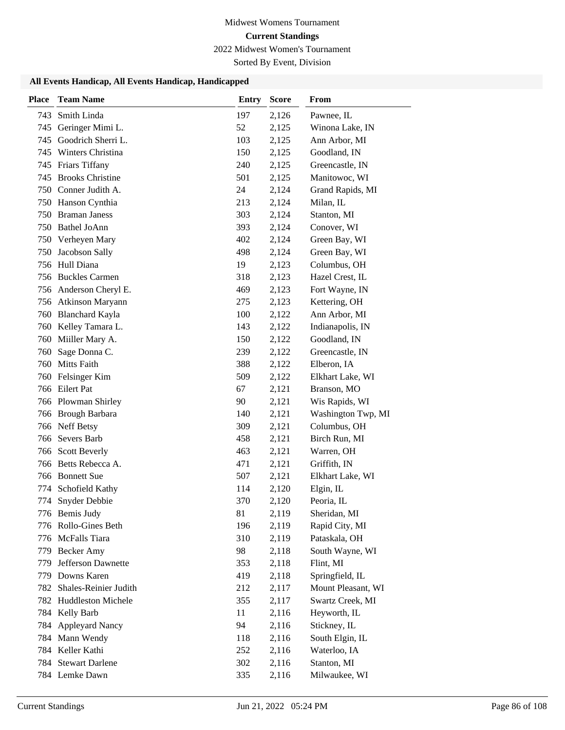2022 Midwest Women's Tournament

Sorted By Event, Division

| <b>Place</b> | <b>Team Name</b>        | <b>Entry</b> | <b>Score</b> | From               |
|--------------|-------------------------|--------------|--------------|--------------------|
| 743          | Smith Linda             | 197          | 2,126        | Pawnee, IL         |
| 745          | Geringer Mimi L.        | 52           | 2,125        | Winona Lake, IN    |
| 745          | Goodrich Sherri L.      | 103          | 2,125        | Ann Arbor, MI      |
| 745          | Winters Christina       | 150          | 2,125        | Goodland, IN       |
| 745          | Friars Tiffany          | 240          | 2,125        | Greencastle, IN    |
| 745          | <b>Brooks Christine</b> | 501          | 2,125        | Manitowoc, WI      |
|              | 750 Conner Judith A.    | 24           | 2,124        | Grand Rapids, MI   |
|              | 750 Hanson Cynthia      | 213          | 2,124        | Milan, IL          |
| 750          | <b>Braman Janess</b>    | 303          | 2,124        | Stanton, MI        |
| 750          | <b>Bathel JoAnn</b>     | 393          | 2,124        | Conover, WI        |
|              | 750 Verheyen Mary       | 402          | 2,124        | Green Bay, WI      |
| 750          | Jacobson Sally          | 498          | 2,124        | Green Bay, WI      |
|              | 756 Hull Diana          | 19           | 2,123        | Columbus, OH       |
|              | 756 Buckles Carmen      | 318          | 2,123        | Hazel Crest, IL    |
|              | 756 Anderson Cheryl E.  | 469          | 2,123        | Fort Wayne, IN     |
|              | 756 Atkinson Maryann    | 275          | 2,123        | Kettering, OH      |
| 760          | <b>Blanchard Kayla</b>  | 100          | 2,122        | Ann Arbor, MI      |
| 760          | Kelley Tamara L.        | 143          | 2,122        | Indianapolis, IN   |
| 760          | Miiller Mary A.         | 150          | 2,122        | Goodland, IN       |
| 760          | Sage Donna C.           | 239          | 2,122        | Greencastle, IN    |
| 760          | Mitts Faith             | 388          | 2,122        | Elberon, IA        |
| 760          | Felsinger Kim           | 509          | 2,122        | Elkhart Lake, WI   |
|              | 766 Eilert Pat          | 67           | 2,121        | Branson, MO        |
|              | 766 Plowman Shirley     | 90           | 2,121        | Wis Rapids, WI     |
| 766          | <b>Brough Barbara</b>   | 140          | 2,121        | Washington Twp, MI |
|              | 766 Neff Betsy          | 309          | 2,121        | Columbus, OH       |
| 766          | Severs Barb             | 458          | 2,121        | Birch Run, MI      |
| 766          | <b>Scott Beverly</b>    | 463          | 2,121        | Warren, OH         |
| 766          | Betts Rebecca A.        | 471          | 2,121        | Griffith, IN       |
|              | 766 Bonnett Sue         | 507          | 2,121        | Elkhart Lake, WI   |
| 774          | Schofield Kathy         | 114          | 2,120        | Elgin, IL          |
| 774          | Snyder Debbie           | 370          | 2,120        | Peoria, IL         |
|              | 776 Bemis Judy          | 81           | 2,119        | Sheridan, MI       |
|              | 776 Rollo-Gines Beth    | 196          | 2,119        | Rapid City, MI     |
|              | 776 McFalls Tiara       | 310          | 2,119        | Pataskala, OH      |
|              | 779 Becker Amy          | 98           | 2,118        | South Wayne, WI    |
| 779          | Jefferson Dawnette      | 353          | 2,118        | Flint, MI          |
|              | 779 Downs Karen         | 419          | 2,118        | Springfield, IL    |
| 782          | Shales-Reinier Judith   | 212          | 2,117        | Mount Pleasant, WI |
|              | 782 Huddleston Michele  | 355          | 2,117        | Swartz Creek, MI   |
| 784          | Kelly Barb              | 11           | 2,116        | Heyworth, IL       |
|              | 784 Appleyard Nancy     | 94           | 2,116        | Stickney, IL       |
|              | 784 Mann Wendy          | 118          | 2,116        | South Elgin, IL    |
|              | 784 Keller Kathi        | 252          | 2,116        | Waterloo, IA       |
| 784          | <b>Stewart Darlene</b>  | 302          | 2,116        | Stanton, MI        |
|              | 784 Lemke Dawn          | 335          | 2,116        | Milwaukee, WI      |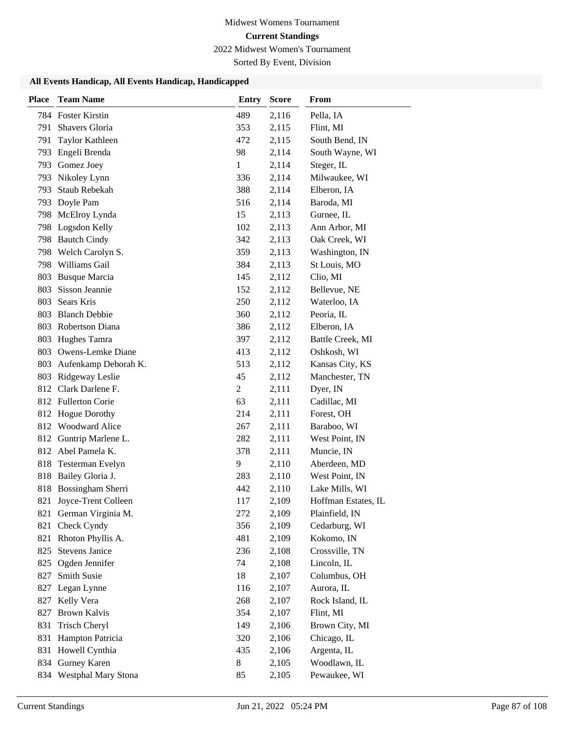2022 Midwest Women's Tournament

Sorted By Event, Division

| <b>Place</b> | <b>Team Name</b>       | <b>Entry</b>   | <b>Score</b> | From                |
|--------------|------------------------|----------------|--------------|---------------------|
|              | 784 Foster Kirstin     | 489            | 2,116        | Pella, IA           |
| 791          | Shavers Gloria         | 353            | 2,115        | Flint, MI           |
| 791          | Taylor Kathleen        | 472            | 2,115        | South Bend, IN      |
| 793          | Engeli Brenda          | 98             | 2,114        | South Wayne, WI     |
| 793          | Gomez Joey             | 1              | 2,114        | Steger, IL          |
| 793          | Nikoley Lynn           | 336            | 2,114        | Milwaukee, WI       |
| 793          | <b>Staub Rebekah</b>   | 388            | 2,114        | Elberon, IA         |
| 793          | Doyle Pam              | 516            | 2,114        | Baroda, MI          |
| 798          | McElroy Lynda          | 15             | 2,113        | Gurnee, IL          |
| 798          | Logsdon Kelly          | 102            | 2,113        | Ann Arbor, MI       |
| 798          | <b>Bautch Cindy</b>    | 342            | 2,113        | Oak Creek, WI       |
| 798          | Welch Carolyn S.       | 359            | 2,113        | Washington, IN      |
| 798          | Williams Gail          | 384            | 2,113        | St Louis, MO        |
| 803          | <b>Busque Marcia</b>   | 145            | 2,112        | Clio, MI            |
| 803          | Sisson Jeannie         | 152            | 2,112        | Bellevue, NE        |
| 803          | Sears Kris             | 250            | 2,112        | Waterloo, IA        |
| 803          | <b>Blanch Debbie</b>   | 360            | 2,112        | Peoria, IL          |
| 803          | Robertson Diana        | 386            | 2,112        | Elberon, IA         |
| 803          | Hughes Tamra           | 397            | 2,112        | Battle Creek, MI    |
| 803          | Owens-Lemke Diane      | 413            | 2,112        | Oshkosh, WI         |
| 803          | Aufenkamp Deborah K.   | 513            | 2,112        | Kansas City, KS     |
| 803          | Ridgeway Leslie        | 45             | 2,112        | Manchester, TN      |
|              | 812 Clark Darlene F.   | $\overline{c}$ | 2,111        | Dyer, IN            |
|              | 812 Fullerton Corie    | 63             | 2,111        | Cadillac, MI        |
| 812          | <b>Hogue Dorothy</b>   | 214            | 2,111        | Forest, OH          |
| 812          | <b>Woodward Alice</b>  | 267            | 2,111        | Baraboo, WI         |
| 812          | Guntrip Marlene L.     | 282            | 2,111        | West Point, IN      |
| 812          | Abel Pamela K.         | 378            | 2,111        | Muncie, IN          |
| 818          | Testerman Evelyn       | 9              | 2,110        | Aberdeen, MD        |
| 818          | Bailey Gloria J.       | 283            | 2,110        | West Point, IN      |
| 818          | Bossingham Sherri      | 442            | 2,110        | Lake Mills, WI      |
| 821          | Joyce-Trent Colleen    | 117            | 2,109        | Hoffman Estates, IL |
|              | 821 German Virginia M. | 272            | 2,109        | Plainfield, IN      |
| 821          | Check Cyndy            | 356            | 2,109        | Cedarburg, WI       |
| 821          | Rhoton Phyllis A.      | 481            | 2,109        | Kokomo, IN          |
| 825          | <b>Stevens Janice</b>  | 236            | 2,108        | Crossville, TN      |
| 825          | Ogden Jennifer         | 74             | 2,108        | Lincoln, IL         |
| 827          | Smith Susie            | 18             | 2,107        | Columbus, OH        |
| 827          | Legan Lynne            | 116            | 2,107        | Aurora, IL          |
| 827          | Kelly Vera             | 268            | 2,107        | Rock Island, IL     |
| 827          | <b>Brown Kalvis</b>    | 354            | 2,107        | Flint, MI           |
| 831          | Trisch Cheryl          | 149            | 2,106        | Brown City, MI      |
| 831          | Hampton Patricia       | 320            | 2,106        | Chicago, IL         |
| 831          | Howell Cynthia         | 435            | 2,106        | Argenta, IL         |
| 834          | Gurney Karen           | $\,8\,$        | 2,105        | Woodlawn, IL        |
| 834          | Westphal Mary Stona    | 85             | 2,105        | Pewaukee, WI        |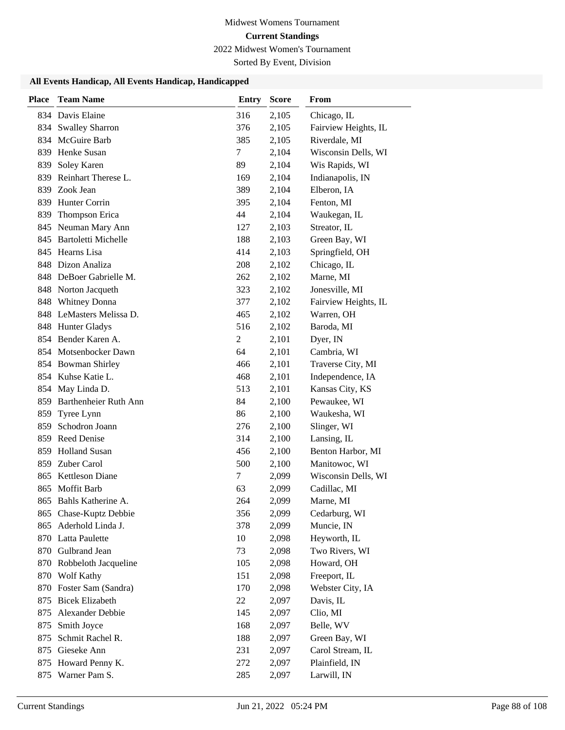2022 Midwest Women's Tournament

Sorted By Event, Division

| Place | <b>Team Name</b>          | <b>Entry</b>   | <b>Score</b> | From                 |
|-------|---------------------------|----------------|--------------|----------------------|
|       | 834 Davis Elaine          | 316            | 2,105        | Chicago, IL          |
|       | 834 Swalley Sharron       | 376            | 2,105        | Fairview Heights, IL |
|       | 834 McGuire Barb          | 385            | 2,105        | Riverdale, MI        |
|       | 839 Henke Susan           | 7              | 2,104        | Wisconsin Dells, WI  |
| 839   | Soley Karen               | 89             | 2,104        | Wis Rapids, WI       |
| 839   | Reinhart Therese L.       | 169            | 2,104        | Indianapolis, IN     |
|       | 839 Zook Jean             | 389            | 2,104        | Elberon, IA          |
| 839   | Hunter Corrin             | 395            | 2,104        | Fenton, MI           |
| 839   | Thompson Erica            | 44             | 2,104        | Waukegan, IL         |
|       | 845 Neuman Mary Ann       | 127            | 2,103        | Streator, IL         |
|       | 845 Bartoletti Michelle   | 188            | 2,103        | Green Bay, WI        |
|       | 845 Hearns Lisa           | 414            | 2,103        | Springfield, OH      |
|       | 848 Dizon Analiza         | 208            | 2,102        | Chicago, IL          |
|       | 848 DeBoer Gabrielle M.   | 262            | 2,102        | Marne, MI            |
|       | 848 Norton Jacqueth       | 323            | 2,102        | Jonesville, MI       |
| 848   | <b>Whitney Donna</b>      | 377            | 2,102        | Fairview Heights, IL |
|       | 848 LeMasters Melissa D.  | 465            | 2,102        | Warren, OH           |
|       | 848 Hunter Gladys         | 516            | 2,102        | Baroda, MI           |
|       | 854 Bender Karen A.       | $\overline{c}$ | 2,101        | Dyer, IN             |
|       | 854 Motsenbocker Dawn     | 64             | 2,101        | Cambria, WI          |
|       | 854 Bowman Shirley        | 466            | 2,101        | Traverse City, MI    |
|       | 854 Kuhse Katie L.        | 468            | 2,101        | Independence, IA     |
|       | 854 May Linda D.          | 513            | 2,101        | Kansas City, KS      |
|       | 859 Barthenheier Ruth Ann | 84             | 2,100        | Pewaukee, WI         |
| 859   | Tyree Lynn                | 86             | 2,100        | Waukesha, WI         |
| 859   | Schodron Joann            | 276            | 2,100        | Slinger, WI          |
|       | 859 Reed Denise           | 314            | 2,100        | Lansing, IL          |
| 859   | <b>Holland Susan</b>      | 456            | 2,100        | Benton Harbor, MI    |
|       | 859 Zuber Carol           | 500            | 2,100        | Manitowoc, WI        |
|       | 865 Kettleson Diane       | 7              | 2,099        | Wisconsin Dells, WI  |
|       | 865 Moffit Barb           | 63             | 2,099        | Cadillac, MI         |
| 865   | Bahls Katherine A.        | 264            | 2,099        | Marne, MI            |
|       | 865 Chase-Kuptz Debbie    | 356            | 2,099        | Cedarburg, WI        |
| 865   | Aderhold Linda J.         | 378            | 2,099        | Muncie, IN           |
|       | 870 Latta Paulette        | 10             | 2,098        | Heyworth, IL         |
| 870   | Gulbrand Jean             | 73             | 2,098        | Two Rivers, WI       |
|       | 870 Robbeloth Jacqueline  | 105            | 2,098        | Howard, OH           |
| 870   | Wolf Kathy                | 151            | 2,098        | Freeport, IL         |
| 870   | Foster Sam (Sandra)       | 170            | 2,098        | Webster City, IA     |
| 875   | <b>Bicek Elizabeth</b>    | 22             | 2,097        | Davis, IL            |
| 875   | Alexander Debbie          | 145            | 2,097        | Clio, MI             |
| 875   | Smith Joyce               | 168            | 2,097        | Belle, WV            |
| 875   | Schmit Rachel R.          | 188            | 2,097        | Green Bay, WI        |
| 875   | Gieseke Ann               | 231            | 2,097        | Carol Stream, IL     |
| 875   | Howard Penny K.           | 272            | 2,097        | Plainfield, IN       |
| 875   | Warner Pam S.             | 285            | 2,097        | Larwill, IN          |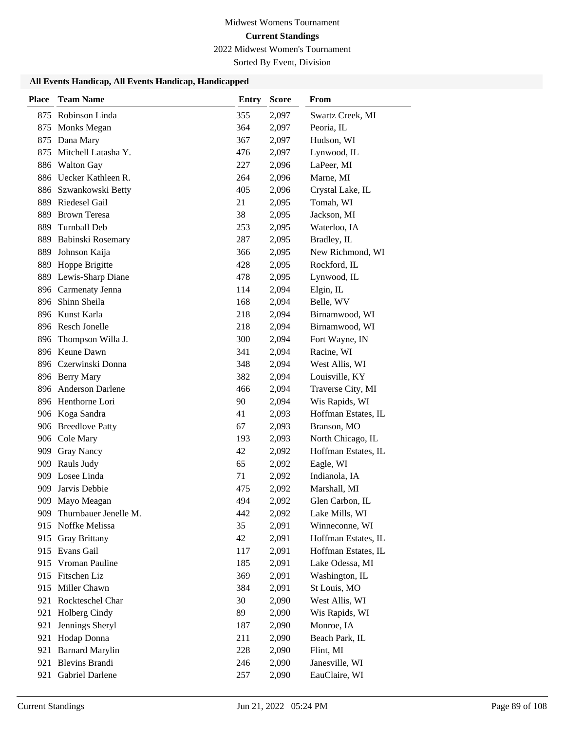2022 Midwest Women's Tournament

Sorted By Event, Division

| <b>Place</b> | <b>Team Name</b>       | <b>Entry</b> | <b>Score</b> | From                |
|--------------|------------------------|--------------|--------------|---------------------|
|              | 875 Robinson Linda     | 355          | 2,097        | Swartz Creek, MI    |
| 875          | Monks Megan            | 364          | 2,097        | Peoria, IL          |
| 875          | Dana Mary              | 367          | 2,097        | Hudson, WI          |
| 875          | Mitchell Latasha Y.    | 476          | 2,097        | Lynwood, IL         |
|              | 886 Walton Gay         | 227          | 2,096        | LaPeer, MI          |
|              | 886 Uecker Kathleen R. | 264          | 2,096        | Marne, MI           |
|              | 886 Szwankowski Betty  | 405          | 2,096        | Crystal Lake, IL    |
|              | 889 Riedesel Gail      | 21           | 2,095        | Tomah, WI           |
| 889          | <b>Brown Teresa</b>    | 38           | 2,095        | Jackson, MI         |
| 889          | Turnball Deb           | 253          | 2,095        | Waterloo, IA        |
| 889          | Babinski Rosemary      | 287          | 2,095        | Bradley, IL         |
| 889          | Johnson Kaija          | 366          | 2,095        | New Richmond, WI    |
| 889          | Hoppe Brigitte         | 428          | 2,095        | Rockford, IL        |
| 889          | Lewis-Sharp Diane      | 478          | 2,095        | Lynwood, IL         |
|              | 896 Carmenaty Jenna    | 114          | 2,094        | Elgin, IL           |
|              | 896 Shinn Sheila       | 168          | 2,094        | Belle, WV           |
|              | 896 Kunst Karla        | 218          | 2,094        | Birnamwood, WI      |
|              | 896 Resch Jonelle      | 218          | 2,094        | Birnamwood, WI      |
|              | 896 Thompson Willa J.  | 300          | 2,094        | Fort Wayne, IN      |
|              | 896 Keune Dawn         | 341          | 2,094        | Racine, WI          |
|              | 896 Czerwinski Donna   | 348          | 2,094        | West Allis, WI      |
|              | 896 Berry Mary         | 382          | 2,094        | Louisville, KY      |
|              | 896 Anderson Darlene   | 466          | 2,094        | Traverse City, MI   |
|              | 896 Henthorne Lori     | 90           | 2,094        | Wis Rapids, WI      |
|              | 906 Koga Sandra        | 41           | 2,093        | Hoffman Estates, IL |
|              | 906 Breedlove Patty    | 67           | 2,093        | Branson, MO         |
|              | 906 Cole Mary          | 193          | 2,093        | North Chicago, IL   |
|              | 909 Gray Nancy         | 42           | 2,092        | Hoffman Estates, IL |
|              | 909 Rauls Judy         | 65           | 2,092        | Eagle, WI           |
| 909          | Losee Linda            | 71           | 2,092        | Indianola, IA       |
| 909          | Jarvis Debbie          | 475          | 2,092        | Marshall, MI        |
|              | 909 Mayo Meagan        | 494          | 2,092        | Glen Carbon, IL     |
| 909.         | Thurnbauer Jenelle M.  | 442          | 2,092        | Lake Mills, WI      |
| 915          | Noffke Melissa         | 35           | 2,091        | Winneconne, WI      |
| 915          | <b>Gray Brittany</b>   | 42           | 2,091        | Hoffman Estates, IL |
|              | 915 Evans Gail         | 117          | 2,091        | Hoffman Estates, IL |
| 915          | Vroman Pauline         | 185          | 2,091        | Lake Odessa, MI     |
|              | 915 Fitschen Liz       | 369          | 2,091        | Washington, IL      |
| 915          | Miller Chawn           | 384          | 2,091        | St Louis, MO        |
|              | 921 Rockteschel Char   | 30           | 2,090        | West Allis, WI      |
| 921          | Holberg Cindy          | 89           | 2,090        | Wis Rapids, WI      |
| 921          | Jennings Sheryl        | 187          | 2,090        | Monroe, IA          |
| 921          | Hodap Donna            | 211          | 2,090        | Beach Park, IL      |
| 921          | <b>Barnard Marylin</b> | 228          | 2,090        | Flint, MI           |
| 921          | <b>Blevins Brandi</b>  | 246          | 2,090        | Janesville, WI      |
| 921          | Gabriel Darlene        | 257          | 2,090        | EauClaire, WI       |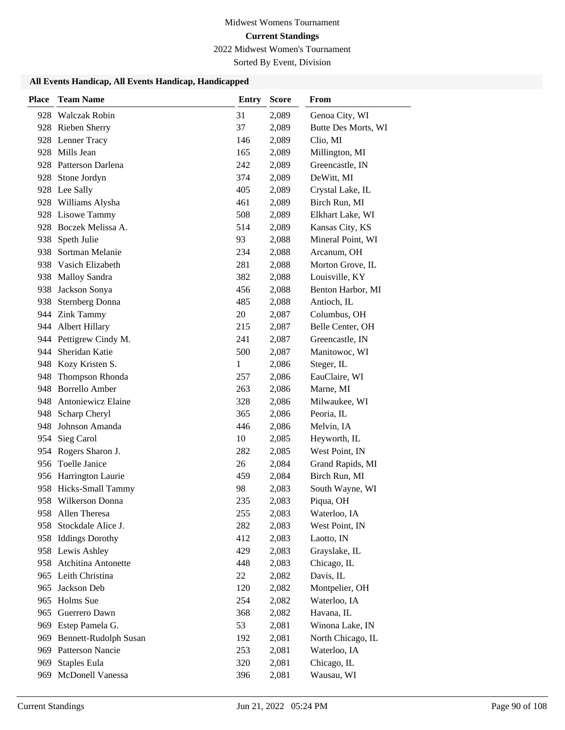2022 Midwest Women's Tournament

Sorted By Event, Division

| <b>Place</b> | <b>Team Name</b>             | <b>Entry</b> | <b>Score</b> | From                |
|--------------|------------------------------|--------------|--------------|---------------------|
| 928          | Walczak Robin                | 31           | 2,089        | Genoa City, WI      |
|              | 928 Rieben Sherry            | 37           | 2,089        | Butte Des Morts, WI |
|              | 928 Lenner Tracy             | 146          | 2,089        | Clio, MI            |
| 928          | Mills Jean                   | 165          | 2,089        | Millington, MI      |
|              | 928 Patterson Darlena        | 242          | 2,089        | Greencastle, IN     |
|              | 928 Stone Jordyn             | 374          | 2,089        | DeWitt, MI          |
|              | 928 Lee Sally                | 405          | 2,089        | Crystal Lake, IL    |
|              | 928 Williams Alysha          | 461          | 2,089        | Birch Run, MI       |
|              | 928 Lisowe Tammy             | 508          | 2,089        | Elkhart Lake, WI    |
| 928          | Boczek Melissa A.            | 514          | 2,089        | Kansas City, KS     |
| 938          | Speth Julie                  | 93           | 2,088        | Mineral Point, WI   |
| 938          | Sortman Melanie              | 234          | 2,088        | Arcanum, OH         |
| 938          | Vasich Elizabeth             | 281          | 2,088        | Morton Grove, IL    |
| 938          | <b>Malloy Sandra</b>         | 382          | 2,088        | Louisville, KY      |
| 938          | Jackson Sonya                | 456          | 2,088        | Benton Harbor, MI   |
| 938          | <b>Sternberg Donna</b>       | 485          | 2,088        | Antioch, IL         |
| 944          | <b>Zink Tammy</b>            | 20           | 2,087        | Columbus, OH        |
| 944          | <b>Albert Hillary</b>        | 215          | 2,087        | Belle Center, OH    |
|              | 944 Pettigrew Cindy M.       | 241          | 2,087        | Greencastle, IN     |
| 944          | Sheridan Katie               | 500          | 2,087        | Manitowoc, WI       |
| 948          | Kozy Kristen S.              | 1            | 2,086        | Steger, IL          |
| 948          | Thompson Rhonda              | 257          | 2,086        | EauClaire, WI       |
| 948          | <b>Borrello Amber</b>        | 263          | 2,086        | Marne, MI           |
| 948          | Antoniewicz Elaine           | 328          | 2,086        | Milwaukee, WI       |
| 948          | Scharp Cheryl                | 365          | 2,086        | Peoria, IL          |
| 948          | Johnson Amanda               | 446          | 2,086        | Melvin, IA          |
| 954          | Sieg Carol                   | 10           | 2,085        | Heyworth, IL        |
| 954          | Rogers Sharon J.             | 282          | 2,085        | West Point, IN      |
| 956          | Toelle Janice                | 26           | 2,084        | Grand Rapids, MI    |
|              | 956 Harrington Laurie        | 459          | 2,084        | Birch Run, MI       |
|              | 958 Hicks-Small Tammy        | 98           | 2,083        | South Wayne, WI     |
| 958          | Wilkerson Donna              | 235          | 2,083        | Piqua, OH           |
|              | 958 Allen Theresa            | 255          | 2,083        | Waterloo, IA        |
| 958          | Stockdale Alice J.           | 282          | 2,083        | West Point, IN      |
|              | 958 Iddings Dorothy          | 412          | 2,083        | Laotto, IN          |
|              | 958 Lewis Ashley             | 429          | 2,083        | Grayslake, IL       |
| 958          | Atchitina Antonette          | 448          | 2,083        | Chicago, IL         |
|              | 965 Leith Christina          | 22           | 2,082        | Davis, IL           |
| 965          | Jackson Deb                  | 120          | 2,082        | Montpelier, OH      |
| 965          | Holms Sue                    | 254          | 2,082        | Waterloo, IA        |
| 965          | Guerrero Dawn                | 368          | 2,082        | Havana, IL          |
| 969          | Estep Pamela G.              | 53           | 2,081        | Winona Lake, IN     |
| 969          | <b>Bennett-Rudolph Susan</b> | 192          | 2,081        | North Chicago, IL   |
| 969          | <b>Patterson Nancie</b>      | 253          | 2,081        | Waterloo, IA        |
| 969          | Staples Eula                 | 320          | 2,081        | Chicago, IL         |
| 969          | McDonell Vanessa             | 396          | 2,081        | Wausau, WI          |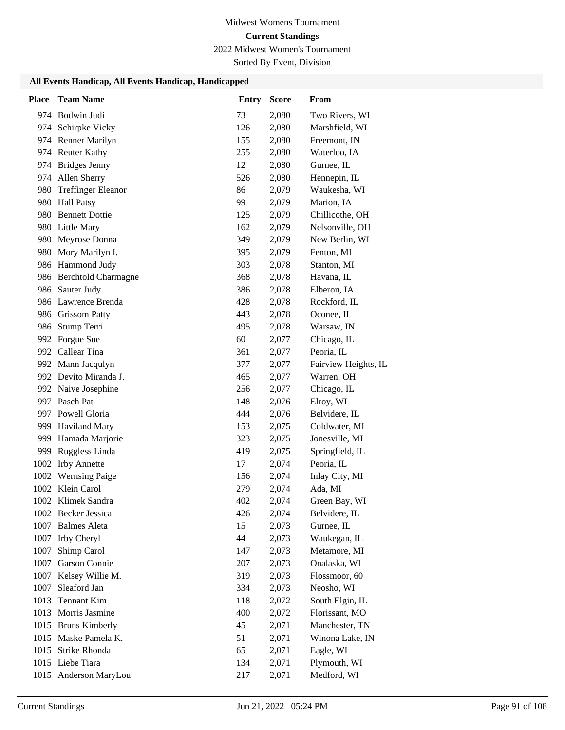2022 Midwest Women's Tournament

Sorted By Event, Division

| <b>Place</b> | <b>Team Name</b>          | <b>Entry</b> | <b>Score</b> | From                 |
|--------------|---------------------------|--------------|--------------|----------------------|
|              | 974 Bodwin Judi           | 73           | 2,080        | Two Rivers, WI       |
| 974          | Schirpke Vicky            | 126          | 2,080        | Marshfield, WI       |
|              | 974 Renner Marilyn        | 155          | 2,080        | Freemont, IN         |
|              | 974 Reuter Kathy          | 255          | 2,080        | Waterloo, IA         |
|              | 974 Bridges Jenny         | 12           | 2,080        | Gurnee, IL           |
| 974          | Allen Sherry              | 526          | 2,080        | Hennepin, IL         |
| 980          | <b>Treffinger Eleanor</b> | 86           | 2,079        | Waukesha, WI         |
| 980          | <b>Hall Patsy</b>         | 99           | 2,079        | Marion, IA           |
| 980          | <b>Bennett Dottie</b>     | 125          | 2,079        | Chillicothe, OH      |
|              | 980 Little Mary           | 162          | 2,079        | Nelsonville, OH      |
|              | 980 Meyrose Donna         | 349          | 2,079        | New Berlin, WI       |
| 980          | Mory Marilyn I.           | 395          | 2,079        | Fenton, MI           |
|              | 986 Hammond Judy          | 303          | 2,078        | Stanton, MI          |
|              | 986 Berchtold Charmagne   | 368          | 2,078        | Havana, IL           |
|              | 986 Sauter Judy           | 386          | 2,078        | Elberon, IA          |
|              | 986 Lawrence Brenda       | 428          | 2,078        | Rockford, IL         |
|              | 986 Grissom Patty         | 443          | 2,078        | Oconee, IL           |
| 986          | Stump Terri               | 495          | 2,078        | Warsaw, IN           |
|              | 992 Forgue Sue            | 60           | 2,077        | Chicago, IL          |
|              | 992 Callear Tina          | 361          | 2,077        | Peoria, IL           |
| 992          | Mann Jacqulyn             | 377          | 2,077        | Fairview Heights, IL |
|              | 992 Devito Miranda J.     | 465          | 2,077        | Warren, OH           |
|              | 992 Naive Josephine       | 256          | 2,077        | Chicago, IL          |
| 997          | Pasch Pat                 | 148          | 2,076        | Elroy, WI            |
| 997          | Powell Gloria             | 444          | 2,076        | Belvidere, IL        |
| 999          | <b>Haviland Mary</b>      | 153          | 2,075        | Coldwater, MI        |
| 999          | Hamada Marjorie           | 323          | 2,075        | Jonesville, MI       |
| 999          | Ruggless Linda            | 419          | 2,075        | Springfield, IL      |
| 1002         | <b>Irby Annette</b>       | 17           | 2,074        | Peoria, IL           |
| 1002         | <b>Wernsing Paige</b>     | 156          | 2,074        | Inlay City, MI       |
|              | 1002 Klein Carol          | 279          | 2,074        | Ada, MI              |
| 1002         | Klimek Sandra             | 402          | 2,074        | Green Bay, WI        |
|              | 1002 Becker Jessica       | 426          | 2,074        | Belvidere, IL        |
| 1007         | <b>Balmes Aleta</b>       | 15           | 2,073        | Gurnee, IL           |
| 1007         | Irby Cheryl               | 44           | 2,073        | Waukegan, IL         |
| 1007         | Shimp Carol               | 147          | 2,073        | Metamore, MI         |
| 1007         | Garson Connie             | 207          | 2,073        | Onalaska, WI         |
| 1007         | Kelsey Willie M.          | 319          | 2,073        | Flossmoor, 60        |
| 1007         | Sleaford Jan              | 334          | 2,073        | Neosho, WI           |
| 1013         | <b>Tennant Kim</b>        | 118          | 2,072        | South Elgin, IL      |
| 1013         | Morris Jasmine            | 400          | 2,072        | Florissant, MO       |
| 1015         | <b>Bruns Kimberly</b>     | 45           | 2,071        | Manchester, TN       |
|              | 1015 Maske Pamela K.      | 51           | 2,071        | Winona Lake, IN      |
| 1015         | Strike Rhonda             | 65           | 2,071        | Eagle, WI            |
|              | 1015 Liebe Tiara          | 134          | 2,071        | Plymouth, WI         |
|              | 1015 Anderson MaryLou     | 217          | 2,071        | Medford, WI          |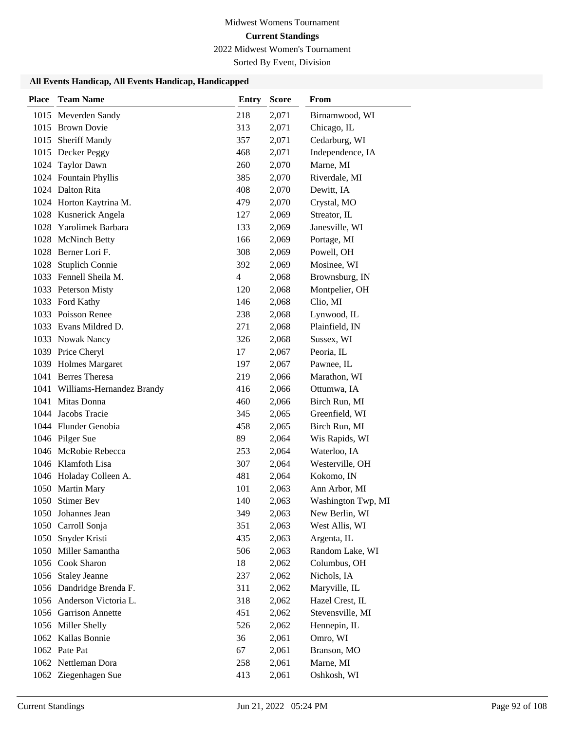2022 Midwest Women's Tournament

Sorted By Event, Division

| <b>Place</b> | <b>Team Name</b>               | <b>Entry</b>   | <b>Score</b> | From               |
|--------------|--------------------------------|----------------|--------------|--------------------|
|              | 1015 Meverden Sandy            | 218            | 2,071        | Birnamwood, WI     |
|              | 1015 Brown Dovie               | 313            | 2,071        | Chicago, IL        |
|              | 1015 Sheriff Mandy             | 357            | 2,071        | Cedarburg, WI      |
|              | 1015 Decker Peggy              | 468            | 2,071        | Independence, IA   |
| 1024         | <b>Taylor Dawn</b>             | 260            | 2,070        | Marne, MI          |
|              | 1024 Fountain Phyllis          | 385            | 2,070        | Riverdale, MI      |
|              | 1024 Dalton Rita               | 408            | 2,070        | Dewitt, IA         |
|              | 1024 Horton Kaytrina M.        | 479            | 2,070        | Crystal, MO        |
|              | 1028 Kusnerick Angela          | 127            | 2,069        | Streator, IL       |
| 1028         | Yarolimek Barbara              | 133            | 2,069        | Janesville, WI     |
|              | 1028 McNinch Betty             | 166            | 2,069        | Portage, MI        |
| 1028         | Berner Lori F.                 | 308            | 2,069        | Powell, OH         |
| 1028         | <b>Stuplich Connie</b>         | 392            | 2,069        | Mosinee, WI        |
|              | 1033 Fennell Sheila M.         | $\overline{4}$ | 2,068        | Brownsburg, IN     |
|              | 1033 Peterson Misty            | 120            | 2,068        | Montpelier, OH     |
|              | 1033 Ford Kathy                | 146            | 2,068        | Clio, MI           |
|              | 1033 Poisson Renee             | 238            | 2,068        | Lynwood, IL        |
|              | 1033 Evans Mildred D.          | 271            | 2,068        | Plainfield, IN     |
|              | 1033 Nowak Nancy               | 326            | 2,068        | Sussex, WI         |
|              | 1039 Price Cheryl              | 17             | 2,067        | Peoria, IL         |
|              | 1039 Holmes Margaret           | 197            | 2,067        | Pawnee, IL         |
|              | 1041 Berres Theresa            | 219            | 2,066        | Marathon, WI       |
|              | 1041 Williams-Hernandez Brandy | 416            | 2,066        | Ottumwa, IA        |
|              | 1041 Mitas Donna               | 460            | 2,066        | Birch Run, MI      |
|              | 1044 Jacobs Tracie             | 345            | 2,065        | Greenfield, WI     |
|              | 1044 Flunder Genobia           | 458            | 2,065        | Birch Run, MI      |
|              | 1046 Pilger Sue                | 89             | 2,064        | Wis Rapids, WI     |
| 1046         | McRobie Rebecca                | 253            | 2,064        | Waterloo, IA       |
|              | 1046 Klamfoth Lisa             | 307            | 2,064        | Westerville, OH    |
|              | 1046 Holaday Colleen A.        | 481            | 2,064        | Kokomo, IN         |
|              | 1050 Martin Mary               | 101            | 2,063        | Ann Arbor, MI      |
| 1050         | <b>Stimer Bev</b>              | 140            | 2,063        | Washington Twp, MI |
|              | 1050 Johannes Jean             | 349            | 2,063        | New Berlin, WI     |
| 1050         | Carroll Sonja                  | 351            | 2,063        | West Allis, WI     |
|              | 1050 Snyder Kristi             | 435            | 2,063        | Argenta, IL        |
|              | 1050 Miller Samantha           | 506            | 2,063        | Random Lake, WI    |
|              | 1056 Cook Sharon               | 18             | 2,062        | Columbus, OH       |
| 1056         | <b>Staley Jeanne</b>           | 237            | 2,062        | Nichols, IA        |
|              | 1056 Dandridge Brenda F.       | 311            | 2,062        | Maryville, IL      |
| 1056         | Anderson Victoria L.           | 318            | 2,062        | Hazel Crest, IL    |
|              | 1056 Garrison Annette          | 451            | 2,062        | Stevensville, MI   |
|              | 1056 Miller Shelly             | 526            | 2,062        | Hennepin, IL       |
|              | 1062 Kallas Bonnie             | 36             | 2,061        | Omro, WI           |
|              | 1062 Pate Pat                  | 67             | 2,061        | Branson, MO        |
|              | 1062 Nettleman Dora            | 258            | 2,061        | Marne, MI          |
|              | 1062 Ziegenhagen Sue           | 413            | 2,061        | Oshkosh, WI        |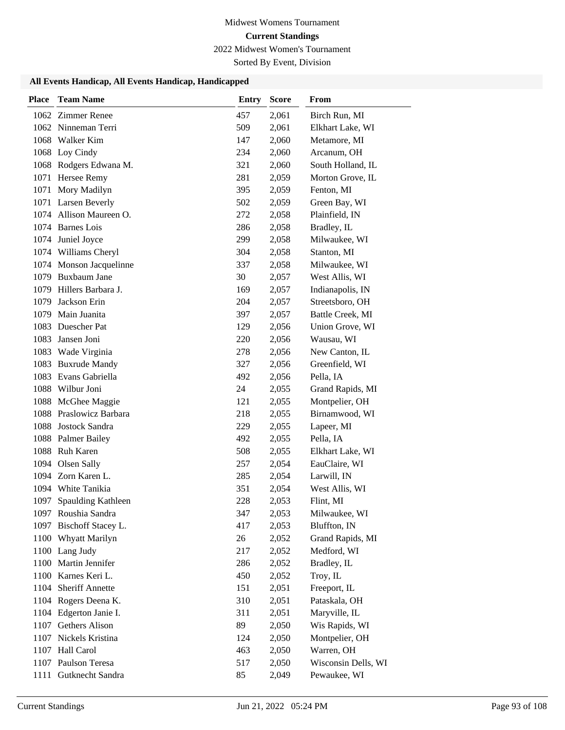2022 Midwest Women's Tournament

Sorted By Event, Division

| <b>Place</b> | <b>Team Name</b>        | <b>Entry</b> | <b>Score</b> | From                |
|--------------|-------------------------|--------------|--------------|---------------------|
|              | 1062 Zimmer Renee       | 457          | 2,061        | Birch Run, MI       |
|              | 1062 Ninneman Terri     | 509          | 2,061        | Elkhart Lake, WI    |
|              | 1068 Walker Kim         | 147          | 2,060        | Metamore, MI        |
|              | 1068 Loy Cindy          | 234          | 2,060        | Arcanum, OH         |
|              | 1068 Rodgers Edwana M.  | 321          | 2,060        | South Holland, IL   |
|              | 1071 Hersee Remy        | 281          | 2,059        | Morton Grove, IL    |
|              | 1071 Mory Madilyn       | 395          | 2,059        | Fenton, MI          |
|              | 1071 Larsen Beverly     | 502          | 2,059        | Green Bay, WI       |
|              | 1074 Allison Maureen O. | 272          | 2,058        | Plainfield, IN      |
|              | 1074 Barnes Lois        | 286          | 2,058        | Bradley, IL         |
|              | 1074 Juniel Joyce       | 299          | 2,058        | Milwaukee, WI       |
|              | 1074 Williams Cheryl    | 304          | 2,058        | Stanton, MI         |
|              | 1074 Monson Jacquelinne | 337          | 2,058        | Milwaukee, WI       |
|              | 1079 Buxbaum Jane       | 30           | 2,057        | West Allis, WI      |
|              | 1079 Hillers Barbara J. | 169          | 2,057        | Indianapolis, IN    |
| 1079         | Jackson Erin            | 204          | 2,057        | Streetsboro, OH     |
|              | 1079 Main Juanita       | 397          | 2,057        | Battle Creek, MI    |
| 1083         | Duescher Pat            | 129          | 2,056        | Union Grove, WI     |
| 1083         | Jansen Joni             | 220          | 2,056        | Wausau, WI          |
| 1083         | Wade Virginia           | 278          | 2,056        | New Canton, IL      |
| 1083         | <b>Buxrude Mandy</b>    | 327          | 2,056        | Greenfield, WI      |
|              | 1083 Evans Gabriella    | 492          | 2,056        | Pella, IA           |
|              | 1088 Wilbur Joni        | 24           | 2,055        | Grand Rapids, MI    |
|              | 1088 McGhee Maggie      | 121          | 2,055        | Montpelier, OH      |
|              | 1088 Praslowicz Barbara | 218          | 2,055        | Birnamwood, WI      |
|              | 1088 Jostock Sandra     | 229          | 2,055        | Lapeer, MI          |
|              | 1088 Palmer Bailey      | 492          | 2,055        | Pella, IA           |
|              | 1088 Ruh Karen          | 508          | 2,055        | Elkhart Lake, WI    |
|              | 1094 Olsen Sally        | 257          | 2,054        | EauClaire, WI       |
|              | 1094 Zorn Karen L.      | 285          | 2,054        | Larwill, IN         |
|              | 1094 White Tanikia      | 351          | 2,054        | West Allis, WI      |
| 1097         | Spaulding Kathleen      | 228          | 2,053        | Flint, MI           |
|              | 1097 Roushia Sandra     | 347          | 2,053        | Milwaukee, WI       |
|              | 1097 Bischoff Stacey L. | 417          | 2,053        | Bluffton, IN        |
|              | 1100 Whyatt Marilyn     | 26           | 2,052        | Grand Rapids, MI    |
|              | 1100 Lang Judy          | 217          | 2,052        | Medford, WI         |
|              | 1100 Martin Jennifer    | 286          | 2,052        | Bradley, IL         |
|              | 1100 Karnes Keri L.     | 450          | 2,052        | Troy, IL            |
|              | 1104 Sheriff Annette    | 151          | 2,051        | Freeport, IL        |
|              | 1104 Rogers Deena K.    | 310          | 2,051        | Pataskala, OH       |
| 1104         | Edgerton Janie I.       | 311          | 2,051        | Maryville, IL       |
|              | 1107 Gethers Alison     | 89           | 2,050        | Wis Rapids, WI      |
|              | 1107 Nickels Kristina   | 124          | 2,050        | Montpelier, OH      |
|              | 1107 Hall Carol         | 463          | 2,050        | Warren, OH          |
|              | 1107 Paulson Teresa     | 517          | 2,050        | Wisconsin Dells, WI |
| 1111         | Gutknecht Sandra        | 85           | 2,049        | Pewaukee, WI        |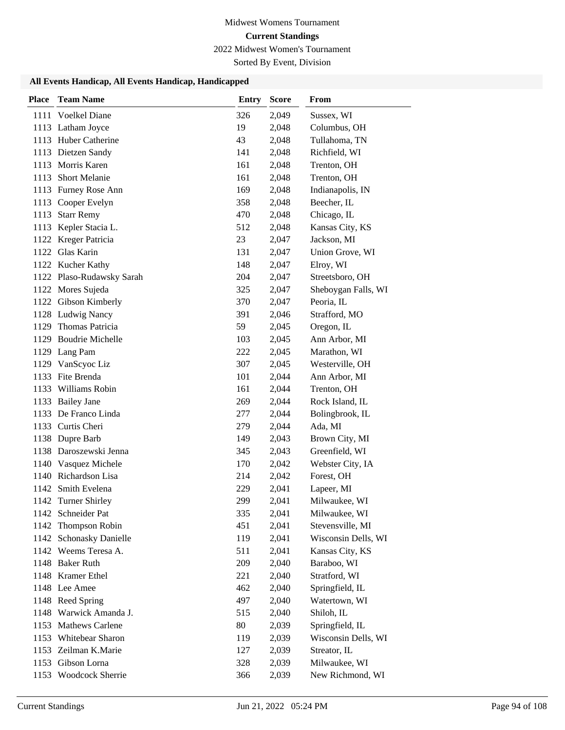2022 Midwest Women's Tournament

Sorted By Event, Division

| <b>Place</b> | <b>Team Name</b>          | <b>Entry</b> | <b>Score</b> | From                |
|--------------|---------------------------|--------------|--------------|---------------------|
|              | 1111 Voelkel Diane        | 326          | 2,049        | Sussex, WI          |
|              | 1113 Latham Joyce         | 19           | 2,048        | Columbus, OH        |
|              | 1113 Huber Catherine      | 43           | 2,048        | Tullahoma, TN       |
|              | 1113 Dietzen Sandy        | 141          | 2,048        | Richfield, WI       |
| 1113         | Morris Karen              | 161          | 2,048        | Trenton, OH         |
| 1113         | <b>Short Melanie</b>      | 161          | 2,048        | Trenton, OH         |
|              | 1113 Furney Rose Ann      | 169          | 2,048        | Indianapolis, IN    |
|              | 1113 Cooper Evelyn        | 358          | 2,048        | Beecher, IL         |
| 1113         | <b>Starr Remy</b>         | 470          | 2,048        | Chicago, IL         |
|              | 1113 Kepler Stacia L.     | 512          | 2,048        | Kansas City, KS     |
|              | 1122 Kreger Patricia      | 23           | 2,047        | Jackson, MI         |
|              | 1122 Glas Karin           | 131          | 2,047        | Union Grove, WI     |
|              | 1122 Kucher Kathy         | 148          | 2,047        | Elroy, WI           |
|              | 1122 Plaso-Rudawsky Sarah | 204          | 2,047        | Streetsboro, OH     |
|              | 1122 Mores Sujeda         | 325          | 2,047        | Sheboygan Falls, WI |
|              | 1122 Gibson Kimberly      | 370          | 2,047        | Peoria, IL          |
|              | 1128 Ludwig Nancy         | 391          | 2,046        | Strafford, MO       |
| 1129         | Thomas Patricia           | 59           | 2,045        | Oregon, IL          |
|              | 1129 Boudrie Michelle     | 103          | 2,045        | Ann Arbor, MI       |
|              | 1129 Lang Pam             | 222          | 2,045        | Marathon, WI        |
| 1129         | VanScyoc Liz              | 307          | 2,045        | Westerville, OH     |
|              | 1133 Fite Brenda          | 101          | 2,044        | Ann Arbor, MI       |
|              | 1133 Williams Robin       | 161          | 2,044        | Trenton, OH         |
|              | 1133 Bailey Jane          | 269          | 2,044        | Rock Island, IL     |
|              | 1133 De Franco Linda      | 277          | 2,044        | Bolingbrook, IL     |
|              | 1133 Curtis Cheri         | 279          | 2,044        | Ada, MI             |
|              | 1138 Dupre Barb           | 149          | 2,043        | Brown City, MI      |
|              | 1138 Daroszewski Jenna    | 345          | 2,043        | Greenfield, WI      |
|              | 1140 Vasquez Michele      | 170          | 2,042        | Webster City, IA    |
|              | 1140 Richardson Lisa      | 214          | 2,042        | Forest, OH          |
|              | 1142 Smith Evelena        | 229          | 2,041        | Lapeer, MI          |
|              | 1142 Turner Shirley       | 299          | 2,041        | Milwaukee, WI       |
|              | 1142 Schneider Pat        | 335          | 2,041        | Milwaukee, WI       |
|              | 1142 Thompson Robin       | 451          | 2,041        | Stevensville, MI    |
|              | 1142 Schonasky Danielle   | 119          | 2,041        | Wisconsin Dells, WI |
|              | 1142 Weems Teresa A.      | 511          | 2,041        | Kansas City, KS     |
|              | 1148 Baker Ruth           | 209          | 2,040        | Baraboo, WI         |
|              | 1148 Kramer Ethel         | 221          | 2,040        | Stratford, WI       |
|              | 1148 Lee Amee             | 462          | 2,040        | Springfield, IL     |
|              | 1148 Reed Spring          | 497          | 2,040        | Watertown, WI       |
|              | 1148 Warwick Amanda J.    | 515          | 2,040        | Shiloh, IL          |
|              | 1153 Mathews Carlene      | 80           | 2,039        | Springfield, IL     |
|              | 1153 Whitebear Sharon     | 119          | 2,039        | Wisconsin Dells, WI |
|              | 1153 Zeilman K.Marie      | 127          | 2,039        | Streator, IL        |
| 1153         | Gibson Lorna              | 328          | 2,039        | Milwaukee, WI       |
|              | 1153 Woodcock Sherrie     | 366          | 2,039        | New Richmond, WI    |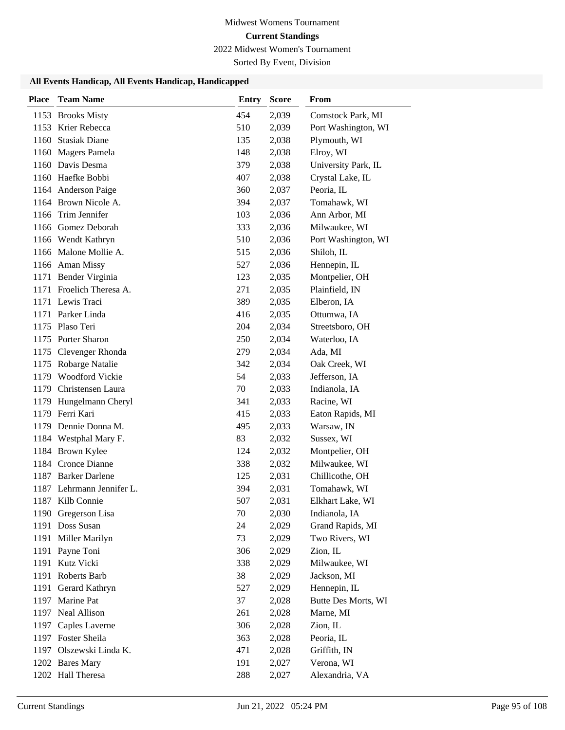2022 Midwest Women's Tournament

Sorted By Event, Division

| <b>Place</b> | <b>Team Name</b>          | Entry | <b>Score</b> | From                |
|--------------|---------------------------|-------|--------------|---------------------|
|              | 1153 Brooks Misty         | 454   | 2,039        | Comstock Park, MI   |
|              | 1153 Krier Rebecca        | 510   | 2,039        | Port Washington, WI |
| 1160         | <b>Stasiak Diane</b>      | 135   | 2,038        | Plymouth, WI        |
|              | 1160 Magers Pamela        | 148   | 2,038        | Elroy, WI           |
|              | 1160 Davis Desma          | 379   | 2,038        | University Park, IL |
|              | 1160 Haefke Bobbi         | 407   | 2,038        | Crystal Lake, IL    |
|              | 1164 Anderson Paige       | 360   | 2,037        | Peoria, IL          |
|              | 1164 Brown Nicole A.      | 394   | 2,037        | Tomahawk, WI        |
| 1166         | Trim Jennifer             | 103   | 2,036        | Ann Arbor, MI       |
|              | 1166 Gomez Deborah        | 333   | 2,036        | Milwaukee, WI       |
|              | 1166 Wendt Kathryn        | 510   | 2,036        | Port Washington, WI |
|              | 1166 Malone Mollie A.     | 515   | 2,036        | Shiloh, IL          |
|              | 1166 Aman Missy           | 527   | 2,036        | Hennepin, IL        |
|              | 1171 Bender Virginia      | 123   | 2,035        | Montpelier, OH      |
|              | 1171 Froelich Theresa A.  | 271   | 2,035        | Plainfield, IN      |
|              | 1171 Lewis Traci          | 389   | 2,035        | Elberon, IA         |
|              | 1171 Parker Linda         | 416   | 2,035        | Ottumwa, IA         |
|              | 1175 Plaso Teri           | 204   | 2,034        | Streetsboro, OH     |
|              | 1175 Porter Sharon        | 250   | 2,034        | Waterloo, IA        |
|              | 1175 Clevenger Rhonda     | 279   | 2,034        | Ada, MI             |
|              | 1175 Robarge Natalie      | 342   | 2,034        | Oak Creek, WI       |
| 1179         | <b>Woodford Vickie</b>    | 54    | 2,033        | Jefferson, IA       |
|              | 1179 Christensen Laura    | 70    | 2,033        | Indianola, IA       |
| 1179         | Hungelmann Cheryl         | 341   | 2,033        | Racine, WI          |
|              | 1179 Ferri Kari           | 415   | 2,033        | Eaton Rapids, MI    |
|              | 1179 Dennie Donna M.      | 495   | 2,033        | Warsaw, IN          |
|              | 1184 Westphal Mary F.     | 83    | 2,032        | Sussex, WI          |
|              | 1184 Brown Kylee          | 124   | 2,032        | Montpelier, OH      |
|              | 1184 Cronce Dianne        | 338   | 2,032        | Milwaukee, WI       |
|              | 1187 Barker Darlene       | 125   | 2,031        | Chillicothe, OH     |
|              | 1187 Lehrmann Jennifer L. | 394   | 2,031        | Tomahawk, WI        |
|              | 1187 Kilb Connie          | 507   | 2,031        | Elkhart Lake, WI    |
|              | 1190 Gregerson Lisa       | 70    | 2,030        | Indianola, IA       |
|              | 1191 Doss Susan           | 24    | 2,029        | Grand Rapids, MI    |
|              | 1191 Miller Marilyn       | 73    | 2,029        | Two Rivers, WI      |
|              | 1191 Payne Toni           | 306   | 2,029        | Zion, IL            |
| 1191         | Kutz Vicki                | 338   | 2,029        | Milwaukee, WI       |
| 1191         | Roberts Barb              | 38    | 2,029        | Jackson, MI         |
| 1191         | Gerard Kathryn            | 527   | 2,029        | Hennepin, IL        |
|              | 1197 Marine Pat           | 37    | 2,028        | Butte Des Morts, WI |
|              | 1197 Neal Allison         | 261   | 2,028        | Marne, MI           |
|              | 1197 Caples Laverne       | 306   | 2,028        | Zion, IL            |
|              | 1197 Foster Sheila        | 363   | 2,028        | Peoria, IL          |
|              | 1197 Olszewski Linda K.   | 471   | 2,028        | Griffith, IN        |
|              | 1202 Bares Mary           | 191   | 2,027        | Verona, WI          |
|              | 1202 Hall Theresa         | 288   | 2,027        | Alexandria, VA      |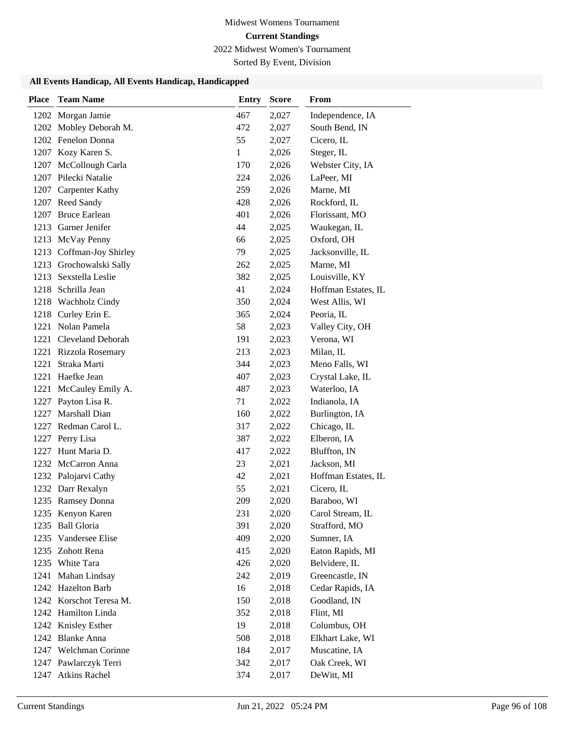2022 Midwest Women's Tournament

Sorted By Event, Division

| <b>Place</b> | <b>Team Name</b>                          | <b>Entry</b> | <b>Score</b>   | From                              |
|--------------|-------------------------------------------|--------------|----------------|-----------------------------------|
|              | 1202 Morgan Jamie                         | 467          | 2,027          | Independence, IA                  |
|              | 1202 Mobley Deborah M.                    | 472          | 2,027          | South Bend, IN                    |
|              | 1202 Fenelon Donna                        | 55           | 2,027          | Cicero, IL                        |
|              | 1207 Kozy Karen S.                        | 1            | 2,026          | Steger, IL                        |
|              | 1207 McCollough Carla                     | 170          | 2,026          | Webster City, IA                  |
|              | 1207 Pilecki Natalie                      | 224          | 2,026          | LaPeer, MI                        |
|              | 1207 Carpenter Kathy                      | 259          | 2,026          | Marne, MI                         |
|              | 1207 Reed Sandy                           | 428          | 2,026          | Rockford, IL                      |
|              | 1207 Bruce Earlean                        | 401          | 2,026          | Florissant, MO                    |
|              | 1213 Garner Jenifer                       | 44           | 2,025          | Waukegan, IL                      |
|              | 1213 McVay Penny                          | 66           | 2,025          | Oxford, OH                        |
|              | 1213 Coffman-Joy Shirley                  | 79           | 2,025          | Jacksonville, IL                  |
|              | 1213 Grochowalski Sally                   | 262          | 2,025          | Marne, MI                         |
| 1213         | Sexstella Leslie                          | 382          | 2,025          | Louisville, KY                    |
|              | 1218 Schrilla Jean                        | 41           | 2,024          | Hoffman Estates, IL               |
|              | 1218 Wachholz Cindy                       | 350          | 2,024          | West Allis, WI                    |
| 1218         | Curley Erin E.                            | 365          | 2,024          | Peoria, IL                        |
| 1221         | Nolan Pamela                              | 58           | 2,023          | Valley City, OH                   |
|              | 1221 Cleveland Deborah                    | 191          | 2,023          | Verona, WI                        |
|              | 1221 Rizzola Rosemary                     | 213          | 2,023          | Milan, IL                         |
| 1221         | Straka Marti                              | 344          | 2,023          | Meno Falls, WI                    |
|              | 1221 Haefke Jean                          | 407          | 2,023          | Crystal Lake, IL                  |
|              | 1221 McCauley Emily A.                    | 487          | 2,023          | Waterloo, IA                      |
|              | 1227 Payton Lisa R.                       | 71           | 2,022          | Indianola, IA                     |
| 1227         | Marshall Dian                             | 160          | 2,022          | Burlington, IA                    |
|              | 1227 Redman Carol L.                      | 317          | 2,022          | Chicago, IL                       |
|              | 1227 Perry Lisa                           | 387          | 2,022          | Elberon, IA                       |
| 1227         | Hunt Maria D.                             | 417          | 2,022          | Bluffton, IN                      |
|              | 1232 McCarron Anna                        | 23           | 2,021          | Jackson, MI                       |
|              | 1232 Palojarvi Cathy<br>1232 Darr Rexalyn | 42           | 2,021          | Hoffman Estates, IL               |
|              |                                           | 55           | 2,021          | Cicero, IL                        |
|              | 1235 Ramsey Donna                         | 209          | 2,020          | Baraboo, WI                       |
|              | 1235 Kenyon Karen<br>1235 Ball Gloria     | 231<br>391   | 2,020<br>2,020 | Carol Stream, IL<br>Strafford, MO |
|              | 1235 Vandersee Elise                      | 409          | 2,020          | Sumner, IA                        |
|              | 1235 Zohott Rena                          | 415          | 2,020          | Eaton Rapids, MI                  |
|              | 1235 White Tara                           | 426          | 2,020          | Belvidere, IL                     |
|              | 1241 Mahan Lindsay                        | 242          | 2,019          | Greencastle, IN                   |
|              | 1242 Hazelton Barb                        | 16           | 2,018          | Cedar Rapids, IA                  |
|              | 1242 Korschot Teresa M.                   | 150          | 2,018          | Goodland, IN                      |
|              | 1242 Hamilton Linda                       | 352          | 2,018          | Flint, MI                         |
|              | 1242 Knisley Esther                       | 19           | 2,018          | Columbus, OH                      |
|              | 1242 Blanke Anna                          | 508          | 2,018          | Elkhart Lake, WI                  |
|              | 1247 Welchman Corinne                     | 184          | 2,017          | Muscatine, IA                     |
|              | 1247 Pawlarczyk Terri                     | 342          | 2,017          | Oak Creek, WI                     |
|              | 1247 Atkins Rachel                        | 374          | 2,017          | DeWitt, MI                        |
|              |                                           |              |                |                                   |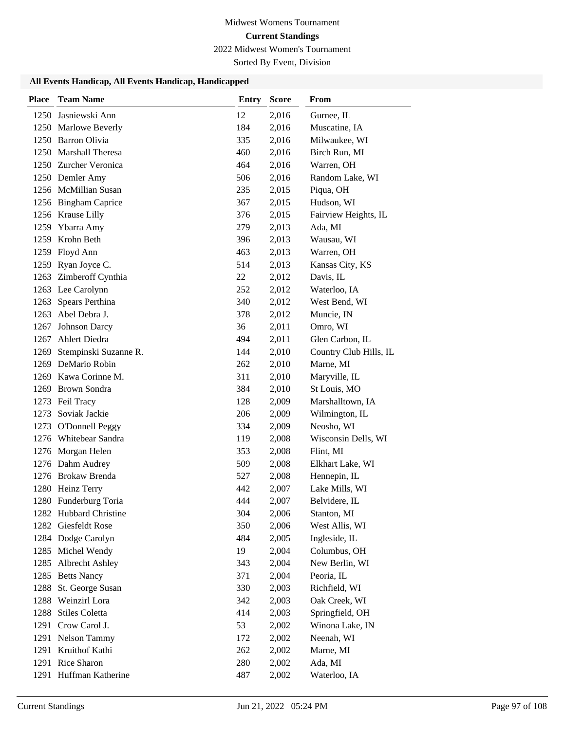2022 Midwest Women's Tournament

Sorted By Event, Division

| <b>Place</b> | <b>Team Name</b>       | Entry | <b>Score</b> | From                   |
|--------------|------------------------|-------|--------------|------------------------|
|              | 1250 Jasniewski Ann    | 12    | 2,016        | Gurnee, IL             |
|              | 1250 Marlowe Beverly   | 184   | 2,016        | Muscatine, IA          |
|              | 1250 Barron Olivia     | 335   | 2,016        | Milwaukee, WI          |
|              | 1250 Marshall Theresa  | 460   | 2,016        | Birch Run, MI          |
|              | 1250 Zurcher Veronica  | 464   | 2,016        | Warren, OH             |
|              | 1250 Demler Amy        | 506   | 2,016        | Random Lake, WI        |
|              | 1256 McMillian Susan   | 235   | 2,015        | Piqua, OH              |
|              | 1256 Bingham Caprice   | 367   | 2,015        | Hudson, WI             |
|              | 1256 Krause Lilly      | 376   | 2,015        | Fairview Heights, IL   |
|              | 1259 Ybarra Amy        | 279   | 2,013        | Ada, MI                |
|              | 1259 Krohn Beth        | 396   | 2,013        | Wausau, WI             |
|              | 1259 Floyd Ann         | 463   | 2,013        | Warren, OH             |
|              | 1259 Ryan Joyce C.     | 514   | 2,013        | Kansas City, KS        |
|              | 1263 Zimberoff Cynthia | 22    | 2,012        | Davis, IL              |
|              | 1263 Lee Carolynn      | 252   | 2,012        | Waterloo, IA           |
|              | 1263 Spears Perthina   | 340   | 2,012        | West Bend, WI          |
|              | 1263 Abel Debra J.     | 378   | 2,012        | Muncie, IN             |
| 1267         | Johnson Darcy          | 36    | 2,011        | Omro, WI               |
|              | 1267 Ahlert Diedra     | 494   | 2,011        | Glen Carbon, IL        |
| 1269         | Stempinski Suzanne R.  | 144   | 2,010        | Country Club Hills, IL |
|              | 1269 DeMario Robin     | 262   | 2,010        | Marne, MI              |
|              | 1269 Kawa Corinne M.   | 311   | 2,010        | Maryville, IL          |
|              | 1269 Brown Sondra      | 384   | 2,010        | St Louis, MO           |
|              | 1273 Feil Tracy        | 128   | 2,009        | Marshalltown, IA       |
|              | 1273 Soviak Jackie     | 206   | 2,009        | Wilmington, IL         |
|              | 1273 O'Donnell Peggy   | 334   | 2,009        | Neosho, WI             |
|              | 1276 Whitebear Sandra  | 119   | 2,008        | Wisconsin Dells, WI    |
|              | 1276 Morgan Helen      | 353   | 2,008        | Flint, MI              |
|              | 1276 Dahm Audrey       | 509   | 2,008        | Elkhart Lake, WI       |
|              | 1276 Brokaw Brenda     | 527   | 2,008        | Hennepin, IL           |
|              | 1280 Heinz Terry       | 442   | 2,007        | Lake Mills, WI         |
|              | 1280 Funderburg Toria  | 444   | 2,007        | Belvidere, IL          |
|              | 1282 Hubbard Christine | 304   | 2,006        | Stanton, MI            |
|              | 1282 Giesfeldt Rose    | 350   | 2,006        | West Allis, WI         |
|              | 1284 Dodge Carolyn     | 484   | 2,005        | Ingleside, IL          |
|              | 1285 Michel Wendy      | 19    | 2,004        | Columbus, OH           |
|              | 1285 Albrecht Ashley   | 343   | 2,004        | New Berlin, WI         |
|              | 1285 Betts Nancy       | 371   | 2,004        | Peoria, IL             |
|              | 1288 St. George Susan  | 330   | 2,003        | Richfield, WI          |
|              | 1288 Weinzirl Lora     | 342   | 2,003        | Oak Creek, WI          |
|              | 1288 Stiles Coletta    | 414   | 2,003        | Springfield, OH        |
|              | 1291 Crow Carol J.     | 53    | 2,002        | Winona Lake, IN        |
|              | 1291 Nelson Tammy      | 172   | 2,002        | Neenah, WI             |
|              | 1291 Kruithof Kathi    | 262   | 2,002        | Marne, MI              |
|              | 1291 Rice Sharon       | 280   | 2,002        | Ada, MI                |
|              | 1291 Huffman Katherine | 487   | 2,002        | Waterloo, IA           |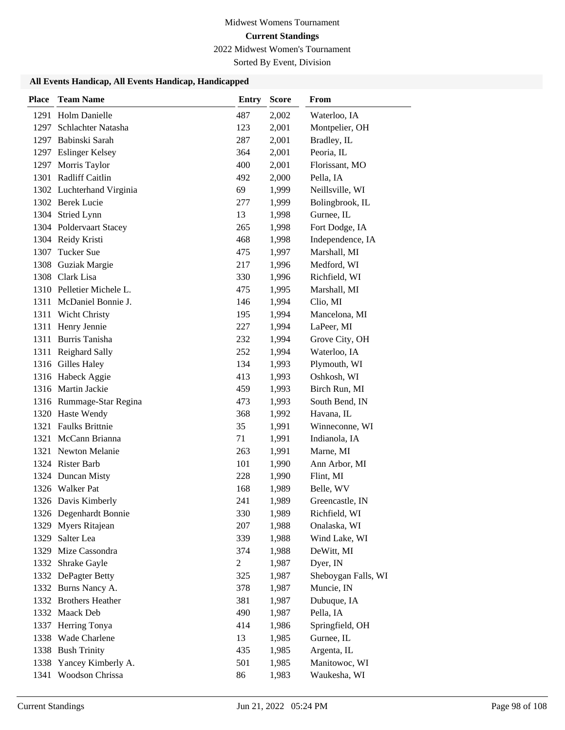2022 Midwest Women's Tournament

Sorted By Event, Division

| <b>Place</b> | <b>Team Name</b>          | <b>Entry</b>   | <b>Score</b> | From                |
|--------------|---------------------------|----------------|--------------|---------------------|
|              | 1291 Holm Danielle        | 487            | 2,002        | Waterloo, IA        |
|              | 1297 Schlachter Natasha   | 123            | 2,001        | Montpelier, OH      |
|              | 1297 Babinski Sarah       | 287            | 2,001        | Bradley, IL         |
|              | 1297 Eslinger Kelsey      | 364            | 2,001        | Peoria, IL          |
|              | 1297 Morris Taylor        | 400            | 2,001        | Florissant, MO      |
|              | 1301 Radliff Caitlin      | 492            | 2,000        | Pella, IA           |
|              | 1302 Luchterhand Virginia | 69             | 1,999        | Neillsville, WI     |
|              | 1302 Berek Lucie          | 277            | 1,999        | Bolingbrook, IL     |
|              | 1304 Stried Lynn          | 13             | 1,998        | Gurnee, IL          |
|              | 1304 Poldervaart Stacey   | 265            | 1,998        | Fort Dodge, IA      |
|              | 1304 Reidy Kristi         | 468            | 1,998        | Independence, IA    |
| 1307         | <b>Tucker Sue</b>         | 475            | 1,997        | Marshall, MI        |
| 1308         | Guziak Margie             | 217            | 1,996        | Medford, WI         |
|              | 1308 Clark Lisa           | 330            | 1,996        | Richfield, WI       |
|              | 1310 Pelletier Michele L. | 475            | 1,995        | Marshall, MI        |
|              | 1311 McDaniel Bonnie J.   | 146            | 1,994        | Clio, MI            |
| 1311         | Wicht Christy             | 195            | 1,994        | Mancelona, MI       |
|              | 1311 Henry Jennie         | 227            | 1,994        | LaPeer, MI          |
|              | 1311 Burris Tanisha       | 232            | 1,994        | Grove City, OH      |
| 1311         | Reighard Sally            | 252            | 1,994        | Waterloo, IA        |
|              | 1316 Gilles Haley         | 134            | 1,993        | Plymouth, WI        |
|              | 1316 Habeck Aggie         | 413            | 1,993        | Oshkosh, WI         |
|              | 1316 Martin Jackie        | 459            | 1,993        | Birch Run, MI       |
|              | 1316 Rummage-Star Regina  | 473            | 1,993        | South Bend, IN      |
|              | 1320 Haste Wendy          | 368            | 1,992        | Havana, IL          |
| 1321         | <b>Faulks Brittnie</b>    | 35             | 1,991        | Winneconne, WI      |
|              | 1321 McCann Brianna       | 71             | 1,991        | Indianola, IA       |
|              | 1321 Newton Melanie       | 263            | 1,991        | Marne, MI           |
|              | 1324 Rister Barb          | 101            | 1,990        | Ann Arbor, MI       |
|              | 1324 Duncan Misty         | 228            | 1,990        | Flint, MI           |
|              | 1326 Walker Pat           | 168            | 1,989        | Belle, WV           |
|              | 1326 Davis Kimberly       | 241            | 1,989        | Greencastle, IN     |
|              | 1326 Degenhardt Bonnie    | 330            | 1,989        | Richfield, WI       |
|              | 1329 Myers Ritajean       | 207            | 1,988        | Onalaska, WI        |
|              | 1329 Salter Lea           | 339            | 1,988        | Wind Lake, WI       |
|              | 1329 Mize Cassondra       | 374            | 1,988        | DeWitt, MI          |
|              | 1332 Shrake Gayle         | $\overline{c}$ | 1,987        | Dyer, IN            |
|              | 1332 DePagter Betty       | 325            | 1,987        | Sheboygan Falls, WI |
|              | 1332 Burns Nancy A.       | 378            | 1,987        | Muncie, IN          |
|              | 1332 Brothers Heather     | 381            | 1,987        | Dubuque, IA         |
|              | 1332 Maack Deb            | 490            | 1,987        | Pella, IA           |
|              | 1337 Herring Tonya        | 414            | 1,986        | Springfield, OH     |
|              | 1338 Wade Charlene        | 13             | 1,985        | Gurnee, IL          |
|              | 1338 Bush Trinity         | 435            | 1,985        | Argenta, IL         |
| 1338         | Yancey Kimberly A.        | 501            | 1,985        | Manitowoc, WI       |
| 1341         | Woodson Chrissa           | 86             | 1,983        | Waukesha, WI        |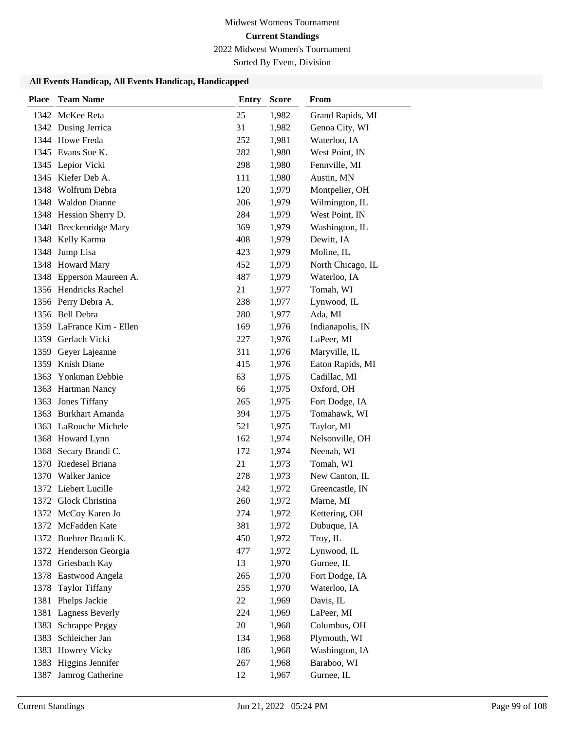2022 Midwest Women's Tournament

Sorted By Event, Division

| <b>Place</b> | <b>Team Name</b>          | <b>Entry</b> | <b>Score</b> | From              |
|--------------|---------------------------|--------------|--------------|-------------------|
|              | 1342 McKee Reta           | 25           | 1,982        | Grand Rapids, MI  |
|              | 1342 Dusing Jerrica       | 31           | 1,982        | Genoa City, WI    |
|              | 1344 Howe Freda           | 252          | 1,981        | Waterloo, IA      |
|              | 1345 Evans Sue K.         | 282          | 1,980        | West Point, IN    |
|              | 1345 Lepior Vicki         | 298          | 1,980        | Fennville, MI     |
|              | 1345 Kiefer Deb A.        | 111          | 1,980        | Austin, MN        |
|              | 1348 Wolfrum Debra        | 120          | 1,979        | Montpelier, OH    |
|              | 1348 Waldon Dianne        | 206          | 1,979        | Wilmington, IL    |
|              | 1348 Hession Sherry D.    | 284          | 1,979        | West Point, IN    |
|              | 1348 Breckenridge Mary    | 369          | 1,979        | Washington, IL    |
|              | 1348 Kelly Karma          | 408          | 1,979        | Dewitt, IA        |
| 1348         | Jump Lisa                 | 423          | 1,979        | Moline, IL        |
|              | 1348 Howard Mary          | 452          | 1,979        | North Chicago, IL |
|              | 1348 Epperson Maureen A.  | 487          | 1,979        | Waterloo, IA      |
|              | 1356 Hendricks Rachel     | 21           | 1,977        | Tomah, WI         |
|              | 1356 Perry Debra A.       | 238          | 1,977        | Lynwood, IL       |
|              | 1356 Bell Debra           | 280          | 1,977        | Ada, MI           |
|              | 1359 LaFrance Kim - Ellen | 169          | 1,976        | Indianapolis, IN  |
|              | 1359 Gerlach Vicki        | 227          | 1,976        | LaPeer, MI        |
|              | 1359 Geyer Lajeanne       | 311          | 1,976        | Maryville, IL     |
| 1359         | Knish Diane               | 415          | 1,976        | Eaton Rapids, MI  |
|              | 1363 Yonkman Debbie       | 63           | 1,975        | Cadillac, MI      |
|              | 1363 Hartman Nancy        | 66           | 1,975        | Oxford, OH        |
| 1363         | <b>Jones Tiffany</b>      | 265          | 1,975        | Fort Dodge, IA    |
|              | 1363 Burkhart Amanda      | 394          | 1,975        | Tomahawk, WI      |
|              | 1363 LaRouche Michele     | 521          | 1,975        | Taylor, MI        |
|              | 1368 Howard Lynn          | 162          | 1,974        | Nelsonville, OH   |
| 1368         | Secary Brandi C.          | 172          | 1,974        | Neenah, WI        |
|              | 1370 Riedesel Briana      | 21           | 1,973        | Tomah, WI         |
|              | 1370 Walker Janice        | 278          | 1,973        | New Canton, IL    |
|              | 1372 Liebert Lucille      | 242          | 1,972        | Greencastle, IN   |
|              | 1372 Glock Christina      | 260          | 1,972        | Marne, MI         |
|              | 1372 McCoy Karen Jo       | 274          | 1,972        | Kettering, OH     |
| 1372         | McFadden Kate             | 381          | 1,972        | Dubuque, IA       |
|              | 1372 Buehrer Brandi K.    | 450          | 1,972        | Troy, IL          |
|              | 1372 Henderson Georgia    | 477          | 1,972        | Lynwood, IL       |
|              | 1378 Griesbach Kay        | 13           | 1,970        | Gurnee, IL        |
| 1378         | Eastwood Angela           | 265          | 1,970        | Fort Dodge, IA    |
| 1378         | <b>Taylor Tiffany</b>     | 255          | 1,970        | Waterloo, IA      |
| 1381         | Phelps Jackie             | 22           | 1,969        | Davis, IL         |
| 1381         | <b>Lagness Beverly</b>    | 224          | 1,969        | LaPeer, MI        |
| 1383         | <b>Schrappe Peggy</b>     | $20\,$       | 1,968        | Columbus, OH      |
| 1383         | Schleicher Jan            | 134          | 1,968        | Plymouth, WI      |
| 1383         | <b>Howrey Vicky</b>       | 186          | 1,968        | Washington, IA    |
| 1383         | Higgins Jennifer          | 267          | 1,968        | Baraboo, WI       |
| 1387         | Jamrog Catherine          | 12           | 1,967        | Gurnee, IL        |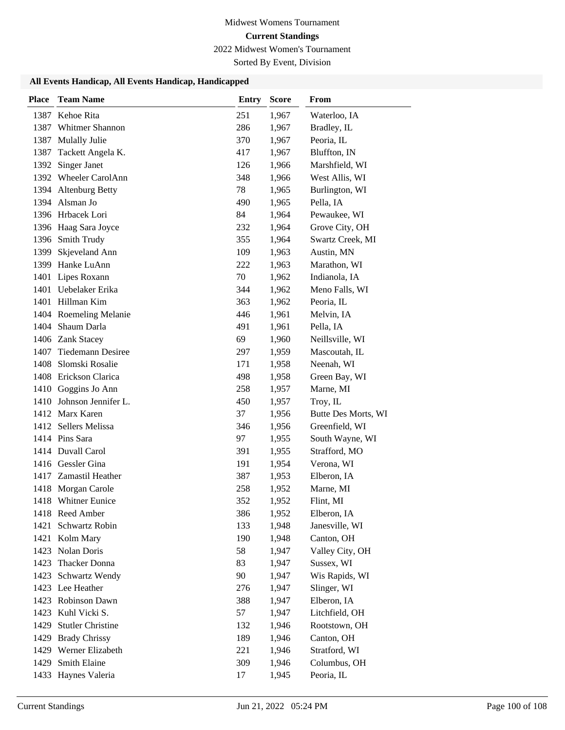2022 Midwest Women's Tournament

Sorted By Event, Division

| <b>Place</b> | <b>Team Name</b>         | <b>Entry</b> | <b>Score</b> | From                |
|--------------|--------------------------|--------------|--------------|---------------------|
| 1387         | Kehoe Rita               | 251          | 1,967        | Waterloo, IA        |
| 1387         | Whitmer Shannon          | 286          | 1,967        | Bradley, IL         |
| 1387         | Mulally Julie            | 370          | 1,967        | Peoria, IL          |
| 1387         | Tackett Angela K.        | 417          | 1,967        | Bluffton, IN        |
| 1392         | <b>Singer Janet</b>      | 126          | 1,966        | Marshfield, WI      |
|              | 1392 Wheeler CarolAnn    | 348          | 1,966        | West Allis, WI      |
|              | 1394 Altenburg Betty     | 78           | 1,965        | Burlington, WI      |
|              | 1394 Alsman Jo           | 490          | 1,965        | Pella, IA           |
|              | 1396 Hrbacek Lori        | 84           | 1,964        | Pewaukee, WI        |
|              | 1396 Haag Sara Joyce     | 232          | 1,964        | Grove City, OH      |
|              | 1396 Smith Trudy         | 355          | 1,964        | Swartz Creek, MI    |
| 1399         | Skjeveland Ann           | 109          | 1,963        | Austin, MN          |
| 1399         | Hanke LuAnn              | 222          | 1,963        | Marathon, WI        |
|              | 1401 Lipes Roxann        | 70           | 1,962        | Indianola, IA       |
|              | 1401 Uebelaker Erika     | 344          | 1,962        | Meno Falls, WI      |
|              | 1401 Hillman Kim         | 363          | 1,962        | Peoria, IL          |
|              | 1404 Roemeling Melanie   | 446          | 1,961        | Melvin, IA          |
| 1404         | Shaum Darla              | 491          | 1,961        | Pella, IA           |
|              | 1406 Zank Stacey         | 69           | 1,960        | Neillsville, WI     |
| 1407         | <b>Tiedemann Desiree</b> | 297          | 1,959        | Mascoutah, IL       |
| 1408         | Slomski Rosalie          | 171          | 1,958        | Neenah, WI          |
|              | 1408 Erickson Clarica    | 498          | 1,958        | Green Bay, WI       |
|              | 1410 Goggins Jo Ann      | 258          | 1,957        | Marne, MI           |
|              | 1410 Johnson Jennifer L. | 450          | 1,957        | Troy, IL            |
|              | 1412 Marx Karen          | 37           | 1,956        | Butte Des Morts, WI |
|              | 1412 Sellers Melissa     | 346          | 1,956        | Greenfield, WI      |
|              | 1414 Pins Sara           | 97           | 1,955        | South Wayne, WI     |
|              | 1414 Duvall Carol        | 391          | 1,955        | Strafford, MO       |
|              | 1416 Gessler Gina        | 191          | 1,954        | Verona, WI          |
|              | 1417 Zamastil Heather    | 387          | 1,953        | Elberon, IA         |
|              | 1418 Morgan Carole       | 258          | 1,952        | Marne, MI           |
|              | 1418 Whitner Eunice      | 352          | 1,952        | Flint, MI           |
|              | 1418 Reed Amber          | 386          | 1,952        | Elberon, IA         |
| 1421         | Schwartz Robin           | 133          | 1,948        | Janesville, WI      |
|              | 1421 Kolm Mary           | 190          | 1,948        | Canton, OH          |
| 1423         | Nolan Doris              | 58           | 1,947        | Valley City, OH     |
| 1423         | <b>Thacker Donna</b>     | 83           | 1,947        | Sussex, WI          |
| 1423         | Schwartz Wendy           | 90           | 1,947        | Wis Rapids, WI      |
|              | 1423 Lee Heather         | 276          | 1,947        | Slinger, WI         |
| 1423         | Robinson Dawn            | 388          | 1,947        | Elberon, IA         |
| 1423         | Kuhl Vicki S.            | 57           | 1,947        | Litchfield, OH      |
| 1429         | <b>Stutler Christine</b> | 132          | 1,946        | Rootstown, OH       |
| 1429         | <b>Brady Chrissy</b>     | 189          | 1,946        | Canton, OH          |
|              | 1429 Werner Elizabeth    | 221          | 1,946        | Stratford, WI       |
| 1429         | Smith Elaine             | 309          | 1,946        | Columbus, OH        |
| 1433         | Haynes Valeria           | 17           | 1,945        | Peoria, IL          |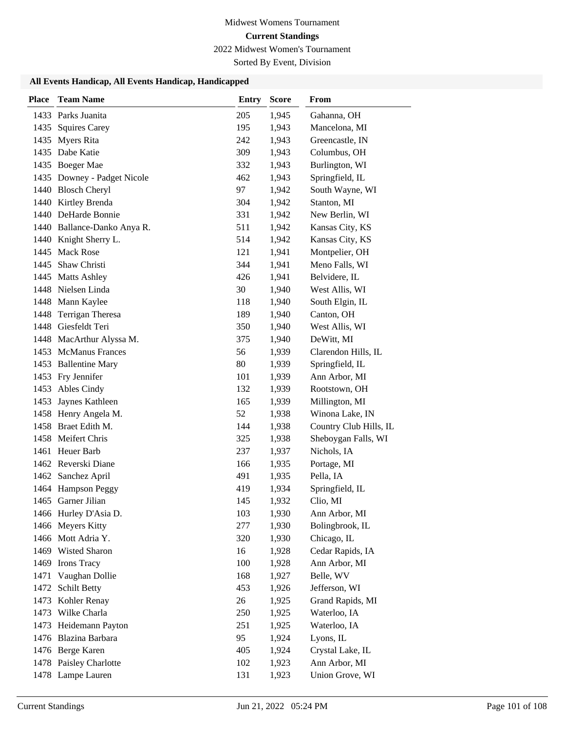2022 Midwest Women's Tournament

Sorted By Event, Division

| <b>Place</b> | <b>Team Name</b>            | <b>Entry</b> | <b>Score</b> | From                   |
|--------------|-----------------------------|--------------|--------------|------------------------|
|              | 1433 Parks Juanita          | 205          | 1,945        | Gahanna, OH            |
| 1435         | <b>Squires Carey</b>        | 195          | 1,943        | Mancelona, MI          |
|              | 1435 Myers Rita             | 242          | 1,943        | Greencastle, IN        |
| 1435         | Dabe Katie                  | 309          | 1,943        | Columbus, OH           |
|              | 1435 Boeger Mae             | 332          | 1,943        | Burlington, WI         |
|              | 1435 Downey - Padget Nicole | 462          | 1,943        | Springfield, IL        |
|              | 1440 Blosch Cheryl          | 97           | 1,942        | South Wayne, WI        |
|              | 1440 Kirtley Brenda         | 304          | 1,942        | Stanton, MI            |
|              | 1440 DeHarde Bonnie         | 331          | 1,942        | New Berlin, WI         |
|              | 1440 Ballance-Danko Anya R. | 511          | 1,942        | Kansas City, KS        |
|              | 1440 Knight Sherry L.       | 514          | 1,942        | Kansas City, KS        |
| 1445         | <b>Mack Rose</b>            | 121          | 1,941        | Montpelier, OH         |
| 1445         | Shaw Christi                | 344          | 1,941        | Meno Falls, WI         |
|              | 1445 Matts Ashley           | 426          | 1,941        | Belvidere, IL          |
|              | 1448 Nielsen Linda          | 30           | 1,940        | West Allis, WI         |
|              | 1448 Mann Kaylee            | 118          | 1,940        | South Elgin, IL        |
| 1448         | Terrigan Theresa            | 189          | 1,940        | Canton, OH             |
|              | 1448 Giesfeldt Teri         | 350          | 1,940        | West Allis, WI         |
|              | 1448 MacArthur Alyssa M.    | 375          | 1,940        | DeWitt, MI             |
| 1453         | <b>McManus Frances</b>      | 56           | 1,939        | Clarendon Hills, IL    |
| 1453         | <b>Ballentine Mary</b>      | 80           | 1,939        | Springfield, IL        |
|              | 1453 Fry Jennifer           | 101          | 1,939        | Ann Arbor, MI          |
| 1453         | Ables Cindy                 | 132          | 1,939        | Rootstown, OH          |
| 1453         | Jaynes Kathleen             | 165          | 1,939        | Millington, MI         |
|              | 1458 Henry Angela M.        | 52           | 1,938        | Winona Lake, IN        |
|              | 1458 Braet Edith M.         | 144          | 1,938        | Country Club Hills, IL |
|              | 1458 Meifert Chris          | 325          | 1,938        | Sheboygan Falls, WI    |
|              | 1461 Heuer Barb             | 237          | 1,937        | Nichols, IA            |
|              | 1462 Reverski Diane         | 166          | 1,935        | Portage, MI            |
|              | 1462 Sanchez April          | 491          | 1,935        | Pella, IA              |
|              | 1464 Hampson Peggy          | 419          | 1,934        | Springfield, IL        |
|              | 1465 Garner Jilian          | 145          | 1,932        | Clio, MI               |
|              | 1466 Hurley D'Asia D.       | 103          | 1,930        | Ann Arbor, MI          |
|              | 1466 Meyers Kitty           | 277          | 1,930        | Bolingbrook, IL        |
|              | 1466 Mott Adria Y.          | 320          | 1,930        | Chicago, IL            |
|              | 1469 Wisted Sharon          | 16           | 1,928        | Cedar Rapids, IA       |
|              | 1469 Irons Tracy            | 100          | 1,928        | Ann Arbor, MI          |
| 1471         | Vaughan Dollie              | 168          | 1,927        | Belle, WV              |
| 1472         | <b>Schilt Betty</b>         | 453          | 1,926        | Jefferson, WI          |
| 1473         | Kohler Renay                | 26           | 1,925        | Grand Rapids, MI       |
| 1473         | Wilke Charla                | 250          | 1,925        | Waterloo, IA           |
| 1473         | Heidemann Payton            | 251          | 1,925        | Waterloo, IA           |
|              | 1476 Blazina Barbara        | 95           | 1,924        | Lyons, IL              |
|              | 1476 Berge Karen            | 405          | 1,924        | Crystal Lake, IL       |
|              | 1478 Paisley Charlotte      | 102          | 1,923        | Ann Arbor, MI          |
|              | 1478 Lampe Lauren           | 131          | 1,923        | Union Grove, WI        |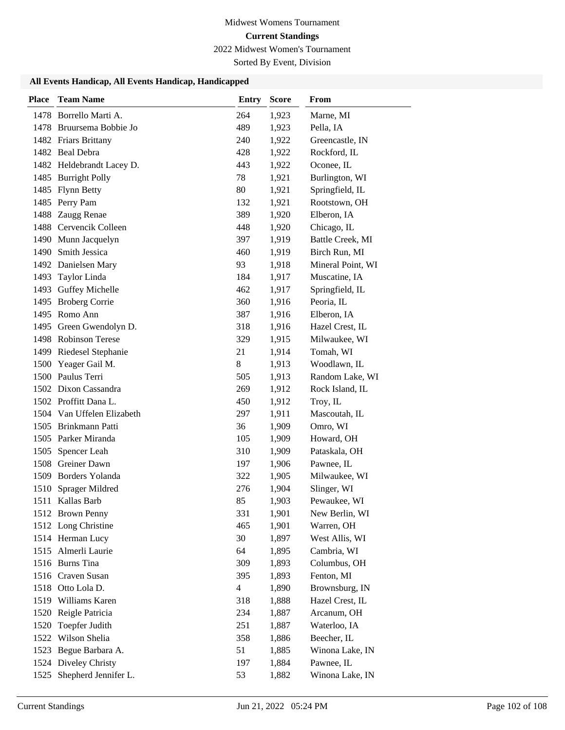2022 Midwest Women's Tournament

Sorted By Event, Division

| 1478 Borrello Marti A.<br>264<br>1,923<br>Marne, MI<br>489<br>1478 Bruursema Bobbie Jo<br>1,923<br>Pella, IA<br>1482 Friars Brittany<br>240<br>1,922<br>Greencastle, IN<br>1482 Beal Debra<br>428<br>1,922<br>Rockford, IL<br>1482 Heldebrandt Lacey D.<br>443<br>1,922<br>Oconee, IL<br>78<br>Burlington, WI<br>1485 Burright Polly<br>1,921<br>1485 Flynn Betty<br>80<br>1,921<br>Springfield, IL<br>1485 Perry Pam<br>132<br>1,921<br>Rootstown, OH<br>1488 Zaugg Renae<br>389<br>1,920<br>Elberon, IA<br>1488 Cervencik Colleen<br>448<br>1,920<br>Chicago, IL<br>1490 Munn Jacquelyn<br>397<br>1,919<br>Battle Creek, MI<br>1490 Smith Jessica<br>Birch Run, MI<br>460<br>1,919<br>Mineral Point, WI<br>1492 Danielsen Mary<br>93<br>1,918<br>Muscatine, IA<br>1493 Taylor Linda<br>184<br>1,917<br>1493 Guffey Michelle<br>462<br>Springfield, IL<br>1,917<br>1495 Broberg Corrie<br>360<br>1,916<br>Peoria, IL<br>1495 Romo Ann<br>387<br>1,916<br>Elberon, IA<br>1495 Green Gwendolyn D.<br>318<br>1,916<br>Hazel Crest, IL<br>1498 Robinson Terese<br>Milwaukee, WI<br>1,915<br>329<br>Tomah, WI<br>1499 Riedesel Stephanie<br>21<br>1,914 | <b>Place</b> | <b>Team Name</b> | <b>Entry</b> | <b>Score</b> | From         |
|-----------------------------------------------------------------------------------------------------------------------------------------------------------------------------------------------------------------------------------------------------------------------------------------------------------------------------------------------------------------------------------------------------------------------------------------------------------------------------------------------------------------------------------------------------------------------------------------------------------------------------------------------------------------------------------------------------------------------------------------------------------------------------------------------------------------------------------------------------------------------------------------------------------------------------------------------------------------------------------------------------------------------------------------------------------------------------------------------------------------------------------------------------|--------------|------------------|--------------|--------------|--------------|
|                                                                                                                                                                                                                                                                                                                                                                                                                                                                                                                                                                                                                                                                                                                                                                                                                                                                                                                                                                                                                                                                                                                                                     |              |                  |              |              |              |
|                                                                                                                                                                                                                                                                                                                                                                                                                                                                                                                                                                                                                                                                                                                                                                                                                                                                                                                                                                                                                                                                                                                                                     |              |                  |              |              |              |
|                                                                                                                                                                                                                                                                                                                                                                                                                                                                                                                                                                                                                                                                                                                                                                                                                                                                                                                                                                                                                                                                                                                                                     |              |                  |              |              |              |
|                                                                                                                                                                                                                                                                                                                                                                                                                                                                                                                                                                                                                                                                                                                                                                                                                                                                                                                                                                                                                                                                                                                                                     |              |                  |              |              |              |
|                                                                                                                                                                                                                                                                                                                                                                                                                                                                                                                                                                                                                                                                                                                                                                                                                                                                                                                                                                                                                                                                                                                                                     |              |                  |              |              |              |
|                                                                                                                                                                                                                                                                                                                                                                                                                                                                                                                                                                                                                                                                                                                                                                                                                                                                                                                                                                                                                                                                                                                                                     |              |                  |              |              |              |
|                                                                                                                                                                                                                                                                                                                                                                                                                                                                                                                                                                                                                                                                                                                                                                                                                                                                                                                                                                                                                                                                                                                                                     |              |                  |              |              |              |
|                                                                                                                                                                                                                                                                                                                                                                                                                                                                                                                                                                                                                                                                                                                                                                                                                                                                                                                                                                                                                                                                                                                                                     |              |                  |              |              |              |
|                                                                                                                                                                                                                                                                                                                                                                                                                                                                                                                                                                                                                                                                                                                                                                                                                                                                                                                                                                                                                                                                                                                                                     |              |                  |              |              |              |
|                                                                                                                                                                                                                                                                                                                                                                                                                                                                                                                                                                                                                                                                                                                                                                                                                                                                                                                                                                                                                                                                                                                                                     |              |                  |              |              |              |
|                                                                                                                                                                                                                                                                                                                                                                                                                                                                                                                                                                                                                                                                                                                                                                                                                                                                                                                                                                                                                                                                                                                                                     |              |                  |              |              |              |
|                                                                                                                                                                                                                                                                                                                                                                                                                                                                                                                                                                                                                                                                                                                                                                                                                                                                                                                                                                                                                                                                                                                                                     |              |                  |              |              |              |
|                                                                                                                                                                                                                                                                                                                                                                                                                                                                                                                                                                                                                                                                                                                                                                                                                                                                                                                                                                                                                                                                                                                                                     |              |                  |              |              |              |
|                                                                                                                                                                                                                                                                                                                                                                                                                                                                                                                                                                                                                                                                                                                                                                                                                                                                                                                                                                                                                                                                                                                                                     |              |                  |              |              |              |
|                                                                                                                                                                                                                                                                                                                                                                                                                                                                                                                                                                                                                                                                                                                                                                                                                                                                                                                                                                                                                                                                                                                                                     |              |                  |              |              |              |
|                                                                                                                                                                                                                                                                                                                                                                                                                                                                                                                                                                                                                                                                                                                                                                                                                                                                                                                                                                                                                                                                                                                                                     |              |                  |              |              |              |
|                                                                                                                                                                                                                                                                                                                                                                                                                                                                                                                                                                                                                                                                                                                                                                                                                                                                                                                                                                                                                                                                                                                                                     |              |                  |              |              |              |
|                                                                                                                                                                                                                                                                                                                                                                                                                                                                                                                                                                                                                                                                                                                                                                                                                                                                                                                                                                                                                                                                                                                                                     |              |                  |              |              |              |
|                                                                                                                                                                                                                                                                                                                                                                                                                                                                                                                                                                                                                                                                                                                                                                                                                                                                                                                                                                                                                                                                                                                                                     |              |                  |              |              |              |
|                                                                                                                                                                                                                                                                                                                                                                                                                                                                                                                                                                                                                                                                                                                                                                                                                                                                                                                                                                                                                                                                                                                                                     |              |                  |              |              |              |
|                                                                                                                                                                                                                                                                                                                                                                                                                                                                                                                                                                                                                                                                                                                                                                                                                                                                                                                                                                                                                                                                                                                                                     | 1500         | Yeager Gail M.   | 8            | 1,913        | Woodlawn, IL |
| 1500 Paulus Terri<br>505<br>1,913<br>Random Lake, WI                                                                                                                                                                                                                                                                                                                                                                                                                                                                                                                                                                                                                                                                                                                                                                                                                                                                                                                                                                                                                                                                                                |              |                  |              |              |              |
| 1502 Dixon Cassandra<br>269<br>1,912<br>Rock Island, IL                                                                                                                                                                                                                                                                                                                                                                                                                                                                                                                                                                                                                                                                                                                                                                                                                                                                                                                                                                                                                                                                                             |              |                  |              |              |              |
| 1502 Proffitt Dana L.<br>450<br>1,912<br>Troy, IL                                                                                                                                                                                                                                                                                                                                                                                                                                                                                                                                                                                                                                                                                                                                                                                                                                                                                                                                                                                                                                                                                                   |              |                  |              |              |              |
| 1504 Van Uffelen Elizabeth<br>297<br>1,911<br>Mascoutah, IL                                                                                                                                                                                                                                                                                                                                                                                                                                                                                                                                                                                                                                                                                                                                                                                                                                                                                                                                                                                                                                                                                         |              |                  |              |              |              |
| 1505 Brinkmann Patti<br>36<br>1,909<br>Omro, WI                                                                                                                                                                                                                                                                                                                                                                                                                                                                                                                                                                                                                                                                                                                                                                                                                                                                                                                                                                                                                                                                                                     |              |                  |              |              |              |
| 1505 Parker Miranda<br>Howard, OH<br>105<br>1,909                                                                                                                                                                                                                                                                                                                                                                                                                                                                                                                                                                                                                                                                                                                                                                                                                                                                                                                                                                                                                                                                                                   |              |                  |              |              |              |
| 1505 Spencer Leah<br>310<br>1,909<br>Pataskala, OH<br>1508 Greiner Dawn                                                                                                                                                                                                                                                                                                                                                                                                                                                                                                                                                                                                                                                                                                                                                                                                                                                                                                                                                                                                                                                                             |              |                  |              |              |              |
| 197<br>Pawnee, IL<br>1,906<br>1509 Borders Yolanda<br>322                                                                                                                                                                                                                                                                                                                                                                                                                                                                                                                                                                                                                                                                                                                                                                                                                                                                                                                                                                                                                                                                                           |              |                  |              |              |              |
| Milwaukee, WI<br>1,905<br>1510 Sprager Mildred<br>276<br>1,904<br>Slinger, WI                                                                                                                                                                                                                                                                                                                                                                                                                                                                                                                                                                                                                                                                                                                                                                                                                                                                                                                                                                                                                                                                       |              |                  |              |              |              |
| 85<br>1,903<br>1511 Kallas Barb                                                                                                                                                                                                                                                                                                                                                                                                                                                                                                                                                                                                                                                                                                                                                                                                                                                                                                                                                                                                                                                                                                                     |              |                  |              |              |              |
| Pewaukee, WI<br>1512 Brown Penny<br>331<br>1,901<br>New Berlin, WI                                                                                                                                                                                                                                                                                                                                                                                                                                                                                                                                                                                                                                                                                                                                                                                                                                                                                                                                                                                                                                                                                  |              |                  |              |              |              |
| 1512 Long Christine<br>465<br>1,901<br>Warren, OH                                                                                                                                                                                                                                                                                                                                                                                                                                                                                                                                                                                                                                                                                                                                                                                                                                                                                                                                                                                                                                                                                                   |              |                  |              |              |              |
| 1514 Herman Lucy<br>30<br>1,897<br>West Allis, WI                                                                                                                                                                                                                                                                                                                                                                                                                                                                                                                                                                                                                                                                                                                                                                                                                                                                                                                                                                                                                                                                                                   |              |                  |              |              |              |
| 1515 Almerli Laurie<br>Cambria, WI<br>64<br>1,895                                                                                                                                                                                                                                                                                                                                                                                                                                                                                                                                                                                                                                                                                                                                                                                                                                                                                                                                                                                                                                                                                                   |              |                  |              |              |              |
| 1516 Burns Tina<br>Columbus, OH<br>309<br>1,893                                                                                                                                                                                                                                                                                                                                                                                                                                                                                                                                                                                                                                                                                                                                                                                                                                                                                                                                                                                                                                                                                                     |              |                  |              |              |              |
| 1516 Craven Susan<br>395<br>Fenton, MI<br>1,893                                                                                                                                                                                                                                                                                                                                                                                                                                                                                                                                                                                                                                                                                                                                                                                                                                                                                                                                                                                                                                                                                                     |              |                  |              |              |              |
| 1518 Otto Lola D.<br>$\overline{4}$<br>1,890<br>Brownsburg, IN                                                                                                                                                                                                                                                                                                                                                                                                                                                                                                                                                                                                                                                                                                                                                                                                                                                                                                                                                                                                                                                                                      |              |                  |              |              |              |
| 1519 Williams Karen<br>Hazel Crest, IL<br>318<br>1,888                                                                                                                                                                                                                                                                                                                                                                                                                                                                                                                                                                                                                                                                                                                                                                                                                                                                                                                                                                                                                                                                                              |              |                  |              |              |              |
| Reigle Patricia<br>234<br>Arcanum, OH<br>1520<br>1,887                                                                                                                                                                                                                                                                                                                                                                                                                                                                                                                                                                                                                                                                                                                                                                                                                                                                                                                                                                                                                                                                                              |              |                  |              |              |              |
| Toepfer Judith<br>251<br>Waterloo, IA<br>1520<br>1,887                                                                                                                                                                                                                                                                                                                                                                                                                                                                                                                                                                                                                                                                                                                                                                                                                                                                                                                                                                                                                                                                                              |              |                  |              |              |              |
| 1522 Wilson Shelia<br>Beecher, IL<br>358<br>1,886                                                                                                                                                                                                                                                                                                                                                                                                                                                                                                                                                                                                                                                                                                                                                                                                                                                                                                                                                                                                                                                                                                   |              |                  |              |              |              |
| 1523 Begue Barbara A.<br>51<br>Winona Lake, IN<br>1,885                                                                                                                                                                                                                                                                                                                                                                                                                                                                                                                                                                                                                                                                                                                                                                                                                                                                                                                                                                                                                                                                                             |              |                  |              |              |              |
| 1524 Diveley Christy<br>Pawnee, IL<br>197<br>1,884                                                                                                                                                                                                                                                                                                                                                                                                                                                                                                                                                                                                                                                                                                                                                                                                                                                                                                                                                                                                                                                                                                  |              |                  |              |              |              |
| 1525 Shepherd Jennifer L.<br>53<br>Winona Lake, IN<br>1,882                                                                                                                                                                                                                                                                                                                                                                                                                                                                                                                                                                                                                                                                                                                                                                                                                                                                                                                                                                                                                                                                                         |              |                  |              |              |              |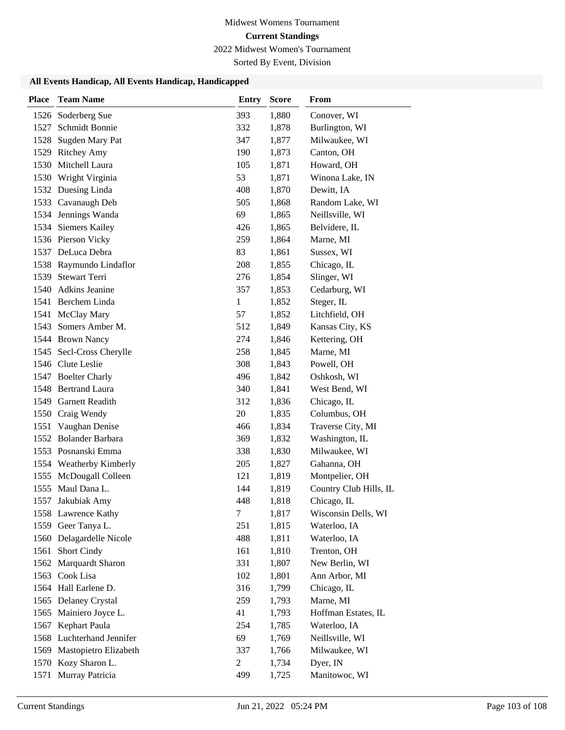2022 Midwest Women's Tournament

Sorted By Event, Division

| <b>Place</b> | <b>Team Name</b>                               | <b>Entry</b>   | <b>Score</b>   | From                        |
|--------------|------------------------------------------------|----------------|----------------|-----------------------------|
| 1526         | Soderberg Sue                                  | 393            | 1,880          | Conover, WI                 |
| 1527         | Schmidt Bonnie                                 | 332            | 1,878          | Burlington, WI              |
| 1528         | Sugden Mary Pat                                | 347            | 1,877          | Milwaukee, WI               |
|              | 1529 Ritchey Amy                               | 190            | 1,873          | Canton, OH                  |
|              | 1530 Mitchell Laura                            | 105            | 1,871          | Howard, OH                  |
|              | 1530 Wright Virginia                           | 53             | 1,871          | Winona Lake, IN             |
|              | 1532 Duesing Linda                             | 408            | 1,870          | Dewitt, IA                  |
|              | 1533 Cavanaugh Deb                             | 505            | 1,868          | Random Lake, WI             |
|              | 1534 Jennings Wanda                            | 69             | 1,865          | Neillsville, WI             |
|              | 1534 Siemers Kailey                            | 426            | 1,865          | Belvidere, IL               |
|              | 1536 Pierson Vicky                             | 259            | 1,864          | Marne, MI                   |
|              | 1537 DeLuca Debra                              | 83             | 1,861          | Sussex, WI                  |
|              | 1538 Raymundo Lindaflor                        | 208            | 1,855          | Chicago, IL                 |
| 1539         | Stewart Terri                                  | 276            | 1,854          | Slinger, WI                 |
|              | 1540 Adkins Jeanine                            | 357            | 1,853          | Cedarburg, WI               |
|              | 1541 Berchem Linda                             | $\mathbf{1}$   | 1,852          | Steger, IL                  |
|              | 1541 McClay Mary                               | 57             | 1,852          | Litchfield, OH              |
|              | 1543 Somers Amber M.                           | 512            | 1,849          | Kansas City, KS             |
|              | 1544 Brown Nancy                               | 274            | 1,846          | Kettering, OH               |
| 1545         | Secl-Cross Cherylle                            | 258            | 1,845          | Marne, MI                   |
|              | 1546 Clute Leslie                              | 308            | 1,843          | Powell, OH                  |
|              | 1547 Boelter Charly                            | 496            | 1,842          | Oshkosh, WI                 |
|              | 1548 Bertrand Laura                            | 340            | 1,841          | West Bend, WI               |
| 1549         | <b>Garnett Readith</b>                         | 312            | 1,836          | Chicago, IL                 |
| 1550         | Craig Wendy                                    | 20             | 1,835          | Columbus, OH                |
| 1551         | Vaughan Denise                                 | 466            | 1,834          | Traverse City, MI           |
|              | 1552 Bolander Barbara                          | 369            | 1,832          | Washington, IL              |
|              | 1553 Posnanski Emma                            | 338            | 1,830          | Milwaukee, WI               |
|              | 1554 Weatherby Kimberly                        | 205            | 1,827          | Gahanna, OH                 |
|              | 1555 McDougall Colleen                         | 121            | 1,819          | Montpelier, OH              |
|              | 1555 Maul Dana L.                              | 144            | 1,819          | Country Club Hills, IL      |
| 1557         | Jakubiak Amy                                   | 448            | 1,818          | Chicago, IL                 |
|              | 1558 Lawrence Kathy                            | 7              | 1,817          | Wisconsin Dells, WI         |
|              | 1559 Geer Tanya L.<br>1560 Delagardelle Nicole | 251<br>488     | 1,815          | Waterloo, IA                |
|              | 1561 Short Cindy                               | 161            | 1,811<br>1,810 | Waterloo, IA<br>Trenton, OH |
|              | 1562 Marquardt Sharon                          | 331            | 1,807          | New Berlin, WI              |
| 1563         | Cook Lisa                                      | 102            | 1,801          | Ann Arbor, MI               |
|              | 1564 Hall Earlene D.                           | 316            | 1,799          | Chicago, IL                 |
|              | 1565 Delaney Crystal                           | 259            | 1,793          | Marne, MI                   |
|              | 1565 Mainiero Joyce L.                         | 41             | 1,793          | Hoffman Estates, IL         |
|              | 1567 Kephart Paula                             | 254            | 1,785          | Waterloo, IA                |
|              | 1568 Luchterhand Jennifer                      | 69             | 1,769          | Neillsville, WI             |
|              | 1569 Mastopietro Elizabeth                     | 337            | 1,766          | Milwaukee, WI               |
|              | 1570 Kozy Sharon L.                            | $\overline{c}$ | 1,734          | Dyer, IN                    |
|              | 1571 Murray Patricia                           | 499            | 1,725          | Manitowoc, WI               |
|              |                                                |                |                |                             |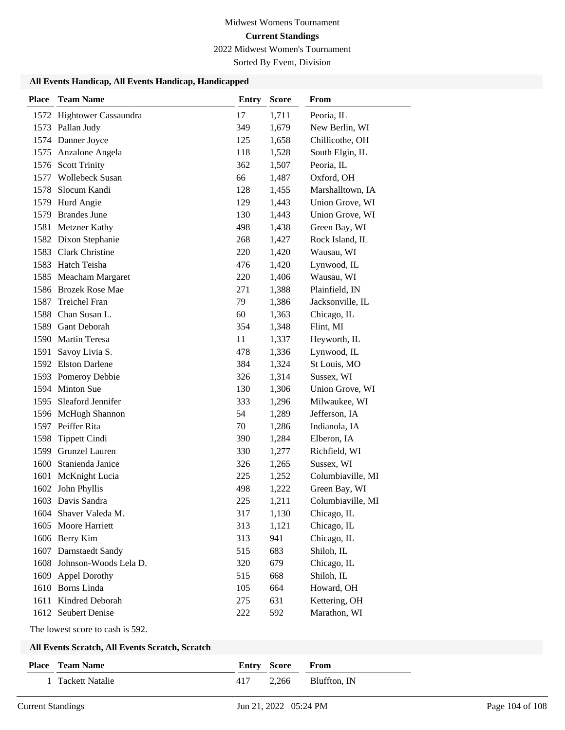2022 Midwest Women's Tournament

Sorted By Event, Division

### **All Events Handicap, All Events Handicap, Handicapped**

| <b>Place</b> | <b>Team Name</b>           | <b>Entry</b> | <b>Score</b> | <b>From</b>       |
|--------------|----------------------------|--------------|--------------|-------------------|
|              | 1572 Hightower Cassaundra  | 17           | 1,711        | Peoria, IL        |
|              | 1573 Pallan Judy           | 349          | 1,679        | New Berlin, WI    |
|              | 1574 Danner Joyce          | 125          | 1,658        | Chillicothe, OH   |
|              | 1575 Anzalone Angela       | 118          | 1,528        | South Elgin, IL   |
| 1576         | <b>Scott Trinity</b>       | 362          | 1,507        | Peoria, IL        |
|              | 1577 Wollebeck Susan       | 66           | 1,487        | Oxford, OH        |
| 1578         | Slocum Kandi               | 128          | 1,455        | Marshalltown, IA  |
|              | 1579 Hurd Angie            | 129          | 1,443        | Union Grove, WI   |
|              | 1579 Brandes June          | 130          | 1,443        | Union Grove, WI   |
|              | 1581 Metzner Kathy         | 498          | 1,438        | Green Bay, WI     |
|              | 1582 Dixon Stephanie       | 268          | 1,427        | Rock Island, IL   |
|              | 1583 Clark Christine       | 220          | 1,420        | Wausau, WI        |
|              | 1583 Hatch Teisha          | 476          | 1,420        | Lynwood, IL       |
|              | 1585 Meacham Margaret      | 220          | 1,406        | Wausau, WI        |
|              | 1586 Brozek Rose Mae       | 271          | 1,388        | Plainfield, IN    |
| 1587         | <b>Treichel Fran</b>       | 79           | 1,386        | Jacksonville, IL  |
|              | 1588 Chan Susan L.         | 60           | 1,363        | Chicago, IL       |
|              | 1589 Gant Deborah          | 354          | 1,348        | Flint, MI         |
|              | 1590 Martin Teresa         | 11           | 1,337        | Heyworth, IL      |
| 1591         | Savoy Livia S.             | 478          | 1,336        | Lynwood, IL       |
|              | 1592 Elston Darlene        | 384          | 1,324        | St Louis, MO      |
|              | 1593 Pomeroy Debbie        | 326          | 1,314        | Sussex, WI        |
|              | 1594 Minton Sue            | 130          | 1,306        | Union Grove, WI   |
|              | 1595 Sleaford Jennifer     | 333          | 1,296        | Milwaukee, WI     |
|              | 1596 McHugh Shannon        | 54           | 1,289        | Jefferson, IA     |
|              | 1597 Peiffer Rita          | 70           | 1,286        | Indianola, IA     |
| 1598         | <b>Tippett Cindi</b>       | 390          | 1,284        | Elberon, IA       |
| 1599         | Grunzel Lauren             | 330          | 1,277        | Richfield, WI     |
| 1600         | Stanienda Janice           | 326          | 1,265        | Sussex, WI        |
|              | 1601 McKnight Lucia        | 225          | 1,252        | Columbiaville, MI |
|              | 1602 John Phyllis          | 498          | 1,222        | Green Bay, WI     |
|              | 1603 Davis Sandra          | 225          | 1,211        | Columbiaville, MI |
|              | 1604 Shaver Valeda M.      | 317          | 1,130        | Chicago, IL       |
|              | 1605 Moore Harriett        | 313          | 1,121        | Chicago, IL       |
|              | 1606 Berry Kim             | 313          | 941          | Chicago, IL       |
|              | 1607 Darnstaedt Sandy      | 515          | 683          | Shiloh, IL        |
|              | 1608 Johnson-Woods Lela D. | 320          | 679          | Chicago, IL       |
|              | 1609 Appel Dorothy         | 515          | 668          | Shiloh, IL        |
| 1610         | <b>Borns Linda</b>         | 105          | 664          | Howard, OH        |
| 1611         | Kindred Deborah            | 275          | 631          | Kettering, OH     |
| 1612         | Seubert Denise             | 222          | 592          | Marathon, WI      |

The lowest score to cash is 592.

| <b>Place</b> Team Name | <b>Entry Score From</b> |                          |
|------------------------|-------------------------|--------------------------|
| Tackett Natalie        |                         | $417$ 2,266 Bluffton, IN |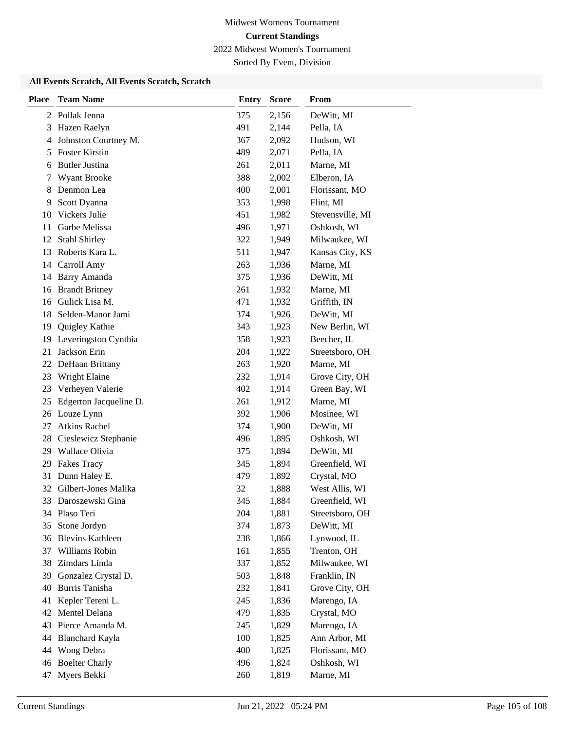Sorted By Event, Division

| <b>Place</b> | <b>Team Name</b>        | <b>Entry</b> | <b>Score</b> | From             |
|--------------|-------------------------|--------------|--------------|------------------|
|              | 2 Pollak Jenna          | 375          | 2,156        | DeWitt, MI       |
| 3            | Hazen Raelyn            | 491          | 2,144        | Pella, IA        |
| 4            | Johnston Courtney M.    | 367          | 2,092        | Hudson, WI       |
| 5            | <b>Foster Kirstin</b>   | 489          | 2,071        | Pella, IA        |
| 6            | <b>Butler Justina</b>   | 261          | 2,011        | Marne, MI        |
| 7            | Wyant Brooke            | 388          | 2,002        | Elberon, IA      |
| 8            | Denmon Lea              | 400          | 2,001        | Florissant, MO   |
| 9            | Scott Dyanna            | 353          | 1,998        | Flint, MI        |
| 10           | Vickers Julie           | 451          | 1,982        | Stevensville, MI |
| 11           | Garbe Melissa           | 496          | 1,971        | Oshkosh, WI      |
| 12           | <b>Stahl Shirley</b>    | 322          | 1,949        | Milwaukee, WI    |
|              | 13 Roberts Kara L.      | 511          | 1,947        | Kansas City, KS  |
| 14           | Carroll Amy             | 263          | 1,936        | Marne, MI        |
| 14           | <b>Barry Amanda</b>     | 375          | 1,936        | DeWitt, MI       |
| 16           | <b>Brandt Britney</b>   | 261          | 1,932        | Marne, MI        |
| 16           | Gulick Lisa M.          | 471          | 1,932        | Griffith, IN     |
| 18           | Selden-Manor Jami       | 374          | 1,926        | DeWitt, MI       |
| 19           | Quigley Kathie          | 343          | 1,923        | New Berlin, WI   |
| 19           | Leveringston Cynthia    | 358          | 1,923        | Beecher, IL      |
| 21           | Jackson Erin            | 204          | 1,922        | Streetsboro, OH  |
| 22           | DeHaan Brittany         | 263          | 1,920        | Marne, MI        |
| 23           | Wright Elaine           | 232          | 1,914        | Grove City, OH   |
| 23           | Verheyen Valerie        | 402          | 1,914        | Green Bay, WI    |
| 25           | Edgerton Jacqueline D.  | 261          | 1,912        | Marne, MI        |
|              | 26 Louze Lynn           | 392          | 1,906        | Mosinee, WI      |
| 27           | <b>Atkins Rachel</b>    | 374          | 1,900        | DeWitt, MI       |
| 28           | Cieslewicz Stephanie    | 496          | 1,895        | Oshkosh, WI      |
| 29           | Wallace Olivia          | 375          | 1,894        | DeWitt, MI       |
| 29           | <b>Fakes Tracy</b>      | 345          | 1,894        | Greenfield, WI   |
| 31           | Dunn Haley E.           | 479          | 1,892        | Crystal, MO      |
|              | 32 Gilbert-Jones Malika | 32           | 1,888        | West Allis, WI   |
| 33           | Daroszewski Gina        | 345          | 1,884        | Greenfield, WI   |
|              | 34 Plaso Teri           | 204          | 1,881        | Streetsboro, OH  |
| 35           | Stone Jordyn            | 374          | 1,873        | DeWitt, MI       |
| 36           | <b>Blevins Kathleen</b> | 238          | 1,866        | Lynwood, IL      |
| 37           | Williams Robin          | 161          | 1,855        | Trenton, OH      |
| 38           | Zimdars Linda           | 337          | 1,852        | Milwaukee, WI    |
| 39           | Gonzalez Crystal D.     | 503          | 1,848        | Franklin, IN     |
| 40           | Burris Tanisha          | 232          | 1,841        | Grove City, OH   |
| 41           | Kepler Tereni L.        | 245          | 1,836        | Marengo, IA      |
| 42           | Mentel Delana           | 479          | 1,835        | Crystal, MO      |
| 43           | Pierce Amanda M.        | 245          | 1,829        | Marengo, IA      |
| 44           | <b>Blanchard Kayla</b>  | 100          | 1,825        | Ann Arbor, MI    |
| 44           | Wong Debra              | 400          | 1,825        | Florissant, MO   |
| 46           | <b>Boelter Charly</b>   | 496          | 1,824        | Oshkosh, WI      |
|              | 47 Myers Bekki          | 260          | 1,819        | Marne, MI        |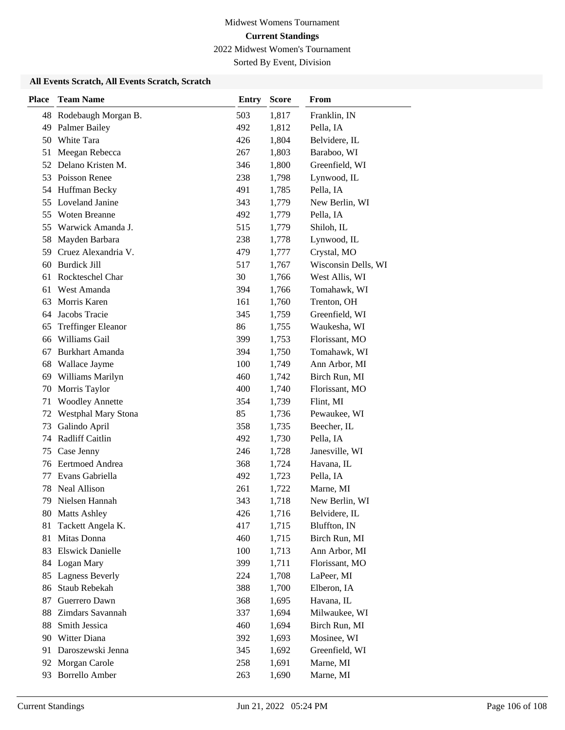Sorted By Event, Division

| <b>Place</b> | <b>Team Name</b>               | <b>Entry</b> | <b>Score</b>   | From                         |
|--------------|--------------------------------|--------------|----------------|------------------------------|
| 48           | Rodebaugh Morgan B.            | 503          | 1,817          | Franklin, IN                 |
| 49           | <b>Palmer Bailey</b>           | 492          | 1,812          | Pella, IA                    |
| 50           | White Tara                     | 426          | 1,804          | Belvidere, IL                |
| 51           | Meegan Rebecca                 | 267          | 1,803          | Baraboo, WI                  |
| 52           | Delano Kristen M.              | 346          | 1,800          | Greenfield, WI               |
| 53           | Poisson Renee                  | 238          | 1,798          | Lynwood, IL                  |
| 54           | Huffman Becky                  | 491          | 1,785          | Pella, IA                    |
| 55           | Loveland Janine                | 343          | 1,779          | New Berlin, WI               |
| 55           | Woten Breanne                  | 492          | 1,779          | Pella, IA                    |
| 55           | Warwick Amanda J.              | 515          | 1,779          | Shiloh, IL                   |
| 58           | Mayden Barbara                 | 238          | 1,778          | Lynwood, IL                  |
| 59           | Cruez Alexandria V.            | 479          | 1,777          | Crystal, MO                  |
| 60           | <b>Burdick Jill</b>            | 517          | 1,767          | Wisconsin Dells, WI          |
| 61           | Rockteschel Char               | 30           | 1,766          | West Allis, WI               |
| 61           | West Amanda                    | 394          | 1,766          | Tomahawk, WI                 |
| 63           | Morris Karen                   | 161          | 1,760          | Trenton, OH                  |
| 64           | Jacobs Tracie                  | 345          | 1,759          | Greenfield, WI               |
| 65           | <b>Treffinger Eleanor</b>      | 86           | 1,755          | Waukesha, WI                 |
| 66           | Williams Gail                  | 399          | 1,753          | Florissant, MO               |
| 67           | <b>Burkhart Amanda</b>         | 394          | 1,750          | Tomahawk, WI                 |
| 68           | Wallace Jayme                  | 100          | 1,749          | Ann Arbor, MI                |
| 69           | Williams Marilyn               | 460          | 1,742          | Birch Run, MI                |
| 70           | Morris Taylor                  | 400          | 1,740          | Florissant, MO               |
| 71           | <b>Woodley Annette</b>         | 354          | 1,739          | Flint, MI                    |
| 72           | Westphal Mary Stona            | 85           | 1,736          | Pewaukee, WI                 |
| 73           | Galindo April                  | 358          | 1,735          | Beecher, IL                  |
| 74           | Radliff Caitlin                | 492          | 1,730          | Pella, IA                    |
| 75           | Case Jenny                     | 246          | 1,728          | Janesville, WI               |
| 76           | <b>Eertmoed Andrea</b>         | 368          | 1,724          | Havana, IL                   |
| 77           | Evans Gabriella                | 492          | 1,723          | Pella, IA                    |
| 78           | Neal Allison                   | 261          | 1,722          | Marne, MI                    |
| 79           | Nielsen Hannah                 | 343          | 1,718          | New Berlin, WI               |
| 80.          | <b>Matts Ashley</b>            | 426          | 1,716          | Belvidere, IL                |
| 81           | Tackett Angela K.              | 417          | 1,715          | Bluffton, IN                 |
| 81           | Mitas Donna                    | 460          | 1,715          | Birch Run, MI                |
| 83           | <b>Elswick Danielle</b>        | 100          | 1,713          | Ann Arbor, MI                |
| 84           | Logan Mary                     | 399          | 1,711<br>1,708 | Florissant, MO               |
| 85           | <b>Lagness Beverly</b>         | 224          |                | LaPeer, MI                   |
| 86           | Staub Rebekah<br>Guerrero Dawn | 388          | 1,700          | Elberon, IA<br>Havana, IL    |
| 87<br>88     | Zimdars Savannah               | 368<br>337   | 1,695          | Milwaukee, WI                |
|              | Smith Jessica                  |              | 1,694          |                              |
| 88<br>90     | Witter Diana                   | 460<br>392   | 1,694          | Birch Run, MI<br>Mosinee, WI |
| 91           | Daroszewski Jenna              |              | 1,693          | Greenfield, WI               |
| 92           | Morgan Carole                  | 345<br>258   | 1,692<br>1,691 | Marne, MI                    |
|              | <b>Borrello Amber</b>          |              |                | Marne, MI                    |
| 93           |                                | 263          | 1,690          |                              |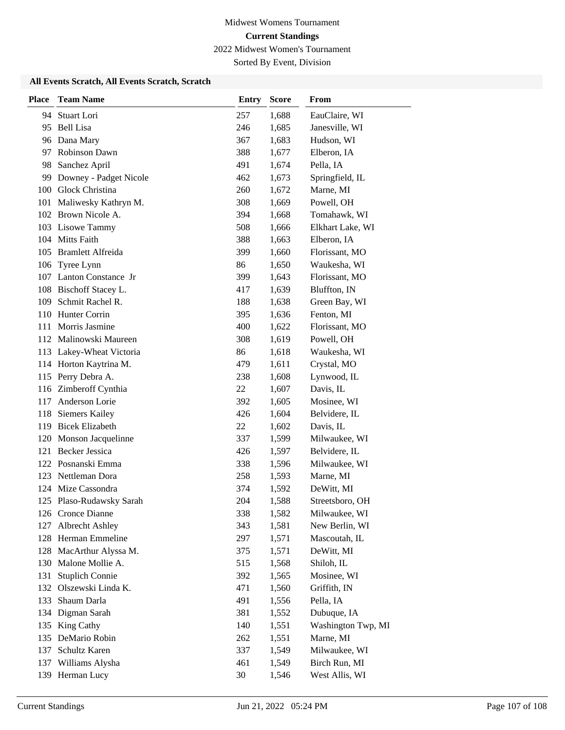Sorted By Event, Division

| <b>Place</b> | <b>Team Name</b>         | <b>Entry</b> | <b>Score</b> | From               |
|--------------|--------------------------|--------------|--------------|--------------------|
| 94           | Stuart Lori              | 257          | 1,688        | EauClaire, WI      |
| 95           | <b>Bell Lisa</b>         | 246          | 1,685        | Janesville, WI     |
|              | 96 Dana Mary             | 367          | 1,683        | Hudson, WI         |
| 97           | Robinson Dawn            | 388          | 1,677        | Elberon, IA        |
| 98           | Sanchez April            | 491          | 1,674        | Pella, IA          |
| 99           | Downey - Padget Nicole   | 462          | 1,673        | Springfield, IL    |
|              | 100 Glock Christina      | 260          | 1,672        | Marne, MI          |
| 101          | Maliwesky Kathryn M.     | 308          | 1,669        | Powell, OH         |
|              | 102 Brown Nicole A.      | 394          | 1,668        | Tomahawk, WI       |
|              | 103 Lisowe Tammy         | 508          | 1,666        | Elkhart Lake, WI   |
|              | 104 Mitts Faith          | 388          | 1,663        | Elberon, IA        |
|              | 105 Bramlett Alfreida    | 399          | 1,660        | Florissant, MO     |
| 106          | Tyree Lynn               | 86           | 1,650        | Waukesha, WI       |
|              | 107 Lanton Constance Jr  | 399          | 1,643        | Florissant, MO     |
|              | 108 Bischoff Stacey L.   | 417          | 1,639        | Bluffton, IN       |
| 109          | Schmit Rachel R.         | 188          | 1,638        | Green Bay, WI      |
| 110          | Hunter Corrin            | 395          | 1,636        | Fenton, MI         |
| 111          | Morris Jasmine           | 400          | 1,622        | Florissant, MO     |
|              | 112 Malinowski Maureen   | 308          | 1,619        | Powell, OH         |
| 113          | Lakey-Wheat Victoria     | 86           | 1,618        | Waukesha, WI       |
|              | 114 Horton Kaytrina M.   | 479          | 1,611        | Crystal, MO        |
| 115          | Perry Debra A.           | 238          | 1,608        | Lynwood, IL        |
|              | 116 Zimberoff Cynthia    | 22           | 1,607        | Davis, IL          |
| 117          | Anderson Lorie           | 392          | 1,605        | Mosinee, WI        |
| 118          | <b>Siemers Kailey</b>    | 426          | 1,604        | Belvidere, IL      |
| 119          | <b>Bicek Elizabeth</b>   | 22           | 1,602        | Davis, IL          |
|              | 120 Monson Jacquelinne   | 337          | 1,599        | Milwaukee, WI      |
| 121          | <b>Becker Jessica</b>    | 426          | 1,597        | Belvidere, IL      |
|              | 122 Posnanski Emma       | 338          | 1,596        | Milwaukee, WI      |
| 123          | Nettleman Dora           | 258          | 1,593        | Marne, MI          |
|              | 124 Mize Cassondra       | 374          | 1,592        | DeWitt, MI         |
|              | 125 Plaso-Rudawsky Sarah | 204          | 1,588        | Streetsboro, OH    |
|              | 126 Cronce Dianne        | 338          | 1,582        | Milwaukee, WI      |
| 127          | Albrecht Ashley          | 343          | 1,581        | New Berlin, WI     |
|              | 128 Herman Emmeline      | 297          | 1,571        | Mascoutah, IL      |
| 128          | MacArthur Alyssa M.      | 375          | 1,571        | DeWitt, MI         |
| 130          | Malone Mollie A.         | 515          | 1,568        | Shiloh, IL         |
| 131          | <b>Stuplich Connie</b>   | 392          | 1,565        | Mosinee, WI        |
| 132          | Olszewski Linda K.       | 471          | 1,560        | Griffith, IN       |
| 133          | Shaum Darla              | 491          | 1,556        | Pella, IA          |
| 134          | Digman Sarah             | 381          | 1,552        | Dubuque, IA        |
| 135          | King Cathy               | 140          | 1,551        | Washington Twp, MI |
|              | 135 DeMario Robin        | 262          | 1,551        | Marne, MI          |
| 137          | Schultz Karen            | 337          | 1,549        | Milwaukee, WI      |
|              | 137 Williams Alysha      | 461          | 1,549        | Birch Run, MI      |
|              | 139 Herman Lucy          | 30           | 1,546        | West Allis, WI     |